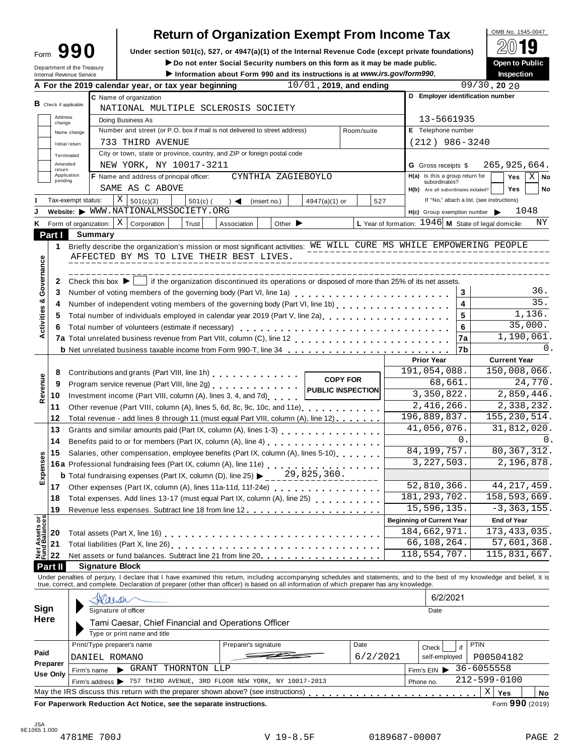# **Return of Organization Exempt From Income Tax**  $\begin{bmatrix} \text{OMB NO. 1545-0047} \\ \text{OMD.} \end{bmatrix}$

Form  $\mathbf{990}$  Under section 501(c), 527, or 4947(a)(1) of the Internal Revenue Code (except private foundations)  $\Box$   $\Box$ 

Form **JJU** Under section 501(c), 527, or 4947(a)(1) or the internal Revenue Code (except private foundations)<br>
Department of the Treasury **Department of the Treasury** Depen to Public **Department of the Treasury** 

| Department of the Treasury<br><b>Internal Revenue Service</b> |                                                                                                                                                           |         |                                                                                                                                                                                                                                | $\blacktriangleright$ Do not enter Social Security numbers on this form as it may be made public.<br>Information about Form 990 and its instructions is at www.irs.gov/form990. |                                    |                             |                          |                 |                                                        |            |                                                      |                   |                 | Open to Public<br><b>Inspection</b> |                   |  |
|---------------------------------------------------------------|-----------------------------------------------------------------------------------------------------------------------------------------------------------|---------|--------------------------------------------------------------------------------------------------------------------------------------------------------------------------------------------------------------------------------|---------------------------------------------------------------------------------------------------------------------------------------------------------------------------------|------------------------------------|-----------------------------|--------------------------|-----------------|--------------------------------------------------------|------------|------------------------------------------------------|-------------------|-----------------|-------------------------------------|-------------------|--|
|                                                               |                                                                                                                                                           |         | A For the 2019 calendar year, or tax year beginning                                                                                                                                                                            |                                                                                                                                                                                 |                                    |                             | 10/01, 2019, and ending  |                 |                                                        |            |                                                      |                   | $09/30$ , 20 20 |                                     |                   |  |
|                                                               |                                                                                                                                                           |         | C Name of organization                                                                                                                                                                                                         |                                                                                                                                                                                 |                                    |                             |                          |                 |                                                        |            | D Employer identification number                     |                   |                 |                                     |                   |  |
| <b>B</b> Check if applicable:                                 |                                                                                                                                                           |         | NATIONAL MULTIPLE SCLEROSIS SOCIETY                                                                                                                                                                                            |                                                                                                                                                                                 |                                    |                             |                          |                 |                                                        |            |                                                      |                   |                 |                                     |                   |  |
| Address<br>change                                             |                                                                                                                                                           |         | Doing Business As                                                                                                                                                                                                              |                                                                                                                                                                                 |                                    |                             |                          |                 |                                                        |            | 13-5661935                                           |                   |                 |                                     |                   |  |
|                                                               | Number and street (or P.O. box if mail is not delivered to street address)<br>Room/suite<br>Name change                                                   |         |                                                                                                                                                                                                                                |                                                                                                                                                                                 |                                    |                             |                          |                 |                                                        |            | E Telephone number                                   |                   |                 |                                     |                   |  |
|                                                               | Initial return                                                                                                                                            |         | 733 THIRD AVENUE                                                                                                                                                                                                               |                                                                                                                                                                                 |                                    |                             |                          |                 |                                                        |            | $(212)$ 986-3240                                     |                   |                 |                                     |                   |  |
|                                                               | Terminated                                                                                                                                                |         | City or town, state or province, country, and ZIP or foreign postal code                                                                                                                                                       |                                                                                                                                                                                 |                                    |                             |                          |                 |                                                        |            |                                                      |                   |                 |                                     |                   |  |
| Amended                                                       |                                                                                                                                                           |         | NEW YORK, NY 10017-3211                                                                                                                                                                                                        |                                                                                                                                                                                 |                                    |                             |                          |                 |                                                        |            | <b>G</b> Gross receipts \$                           |                   |                 | 265,925,664.                        |                   |  |
| return                                                        | Application                                                                                                                                               |         | F Name and address of principal officer:                                                                                                                                                                                       |                                                                                                                                                                                 |                                    | CYNTHIA ZAGIEBOYLO          |                          |                 |                                                        |            | $H(a)$ Is this a group return for                    |                   |                 | Yes                                 | $X \mid$ No       |  |
| pending                                                       |                                                                                                                                                           |         | SAME AS C ABOVE                                                                                                                                                                                                                |                                                                                                                                                                                 |                                    |                             |                          |                 |                                                        |            | subordinates?<br>H(b) Are all subordinates included? |                   |                 | <b>Yes</b>                          | No                |  |
|                                                               | Tax-exempt status:                                                                                                                                        |         | Χ<br>501(c)(3)                                                                                                                                                                                                                 | $501(c)$ (                                                                                                                                                                      | $\rightarrow$ $\blacktriangleleft$ | (insert no.)                | $4947(a)(1)$ or          |                 | 527                                                    |            | If "No," attach a list. (see instructions)           |                   |                 |                                     |                   |  |
|                                                               |                                                                                                                                                           |         | Website: WWW.NATIONALMSSOCIETY.ORG                                                                                                                                                                                             |                                                                                                                                                                                 |                                    |                             |                          |                 |                                                        |            | H(c) Group exemption number                          |                   |                 | 1048                                |                   |  |
| K.                                                            | Form of organization:                                                                                                                                     |         | ΧI<br>Corporation                                                                                                                                                                                                              | Trust                                                                                                                                                                           | Association                        | Other $\blacktriangleright$ |                          |                 | L Year of formation: $1946$ M State of legal domicile: |            |                                                      |                   |                 |                                     | ΝY                |  |
| Part I                                                        |                                                                                                                                                           |         |                                                                                                                                                                                                                                |                                                                                                                                                                                 |                                    |                             |                          |                 |                                                        |            |                                                      |                   |                 |                                     |                   |  |
|                                                               |                                                                                                                                                           | Summary | Briefly describe the organization's mission or most significant activities: WE WILL CURE MS WHILE EMPOWERING PEOPLE                                                                                                            |                                                                                                                                                                                 |                                    |                             |                          |                 |                                                        |            |                                                      |                   |                 |                                     |                   |  |
| 1                                                             |                                                                                                                                                           |         |                                                                                                                                                                                                                                |                                                                                                                                                                                 |                                    |                             |                          |                 |                                                        |            |                                                      |                   |                 |                                     |                   |  |
|                                                               |                                                                                                                                                           |         | AFFECTED BY MS TO LIVE THEIR BEST LIVES.                                                                                                                                                                                       |                                                                                                                                                                                 |                                    |                             |                          |                 |                                                        |            |                                                      |                   |                 |                                     |                   |  |
| Governance                                                    |                                                                                                                                                           |         |                                                                                                                                                                                                                                |                                                                                                                                                                                 |                                    | -----------------           |                          |                 |                                                        |            |                                                      |                   |                 |                                     |                   |  |
| 2                                                             |                                                                                                                                                           |         | Check this box $\blacktriangleright$   if the organization discontinued its operations or disposed of more than 25% of its net assets.                                                                                         |                                                                                                                                                                                 |                                    |                             |                          |                 |                                                        |            |                                                      |                   |                 |                                     |                   |  |
| 3                                                             |                                                                                                                                                           |         | Number of voting members of the governing body (Part VI, line 1a)<br>                                                                                                                                                          |                                                                                                                                                                                 |                                    |                             |                          |                 |                                                        |            |                                                      | 3                 |                 |                                     | 36.               |  |
| 4                                                             |                                                                                                                                                           |         | Number of independent voting members of the governing body (Part VI, line 1b)                                                                                                                                                  |                                                                                                                                                                                 |                                    |                             |                          |                 |                                                        |            |                                                      | 4                 |                 |                                     | $\overline{35}$ . |  |
| Activities &<br>5                                             |                                                                                                                                                           |         | Total number of individuals employed in calendar year 2019 (Part V, line 2a)<br>The 2a)                                                                                                                                        |                                                                                                                                                                                 |                                    |                             |                          |                 |                                                        |            |                                                      | 5                 |                 |                                     | 1,136.            |  |
| 6                                                             |                                                                                                                                                           |         | Total number of volunteers (estimate if necessary)                                                                                                                                                                             |                                                                                                                                                                                 |                                    |                             |                          |                 |                                                        |            |                                                      | 6                 |                 | 35,000.                             |                   |  |
|                                                               |                                                                                                                                                           |         |                                                                                                                                                                                                                                |                                                                                                                                                                                 |                                    |                             |                          |                 |                                                        |            |                                                      | 7a                |                 | 1,190,061.                          |                   |  |
|                                                               |                                                                                                                                                           |         |                                                                                                                                                                                                                                |                                                                                                                                                                                 |                                    |                             |                          |                 |                                                        |            |                                                      | 7b                |                 |                                     | 0.                |  |
|                                                               |                                                                                                                                                           |         |                                                                                                                                                                                                                                |                                                                                                                                                                                 |                                    |                             |                          |                 |                                                        |            | <b>Prior Year</b>                                    |                   |                 | <b>Current Year</b>                 |                   |  |
| 8                                                             |                                                                                                                                                           |         | Contributions and grants (Part VIII, line 1h)                                                                                                                                                                                  |                                                                                                                                                                                 |                                    |                             |                          | <b>COPY FOR</b> |                                                        |            | 191,054,088.                                         |                   |                 | 150,008,066.                        |                   |  |
| 9                                                             |                                                                                                                                                           |         | Program service revenue (Part VIII, line 2g)                                                                                                                                                                                   |                                                                                                                                                                                 |                                    |                             | <b>PUBLIC INSPECTION</b> |                 |                                                        |            | 68,661.                                              |                   |                 |                                     | 24,770.           |  |
| Revenue<br>10                                                 |                                                                                                                                                           |         | Investment income (Part VIII, column (A), lines 3, 4, and 7d)                                                                                                                                                                  |                                                                                                                                                                                 |                                    |                             |                          |                 |                                                        |            | 3,350,822.                                           |                   | 2,859,446.      |                                     |                   |  |
| 11                                                            | Other revenue (Part VIII, column (A), lines 5, 6d, 8c, 9c, 10c, and 11e) [100]                                                                            |         |                                                                                                                                                                                                                                |                                                                                                                                                                                 |                                    |                             |                          |                 |                                                        | 2,416,266. |                                                      | 2,338,232.        |                 |                                     |                   |  |
| 12                                                            |                                                                                                                                                           |         | Total revenue - add lines 8 through 11 (must equal Part VIII, column (A), line 12)                                                                                                                                             |                                                                                                                                                                                 |                                    |                             |                          |                 |                                                        |            | 196,889,837.                                         |                   |                 | 155, 230, 514.                      |                   |  |
| 13                                                            |                                                                                                                                                           |         |                                                                                                                                                                                                                                |                                                                                                                                                                                 |                                    |                             |                          |                 |                                                        |            | 41,056,076.                                          |                   |                 | 31,812,020.                         |                   |  |
| 14                                                            |                                                                                                                                                           |         | Benefits paid to or for members (Part IX, column (A), line 4) [10] cases is a contract to paid to or form members (Part IX, column (A), line 4)                                                                                |                                                                                                                                                                                 |                                    | 0.<br>84, 199, 757.         |                          |                 | 0.<br>80, 367, 312.                                    |            |                                                      |                   |                 |                                     |                   |  |
| 15                                                            | Salaries, other compensation, employee benefits (Part IX, column (A), lines 5-10)                                                                         |         |                                                                                                                                                                                                                                |                                                                                                                                                                                 |                                    |                             |                          |                 |                                                        |            |                                                      |                   |                 |                                     |                   |  |
|                                                               |                                                                                                                                                           |         | 16a Professional fundraising fees (Part IX, column (A), line 11e)<br>16a Professional fundraising fees (Part IX, column (A), line 11e)                                                                                         |                                                                                                                                                                                 |                                    |                             |                          |                 |                                                        |            | 3, 227, 503.                                         |                   |                 | 2,196,878.                          |                   |  |
| Expenses                                                      |                                                                                                                                                           |         | <b>b</b> Total fundraising expenses (Part IX, column (D), line 25) $\blacktriangleright$                                                                                                                                       |                                                                                                                                                                                 |                                    |                             | 29,825,360.              |                 |                                                        |            |                                                      |                   |                 |                                     |                   |  |
| 17                                                            |                                                                                                                                                           |         | Other expenses (Part IX, column (A), lines 11a-11d, 11f-24e)                                                                                                                                                                   |                                                                                                                                                                                 |                                    |                             |                          |                 |                                                        |            | 52,810,366.                                          |                   | 44, 217, 459.   |                                     |                   |  |
| 18                                                            |                                                                                                                                                           |         | Total expenses. Add lines 13-17 (must equal Part IX, column (A), line 25)                                                                                                                                                      |                                                                                                                                                                                 |                                    |                             |                          |                 | 181, 293, 702.                                         |            | 158,593,669.                                         |                   |                 |                                     |                   |  |
| 19                                                            |                                                                                                                                                           |         |                                                                                                                                                                                                                                |                                                                                                                                                                                 |                                    |                             |                          |                 |                                                        |            | 15,596,135.                                          |                   | $-3, 363, 155.$ |                                     |                   |  |
|                                                               |                                                                                                                                                           |         |                                                                                                                                                                                                                                |                                                                                                                                                                                 |                                    |                             |                          |                 |                                                        |            | <b>Beginning of Current Year</b>                     |                   |                 | <b>End of Year</b>                  |                   |  |
| 20                                                            |                                                                                                                                                           |         |                                                                                                                                                                                                                                |                                                                                                                                                                                 |                                    |                             |                          |                 |                                                        |            | 184,662,971.                                         |                   |                 | 173, 433, 035.                      |                   |  |
| 21                                                            |                                                                                                                                                           |         |                                                                                                                                                                                                                                |                                                                                                                                                                                 |                                    |                             |                          |                 |                                                        |            | 66,108,264.                                          |                   |                 | 57,601,368.                         |                   |  |
| Net Assets or<br>Fund Balances<br>22                          |                                                                                                                                                           |         | Net assets or fund balances. Subtract line 21 from line 20.                                                                                                                                                                    |                                                                                                                                                                                 |                                    |                             |                          |                 |                                                        |            | 118,554,707.                                         |                   |                 | 115,831,667.                        |                   |  |
| Part II                                                       |                                                                                                                                                           |         | <b>Signature Block</b>                                                                                                                                                                                                         |                                                                                                                                                                                 |                                    |                             |                          |                 |                                                        |            |                                                      |                   |                 |                                     |                   |  |
|                                                               |                                                                                                                                                           |         | Under penalties of perjury, I declare that I have examined this return, including accompanying schedules and statements, and to the best of my knowledge and belief, it is true, correct, and complete. Declaration of prepare |                                                                                                                                                                                 |                                    |                             |                          |                 |                                                        |            |                                                      |                   |                 |                                     |                   |  |
|                                                               |                                                                                                                                                           |         |                                                                                                                                                                                                                                |                                                                                                                                                                                 |                                    |                             |                          |                 |                                                        |            |                                                      |                   |                 |                                     |                   |  |
|                                                               |                                                                                                                                                           | Waiser  |                                                                                                                                                                                                                                |                                                                                                                                                                                 |                                    |                             |                          |                 |                                                        |            | 6/2/2021                                             |                   |                 |                                     |                   |  |
| Sign                                                          |                                                                                                                                                           |         |                                                                                                                                                                                                                                |                                                                                                                                                                                 |                                    |                             |                          |                 |                                                        | Date       |                                                      |                   |                 |                                     |                   |  |
| Here                                                          |                                                                                                                                                           |         | Tami Caesar, Chief Financial and Operations Officer                                                                                                                                                                            |                                                                                                                                                                                 |                                    |                             |                          |                 |                                                        |            |                                                      |                   |                 |                                     |                   |  |
|                                                               |                                                                                                                                                           |         | Type or print name and title                                                                                                                                                                                                   |                                                                                                                                                                                 |                                    |                             |                          |                 |                                                        |            |                                                      |                   |                 |                                     |                   |  |
|                                                               |                                                                                                                                                           |         | Print/Type preparer's name                                                                                                                                                                                                     |                                                                                                                                                                                 | Preparer's signature               |                             |                          |                 | Date                                                   |            | Check                                                | <b>PTIN</b><br>if |                 |                                     |                   |  |
| Paid                                                          |                                                                                                                                                           |         | DANIEL ROMANO                                                                                                                                                                                                                  |                                                                                                                                                                                 |                                    |                             |                          |                 | 6/2/2021                                               |            | self-employed                                        |                   | P00504182       |                                     |                   |  |
| Preparer                                                      |                                                                                                                                                           |         | GRANT THORNTON LLP                                                                                                                                                                                                             |                                                                                                                                                                                 |                                    |                             |                          |                 |                                                        |            |                                                      |                   | 36-6055558      |                                     |                   |  |
| <b>Use Only</b>                                               | Firm's name                                                                                                                                               |         |                                                                                                                                                                                                                                |                                                                                                                                                                                 |                                    |                             |                          |                 |                                                        |            | Firm's $EIN$                                         |                   |                 |                                     |                   |  |
|                                                               | Firm's address > 757 THIRD AVENUE, 3RD FLOOR NEW YORK, NY 10017-2013<br>May the IRS discuss this return with the preparer shown above? (see instructions) |         |                                                                                                                                                                                                                                |                                                                                                                                                                                 |                                    |                             |                          |                 | 212-599-0100<br>Phone no.<br>$\mathbf X$<br>Yes        |            |                                                      |                   |                 |                                     |                   |  |
|                                                               |                                                                                                                                                           |         |                                                                                                                                                                                                                                |                                                                                                                                                                                 |                                    |                             |                          |                 |                                                        |            |                                                      |                   |                 |                                     | No                |  |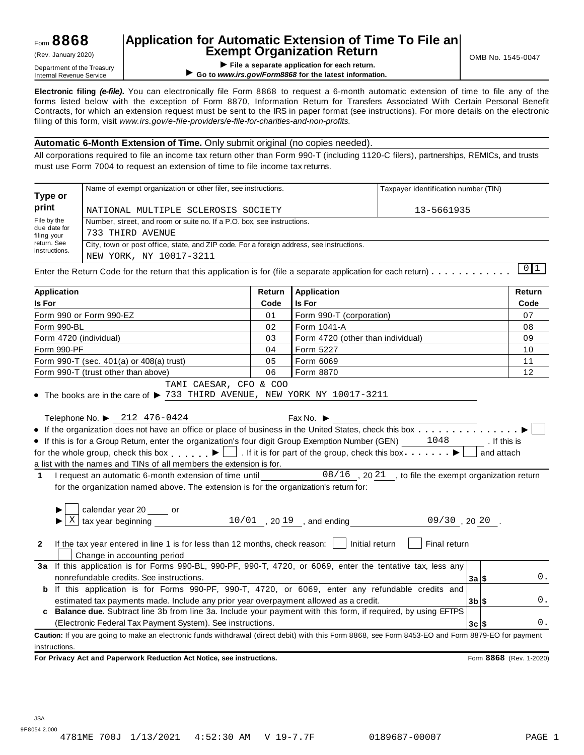## **Application for Automatic Extension of Time To File an Exempt Organization Return**  $(Rev.$  January 2020)  $\begin{bmatrix} 1 & 1 \end{bmatrix}$  **Exempt Organization Return**

**I Department of the Treasury**<br>Internal Revenue Service **Department of the Treasury**<br>**Department of the Integral Revenue Service Continuous**<br> **Co to www.irs.gov/Form8868 for the latest information of the Integral Revenue** 

▶ Go to www.irs.gov/Form8868 for the latest information.

**Electronic filing** *(e-file)***.** You can electronically file Form 8868 to request a 6-month automatic extension of time to file any of the forms listed below with the exception of Form 8870, Information Return for Transfers Associated With Certain Personal Benefit Contracts, for which an extension request must be sent to the IRS in paper format (see instructions). For more details on the electronic filing of this form, visit *www.irs.gov/e-file-providers/e-file-for-charities-and-non-profits.*

#### **Automatic 6-Month Extension of Time.** Only submit original (no copies needed).

All corporations required to file an income tax return other than Form 990-T (including 1120-C filers), partnerships, REMICs, and trusts must use Form 7004 to request an extension of time to file income tax returns.

| Annlication                  |                                                                                                                                        |  | <b>Doturn LAnnlication</b> |                                      | <b>Doturn</b> |  |  |  |  |  |  |
|------------------------------|----------------------------------------------------------------------------------------------------------------------------------------|--|----------------------------|--------------------------------------|---------------|--|--|--|--|--|--|
|                              | Enter the Return Code for the return that this application is for (file a separate application for each return) $\cdots \cdots \cdots$ |  |                            |                                      |               |  |  |  |  |  |  |
| return. See<br>instructions. | City, town or post office, state, and ZIP code. For a foreign address, see instructions.<br>NEW YORK, NY 10017-3211                    |  |                            |                                      |               |  |  |  |  |  |  |
| due date for<br>filing your  | 733 THIRD AVENUE                                                                                                                       |  |                            |                                      |               |  |  |  |  |  |  |
| File by the                  | Number, street, and room or suite no. If a P.O. box, see instructions.                                                                 |  |                            |                                      |               |  |  |  |  |  |  |
| print                        | NATIONAL MULTIPLE SCLEROSIS SOCIETY<br>13-5661935                                                                                      |  |                            |                                      |               |  |  |  |  |  |  |
| Type or                      | Name of exempt organization or other filer, see instructions.                                                                          |  |                            | Taxpayer identification number (TIN) |               |  |  |  |  |  |  |

| Application                                                                                                                                                                                                                                                                  | Return | Application                                                                | Return                  |
|------------------------------------------------------------------------------------------------------------------------------------------------------------------------------------------------------------------------------------------------------------------------------|--------|----------------------------------------------------------------------------|-------------------------|
| <b>Is For</b>                                                                                                                                                                                                                                                                | Code   | <b>Is For</b>                                                              | Code                    |
| Form 990 or Form 990-EZ                                                                                                                                                                                                                                                      | 01     | Form 990-T (corporation)                                                   | 07                      |
| Form 990-BL                                                                                                                                                                                                                                                                  | 02     | Form 1041-A                                                                | 08                      |
| Form 4720 (individual)                                                                                                                                                                                                                                                       | 03     | Form 4720 (other than individual)                                          | 09                      |
| Form 990-PF                                                                                                                                                                                                                                                                  | 04     | Form 5227                                                                  | 10                      |
| Form 990-T (sec. 401(a) or 408(a) trust)                                                                                                                                                                                                                                     | 05     | Form 6069                                                                  | 11                      |
| Form 990-T (trust other than above)                                                                                                                                                                                                                                          | 06     | Form 8870                                                                  | 12                      |
| TAMI CAESAR, CFO & COO<br>• The books are in the care of $\blacktriangleright$ 733 THIRD AVENUE, NEW YORK NY 10017-3211<br>Telephone No. ▶ 212 476-0424                                                                                                                      |        | Fax No. $\blacktriangleright$                                              |                         |
|                                                                                                                                                                                                                                                                              |        |                                                                            |                         |
| • If the organization does not have an office or place of business in the United States, check this box                                                                                                                                                                      |        |                                                                            | . If this is            |
| • If this is for a Group Return, enter the organization's four digit Group Exemption Number (GEN) 1048<br>for the whole group, check this box $\begin{array}{c} \bullet \end{array}$ . If it is for part of the group, check this box $\begin{array}{c} \bullet \end{array}$ |        |                                                                            | and attach              |
| a list with the names and TINs of all members the extension is for.                                                                                                                                                                                                          |        |                                                                            |                         |
| 1 I request an automatic 6-month extension of time until 08/16, 2021, to file the exempt organization return                                                                                                                                                                 |        |                                                                            |                         |
| for the organization named above. The extension is for the organization's return for:                                                                                                                                                                                        |        |                                                                            |                         |
|                                                                                                                                                                                                                                                                              |        |                                                                            |                         |
| calendar year 20 _____ or                                                                                                                                                                                                                                                    |        |                                                                            |                         |
| X                                                                                                                                                                                                                                                                            |        | tax year beginning $\frac{10/01}{10/01}$ , 20 19, and ending 09/30, 20 20. |                         |
|                                                                                                                                                                                                                                                                              |        |                                                                            |                         |
| If the tax year entered in line 1 is for less than 12 months, check reason: $\Box$ Initial return<br>$\mathbf{2}$<br>Change in accounting period                                                                                                                             |        | Final return                                                               |                         |
| 3a If this application is for Forms 990-BL, 990-PF, 990-T, 4720, or 6069, enter the tentative tax, less any                                                                                                                                                                  |        |                                                                            |                         |
| nonrefundable credits. See instructions.                                                                                                                                                                                                                                     |        |                                                                            | $0$ .<br>3a S           |
| <b>b</b> If this application is for Forms 990-PF, 990-T, 4720, or 6069, enter any refundable credits and                                                                                                                                                                     |        |                                                                            |                         |
| estimated tax payments made. Include any prior year overpayment allowed as a credit.                                                                                                                                                                                         |        |                                                                            | $0$ .<br>$3b$ \$        |
| c Balance due. Subtract line 3b from line 3a. Include your payment with this form, if required, by using EFTPS                                                                                                                                                               |        |                                                                            |                         |
| (Electronic Federal Tax Payment System). See instructions.                                                                                                                                                                                                                   |        |                                                                            | $0$ .<br>3c S           |
| Caution: If you are going to make an electronic funds withdrawal (direct debit) with this Form 8868, see Form 8453-EO and Form 8879-EO for payment                                                                                                                           |        |                                                                            |                         |
| instructions.                                                                                                                                                                                                                                                                |        |                                                                            |                         |
| For Privacy Act and Paperwork Reduction Act Notice, see instructions.                                                                                                                                                                                                        |        |                                                                            | Form 8868 (Rev. 1-2020) |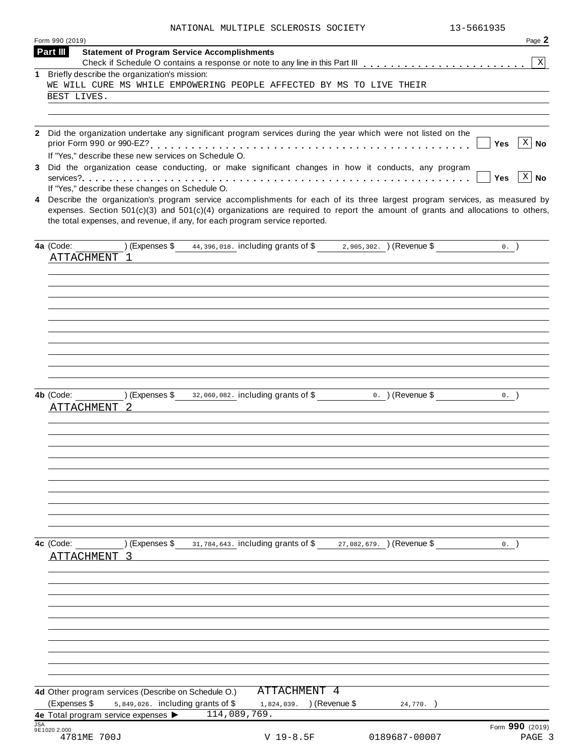|  | NATIONAL MULTIPLE SCLEROSIS SOCIETY | 13-5661935 |
|--|-------------------------------------|------------|

|                                                   |                                                      | NATIONAL MULTIPLE SCLEROSIS SOCIETY                                                                                                                                                                                                                                                                                                               |                  | 13-5661935 |                              |
|---------------------------------------------------|------------------------------------------------------|---------------------------------------------------------------------------------------------------------------------------------------------------------------------------------------------------------------------------------------------------------------------------------------------------------------------------------------------------|------------------|------------|------------------------------|
| Form 990 (2019)                                   |                                                      |                                                                                                                                                                                                                                                                                                                                                   |                  |            | Page 2                       |
| Part III                                          | <b>Statement of Program Service Accomplishments</b>  |                                                                                                                                                                                                                                                                                                                                                   |                  |            | $\bold{X}$                   |
| $\mathbf 1$                                       | Briefly describe the organization's mission:         |                                                                                                                                                                                                                                                                                                                                                   |                  |            |                              |
|                                                   |                                                      | WE WILL CURE MS WHILE EMPOWERING PEOPLE AFFECTED BY MS TO LIVE THEIR                                                                                                                                                                                                                                                                              |                  |            |                              |
| BEST LIVES.                                       |                                                      |                                                                                                                                                                                                                                                                                                                                                   |                  |            |                              |
|                                                   |                                                      |                                                                                                                                                                                                                                                                                                                                                   |                  |            |                              |
|                                                   |                                                      | 2 Did the organization undertake any significant program services during the year which were not listed on the                                                                                                                                                                                                                                    |                  |            |                              |
|                                                   |                                                      |                                                                                                                                                                                                                                                                                                                                                   |                  | Yes        | $\overline{\mathbf{x}}$   No |
|                                                   | If "Yes," describe these new services on Schedule O. |                                                                                                                                                                                                                                                                                                                                                   |                  |            |                              |
|                                                   |                                                      | 3 Did the organization cease conducting, or make significant changes in how it conducts, any program                                                                                                                                                                                                                                              |                  | Yes        | $X \mid No$                  |
|                                                   | If "Yes," describe these changes on Schedule O.      |                                                                                                                                                                                                                                                                                                                                                   |                  |            |                              |
|                                                   |                                                      | 4 Describe the organization's program service accomplishments for each of its three largest program services, as measured by<br>expenses. Section $501(c)(3)$ and $501(c)(4)$ organizations are required to report the amount of grants and allocations to others,<br>the total expenses, and revenue, if any, for each program service reported. |                  |            |                              |
| 4a (Code:                                         | ) (Expenses \$                                       | 44, 396, 018. including grants of \$2, 905, 302. ) (Revenue \$                                                                                                                                                                                                                                                                                    |                  |            | $0.$ )                       |
| ATTACHMENT 1                                      |                                                      |                                                                                                                                                                                                                                                                                                                                                   |                  |            |                              |
|                                                   |                                                      |                                                                                                                                                                                                                                                                                                                                                   |                  |            |                              |
|                                                   |                                                      |                                                                                                                                                                                                                                                                                                                                                   |                  |            |                              |
|                                                   |                                                      |                                                                                                                                                                                                                                                                                                                                                   |                  |            |                              |
|                                                   |                                                      |                                                                                                                                                                                                                                                                                                                                                   |                  |            |                              |
|                                                   |                                                      |                                                                                                                                                                                                                                                                                                                                                   |                  |            |                              |
|                                                   |                                                      |                                                                                                                                                                                                                                                                                                                                                   |                  |            |                              |
|                                                   |                                                      |                                                                                                                                                                                                                                                                                                                                                   |                  |            |                              |
|                                                   |                                                      |                                                                                                                                                                                                                                                                                                                                                   |                  |            |                              |
| 4b (Code:                                         | ) (Expenses \$                                       | 32,060,082. including grants of \$                                                                                                                                                                                                                                                                                                                | 0. ) (Revenue \$ |            | $0.$ )                       |
| ATTACHMENT                                        |                                                      |                                                                                                                                                                                                                                                                                                                                                   |                  |            |                              |
|                                                   |                                                      |                                                                                                                                                                                                                                                                                                                                                   |                  |            |                              |
|                                                   |                                                      |                                                                                                                                                                                                                                                                                                                                                   |                  |            |                              |
|                                                   |                                                      |                                                                                                                                                                                                                                                                                                                                                   |                  |            |                              |
|                                                   |                                                      |                                                                                                                                                                                                                                                                                                                                                   |                  |            |                              |
|                                                   |                                                      |                                                                                                                                                                                                                                                                                                                                                   |                  |            |                              |
|                                                   |                                                      |                                                                                                                                                                                                                                                                                                                                                   |                  |            |                              |
|                                                   |                                                      |                                                                                                                                                                                                                                                                                                                                                   |                  |            |                              |
|                                                   |                                                      |                                                                                                                                                                                                                                                                                                                                                   |                  |            |                              |
|                                                   |                                                      |                                                                                                                                                                                                                                                                                                                                                   |                  |            |                              |
| 4c (Code:                                         | ) (Expenses \$                                       | 31, 784, 643. including grants of \$27, 082, 679. ) (Revenue \$                                                                                                                                                                                                                                                                                   |                  |            | 0.                           |
| ATTACHMENT 3                                      |                                                      |                                                                                                                                                                                                                                                                                                                                                   |                  |            |                              |
|                                                   |                                                      |                                                                                                                                                                                                                                                                                                                                                   |                  |            |                              |
|                                                   |                                                      |                                                                                                                                                                                                                                                                                                                                                   |                  |            |                              |
|                                                   |                                                      |                                                                                                                                                                                                                                                                                                                                                   |                  |            |                              |
|                                                   |                                                      |                                                                                                                                                                                                                                                                                                                                                   |                  |            |                              |
|                                                   |                                                      |                                                                                                                                                                                                                                                                                                                                                   |                  |            |                              |
|                                                   |                                                      |                                                                                                                                                                                                                                                                                                                                                   |                  |            |                              |
|                                                   |                                                      |                                                                                                                                                                                                                                                                                                                                                   |                  |            |                              |
|                                                   |                                                      |                                                                                                                                                                                                                                                                                                                                                   |                  |            |                              |
|                                                   | 4d Other program services (Describe on Schedule O.)  | ATTACHMENT 4                                                                                                                                                                                                                                                                                                                                      |                  |            |                              |
| (Expenses \$                                      | 5,849,026. including grants of \$                    | 1,824,039. ) (Revenue \$                                                                                                                                                                                                                                                                                                                          |                  | 24,770.    |                              |
| 4e Total program service expenses ><br><b>JSA</b> |                                                      | 114,089,769.                                                                                                                                                                                                                                                                                                                                      |                  |            |                              |
| 9E1020 2.000<br>4781ME 700J                       |                                                      | $V$ 19-8.5F                                                                                                                                                                                                                                                                                                                                       | 0189687-00007    |            | Form 990 (2019)<br>PAGE 3    |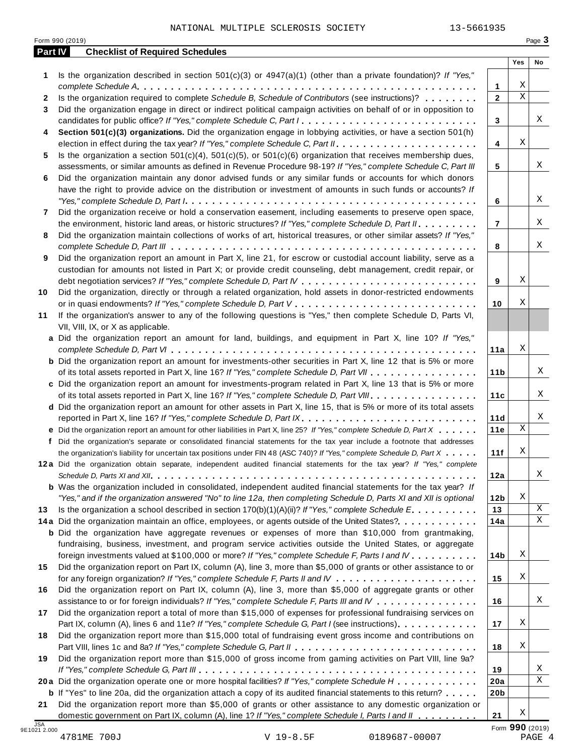|            | Form 990 (2019)                                                                                                                                    |                 |                 | Page 3 |
|------------|----------------------------------------------------------------------------------------------------------------------------------------------------|-----------------|-----------------|--------|
| Part IV    | <b>Checklist of Required Schedules</b>                                                                                                             |                 | Yes             | No     |
| 1          | Is the organization described in section $501(c)(3)$ or $4947(a)(1)$ (other than a private foundation)? If "Yes,"                                  |                 |                 |        |
|            |                                                                                                                                                    | 1               | Х               |        |
| 2          | Is the organization required to complete Schedule B, Schedule of Contributors (see instructions)?                                                  | $\overline{2}$  | $\mathbf X$     |        |
| 3          | Did the organization engage in direct or indirect political campaign activities on behalf of or in opposition to                                   |                 |                 |        |
|            | candidates for public office? If "Yes," complete Schedule C, Part I                                                                                | 3               |                 | Χ      |
| 4          | Section 501(c)(3) organizations. Did the organization engage in lobbying activities, or have a section 501(h)                                      |                 |                 |        |
|            |                                                                                                                                                    | 4               | Χ               |        |
| 5          | Is the organization a section $501(c)(4)$ , $501(c)(5)$ , or $501(c)(6)$ organization that receives membership dues,                               |                 |                 |        |
|            | assessments, or similar amounts as defined in Revenue Procedure 98-19? If "Yes," complete Schedule C, Part III                                     | 5               |                 | X      |
| 6          | Did the organization maintain any donor advised funds or any similar funds or accounts for which donors                                            |                 |                 |        |
|            | have the right to provide advice on the distribution or investment of amounts in such funds or accounts? If                                        |                 |                 |        |
|            |                                                                                                                                                    | 6               |                 | X      |
| 7          | Did the organization receive or hold a conservation easement, including easements to preserve open space,                                          |                 |                 |        |
|            | the environment, historic land areas, or historic structures? If "Yes," complete Schedule D, Part II.                                              | $\overline{7}$  |                 | X      |
| 8          | Did the organization maintain collections of works of art, historical treasures, or other similar assets? If "Yes,"                                |                 |                 |        |
|            |                                                                                                                                                    | 8               |                 | Χ      |
| 9          | Did the organization report an amount in Part X, line 21, for escrow or custodial account liability, serve as a                                    |                 |                 |        |
|            | custodian for amounts not listed in Part X; or provide credit counseling, debt management, credit repair, or                                       |                 |                 |        |
|            |                                                                                                                                                    | 9               | Χ               |        |
| 10         | Did the organization, directly or through a related organization, hold assets in donor-restricted endowments                                       |                 |                 |        |
|            |                                                                                                                                                    | 10              | Χ               |        |
| 11         | If the organization's answer to any of the following questions is "Yes," then complete Schedule D, Parts VI,<br>VII, VIII, IX, or X as applicable. |                 |                 |        |
|            | a Did the organization report an amount for land, buildings, and equipment in Part X, line 10? If "Yes,"                                           |                 |                 |        |
|            |                                                                                                                                                    | 11a             | Χ               |        |
|            | <b>b</b> Did the organization report an amount for investments-other securities in Part X, line 12 that is 5% or more                              |                 |                 |        |
|            | of its total assets reported in Part X, line 16? If "Yes," complete Schedule D, Part VII                                                           | 11 <sub>b</sub> |                 | X      |
|            | c Did the organization report an amount for investments-program related in Part X, line 13 that is 5% or more                                      |                 |                 |        |
|            | of its total assets reported in Part X, line 16? If "Yes," complete Schedule D, Part VIII                                                          | 11c             |                 | Χ      |
|            | d Did the organization report an amount for other assets in Part X, line 15, that is 5% or more of its total assets                                |                 |                 |        |
|            |                                                                                                                                                    | 11d             |                 | X      |
|            | e Did the organization report an amount for other liabilities in Part X, line 25? If "Yes," complete Schedule D, Part X                            | 11e             | $\mathbf X$     |        |
|            | f Did the organization's separate or consolidated financial statements for the tax year include a footnote that addresses                          |                 |                 |        |
|            | the organization's liability for uncertain tax positions under FIN 48 (ASC 740)? If "Yes," complete Schedule D, Part X                             | 11f             | X               |        |
|            | 12a Did the organization obtain separate, independent audited financial statements for the tax year? If "Yes," complete                            |                 |                 |        |
|            |                                                                                                                                                    | 12a             |                 | Χ      |
|            | <b>b</b> Was the organization included in consolidated, independent audited financial statements for the tax year? If                              |                 |                 |        |
|            | "Yes," and if the organization answered "No" to line 12a, then completing Schedule D, Parts XI and XII is optional                                 | 12 <sub>b</sub> | Х               |        |
| 13         | Is the organization a school described in section $170(b)(1)(A)(ii)$ ? If "Yes," complete Schedule E                                               | 13              |                 | X      |
|            | 14a Did the organization maintain an office, employees, or agents outside of the United States?                                                    | 14a             |                 | Χ      |
|            | <b>b</b> Did the organization have aggregate revenues or expenses of more than \$10,000 from grantmaking,                                          |                 |                 |        |
|            | fundraising, business, investment, and program service activities outside the United States, or aggregate                                          |                 |                 |        |
|            | foreign investments valued at \$100,000 or more? If "Yes," complete Schedule F, Parts I and IV                                                     | 14b             | Х               |        |
| 15         | Did the organization report on Part IX, column (A), line 3, more than \$5,000 of grants or other assistance to or                                  |                 |                 |        |
|            |                                                                                                                                                    | 15              | Х               |        |
| 16         | Did the organization report on Part IX, column (A), line 3, more than \$5,000 of aggregate grants or other                                         |                 |                 |        |
|            | assistance to or for foreign individuals? If "Yes," complete Schedule F, Parts III and IV                                                          | 16              |                 | Χ      |
| 17         | Did the organization report a total of more than \$15,000 of expenses for professional fundraising services on                                     |                 |                 |        |
|            | Part IX, column (A), lines 6 and 11e? If "Yes," complete Schedule G, Part I (see instructions)                                                     | 17              | Х               |        |
| 18         | Did the organization report more than \$15,000 total of fundraising event gross income and contributions on                                        |                 |                 |        |
|            |                                                                                                                                                    | 18              | Х               |        |
| 19         | Did the organization report more than \$15,000 of gross income from gaming activities on Part VIII, line 9a?                                       |                 |                 |        |
|            |                                                                                                                                                    | 19              |                 | Χ      |
|            | 20a Did the organization operate one or more hospital facilities? If "Yes," complete Schedule H                                                    | 20a             |                 | Χ      |
|            | <b>b</b> If "Yes" to line 20a, did the organization attach a copy of its audited financial statements to this return?                              | 20 <sub>b</sub> |                 |        |
| 21         | Did the organization report more than \$5,000 of grants or other assistance to any domestic organization or                                        |                 |                 |        |
|            | domestic government on Part IX, column (A), line 1? If "Yes," complete Schedule I, Parts I and II                                                  | 21              | Х               |        |
| <b>JSA</b> |                                                                                                                                                    |                 | Form 990 (2019) |        |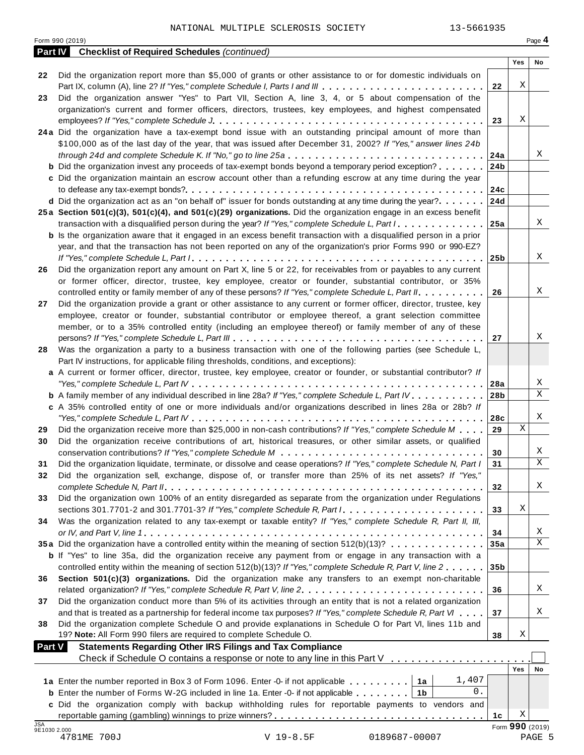| Page 4<br>Form 990 (2019)<br><b>Checklist of Required Schedules (continued)</b><br><b>Part IV</b><br>Yes<br>No<br>Did the organization report more than \$5,000 of grants or other assistance to or for domestic individuals on<br>22<br>Χ<br>22<br>Did the organization answer "Yes" to Part VII, Section A, line 3, 4, or 5 about compensation of the<br>23<br>organization's current and former officers, directors, trustees, key employees, and highest compensated<br>Χ<br>23<br>24a Did the organization have a tax-exempt bond issue with an outstanding principal amount of more than<br>\$100,000 as of the last day of the year, that was issued after December 31, 2002? If "Yes," answer lines 24b<br>Χ<br>24a<br><b>b</b> Did the organization invest any proceeds of tax-exempt bonds beyond a temporary period exception?<br>24b<br>c Did the organization maintain an escrow account other than a refunding escrow at any time during the year<br>24c<br>d Did the organization act as an "on behalf of" issuer for bonds outstanding at any time during the year?<br>24d<br>25a Section 501(c)(3), 501(c)(4), and 501(c)(29) organizations. Did the organization engage in an excess benefit<br>X<br>transaction with a disqualified person during the year? If "Yes," complete Schedule L, Part I<br>25a<br><b>b</b> Is the organization aware that it engaged in an excess benefit transaction with a disqualified person in a prior<br>year, and that the transaction has not been reported on any of the organization's prior Forms 990 or 990-EZ?<br>Χ<br>25 <sub>b</sub><br>Did the organization report any amount on Part X, line 5 or 22, for receivables from or payables to any current<br>26<br>or former officer, director, trustee, key employee, creator or founder, substantial contributor, or 35%<br>Χ<br>controlled entity or family member of any of these persons? If "Yes," complete Schedule L, Part II.<br>26<br>Did the organization provide a grant or other assistance to any current or former officer, director, trustee, key<br>27<br>employee, creator or founder, substantial contributor or employee thereof, a grant selection committee<br>member, or to a 35% controlled entity (including an employee thereof) or family member of any of these<br>Χ<br>27<br>Was the organization a party to a business transaction with one of the following parties (see Schedule L,<br>28<br>Part IV instructions, for applicable filing thresholds, conditions, and exceptions):<br>a A current or former officer, director, trustee, key employee, creator or founder, or substantial contributor? If<br>Χ<br>28a<br>X<br><b>b</b> A family member of any individual described in line 28a? If "Yes," complete Schedule L, Part IV.<br>28b<br>c A 35% controlled entity of one or more individuals and/or organizations described in lines 28a or 28b? If<br>Χ<br>28c<br>X<br>Did the organization receive more than \$25,000 in non-cash contributions? If "Yes," complete Schedule M<br>29<br>29<br>Did the organization receive contributions of art, historical treasures, or other similar assets, or qualified<br>30<br>Χ<br>30<br>Χ<br>Did the organization liquidate, terminate, or dissolve and cease operations? If "Yes," complete Schedule N, Part I<br>31<br>31<br>Did the organization sell, exchange, dispose of, or transfer more than 25% of its net assets? If "Yes,"<br>32<br>Χ<br>32<br>Did the organization own 100% of an entity disregarded as separate from the organization under Regulations<br>33<br>Χ<br>33<br>Was the organization related to any tax-exempt or taxable entity? If "Yes," complete Schedule R, Part II, III,<br>34<br>Χ<br>34<br>X<br>35a Did the organization have a controlled entity within the meaning of section 512(b)(13)?<br>35a<br><b>b</b> If "Yes" to line 35a, did the organization receive any payment from or engage in any transaction with a<br>controlled entity within the meaning of section 512(b)(13)? If "Yes," complete Schedule R, Part V, line 2<br>35 <sub>b</sub><br>Section 501(c)(3) organizations. Did the organization make any transfers to an exempt non-charitable<br>36<br>Χ<br>36<br>Did the organization conduct more than 5% of its activities through an entity that is not a related organization<br>37<br>Χ<br>and that is treated as a partnership for federal income tax purposes? If "Yes," complete Schedule R, Part VI<br>37<br>Did the organization complete Schedule O and provide explanations in Schedule O for Part VI, lines 11b and<br>38<br>Χ<br>19? Note: All Form 990 filers are required to complete Schedule O.<br>38<br><b>Statements Regarding Other IRS Filings and Tax Compliance</b><br><b>Part V</b><br>Check if Schedule O contains a response or note to any line in this Part V<br>Yes<br>No<br>1,407<br>1a Enter the number reported in Box 3 of Form 1096. Enter -0- if not applicable<br>1а<br>$0$ .<br><b>b</b> Enter the number of Forms W-2G included in line 1a. Enter -0- if not applicable $\ldots$ ,,,,,<br>1 <sub>b</sub><br>c Did the organization comply with backup withholding rules for reportable payments to vendors and<br>Χ<br>1c<br><b>JSA</b><br>Form 990 (2019)<br>9E1030 2.000<br>PAGE 5 | 13-5661935<br>NATIONAL MULTIPLE SCLEROSIS SOCIETY |  |  |
|------------------------------------------------------------------------------------------------------------------------------------------------------------------------------------------------------------------------------------------------------------------------------------------------------------------------------------------------------------------------------------------------------------------------------------------------------------------------------------------------------------------------------------------------------------------------------------------------------------------------------------------------------------------------------------------------------------------------------------------------------------------------------------------------------------------------------------------------------------------------------------------------------------------------------------------------------------------------------------------------------------------------------------------------------------------------------------------------------------------------------------------------------------------------------------------------------------------------------------------------------------------------------------------------------------------------------------------------------------------------------------------------------------------------------------------------------------------------------------------------------------------------------------------------------------------------------------------------------------------------------------------------------------------------------------------------------------------------------------------------------------------------------------------------------------------------------------------------------------------------------------------------------------------------------------------------------------------------------------------------------------------------------------------------------------------------------------------------------------------------------------------------------------------------------------------------------------------------------------------------------------------------------------------------------------------------------------------------------------------------------------------------------------------------------------------------------------------------------------------------------------------------------------------------------------------------------------------------------------------------------------------------------------------------------------------------------------------------------------------------------------------------------------------------------------------------------------------------------------------------------------------------------------------------------------------------------------------------------------------------------------------------------------------------------------------------------------------------------------------------------------------------------------------------------------------------------------------------------------------------------------------------------------------------------------------------------------------------------------------------------------------------------------------------------------------------------------------------------------------------------------------------------------------------------------------------------------------------------------------------------------------------------------------------------------------------------------------------------------------------------------------------------------------------------------------------------------------------------------------------------------------------------------------------------------------------------------------------------------------------------------------------------------------------------------------------------------------------------------------------------------------------------------------------------------------------------------------------------------------------------------------------------------------------------------------------------------------------------------------------------------------------------------------------------------------------------------------------------------------------------------------------------------------------------------------------------------------------------------------------------------------------------------------------------------------------------------------------------------------------------------------------------------------------------------------------------------------------------------------------------------------------------------------------------------------------------------------------------------------------------------------------------------------------------------------------------------------------------------------------------------------------------------------------------------------------------------------------------------------------------------------------------|---------------------------------------------------|--|--|
|                                                                                                                                                                                                                                                                                                                                                                                                                                                                                                                                                                                                                                                                                                                                                                                                                                                                                                                                                                                                                                                                                                                                                                                                                                                                                                                                                                                                                                                                                                                                                                                                                                                                                                                                                                                                                                                                                                                                                                                                                                                                                                                                                                                                                                                                                                                                                                                                                                                                                                                                                                                                                                                                                                                                                                                                                                                                                                                                                                                                                                                                                                                                                                                                                                                                                                                                                                                                                                                                                                                                                                                                                                                                                                                                                                                                                                                                                                                                                                                                                                                                                                                                                                                                                                                                                                                                                                                                                                                                                                                                                                                                                                                                                                                                                                                                                                                                                                                                                                                                                                                                                                                                                                                                                                                                              |                                                   |  |  |
|                                                                                                                                                                                                                                                                                                                                                                                                                                                                                                                                                                                                                                                                                                                                                                                                                                                                                                                                                                                                                                                                                                                                                                                                                                                                                                                                                                                                                                                                                                                                                                                                                                                                                                                                                                                                                                                                                                                                                                                                                                                                                                                                                                                                                                                                                                                                                                                                                                                                                                                                                                                                                                                                                                                                                                                                                                                                                                                                                                                                                                                                                                                                                                                                                                                                                                                                                                                                                                                                                                                                                                                                                                                                                                                                                                                                                                                                                                                                                                                                                                                                                                                                                                                                                                                                                                                                                                                                                                                                                                                                                                                                                                                                                                                                                                                                                                                                                                                                                                                                                                                                                                                                                                                                                                                                              |                                                   |  |  |
|                                                                                                                                                                                                                                                                                                                                                                                                                                                                                                                                                                                                                                                                                                                                                                                                                                                                                                                                                                                                                                                                                                                                                                                                                                                                                                                                                                                                                                                                                                                                                                                                                                                                                                                                                                                                                                                                                                                                                                                                                                                                                                                                                                                                                                                                                                                                                                                                                                                                                                                                                                                                                                                                                                                                                                                                                                                                                                                                                                                                                                                                                                                                                                                                                                                                                                                                                                                                                                                                                                                                                                                                                                                                                                                                                                                                                                                                                                                                                                                                                                                                                                                                                                                                                                                                                                                                                                                                                                                                                                                                                                                                                                                                                                                                                                                                                                                                                                                                                                                                                                                                                                                                                                                                                                                                              |                                                   |  |  |
|                                                                                                                                                                                                                                                                                                                                                                                                                                                                                                                                                                                                                                                                                                                                                                                                                                                                                                                                                                                                                                                                                                                                                                                                                                                                                                                                                                                                                                                                                                                                                                                                                                                                                                                                                                                                                                                                                                                                                                                                                                                                                                                                                                                                                                                                                                                                                                                                                                                                                                                                                                                                                                                                                                                                                                                                                                                                                                                                                                                                                                                                                                                                                                                                                                                                                                                                                                                                                                                                                                                                                                                                                                                                                                                                                                                                                                                                                                                                                                                                                                                                                                                                                                                                                                                                                                                                                                                                                                                                                                                                                                                                                                                                                                                                                                                                                                                                                                                                                                                                                                                                                                                                                                                                                                                                              |                                                   |  |  |
|                                                                                                                                                                                                                                                                                                                                                                                                                                                                                                                                                                                                                                                                                                                                                                                                                                                                                                                                                                                                                                                                                                                                                                                                                                                                                                                                                                                                                                                                                                                                                                                                                                                                                                                                                                                                                                                                                                                                                                                                                                                                                                                                                                                                                                                                                                                                                                                                                                                                                                                                                                                                                                                                                                                                                                                                                                                                                                                                                                                                                                                                                                                                                                                                                                                                                                                                                                                                                                                                                                                                                                                                                                                                                                                                                                                                                                                                                                                                                                                                                                                                                                                                                                                                                                                                                                                                                                                                                                                                                                                                                                                                                                                                                                                                                                                                                                                                                                                                                                                                                                                                                                                                                                                                                                                                              |                                                   |  |  |
|                                                                                                                                                                                                                                                                                                                                                                                                                                                                                                                                                                                                                                                                                                                                                                                                                                                                                                                                                                                                                                                                                                                                                                                                                                                                                                                                                                                                                                                                                                                                                                                                                                                                                                                                                                                                                                                                                                                                                                                                                                                                                                                                                                                                                                                                                                                                                                                                                                                                                                                                                                                                                                                                                                                                                                                                                                                                                                                                                                                                                                                                                                                                                                                                                                                                                                                                                                                                                                                                                                                                                                                                                                                                                                                                                                                                                                                                                                                                                                                                                                                                                                                                                                                                                                                                                                                                                                                                                                                                                                                                                                                                                                                                                                                                                                                                                                                                                                                                                                                                                                                                                                                                                                                                                                                                              |                                                   |  |  |
|                                                                                                                                                                                                                                                                                                                                                                                                                                                                                                                                                                                                                                                                                                                                                                                                                                                                                                                                                                                                                                                                                                                                                                                                                                                                                                                                                                                                                                                                                                                                                                                                                                                                                                                                                                                                                                                                                                                                                                                                                                                                                                                                                                                                                                                                                                                                                                                                                                                                                                                                                                                                                                                                                                                                                                                                                                                                                                                                                                                                                                                                                                                                                                                                                                                                                                                                                                                                                                                                                                                                                                                                                                                                                                                                                                                                                                                                                                                                                                                                                                                                                                                                                                                                                                                                                                                                                                                                                                                                                                                                                                                                                                                                                                                                                                                                                                                                                                                                                                                                                                                                                                                                                                                                                                                                              |                                                   |  |  |
|                                                                                                                                                                                                                                                                                                                                                                                                                                                                                                                                                                                                                                                                                                                                                                                                                                                                                                                                                                                                                                                                                                                                                                                                                                                                                                                                                                                                                                                                                                                                                                                                                                                                                                                                                                                                                                                                                                                                                                                                                                                                                                                                                                                                                                                                                                                                                                                                                                                                                                                                                                                                                                                                                                                                                                                                                                                                                                                                                                                                                                                                                                                                                                                                                                                                                                                                                                                                                                                                                                                                                                                                                                                                                                                                                                                                                                                                                                                                                                                                                                                                                                                                                                                                                                                                                                                                                                                                                                                                                                                                                                                                                                                                                                                                                                                                                                                                                                                                                                                                                                                                                                                                                                                                                                                                              |                                                   |  |  |
|                                                                                                                                                                                                                                                                                                                                                                                                                                                                                                                                                                                                                                                                                                                                                                                                                                                                                                                                                                                                                                                                                                                                                                                                                                                                                                                                                                                                                                                                                                                                                                                                                                                                                                                                                                                                                                                                                                                                                                                                                                                                                                                                                                                                                                                                                                                                                                                                                                                                                                                                                                                                                                                                                                                                                                                                                                                                                                                                                                                                                                                                                                                                                                                                                                                                                                                                                                                                                                                                                                                                                                                                                                                                                                                                                                                                                                                                                                                                                                                                                                                                                                                                                                                                                                                                                                                                                                                                                                                                                                                                                                                                                                                                                                                                                                                                                                                                                                                                                                                                                                                                                                                                                                                                                                                                              |                                                   |  |  |
|                                                                                                                                                                                                                                                                                                                                                                                                                                                                                                                                                                                                                                                                                                                                                                                                                                                                                                                                                                                                                                                                                                                                                                                                                                                                                                                                                                                                                                                                                                                                                                                                                                                                                                                                                                                                                                                                                                                                                                                                                                                                                                                                                                                                                                                                                                                                                                                                                                                                                                                                                                                                                                                                                                                                                                                                                                                                                                                                                                                                                                                                                                                                                                                                                                                                                                                                                                                                                                                                                                                                                                                                                                                                                                                                                                                                                                                                                                                                                                                                                                                                                                                                                                                                                                                                                                                                                                                                                                                                                                                                                                                                                                                                                                                                                                                                                                                                                                                                                                                                                                                                                                                                                                                                                                                                              |                                                   |  |  |
|                                                                                                                                                                                                                                                                                                                                                                                                                                                                                                                                                                                                                                                                                                                                                                                                                                                                                                                                                                                                                                                                                                                                                                                                                                                                                                                                                                                                                                                                                                                                                                                                                                                                                                                                                                                                                                                                                                                                                                                                                                                                                                                                                                                                                                                                                                                                                                                                                                                                                                                                                                                                                                                                                                                                                                                                                                                                                                                                                                                                                                                                                                                                                                                                                                                                                                                                                                                                                                                                                                                                                                                                                                                                                                                                                                                                                                                                                                                                                                                                                                                                                                                                                                                                                                                                                                                                                                                                                                                                                                                                                                                                                                                                                                                                                                                                                                                                                                                                                                                                                                                                                                                                                                                                                                                                              |                                                   |  |  |
|                                                                                                                                                                                                                                                                                                                                                                                                                                                                                                                                                                                                                                                                                                                                                                                                                                                                                                                                                                                                                                                                                                                                                                                                                                                                                                                                                                                                                                                                                                                                                                                                                                                                                                                                                                                                                                                                                                                                                                                                                                                                                                                                                                                                                                                                                                                                                                                                                                                                                                                                                                                                                                                                                                                                                                                                                                                                                                                                                                                                                                                                                                                                                                                                                                                                                                                                                                                                                                                                                                                                                                                                                                                                                                                                                                                                                                                                                                                                                                                                                                                                                                                                                                                                                                                                                                                                                                                                                                                                                                                                                                                                                                                                                                                                                                                                                                                                                                                                                                                                                                                                                                                                                                                                                                                                              |                                                   |  |  |
|                                                                                                                                                                                                                                                                                                                                                                                                                                                                                                                                                                                                                                                                                                                                                                                                                                                                                                                                                                                                                                                                                                                                                                                                                                                                                                                                                                                                                                                                                                                                                                                                                                                                                                                                                                                                                                                                                                                                                                                                                                                                                                                                                                                                                                                                                                                                                                                                                                                                                                                                                                                                                                                                                                                                                                                                                                                                                                                                                                                                                                                                                                                                                                                                                                                                                                                                                                                                                                                                                                                                                                                                                                                                                                                                                                                                                                                                                                                                                                                                                                                                                                                                                                                                                                                                                                                                                                                                                                                                                                                                                                                                                                                                                                                                                                                                                                                                                                                                                                                                                                                                                                                                                                                                                                                                              |                                                   |  |  |
|                                                                                                                                                                                                                                                                                                                                                                                                                                                                                                                                                                                                                                                                                                                                                                                                                                                                                                                                                                                                                                                                                                                                                                                                                                                                                                                                                                                                                                                                                                                                                                                                                                                                                                                                                                                                                                                                                                                                                                                                                                                                                                                                                                                                                                                                                                                                                                                                                                                                                                                                                                                                                                                                                                                                                                                                                                                                                                                                                                                                                                                                                                                                                                                                                                                                                                                                                                                                                                                                                                                                                                                                                                                                                                                                                                                                                                                                                                                                                                                                                                                                                                                                                                                                                                                                                                                                                                                                                                                                                                                                                                                                                                                                                                                                                                                                                                                                                                                                                                                                                                                                                                                                                                                                                                                                              |                                                   |  |  |
|                                                                                                                                                                                                                                                                                                                                                                                                                                                                                                                                                                                                                                                                                                                                                                                                                                                                                                                                                                                                                                                                                                                                                                                                                                                                                                                                                                                                                                                                                                                                                                                                                                                                                                                                                                                                                                                                                                                                                                                                                                                                                                                                                                                                                                                                                                                                                                                                                                                                                                                                                                                                                                                                                                                                                                                                                                                                                                                                                                                                                                                                                                                                                                                                                                                                                                                                                                                                                                                                                                                                                                                                                                                                                                                                                                                                                                                                                                                                                                                                                                                                                                                                                                                                                                                                                                                                                                                                                                                                                                                                                                                                                                                                                                                                                                                                                                                                                                                                                                                                                                                                                                                                                                                                                                                                              |                                                   |  |  |
|                                                                                                                                                                                                                                                                                                                                                                                                                                                                                                                                                                                                                                                                                                                                                                                                                                                                                                                                                                                                                                                                                                                                                                                                                                                                                                                                                                                                                                                                                                                                                                                                                                                                                                                                                                                                                                                                                                                                                                                                                                                                                                                                                                                                                                                                                                                                                                                                                                                                                                                                                                                                                                                                                                                                                                                                                                                                                                                                                                                                                                                                                                                                                                                                                                                                                                                                                                                                                                                                                                                                                                                                                                                                                                                                                                                                                                                                                                                                                                                                                                                                                                                                                                                                                                                                                                                                                                                                                                                                                                                                                                                                                                                                                                                                                                                                                                                                                                                                                                                                                                                                                                                                                                                                                                                                              |                                                   |  |  |
|                                                                                                                                                                                                                                                                                                                                                                                                                                                                                                                                                                                                                                                                                                                                                                                                                                                                                                                                                                                                                                                                                                                                                                                                                                                                                                                                                                                                                                                                                                                                                                                                                                                                                                                                                                                                                                                                                                                                                                                                                                                                                                                                                                                                                                                                                                                                                                                                                                                                                                                                                                                                                                                                                                                                                                                                                                                                                                                                                                                                                                                                                                                                                                                                                                                                                                                                                                                                                                                                                                                                                                                                                                                                                                                                                                                                                                                                                                                                                                                                                                                                                                                                                                                                                                                                                                                                                                                                                                                                                                                                                                                                                                                                                                                                                                                                                                                                                                                                                                                                                                                                                                                                                                                                                                                                              |                                                   |  |  |
|                                                                                                                                                                                                                                                                                                                                                                                                                                                                                                                                                                                                                                                                                                                                                                                                                                                                                                                                                                                                                                                                                                                                                                                                                                                                                                                                                                                                                                                                                                                                                                                                                                                                                                                                                                                                                                                                                                                                                                                                                                                                                                                                                                                                                                                                                                                                                                                                                                                                                                                                                                                                                                                                                                                                                                                                                                                                                                                                                                                                                                                                                                                                                                                                                                                                                                                                                                                                                                                                                                                                                                                                                                                                                                                                                                                                                                                                                                                                                                                                                                                                                                                                                                                                                                                                                                                                                                                                                                                                                                                                                                                                                                                                                                                                                                                                                                                                                                                                                                                                                                                                                                                                                                                                                                                                              |                                                   |  |  |
|                                                                                                                                                                                                                                                                                                                                                                                                                                                                                                                                                                                                                                                                                                                                                                                                                                                                                                                                                                                                                                                                                                                                                                                                                                                                                                                                                                                                                                                                                                                                                                                                                                                                                                                                                                                                                                                                                                                                                                                                                                                                                                                                                                                                                                                                                                                                                                                                                                                                                                                                                                                                                                                                                                                                                                                                                                                                                                                                                                                                                                                                                                                                                                                                                                                                                                                                                                                                                                                                                                                                                                                                                                                                                                                                                                                                                                                                                                                                                                                                                                                                                                                                                                                                                                                                                                                                                                                                                                                                                                                                                                                                                                                                                                                                                                                                                                                                                                                                                                                                                                                                                                                                                                                                                                                                              |                                                   |  |  |
|                                                                                                                                                                                                                                                                                                                                                                                                                                                                                                                                                                                                                                                                                                                                                                                                                                                                                                                                                                                                                                                                                                                                                                                                                                                                                                                                                                                                                                                                                                                                                                                                                                                                                                                                                                                                                                                                                                                                                                                                                                                                                                                                                                                                                                                                                                                                                                                                                                                                                                                                                                                                                                                                                                                                                                                                                                                                                                                                                                                                                                                                                                                                                                                                                                                                                                                                                                                                                                                                                                                                                                                                                                                                                                                                                                                                                                                                                                                                                                                                                                                                                                                                                                                                                                                                                                                                                                                                                                                                                                                                                                                                                                                                                                                                                                                                                                                                                                                                                                                                                                                                                                                                                                                                                                                                              |                                                   |  |  |
|                                                                                                                                                                                                                                                                                                                                                                                                                                                                                                                                                                                                                                                                                                                                                                                                                                                                                                                                                                                                                                                                                                                                                                                                                                                                                                                                                                                                                                                                                                                                                                                                                                                                                                                                                                                                                                                                                                                                                                                                                                                                                                                                                                                                                                                                                                                                                                                                                                                                                                                                                                                                                                                                                                                                                                                                                                                                                                                                                                                                                                                                                                                                                                                                                                                                                                                                                                                                                                                                                                                                                                                                                                                                                                                                                                                                                                                                                                                                                                                                                                                                                                                                                                                                                                                                                                                                                                                                                                                                                                                                                                                                                                                                                                                                                                                                                                                                                                                                                                                                                                                                                                                                                                                                                                                                              |                                                   |  |  |
|                                                                                                                                                                                                                                                                                                                                                                                                                                                                                                                                                                                                                                                                                                                                                                                                                                                                                                                                                                                                                                                                                                                                                                                                                                                                                                                                                                                                                                                                                                                                                                                                                                                                                                                                                                                                                                                                                                                                                                                                                                                                                                                                                                                                                                                                                                                                                                                                                                                                                                                                                                                                                                                                                                                                                                                                                                                                                                                                                                                                                                                                                                                                                                                                                                                                                                                                                                                                                                                                                                                                                                                                                                                                                                                                                                                                                                                                                                                                                                                                                                                                                                                                                                                                                                                                                                                                                                                                                                                                                                                                                                                                                                                                                                                                                                                                                                                                                                                                                                                                                                                                                                                                                                                                                                                                              |                                                   |  |  |
|                                                                                                                                                                                                                                                                                                                                                                                                                                                                                                                                                                                                                                                                                                                                                                                                                                                                                                                                                                                                                                                                                                                                                                                                                                                                                                                                                                                                                                                                                                                                                                                                                                                                                                                                                                                                                                                                                                                                                                                                                                                                                                                                                                                                                                                                                                                                                                                                                                                                                                                                                                                                                                                                                                                                                                                                                                                                                                                                                                                                                                                                                                                                                                                                                                                                                                                                                                                                                                                                                                                                                                                                                                                                                                                                                                                                                                                                                                                                                                                                                                                                                                                                                                                                                                                                                                                                                                                                                                                                                                                                                                                                                                                                                                                                                                                                                                                                                                                                                                                                                                                                                                                                                                                                                                                                              |                                                   |  |  |
|                                                                                                                                                                                                                                                                                                                                                                                                                                                                                                                                                                                                                                                                                                                                                                                                                                                                                                                                                                                                                                                                                                                                                                                                                                                                                                                                                                                                                                                                                                                                                                                                                                                                                                                                                                                                                                                                                                                                                                                                                                                                                                                                                                                                                                                                                                                                                                                                                                                                                                                                                                                                                                                                                                                                                                                                                                                                                                                                                                                                                                                                                                                                                                                                                                                                                                                                                                                                                                                                                                                                                                                                                                                                                                                                                                                                                                                                                                                                                                                                                                                                                                                                                                                                                                                                                                                                                                                                                                                                                                                                                                                                                                                                                                                                                                                                                                                                                                                                                                                                                                                                                                                                                                                                                                                                              |                                                   |  |  |
|                                                                                                                                                                                                                                                                                                                                                                                                                                                                                                                                                                                                                                                                                                                                                                                                                                                                                                                                                                                                                                                                                                                                                                                                                                                                                                                                                                                                                                                                                                                                                                                                                                                                                                                                                                                                                                                                                                                                                                                                                                                                                                                                                                                                                                                                                                                                                                                                                                                                                                                                                                                                                                                                                                                                                                                                                                                                                                                                                                                                                                                                                                                                                                                                                                                                                                                                                                                                                                                                                                                                                                                                                                                                                                                                                                                                                                                                                                                                                                                                                                                                                                                                                                                                                                                                                                                                                                                                                                                                                                                                                                                                                                                                                                                                                                                                                                                                                                                                                                                                                                                                                                                                                                                                                                                                              |                                                   |  |  |
|                                                                                                                                                                                                                                                                                                                                                                                                                                                                                                                                                                                                                                                                                                                                                                                                                                                                                                                                                                                                                                                                                                                                                                                                                                                                                                                                                                                                                                                                                                                                                                                                                                                                                                                                                                                                                                                                                                                                                                                                                                                                                                                                                                                                                                                                                                                                                                                                                                                                                                                                                                                                                                                                                                                                                                                                                                                                                                                                                                                                                                                                                                                                                                                                                                                                                                                                                                                                                                                                                                                                                                                                                                                                                                                                                                                                                                                                                                                                                                                                                                                                                                                                                                                                                                                                                                                                                                                                                                                                                                                                                                                                                                                                                                                                                                                                                                                                                                                                                                                                                                                                                                                                                                                                                                                                              |                                                   |  |  |
|                                                                                                                                                                                                                                                                                                                                                                                                                                                                                                                                                                                                                                                                                                                                                                                                                                                                                                                                                                                                                                                                                                                                                                                                                                                                                                                                                                                                                                                                                                                                                                                                                                                                                                                                                                                                                                                                                                                                                                                                                                                                                                                                                                                                                                                                                                                                                                                                                                                                                                                                                                                                                                                                                                                                                                                                                                                                                                                                                                                                                                                                                                                                                                                                                                                                                                                                                                                                                                                                                                                                                                                                                                                                                                                                                                                                                                                                                                                                                                                                                                                                                                                                                                                                                                                                                                                                                                                                                                                                                                                                                                                                                                                                                                                                                                                                                                                                                                                                                                                                                                                                                                                                                                                                                                                                              |                                                   |  |  |
|                                                                                                                                                                                                                                                                                                                                                                                                                                                                                                                                                                                                                                                                                                                                                                                                                                                                                                                                                                                                                                                                                                                                                                                                                                                                                                                                                                                                                                                                                                                                                                                                                                                                                                                                                                                                                                                                                                                                                                                                                                                                                                                                                                                                                                                                                                                                                                                                                                                                                                                                                                                                                                                                                                                                                                                                                                                                                                                                                                                                                                                                                                                                                                                                                                                                                                                                                                                                                                                                                                                                                                                                                                                                                                                                                                                                                                                                                                                                                                                                                                                                                                                                                                                                                                                                                                                                                                                                                                                                                                                                                                                                                                                                                                                                                                                                                                                                                                                                                                                                                                                                                                                                                                                                                                                                              |                                                   |  |  |
|                                                                                                                                                                                                                                                                                                                                                                                                                                                                                                                                                                                                                                                                                                                                                                                                                                                                                                                                                                                                                                                                                                                                                                                                                                                                                                                                                                                                                                                                                                                                                                                                                                                                                                                                                                                                                                                                                                                                                                                                                                                                                                                                                                                                                                                                                                                                                                                                                                                                                                                                                                                                                                                                                                                                                                                                                                                                                                                                                                                                                                                                                                                                                                                                                                                                                                                                                                                                                                                                                                                                                                                                                                                                                                                                                                                                                                                                                                                                                                                                                                                                                                                                                                                                                                                                                                                                                                                                                                                                                                                                                                                                                                                                                                                                                                                                                                                                                                                                                                                                                                                                                                                                                                                                                                                                              |                                                   |  |  |
|                                                                                                                                                                                                                                                                                                                                                                                                                                                                                                                                                                                                                                                                                                                                                                                                                                                                                                                                                                                                                                                                                                                                                                                                                                                                                                                                                                                                                                                                                                                                                                                                                                                                                                                                                                                                                                                                                                                                                                                                                                                                                                                                                                                                                                                                                                                                                                                                                                                                                                                                                                                                                                                                                                                                                                                                                                                                                                                                                                                                                                                                                                                                                                                                                                                                                                                                                                                                                                                                                                                                                                                                                                                                                                                                                                                                                                                                                                                                                                                                                                                                                                                                                                                                                                                                                                                                                                                                                                                                                                                                                                                                                                                                                                                                                                                                                                                                                                                                                                                                                                                                                                                                                                                                                                                                              |                                                   |  |  |
|                                                                                                                                                                                                                                                                                                                                                                                                                                                                                                                                                                                                                                                                                                                                                                                                                                                                                                                                                                                                                                                                                                                                                                                                                                                                                                                                                                                                                                                                                                                                                                                                                                                                                                                                                                                                                                                                                                                                                                                                                                                                                                                                                                                                                                                                                                                                                                                                                                                                                                                                                                                                                                                                                                                                                                                                                                                                                                                                                                                                                                                                                                                                                                                                                                                                                                                                                                                                                                                                                                                                                                                                                                                                                                                                                                                                                                                                                                                                                                                                                                                                                                                                                                                                                                                                                                                                                                                                                                                                                                                                                                                                                                                                                                                                                                                                                                                                                                                                                                                                                                                                                                                                                                                                                                                                              |                                                   |  |  |
|                                                                                                                                                                                                                                                                                                                                                                                                                                                                                                                                                                                                                                                                                                                                                                                                                                                                                                                                                                                                                                                                                                                                                                                                                                                                                                                                                                                                                                                                                                                                                                                                                                                                                                                                                                                                                                                                                                                                                                                                                                                                                                                                                                                                                                                                                                                                                                                                                                                                                                                                                                                                                                                                                                                                                                                                                                                                                                                                                                                                                                                                                                                                                                                                                                                                                                                                                                                                                                                                                                                                                                                                                                                                                                                                                                                                                                                                                                                                                                                                                                                                                                                                                                                                                                                                                                                                                                                                                                                                                                                                                                                                                                                                                                                                                                                                                                                                                                                                                                                                                                                                                                                                                                                                                                                                              |                                                   |  |  |
|                                                                                                                                                                                                                                                                                                                                                                                                                                                                                                                                                                                                                                                                                                                                                                                                                                                                                                                                                                                                                                                                                                                                                                                                                                                                                                                                                                                                                                                                                                                                                                                                                                                                                                                                                                                                                                                                                                                                                                                                                                                                                                                                                                                                                                                                                                                                                                                                                                                                                                                                                                                                                                                                                                                                                                                                                                                                                                                                                                                                                                                                                                                                                                                                                                                                                                                                                                                                                                                                                                                                                                                                                                                                                                                                                                                                                                                                                                                                                                                                                                                                                                                                                                                                                                                                                                                                                                                                                                                                                                                                                                                                                                                                                                                                                                                                                                                                                                                                                                                                                                                                                                                                                                                                                                                                              |                                                   |  |  |
|                                                                                                                                                                                                                                                                                                                                                                                                                                                                                                                                                                                                                                                                                                                                                                                                                                                                                                                                                                                                                                                                                                                                                                                                                                                                                                                                                                                                                                                                                                                                                                                                                                                                                                                                                                                                                                                                                                                                                                                                                                                                                                                                                                                                                                                                                                                                                                                                                                                                                                                                                                                                                                                                                                                                                                                                                                                                                                                                                                                                                                                                                                                                                                                                                                                                                                                                                                                                                                                                                                                                                                                                                                                                                                                                                                                                                                                                                                                                                                                                                                                                                                                                                                                                                                                                                                                                                                                                                                                                                                                                                                                                                                                                                                                                                                                                                                                                                                                                                                                                                                                                                                                                                                                                                                                                              |                                                   |  |  |
|                                                                                                                                                                                                                                                                                                                                                                                                                                                                                                                                                                                                                                                                                                                                                                                                                                                                                                                                                                                                                                                                                                                                                                                                                                                                                                                                                                                                                                                                                                                                                                                                                                                                                                                                                                                                                                                                                                                                                                                                                                                                                                                                                                                                                                                                                                                                                                                                                                                                                                                                                                                                                                                                                                                                                                                                                                                                                                                                                                                                                                                                                                                                                                                                                                                                                                                                                                                                                                                                                                                                                                                                                                                                                                                                                                                                                                                                                                                                                                                                                                                                                                                                                                                                                                                                                                                                                                                                                                                                                                                                                                                                                                                                                                                                                                                                                                                                                                                                                                                                                                                                                                                                                                                                                                                                              |                                                   |  |  |
|                                                                                                                                                                                                                                                                                                                                                                                                                                                                                                                                                                                                                                                                                                                                                                                                                                                                                                                                                                                                                                                                                                                                                                                                                                                                                                                                                                                                                                                                                                                                                                                                                                                                                                                                                                                                                                                                                                                                                                                                                                                                                                                                                                                                                                                                                                                                                                                                                                                                                                                                                                                                                                                                                                                                                                                                                                                                                                                                                                                                                                                                                                                                                                                                                                                                                                                                                                                                                                                                                                                                                                                                                                                                                                                                                                                                                                                                                                                                                                                                                                                                                                                                                                                                                                                                                                                                                                                                                                                                                                                                                                                                                                                                                                                                                                                                                                                                                                                                                                                                                                                                                                                                                                                                                                                                              |                                                   |  |  |
|                                                                                                                                                                                                                                                                                                                                                                                                                                                                                                                                                                                                                                                                                                                                                                                                                                                                                                                                                                                                                                                                                                                                                                                                                                                                                                                                                                                                                                                                                                                                                                                                                                                                                                                                                                                                                                                                                                                                                                                                                                                                                                                                                                                                                                                                                                                                                                                                                                                                                                                                                                                                                                                                                                                                                                                                                                                                                                                                                                                                                                                                                                                                                                                                                                                                                                                                                                                                                                                                                                                                                                                                                                                                                                                                                                                                                                                                                                                                                                                                                                                                                                                                                                                                                                                                                                                                                                                                                                                                                                                                                                                                                                                                                                                                                                                                                                                                                                                                                                                                                                                                                                                                                                                                                                                                              |                                                   |  |  |
|                                                                                                                                                                                                                                                                                                                                                                                                                                                                                                                                                                                                                                                                                                                                                                                                                                                                                                                                                                                                                                                                                                                                                                                                                                                                                                                                                                                                                                                                                                                                                                                                                                                                                                                                                                                                                                                                                                                                                                                                                                                                                                                                                                                                                                                                                                                                                                                                                                                                                                                                                                                                                                                                                                                                                                                                                                                                                                                                                                                                                                                                                                                                                                                                                                                                                                                                                                                                                                                                                                                                                                                                                                                                                                                                                                                                                                                                                                                                                                                                                                                                                                                                                                                                                                                                                                                                                                                                                                                                                                                                                                                                                                                                                                                                                                                                                                                                                                                                                                                                                                                                                                                                                                                                                                                                              |                                                   |  |  |
|                                                                                                                                                                                                                                                                                                                                                                                                                                                                                                                                                                                                                                                                                                                                                                                                                                                                                                                                                                                                                                                                                                                                                                                                                                                                                                                                                                                                                                                                                                                                                                                                                                                                                                                                                                                                                                                                                                                                                                                                                                                                                                                                                                                                                                                                                                                                                                                                                                                                                                                                                                                                                                                                                                                                                                                                                                                                                                                                                                                                                                                                                                                                                                                                                                                                                                                                                                                                                                                                                                                                                                                                                                                                                                                                                                                                                                                                                                                                                                                                                                                                                                                                                                                                                                                                                                                                                                                                                                                                                                                                                                                                                                                                                                                                                                                                                                                                                                                                                                                                                                                                                                                                                                                                                                                                              |                                                   |  |  |
|                                                                                                                                                                                                                                                                                                                                                                                                                                                                                                                                                                                                                                                                                                                                                                                                                                                                                                                                                                                                                                                                                                                                                                                                                                                                                                                                                                                                                                                                                                                                                                                                                                                                                                                                                                                                                                                                                                                                                                                                                                                                                                                                                                                                                                                                                                                                                                                                                                                                                                                                                                                                                                                                                                                                                                                                                                                                                                                                                                                                                                                                                                                                                                                                                                                                                                                                                                                                                                                                                                                                                                                                                                                                                                                                                                                                                                                                                                                                                                                                                                                                                                                                                                                                                                                                                                                                                                                                                                                                                                                                                                                                                                                                                                                                                                                                                                                                                                                                                                                                                                                                                                                                                                                                                                                                              |                                                   |  |  |
|                                                                                                                                                                                                                                                                                                                                                                                                                                                                                                                                                                                                                                                                                                                                                                                                                                                                                                                                                                                                                                                                                                                                                                                                                                                                                                                                                                                                                                                                                                                                                                                                                                                                                                                                                                                                                                                                                                                                                                                                                                                                                                                                                                                                                                                                                                                                                                                                                                                                                                                                                                                                                                                                                                                                                                                                                                                                                                                                                                                                                                                                                                                                                                                                                                                                                                                                                                                                                                                                                                                                                                                                                                                                                                                                                                                                                                                                                                                                                                                                                                                                                                                                                                                                                                                                                                                                                                                                                                                                                                                                                                                                                                                                                                                                                                                                                                                                                                                                                                                                                                                                                                                                                                                                                                                                              |                                                   |  |  |
|                                                                                                                                                                                                                                                                                                                                                                                                                                                                                                                                                                                                                                                                                                                                                                                                                                                                                                                                                                                                                                                                                                                                                                                                                                                                                                                                                                                                                                                                                                                                                                                                                                                                                                                                                                                                                                                                                                                                                                                                                                                                                                                                                                                                                                                                                                                                                                                                                                                                                                                                                                                                                                                                                                                                                                                                                                                                                                                                                                                                                                                                                                                                                                                                                                                                                                                                                                                                                                                                                                                                                                                                                                                                                                                                                                                                                                                                                                                                                                                                                                                                                                                                                                                                                                                                                                                                                                                                                                                                                                                                                                                                                                                                                                                                                                                                                                                                                                                                                                                                                                                                                                                                                                                                                                                                              |                                                   |  |  |
|                                                                                                                                                                                                                                                                                                                                                                                                                                                                                                                                                                                                                                                                                                                                                                                                                                                                                                                                                                                                                                                                                                                                                                                                                                                                                                                                                                                                                                                                                                                                                                                                                                                                                                                                                                                                                                                                                                                                                                                                                                                                                                                                                                                                                                                                                                                                                                                                                                                                                                                                                                                                                                                                                                                                                                                                                                                                                                                                                                                                                                                                                                                                                                                                                                                                                                                                                                                                                                                                                                                                                                                                                                                                                                                                                                                                                                                                                                                                                                                                                                                                                                                                                                                                                                                                                                                                                                                                                                                                                                                                                                                                                                                                                                                                                                                                                                                                                                                                                                                                                                                                                                                                                                                                                                                                              |                                                   |  |  |
|                                                                                                                                                                                                                                                                                                                                                                                                                                                                                                                                                                                                                                                                                                                                                                                                                                                                                                                                                                                                                                                                                                                                                                                                                                                                                                                                                                                                                                                                                                                                                                                                                                                                                                                                                                                                                                                                                                                                                                                                                                                                                                                                                                                                                                                                                                                                                                                                                                                                                                                                                                                                                                                                                                                                                                                                                                                                                                                                                                                                                                                                                                                                                                                                                                                                                                                                                                                                                                                                                                                                                                                                                                                                                                                                                                                                                                                                                                                                                                                                                                                                                                                                                                                                                                                                                                                                                                                                                                                                                                                                                                                                                                                                                                                                                                                                                                                                                                                                                                                                                                                                                                                                                                                                                                                                              |                                                   |  |  |
|                                                                                                                                                                                                                                                                                                                                                                                                                                                                                                                                                                                                                                                                                                                                                                                                                                                                                                                                                                                                                                                                                                                                                                                                                                                                                                                                                                                                                                                                                                                                                                                                                                                                                                                                                                                                                                                                                                                                                                                                                                                                                                                                                                                                                                                                                                                                                                                                                                                                                                                                                                                                                                                                                                                                                                                                                                                                                                                                                                                                                                                                                                                                                                                                                                                                                                                                                                                                                                                                                                                                                                                                                                                                                                                                                                                                                                                                                                                                                                                                                                                                                                                                                                                                                                                                                                                                                                                                                                                                                                                                                                                                                                                                                                                                                                                                                                                                                                                                                                                                                                                                                                                                                                                                                                                                              |                                                   |  |  |
|                                                                                                                                                                                                                                                                                                                                                                                                                                                                                                                                                                                                                                                                                                                                                                                                                                                                                                                                                                                                                                                                                                                                                                                                                                                                                                                                                                                                                                                                                                                                                                                                                                                                                                                                                                                                                                                                                                                                                                                                                                                                                                                                                                                                                                                                                                                                                                                                                                                                                                                                                                                                                                                                                                                                                                                                                                                                                                                                                                                                                                                                                                                                                                                                                                                                                                                                                                                                                                                                                                                                                                                                                                                                                                                                                                                                                                                                                                                                                                                                                                                                                                                                                                                                                                                                                                                                                                                                                                                                                                                                                                                                                                                                                                                                                                                                                                                                                                                                                                                                                                                                                                                                                                                                                                                                              |                                                   |  |  |
|                                                                                                                                                                                                                                                                                                                                                                                                                                                                                                                                                                                                                                                                                                                                                                                                                                                                                                                                                                                                                                                                                                                                                                                                                                                                                                                                                                                                                                                                                                                                                                                                                                                                                                                                                                                                                                                                                                                                                                                                                                                                                                                                                                                                                                                                                                                                                                                                                                                                                                                                                                                                                                                                                                                                                                                                                                                                                                                                                                                                                                                                                                                                                                                                                                                                                                                                                                                                                                                                                                                                                                                                                                                                                                                                                                                                                                                                                                                                                                                                                                                                                                                                                                                                                                                                                                                                                                                                                                                                                                                                                                                                                                                                                                                                                                                                                                                                                                                                                                                                                                                                                                                                                                                                                                                                              |                                                   |  |  |
|                                                                                                                                                                                                                                                                                                                                                                                                                                                                                                                                                                                                                                                                                                                                                                                                                                                                                                                                                                                                                                                                                                                                                                                                                                                                                                                                                                                                                                                                                                                                                                                                                                                                                                                                                                                                                                                                                                                                                                                                                                                                                                                                                                                                                                                                                                                                                                                                                                                                                                                                                                                                                                                                                                                                                                                                                                                                                                                                                                                                                                                                                                                                                                                                                                                                                                                                                                                                                                                                                                                                                                                                                                                                                                                                                                                                                                                                                                                                                                                                                                                                                                                                                                                                                                                                                                                                                                                                                                                                                                                                                                                                                                                                                                                                                                                                                                                                                                                                                                                                                                                                                                                                                                                                                                                                              |                                                   |  |  |
|                                                                                                                                                                                                                                                                                                                                                                                                                                                                                                                                                                                                                                                                                                                                                                                                                                                                                                                                                                                                                                                                                                                                                                                                                                                                                                                                                                                                                                                                                                                                                                                                                                                                                                                                                                                                                                                                                                                                                                                                                                                                                                                                                                                                                                                                                                                                                                                                                                                                                                                                                                                                                                                                                                                                                                                                                                                                                                                                                                                                                                                                                                                                                                                                                                                                                                                                                                                                                                                                                                                                                                                                                                                                                                                                                                                                                                                                                                                                                                                                                                                                                                                                                                                                                                                                                                                                                                                                                                                                                                                                                                                                                                                                                                                                                                                                                                                                                                                                                                                                                                                                                                                                                                                                                                                                              |                                                   |  |  |
|                                                                                                                                                                                                                                                                                                                                                                                                                                                                                                                                                                                                                                                                                                                                                                                                                                                                                                                                                                                                                                                                                                                                                                                                                                                                                                                                                                                                                                                                                                                                                                                                                                                                                                                                                                                                                                                                                                                                                                                                                                                                                                                                                                                                                                                                                                                                                                                                                                                                                                                                                                                                                                                                                                                                                                                                                                                                                                                                                                                                                                                                                                                                                                                                                                                                                                                                                                                                                                                                                                                                                                                                                                                                                                                                                                                                                                                                                                                                                                                                                                                                                                                                                                                                                                                                                                                                                                                                                                                                                                                                                                                                                                                                                                                                                                                                                                                                                                                                                                                                                                                                                                                                                                                                                                                                              |                                                   |  |  |
|                                                                                                                                                                                                                                                                                                                                                                                                                                                                                                                                                                                                                                                                                                                                                                                                                                                                                                                                                                                                                                                                                                                                                                                                                                                                                                                                                                                                                                                                                                                                                                                                                                                                                                                                                                                                                                                                                                                                                                                                                                                                                                                                                                                                                                                                                                                                                                                                                                                                                                                                                                                                                                                                                                                                                                                                                                                                                                                                                                                                                                                                                                                                                                                                                                                                                                                                                                                                                                                                                                                                                                                                                                                                                                                                                                                                                                                                                                                                                                                                                                                                                                                                                                                                                                                                                                                                                                                                                                                                                                                                                                                                                                                                                                                                                                                                                                                                                                                                                                                                                                                                                                                                                                                                                                                                              |                                                   |  |  |
|                                                                                                                                                                                                                                                                                                                                                                                                                                                                                                                                                                                                                                                                                                                                                                                                                                                                                                                                                                                                                                                                                                                                                                                                                                                                                                                                                                                                                                                                                                                                                                                                                                                                                                                                                                                                                                                                                                                                                                                                                                                                                                                                                                                                                                                                                                                                                                                                                                                                                                                                                                                                                                                                                                                                                                                                                                                                                                                                                                                                                                                                                                                                                                                                                                                                                                                                                                                                                                                                                                                                                                                                                                                                                                                                                                                                                                                                                                                                                                                                                                                                                                                                                                                                                                                                                                                                                                                                                                                                                                                                                                                                                                                                                                                                                                                                                                                                                                                                                                                                                                                                                                                                                                                                                                                                              |                                                   |  |  |
|                                                                                                                                                                                                                                                                                                                                                                                                                                                                                                                                                                                                                                                                                                                                                                                                                                                                                                                                                                                                                                                                                                                                                                                                                                                                                                                                                                                                                                                                                                                                                                                                                                                                                                                                                                                                                                                                                                                                                                                                                                                                                                                                                                                                                                                                                                                                                                                                                                                                                                                                                                                                                                                                                                                                                                                                                                                                                                                                                                                                                                                                                                                                                                                                                                                                                                                                                                                                                                                                                                                                                                                                                                                                                                                                                                                                                                                                                                                                                                                                                                                                                                                                                                                                                                                                                                                                                                                                                                                                                                                                                                                                                                                                                                                                                                                                                                                                                                                                                                                                                                                                                                                                                                                                                                                                              |                                                   |  |  |
|                                                                                                                                                                                                                                                                                                                                                                                                                                                                                                                                                                                                                                                                                                                                                                                                                                                                                                                                                                                                                                                                                                                                                                                                                                                                                                                                                                                                                                                                                                                                                                                                                                                                                                                                                                                                                                                                                                                                                                                                                                                                                                                                                                                                                                                                                                                                                                                                                                                                                                                                                                                                                                                                                                                                                                                                                                                                                                                                                                                                                                                                                                                                                                                                                                                                                                                                                                                                                                                                                                                                                                                                                                                                                                                                                                                                                                                                                                                                                                                                                                                                                                                                                                                                                                                                                                                                                                                                                                                                                                                                                                                                                                                                                                                                                                                                                                                                                                                                                                                                                                                                                                                                                                                                                                                                              |                                                   |  |  |
|                                                                                                                                                                                                                                                                                                                                                                                                                                                                                                                                                                                                                                                                                                                                                                                                                                                                                                                                                                                                                                                                                                                                                                                                                                                                                                                                                                                                                                                                                                                                                                                                                                                                                                                                                                                                                                                                                                                                                                                                                                                                                                                                                                                                                                                                                                                                                                                                                                                                                                                                                                                                                                                                                                                                                                                                                                                                                                                                                                                                                                                                                                                                                                                                                                                                                                                                                                                                                                                                                                                                                                                                                                                                                                                                                                                                                                                                                                                                                                                                                                                                                                                                                                                                                                                                                                                                                                                                                                                                                                                                                                                                                                                                                                                                                                                                                                                                                                                                                                                                                                                                                                                                                                                                                                                                              |                                                   |  |  |
|                                                                                                                                                                                                                                                                                                                                                                                                                                                                                                                                                                                                                                                                                                                                                                                                                                                                                                                                                                                                                                                                                                                                                                                                                                                                                                                                                                                                                                                                                                                                                                                                                                                                                                                                                                                                                                                                                                                                                                                                                                                                                                                                                                                                                                                                                                                                                                                                                                                                                                                                                                                                                                                                                                                                                                                                                                                                                                                                                                                                                                                                                                                                                                                                                                                                                                                                                                                                                                                                                                                                                                                                                                                                                                                                                                                                                                                                                                                                                                                                                                                                                                                                                                                                                                                                                                                                                                                                                                                                                                                                                                                                                                                                                                                                                                                                                                                                                                                                                                                                                                                                                                                                                                                                                                                                              | 4781ME 700J<br>0189687-00007<br>$V$ 19-8.5F       |  |  |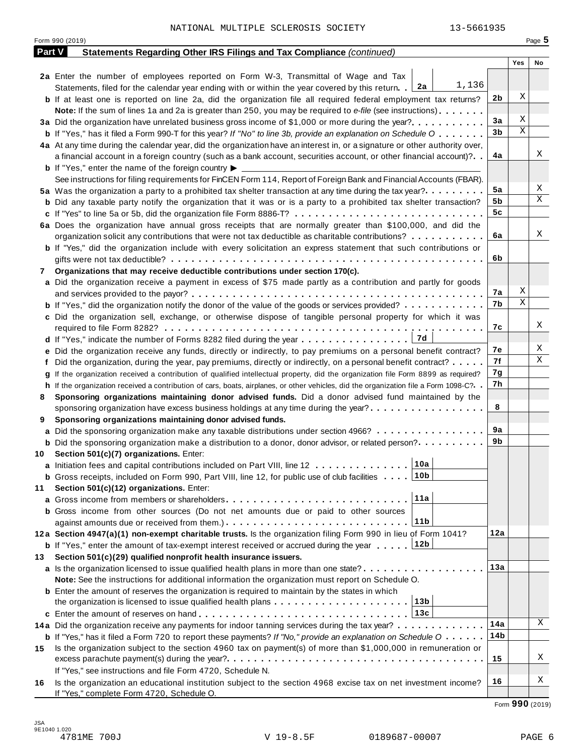|               | NATIONAL MULTIPLE SCLEROSIS SOCIETY<br>13-5661935                                                                                                                                                                                                  |                |     |             |
|---------------|----------------------------------------------------------------------------------------------------------------------------------------------------------------------------------------------------------------------------------------------------|----------------|-----|-------------|
|               | Form 990 (2019)                                                                                                                                                                                                                                    |                |     | Page $5$    |
| <b>Part V</b> | Statements Regarding Other IRS Filings and Tax Compliance (continued)                                                                                                                                                                              |                | Yes | No          |
|               | 2a Enter the number of employees reported on Form W-3, Transmittal of Wage and Tax                                                                                                                                                                 |                |     |             |
|               | 1,136<br>Statements, filed for the calendar year ending with or within the year covered by this return. [2a]                                                                                                                                       |                | Χ   |             |
|               | <b>b</b> If at least one is reported on line 2a, did the organization file all required federal employment tax returns?                                                                                                                            | 2 <sub>b</sub> |     |             |
|               | Note: If the sum of lines 1a and 2a is greater than 250, you may be required to e-file (see instructions)                                                                                                                                          | 3a             | Χ   |             |
|               |                                                                                                                                                                                                                                                    | 3 <sub>b</sub> | X   |             |
|               | <b>b</b> If "Yes," has it filed a Form 990-T for this year? If "No" to line 3b, provide an explanation on Schedule O<br>4a At any time during the calendar year, did the organization have an interest in, or a signature or other authority over, |                |     |             |
|               | a financial account in a foreign country (such as a bank account, securities account, or other financial account)?                                                                                                                                 | 4a             |     | Χ           |
|               | <b>b</b> If "Yes," enter the name of the foreign country $\blacktriangleright$                                                                                                                                                                     |                |     |             |
|               | See instructions for filing requirements for FinCEN Form 114, Report of Foreign Bank and Financial Accounts (FBAR).                                                                                                                                |                |     |             |
|               | 5a Was the organization a party to a prohibited tax shelter transaction at any time during the tax year?                                                                                                                                           | 5a             |     | Χ           |
|               | <b>b</b> Did any taxable party notify the organization that it was or is a party to a prohibited tax shelter transaction?                                                                                                                          | 5b             |     | Χ           |
|               |                                                                                                                                                                                                                                                    | 5 <sub>c</sub> |     |             |
|               | 6a Does the organization have annual gross receipts that are normally greater than \$100,000, and did the                                                                                                                                          |                |     | Χ           |
|               | organization solicit any contributions that were not tax deductible as charitable contributions?                                                                                                                                                   | 6a             |     |             |
|               | <b>b</b> If "Yes," did the organization include with every solicitation an express statement that such contributions or                                                                                                                            |                |     |             |
|               |                                                                                                                                                                                                                                                    | 6b             |     |             |
| 7             | Organizations that may receive deductible contributions under section 170(c).                                                                                                                                                                      |                |     |             |
|               | a Did the organization receive a payment in excess of \$75 made partly as a contribution and partly for goods                                                                                                                                      | 7а             | Χ   |             |
|               | <b>b</b> If "Yes," did the organization notify the donor of the value of the goods or services provided?                                                                                                                                           | 7b             | X   |             |
|               | c Did the organization sell, exchange, or otherwise dispose of tangible personal property for which it was                                                                                                                                         |                |     |             |
|               |                                                                                                                                                                                                                                                    | 7c             |     | Χ           |
|               |                                                                                                                                                                                                                                                    |                |     |             |
|               | e Did the organization receive any funds, directly or indirectly, to pay premiums on a personal benefit contract?                                                                                                                                  | 7е             |     | Χ           |
|               | Did the organization, during the year, pay premiums, directly or indirectly, on a personal benefit contract?                                                                                                                                       | 7f             |     | $\mathbf X$ |
|               | If the organization received a contribution of qualified intellectual property, did the organization file Form 8899 as required?                                                                                                                   | 7g             |     |             |
|               | h If the organization received a contribution of cars, boats, airplanes, or other vehicles, did the organization file a Form 1098-C?. .                                                                                                            | 7h             |     |             |
| 8             | Sponsoring organizations maintaining donor advised funds. Did a donor advised fund maintained by the                                                                                                                                               |                |     |             |
|               | sponsoring organization have excess business holdings at any time during the year?                                                                                                                                                                 | 8              |     |             |
| 9             | Sponsoring organizations maintaining donor advised funds.                                                                                                                                                                                          |                |     |             |
|               | a Did the sponsoring organization make any taxable distributions under section 4966?                                                                                                                                                               | 9a<br>9b       |     |             |
|               | <b>b</b> Did the sponsoring organization make a distribution to a donor, donor advisor, or related person?                                                                                                                                         |                |     |             |
| 10            | Section 501(c)(7) organizations. Enter:<br>10a                                                                                                                                                                                                     |                |     |             |
|               | a Initiation fees and capital contributions included on Part VIII, line 12<br> 10b<br><b>b</b> Gross receipts, included on Form 990, Part VIII, line 12, for public use of club facilities                                                         |                |     |             |
| 11            | Section 501(c)(12) organizations. Enter:                                                                                                                                                                                                           |                |     |             |
|               | 11a                                                                                                                                                                                                                                                |                |     |             |
|               | <b>b</b> Gross income from other sources (Do not net amounts due or paid to other sources                                                                                                                                                          |                |     |             |
|               | 11b                                                                                                                                                                                                                                                |                |     |             |
|               | 12a Section 4947(a)(1) non-exempt charitable trusts. Is the organization filing Form 990 in lieu of Form 1041?                                                                                                                                     | 12a            |     |             |
|               | <b>b</b> If "Yes," enter the amount of tax-exempt interest received or accrued during the year  12b                                                                                                                                                |                |     |             |
| 13            | Section 501(c)(29) qualified nonprofit health insurance issuers.                                                                                                                                                                                   |                |     |             |
|               | a Is the organization licensed to issue qualified health plans in more than one state?                                                                                                                                                             | 13a            |     |             |
|               | Note: See the instructions for additional information the organization must report on Schedule O.                                                                                                                                                  |                |     |             |
|               | <b>b</b> Enter the amount of reserves the organization is required to maintain by the states in which<br>13b                                                                                                                                       |                |     |             |
|               | 13c                                                                                                                                                                                                                                                |                |     |             |
|               | c Enter the amount of reserves on hand<br>14a Did the organization receive any payments for indoor tanning services during the tax year?                                                                                                           | 14a            |     | Χ           |
|               | <b>b</b> If "Yes," has it filed a Form 720 to report these payments? If "No," provide an explanation on Schedule $0 \cdot \cdot \cdot \cdot$                                                                                                       | 14b            |     |             |
| 15            | Is the organization subject to the section 4960 tax on payment(s) of more than \$1,000,000 in remuneration or                                                                                                                                      |                |     |             |
|               |                                                                                                                                                                                                                                                    | 15             |     | Χ           |
|               | If "Yes," see instructions and file Form 4720, Schedule N.                                                                                                                                                                                         |                |     |             |
| 16            | Is the organization an educational institution subject to the section 4968 excise tax on net investment income?                                                                                                                                    | 16             |     | Χ           |
|               | If "Yes," complete Form 4720, Schedule O.                                                                                                                                                                                                          |                |     |             |

Form **990** (2019)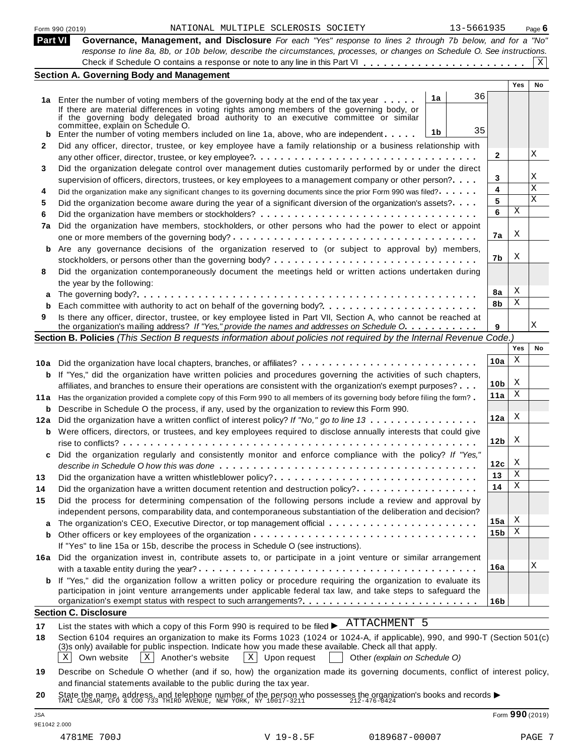|                 | Section A. Governing Body and Management                                                                                  |            |        |
|-----------------|---------------------------------------------------------------------------------------------------------------------------|------------|--------|
|                 | response to line 8a, 8b, or 10b below, describe the circumstances, processes, or changes on Schedule O. See instructions. |            |        |
| Part VI         | Governance, Management, and Disclosure For each "Yes" response to lines 2 through 7b below, and for a "No"                |            |        |
| Form 990 (2019) | NATIONAL MULTIPLE SCLEROSIS SOCIETY                                                                                       | 13-5661935 | Page 6 |
|                 |                                                                                                                           |            |        |

|         | 01111 UUU 14U                                                                                                                |                 |        |              |
|---------|------------------------------------------------------------------------------------------------------------------------------|-----------------|--------|--------------|
| Part VI | Governance, Management, and Disclosure For each "Yes" response to lines 2 through 7b below, and for a "No"                   |                 |        |              |
|         | response to line 8a, 8b, or 10b below, describe the circumstances, processes, or changes on Schedule O. See instructions.    |                 |        |              |
|         |                                                                                                                              |                 |        | $\mathbf{X}$ |
|         | <b>Section A. Governing Body and Management</b>                                                                              |                 |        |              |
|         |                                                                                                                              |                 | Yes    | No           |
|         | 36<br>1a<br>1a Enter the number of voting members of the governing body at the end of the tax year                           |                 |        |              |
|         | If there are material differences in voting rights among members of the governing body, or                                   |                 |        |              |
|         | if the governing body delegated broad authority to an executive committee or similar<br>committee, explain on Schedule O.    |                 |        |              |
| b       | 35<br>1b<br>Enter the number of voting members included on line 1a, above, who are independent                               |                 |        |              |
| 2       | Did any officer, director, trustee, or key employee have a family relationship or a business relationship with               |                 |        |              |
|         |                                                                                                                              | $\mathbf{2}$    |        | Χ            |
| 3       | Did the organization delegate control over management duties customarily performed by or under the direct                    |                 |        |              |
|         | supervision of officers, directors, trustees, or key employees to a management company or other person?                      | 3               |        | Χ            |
| 4       | Did the organization make any significant changes to its governing documents since the prior Form 990 was filed?             | 4               |        | $\mathbf X$  |
| 5       | Did the organization become aware during the year of a significant diversion of the organization's assets?                   | 5               |        | X            |
| 6       |                                                                                                                              | 6               | Χ      |              |
| 7a      | Did the organization have members, stockholders, or other persons who had the power to elect or appoint                      |                 |        |              |
|         |                                                                                                                              | 7a              | X      |              |
| b       | Are any governance decisions of the organization reserved to (or subject to approval by) members,                            |                 |        |              |
|         |                                                                                                                              | 7b              | X      |              |
| 8       | Did the organization contemporaneously document the meetings held or written actions undertaken during                       |                 |        |              |
|         | the year by the following:                                                                                                   |                 |        |              |
| а       |                                                                                                                              | 8a              | X      |              |
| b       | Each committee with authority to act on behalf of the governing body?                                                        | 8b              | Χ      |              |
| 9       | Is there any officer, director, trustee, or key employee listed in Part VII, Section A, who cannot be reached at             |                 |        |              |
|         | the organization's mailing address? If "Yes," provide the names and addresses on Schedule O.                                 | 9               |        | Χ            |
|         | Section B. Policies (This Section B requests information about policies not required by the Internal Revenue Code.)          |                 |        |              |
|         |                                                                                                                              |                 | Yes    | No           |
|         | 10a Did the organization have local chapters, branches, or affiliates?                                                       | 10a             | Χ      |              |
| b       | If "Yes," did the organization have written policies and procedures governing the activities of such chapters,               |                 |        |              |
|         | affiliates, and branches to ensure their operations are consistent with the organization's exempt purposes?                  | 10 <sub>b</sub> | Χ<br>Χ |              |
| 11 a    | Has the organization provided a complete copy of this Form 990 to all members of its governing body before filing the form?  | 11a             |        |              |
| b       | Describe in Schedule O the process, if any, used by the organization to review this Form 990.                                |                 | Χ      |              |
| 12a     | Did the organization have a written conflict of interest policy? If "No," go to line 13                                      | 12a             |        |              |
| b       | Were officers, directors, or trustees, and key employees required to disclose annually interests that could give             |                 | X      |              |
|         |                                                                                                                              | 12 <sub>b</sub> |        |              |
| c       | Did the organization regularly and consistently monitor and enforce compliance with the policy? If "Yes,"                    |                 | Χ      |              |
|         |                                                                                                                              | 12c<br>13       | Χ      |              |
| 13      |                                                                                                                              | 14              | Χ      |              |
| 14      | Did the organization have a written document retention and destruction policy?                                               |                 |        |              |
| 15      | Did the process for determining compensation of the following persons include a review and approval by                       |                 |        |              |
|         | independent persons, comparability data, and contemporaneous substantiation of the deliberation and decision?                | 15a             | X      |              |
| a       | The organization's CEO, Executive Director, or top management official                                                       | 15 <sub>b</sub> | Χ      |              |
| b       | If "Yes" to line 15a or 15b, describe the process in Schedule O (see instructions).                                          |                 |        |              |
|         |                                                                                                                              |                 |        |              |
| 16a     | Did the organization invest in, contribute assets to, or participate in a joint venture or similar arrangement               | 16a             |        | Χ            |
|         | If "Yes," did the organization follow a written policy or procedure requiring the organization to evaluate its               |                 |        |              |
|         | participation in joint venture arrangements under applicable federal tax law, and take steps to safeguard the                |                 |        |              |
|         |                                                                                                                              | 16b             |        |              |
|         | <b>Section C. Disclosure</b>                                                                                                 |                 |        |              |
| 17      | ATTACHMENT 5<br>List the states with which a copy of this Form 990 is required to be filed $\blacktriangleright$ .           |                 |        |              |
| 18      | Section 6104 requires an organization to make its Forms 1023 (1024 or 1024-A, if applicable), 990, and 990-T (Section 501(c) |                 |        |              |
|         | (3)s only) available for public inspection. Indicate how you made these available. Check all that apply.                     |                 |        |              |
|         | Own website<br>Another's website<br>$\vert X \vert$<br>Other (explain on Schedule O)<br>$X \mid$<br>$X \mid$<br>Upon request |                 |        |              |
|         |                                                                                                                              |                 |        |              |

**19** Describe on Schedule O whether (and if so, how) the organization made its governing documents, conflict of interest policy, and financial statements available to the public during the tax year.

**20** and infancial statements available to the public during the tax year.<br>State the name, address, and telephone number of the person who possesses the organization's books and records<br>TAMI CAESAR, CFO & COO 733 THIRD AVENUE,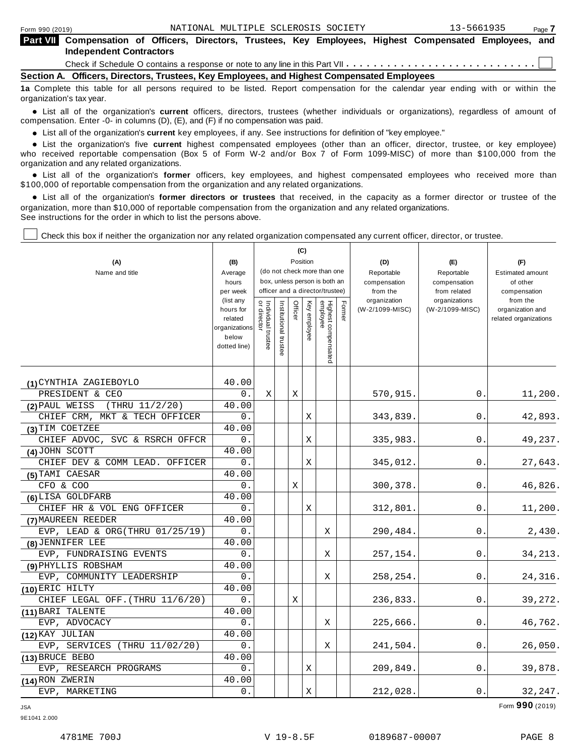|                                                                                            | <b>Part VIII</b> Compensation of Officers, Directors, Trustees, Key Employees, Highest Compensated Employees, and<br><b>Independent Contractors</b> |  |  |  |  |  |  |  |  |  |  |  |  |  |
|--------------------------------------------------------------------------------------------|-----------------------------------------------------------------------------------------------------------------------------------------------------|--|--|--|--|--|--|--|--|--|--|--|--|--|
|                                                                                            |                                                                                                                                                     |  |  |  |  |  |  |  |  |  |  |  |  |  |
| Section A. Officers, Directors, Trustees, Key Employees, and Highest Compensated Employees |                                                                                                                                                     |  |  |  |  |  |  |  |  |  |  |  |  |  |
|                                                                                            |                                                                                                                                                     |  |  |  |  |  |  |  |  |  |  |  |  |  |

**1a** Complete this table for all persons required to be listed. Report compensation for the calendar year ending with or within the organization's tax year.

anization's lax year.<br>● List all of the organization's **current** officers, directors, trustees (whether individuals or organizations), regardless of amount of<br>nnensation Enter -0- in columns (D) (E) and (E) if no compensa compensation. Enter -0- in columns (D), (E), and (F) if no compensation was paid.

• List all of the organization's **current** key employees, if any. See instructions for definition of "key employee."<br>● List the experientials five expect highest expressed explores (other than an efficer director of

**Example in the organization's current** key employees, if any. See instructions for definition of key employee.<br>• List the organization's five **current** highest compensated employees (other than an officer, director, trust who received reportable compensation (Box 5 of Form W-2 and/or Box 7 of Form 1099-MISC) of more than \$100,000 from the

organization and any related organizations.<br>• List all of the organization's **former** officers, key employees, and highest compensated employees who received more than<br>\$1.00.000 of reportable componention from the erganiza \$100,000 of reportable compensation from the organization and any related organizations.

% List all of the organization's **former directors or trustees** that received, in the capacity as a former director or trustee of the organization, more than \$10,000 of reportable compensation from the organization and any related organizations. See instructions for the order in which to list the persons above.

Check this box if neither the organization nor any related organization compensated any current officer, director, or trustee.

|                                   |                          |                                   |                       |         | (C)          |                                 |        |                            |                            |                                     |
|-----------------------------------|--------------------------|-----------------------------------|-----------------------|---------|--------------|---------------------------------|--------|----------------------------|----------------------------|-------------------------------------|
| (A)                               | (B)                      |                                   |                       |         | Position     | (do not check more than one     |        | (D)                        | (E)                        | (F)                                 |
| Name and title                    | Average<br>hours         |                                   |                       |         |              | box, unless person is both an   |        | Reportable<br>compensation | Reportable<br>compensation | <b>Estimated amount</b><br>of other |
|                                   | per week                 |                                   |                       |         |              | officer and a director/trustee) |        | from the                   | from related               | compensation                        |
|                                   | (list any                |                                   |                       |         |              |                                 |        | organization               | organizations              | from the                            |
|                                   | hours for                | Individual trustee<br>or director | Institutional trustee | Officer | Key employee | Highest compensated<br>employee | Former | (W-2/1099-MISC)            | (W-2/1099-MISC)            | organization and                    |
|                                   | related<br>organizations |                                   |                       |         |              |                                 |        |                            |                            | related organizations               |
|                                   | below                    |                                   |                       |         |              |                                 |        |                            |                            |                                     |
|                                   | dotted line)             |                                   |                       |         |              |                                 |        |                            |                            |                                     |
|                                   |                          |                                   |                       |         |              |                                 |        |                            |                            |                                     |
| (1) CYNTHIA ZAGIEBOYLO            | 40.00                    |                                   |                       |         |              |                                 |        |                            |                            |                                     |
| PRESIDENT & CEO                   | 0.                       | X                                 |                       | X       |              |                                 |        | 570,915.                   | 0.                         | 11,200.                             |
| (THRU 11/2/20)<br>(2) PAUL WEISS  | 40.00                    |                                   |                       |         |              |                                 |        |                            |                            |                                     |
| CHIEF CRM, MKT & TECH OFFICER     | 0.                       |                                   |                       |         | Χ            |                                 |        | 343,839.                   | 0.                         | 42,893.                             |
| (3) TIM COETZEE                   | 40.00                    |                                   |                       |         |              |                                 |        |                            |                            |                                     |
| CHIEF ADVOC, SVC & RSRCH OFFCR    | 0.                       |                                   |                       |         | Χ            |                                 |        | 335,983.                   | 0.                         | 49,237.                             |
| (4) JOHN SCOTT                    | 40.00                    |                                   |                       |         |              |                                 |        |                            |                            |                                     |
| CHIEF DEV & COMM LEAD. OFFICER    | 0.                       |                                   |                       |         | Χ            |                                 |        | 345,012.                   | 0.                         | 27,643.                             |
| (5) TAMI CAESAR                   | 40.00                    |                                   |                       |         |              |                                 |        |                            |                            |                                     |
| CFO & COO                         | 0.                       |                                   |                       | Χ       |              |                                 |        | 300,378.                   | 0.                         | 46,826.                             |
| (6) LISA GOLDFARB                 | 40.00                    |                                   |                       |         |              |                                 |        |                            |                            |                                     |
| CHIEF HR & VOL ENG OFFICER        | 0.                       |                                   |                       |         | Χ            |                                 |        | 312,801.                   | 0.                         | 11,200.                             |
| (7) MAUREEN REEDER                | 40.00                    |                                   |                       |         |              |                                 |        |                            |                            |                                     |
| EVP, LEAD & ORG(THRU $01/25/19$ ) | 0.                       |                                   |                       |         |              | Χ                               |        | 290,484.                   | 0.                         | 2,430.                              |
| (8) JENNIFER LEE                  | 40.00                    |                                   |                       |         |              |                                 |        |                            |                            |                                     |
| EVP, FUNDRAISING EVENTS           | 0.                       |                                   |                       |         |              | Χ                               |        | 257,154.                   | 0.                         | 34,213.                             |
| (9) PHYLLIS ROBSHAM               | 40.00                    |                                   |                       |         |              |                                 |        |                            |                            |                                     |
| EVP, COMMUNITY LEADERSHIP         | 0.                       |                                   |                       |         |              | Χ                               |        | 258,254.                   | 0.                         | 24,316.                             |
| (10) ERIC HILTY                   | 40.00                    |                                   |                       |         |              |                                 |        |                            |                            |                                     |
| CHIEF LEGAL OFF. (THRU 11/6/20)   | 0.                       |                                   |                       | X       |              |                                 |        | 236,833.                   | $\Omega$ .                 | 39,272.                             |
| (11) BARI TALENTE                 | 40.00                    |                                   |                       |         |              |                                 |        |                            |                            |                                     |
| EVP, ADVOCACY                     | 0.                       |                                   |                       |         |              | Χ                               |        | 225,666.                   | 0.                         | 46,762.                             |
| (12) KAY JULIAN                   | 40.00                    |                                   |                       |         |              |                                 |        |                            |                            |                                     |
| EVP, SERVICES (THRU 11/02/20)     | 0.                       |                                   |                       |         |              | Χ                               |        | 241,504.                   | 0.                         | 26,050.                             |
| (13) BRUCE BEBO                   | 40.00                    |                                   |                       |         |              |                                 |        |                            |                            |                                     |
| EVP, RESEARCH PROGRAMS            | 0.                       |                                   |                       |         | X            |                                 |        | 209,849.                   | 0.                         | 39,878.                             |
| (14) RON ZWERIN                   | 40.00                    |                                   |                       |         |              |                                 |        |                            |                            |                                     |
| EVP, MARKETING                    | 0.                       |                                   |                       |         | Χ            |                                 |        | 212,028.                   | 0.                         | 32,247.                             |

JSA Form **990** (2019)

9E1041 2.000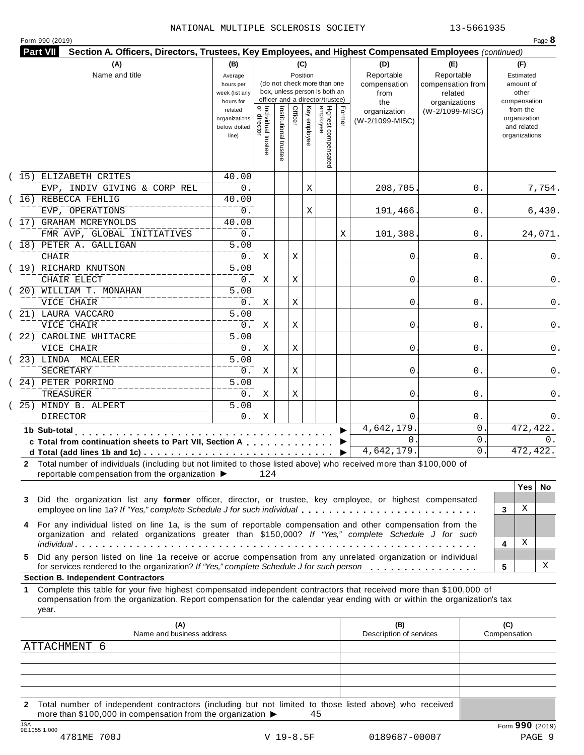|  | Form 990 (2019) |
|--|-----------------|
|  |                 |

|    | (A)                                                                                                                                                                                                                                                                                                    | (B)                                                            |                                           |                       | (C)      |              |                                                                                                 |        | (D)                                    | (E)                                        |                     | (F)                                                                      |
|----|--------------------------------------------------------------------------------------------------------------------------------------------------------------------------------------------------------------------------------------------------------------------------------------------------------|----------------------------------------------------------------|-------------------------------------------|-----------------------|----------|--------------|-------------------------------------------------------------------------------------------------|--------|----------------------------------------|--------------------------------------------|---------------------|--------------------------------------------------------------------------|
|    | Name and title                                                                                                                                                                                                                                                                                         | Average<br>hours per<br>week (list any                         |                                           |                       | Position |              | (do not check more than one<br>box, unless person is both an<br>officer and a director/trustee) |        | Reportable<br>compensation<br>from     | Reportable<br>compensation from<br>related |                     | Estimated<br>amount of<br>other                                          |
|    |                                                                                                                                                                                                                                                                                                        | hours for<br>related<br>organizations<br>below dotted<br>line) | <br>  Individual trustee<br>  or director | Institutional trustee | Officer  | Key employee | Highest compensated<br>employee                                                                 | Former | the<br>organization<br>(W-2/1099-MISC) | organizations<br>(W-2/1099-MISC)           |                     | compensation<br>from the<br>organization<br>and related<br>organizations |
|    | (15) ELIZABETH CRITES<br>EVP, INDIV GIVING & CORP REL                                                                                                                                                                                                                                                  | 40.00<br>0.                                                    |                                           |                       |          | Χ            |                                                                                                 |        | 208,705                                | 0.                                         |                     | 7,754.                                                                   |
|    | (16) REBECCA FEHLIG<br>EVP, OPERATIONS                                                                                                                                                                                                                                                                 | 40.00<br>0.                                                    |                                           |                       |          | Χ            |                                                                                                 |        | 191,466.                               | 0.                                         |                     | 6,430.                                                                   |
|    | (17) GRAHAM MCREYNOLDS<br>FMR AVP, GLOBAL INITIATIVES                                                                                                                                                                                                                                                  | 40.00<br>0.                                                    |                                           |                       |          |              |                                                                                                 | Χ      | 101,308                                | 0.                                         |                     | 24,071.                                                                  |
|    | (18) PETER A. GALLIGAN<br><b>CHAIR</b>                                                                                                                                                                                                                                                                 | $\overline{5.00}$<br>0.                                        | Χ                                         |                       | Χ        |              |                                                                                                 |        | 0                                      | 0.                                         |                     |                                                                          |
|    | (19) RICHARD KNUTSON<br>CHAIR ELECT                                                                                                                                                                                                                                                                    | $\overline{5.00}$<br>0.                                        | Χ                                         |                       | Χ        |              |                                                                                                 |        | 0                                      | 0.                                         |                     |                                                                          |
|    | (20) WILLIAM T. MONAHAN<br>VICE CHAIR                                                                                                                                                                                                                                                                  | 5.00<br>0.                                                     | Χ                                         |                       | Χ        |              |                                                                                                 |        | 0                                      | 0.                                         |                     |                                                                          |
|    | (21) LAURA VACCARO<br>VICE CHAIR                                                                                                                                                                                                                                                                       | 5.00<br>0.                                                     | Χ                                         |                       | Χ        |              |                                                                                                 |        | 0                                      | 0.                                         |                     |                                                                          |
|    | (22) CAROLINE WHITACRE<br>VICE CHAIR                                                                                                                                                                                                                                                                   | $\overline{5.00}$<br>0.                                        | Χ                                         |                       | Χ        |              |                                                                                                 |        | 0                                      | 0.                                         |                     |                                                                          |
|    | (23) LINDA MCALEER<br>SECRETARY                                                                                                                                                                                                                                                                        | 5.00<br>0.                                                     | Χ                                         |                       | Χ        |              |                                                                                                 |        | 0                                      | 0.                                         |                     |                                                                          |
|    | (24) PETER PORRINO<br>TREASURER<br>25) MINDY B. ALPERT                                                                                                                                                                                                                                                 | 5.00<br>$0$ .<br>5.00                                          | Χ                                         |                       | Χ        |              |                                                                                                 |        | 0                                      | 0.                                         |                     |                                                                          |
|    | <b>DIRECTOR</b>                                                                                                                                                                                                                                                                                        | $0$ .                                                          | Χ                                         |                       |          |              |                                                                                                 |        | $\Omega$<br>4,642,179                  | $0$ .<br>0                                 |                     | 472, 422.                                                                |
|    | 1b Sub-total<br>.<br>c Total from continuation sheets to Part VII, Section A                                                                                                                                                                                                                           |                                                                |                                           |                       |          |              |                                                                                                 |        | $\mathbf{0}$                           | 0                                          |                     | 0.                                                                       |
|    |                                                                                                                                                                                                                                                                                                        |                                                                |                                           |                       |          |              |                                                                                                 |        | 4,642,179.                             | 0.                                         |                     | 472, 422.                                                                |
|    | 2 Total number of individuals (including but not limited to those listed above) who received more than \$100,000 of<br>reportable compensation from the organization ▶                                                                                                                                 |                                                                | 124                                       |                       |          |              |                                                                                                 |        |                                        |                                            |                     |                                                                          |
| 3  | Did the organization list any former officer, director, or trustee, key employee, or highest compensated                                                                                                                                                                                               |                                                                |                                           |                       |          |              |                                                                                                 |        |                                        |                                            |                     | <b>Yes</b><br>No.                                                        |
| 4  | employee on line 1a? If "Yes," complete Schedule J for such individual<br>For any individual listed on line 1a, is the sum of reportable compensation and other compensation from the                                                                                                                  |                                                                |                                           |                       |          |              |                                                                                                 |        |                                        |                                            | 3                   | Χ                                                                        |
|    | organization and related organizations greater than \$150,000? If "Yes," complete Schedule J for such                                                                                                                                                                                                  |                                                                |                                           |                       |          |              |                                                                                                 |        |                                        |                                            | 4                   | Χ                                                                        |
| 5. | Did any person listed on line 1a receive or accrue compensation from any unrelated organization or individual<br>for services rendered to the organization? If "Yes," complete Schedule J for such person                                                                                              |                                                                |                                           |                       |          |              |                                                                                                 |        |                                        |                                            | 5                   | Χ                                                                        |
| 1. | <b>Section B. Independent Contractors</b><br>Complete this table for your five highest compensated independent contractors that received more than \$100,000 of<br>compensation from the organization. Report compensation for the calendar year ending with or within the organization's tax<br>year. |                                                                |                                           |                       |          |              |                                                                                                 |        |                                        |                                            |                     |                                                                          |
|    | (A)<br>Name and business address                                                                                                                                                                                                                                                                       |                                                                |                                           |                       |          |              |                                                                                                 |        | (B)<br>Description of services         |                                            | (C)<br>Compensation |                                                                          |
|    | ATTACHMENT 6                                                                                                                                                                                                                                                                                           |                                                                |                                           |                       |          |              |                                                                                                 |        |                                        |                                            |                     |                                                                          |
|    |                                                                                                                                                                                                                                                                                                        |                                                                |                                           |                       |          |              |                                                                                                 |        |                                        |                                            |                     |                                                                          |
|    |                                                                                                                                                                                                                                                                                                        |                                                                |                                           |                       |          |              |                                                                                                 |        |                                        |                                            |                     |                                                                          |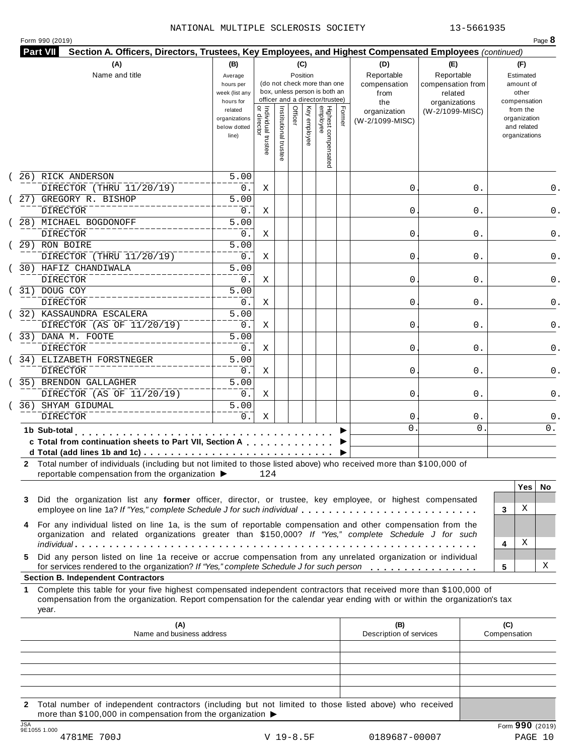|  | Form 990 (2019) |
|--|-----------------|
|  |                 |

|    | (A)<br>Name and title                                                                                                                                                                                                                                                      | (B)<br>Average<br>hours per<br>week (list any<br>hours for |                                     |                       |         | (C)<br>Position | (do not check more than one<br>box, unless person is both an<br>officer and a director/trustee) |        | (D)<br>Reportable<br>compensation<br>from<br>the | (E)<br>Reportable<br>compensation from<br>related<br>organizations | (F)<br>Estimated<br>amount of<br>other<br>compensation   |
|----|----------------------------------------------------------------------------------------------------------------------------------------------------------------------------------------------------------------------------------------------------------------------------|------------------------------------------------------------|-------------------------------------|-----------------------|---------|-----------------|-------------------------------------------------------------------------------------------------|--------|--------------------------------------------------|--------------------------------------------------------------------|----------------------------------------------------------|
|    |                                                                                                                                                                                                                                                                            | related<br>organizations<br>below dotted<br>line)          | Individual trustee<br>  or director | Institutional trustee | Officer | Key employee    | Highest compensated<br>employee                                                                 | Former | organization<br>(W-2/1099-MISC)                  | (W-2/1099-MISC)                                                    | from the<br>organization<br>and related<br>organizations |
|    | 26) RICK ANDERSON<br>DIRECTOR (THRU 11/20/19)                                                                                                                                                                                                                              | 5.00<br>0.                                                 | Χ                                   |                       |         |                 |                                                                                                 |        | 0                                                | 0.                                                                 |                                                          |
|    | 27) GREGORY R. BISHOP                                                                                                                                                                                                                                                      | 5.00                                                       |                                     |                       |         |                 |                                                                                                 |        |                                                  |                                                                    |                                                          |
|    | <b>DIRECTOR</b>                                                                                                                                                                                                                                                            | 0.                                                         | Χ                                   |                       |         |                 |                                                                                                 |        | 0                                                | 0.                                                                 |                                                          |
|    | 28) MICHAEL BOGDONOFF                                                                                                                                                                                                                                                      | $\overline{5.00}$                                          |                                     |                       |         |                 |                                                                                                 |        |                                                  |                                                                    |                                                          |
|    | <b>DIRECTOR</b>                                                                                                                                                                                                                                                            | 0.                                                         | Χ                                   |                       |         |                 |                                                                                                 |        | 0                                                | 0.                                                                 |                                                          |
|    | 29) RON BOIRE                                                                                                                                                                                                                                                              | $\overline{5.00}$                                          |                                     |                       |         |                 |                                                                                                 |        |                                                  |                                                                    |                                                          |
|    | DIRECTOR (THRU 11/20/19)<br>30) HAFIZ CHANDIWALA                                                                                                                                                                                                                           | 0.<br>$\overline{5.00}$                                    | Χ                                   |                       |         |                 |                                                                                                 |        | 0                                                | 0.                                                                 |                                                          |
|    | DIRECTOR                                                                                                                                                                                                                                                                   | 0.                                                         | Χ                                   |                       |         |                 |                                                                                                 |        | 0                                                | 0.                                                                 |                                                          |
|    | 31) DOUG COY                                                                                                                                                                                                                                                               | $\overline{5.00}$                                          |                                     |                       |         |                 |                                                                                                 |        |                                                  |                                                                    |                                                          |
|    | <b>DIRECTOR</b>                                                                                                                                                                                                                                                            | 0.                                                         | Χ                                   |                       |         |                 |                                                                                                 |        | 0                                                | 0.                                                                 |                                                          |
|    | 32) KASSAUNDRA ESCALERA                                                                                                                                                                                                                                                    | $\overline{5.00}$                                          |                                     |                       |         |                 |                                                                                                 |        |                                                  |                                                                    |                                                          |
|    | DIRECTOR (AS OF 11/20/19)                                                                                                                                                                                                                                                  | 0.                                                         | Χ                                   |                       |         |                 |                                                                                                 |        | 0                                                | 0.                                                                 |                                                          |
|    | 33) DANA M. FOOTE                                                                                                                                                                                                                                                          | $\overline{5.00}$                                          |                                     |                       |         |                 |                                                                                                 |        |                                                  |                                                                    |                                                          |
|    | DIRECTOR                                                                                                                                                                                                                                                                   | 0.                                                         | Χ                                   |                       |         |                 |                                                                                                 |        | 0                                                | 0.                                                                 |                                                          |
|    | 34) ELIZABETH FORSTNEGER                                                                                                                                                                                                                                                   | 5.00                                                       |                                     |                       |         |                 |                                                                                                 |        |                                                  |                                                                    |                                                          |
|    | <b>DIRECTOR</b>                                                                                                                                                                                                                                                            | 0.                                                         | Χ                                   |                       |         |                 |                                                                                                 |        | 0                                                | 0.                                                                 |                                                          |
|    | 35) BRENDON GALLAGHER                                                                                                                                                                                                                                                      | 5.00                                                       |                                     |                       |         |                 |                                                                                                 |        |                                                  |                                                                    |                                                          |
|    | DIRECTOR (AS OF 11/20/19)                                                                                                                                                                                                                                                  | $0$ .                                                      | Χ                                   |                       |         |                 |                                                                                                 |        | 0                                                | 0.                                                                 |                                                          |
|    | 36) SHYAM GIDUMAL                                                                                                                                                                                                                                                          | 5.00                                                       |                                     |                       |         |                 |                                                                                                 |        |                                                  |                                                                    |                                                          |
|    | <b>DIRECTOR</b>                                                                                                                                                                                                                                                            | 0.                                                         | Χ                                   |                       |         |                 |                                                                                                 |        | 0<br>0                                           | $0$ .<br>$\mathbf 0$                                               | 0.                                                       |
|    | 1b Sub-total<br>and a straightful and<br>c Total from continuation sheets to Part VII, Section A<br>2 Total number of individuals (including but not limited to those listed above) who received more than \$100,000 of<br>reportable compensation from the organization ▶ |                                                            | 124                                 |                       |         |                 |                                                                                                 |        |                                                  |                                                                    |                                                          |
| 3  | Did the organization list any former officer, director, or trustee, key employee, or highest compensated<br>employee on line 1a? If "Yes," complete Schedule J for such individual                                                                                         |                                                            |                                     |                       |         |                 |                                                                                                 |        |                                                  |                                                                    | <b>Yes</b><br>No.<br>Χ<br>3                              |
| 4  | For any individual listed on line 1a, is the sum of reportable compensation and other compensation from the<br>organization and related organizations greater than \$150,000? If "Yes," complete Schedule J for such                                                       |                                                            |                                     |                       |         |                 |                                                                                                 |        |                                                  |                                                                    | Χ<br>4                                                   |
| 5. | Did any person listed on line 1a receive or accrue compensation from any unrelated organization or individual<br>for services rendered to the organization? If "Yes," complete Schedule J for such person                                                                  |                                                            |                                     |                       |         |                 |                                                                                                 |        |                                                  |                                                                    | Χ<br>5                                                   |
|    | <b>Section B. Independent Contractors</b>                                                                                                                                                                                                                                  |                                                            |                                     |                       |         |                 |                                                                                                 |        |                                                  |                                                                    |                                                          |
| 1  | Complete this table for your five highest compensated independent contractors that received more than \$100,000 of<br>compensation from the organization. Report compensation for the calendar year ending with or within the organization's tax<br>year.                  |                                                            |                                     |                       |         |                 |                                                                                                 |        |                                                  |                                                                    |                                                          |
|    | (A)<br>Name and business address                                                                                                                                                                                                                                           |                                                            |                                     |                       |         |                 |                                                                                                 |        | (B)<br>Description of services                   |                                                                    | (C)<br>Compensation                                      |
|    |                                                                                                                                                                                                                                                                            |                                                            |                                     |                       |         |                 |                                                                                                 |        |                                                  |                                                                    |                                                          |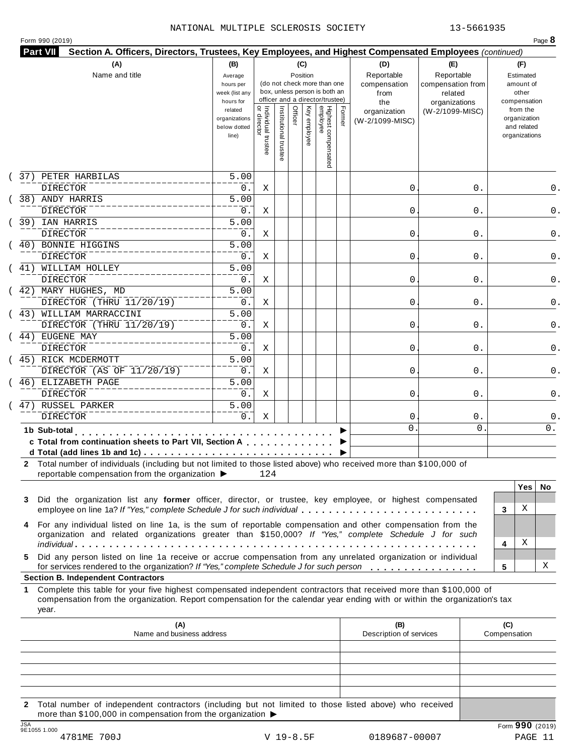#### NATIONAL MULTIPLE SCLEROSIS SOCIETY 13-5661935

|  | Form 990 (2019) |  |
|--|-----------------|--|
|  |                 |  |

| (A)                                                                                                                                                                                                                                                             | (B)                                                 |                                     |                       |         | (C)          |                                                                                                 |        | (D)                                       | (E)                                                         |             |                     | (F)                                                      |     |
|-----------------------------------------------------------------------------------------------------------------------------------------------------------------------------------------------------------------------------------------------------------------|-----------------------------------------------------|-------------------------------------|-----------------------|---------|--------------|-------------------------------------------------------------------------------------------------|--------|-------------------------------------------|-------------------------------------------------------------|-------------|---------------------|----------------------------------------------------------|-----|
| Name and title                                                                                                                                                                                                                                                  | Average<br>hours per<br>week (list any<br>hours for |                                     |                       |         | Position     | (do not check more than one<br>box, unless person is both an<br>officer and a director/trustee) |        | Reportable<br>compensation<br>from<br>the | Reportable<br>compensation from<br>related<br>organizations |             |                     | Estimated<br>amount of<br>other<br>compensation          |     |
|                                                                                                                                                                                                                                                                 | related<br>organizations<br>below dotted<br>line)   | Individual trustee<br>  or director | Institutional trustee | Officer | Key employee | Highest compensated<br>employee                                                                 | Former | organization<br>(W-2/1099-MISC)           | (W-2/1099-MISC)                                             |             |                     | from the<br>organization<br>and related<br>organizations |     |
| 37) PETER HARBILAS<br>DIRECTOR                                                                                                                                                                                                                                  | 5.00                                                |                                     |                       |         |              |                                                                                                 |        | 0                                         |                                                             | 0.          |                     |                                                          | 0.  |
| 38) ANDY HARRIS                                                                                                                                                                                                                                                 | 0.<br>$\overline{5.00}$                             | Χ                                   |                       |         |              |                                                                                                 |        |                                           |                                                             |             |                     |                                                          |     |
| <b>DIRECTOR</b>                                                                                                                                                                                                                                                 | 0.                                                  | Χ                                   |                       |         |              |                                                                                                 |        | 0                                         |                                                             | 0.          |                     |                                                          |     |
| 39) IAN HARRIS                                                                                                                                                                                                                                                  | $\overline{5.00}$                                   |                                     |                       |         |              |                                                                                                 |        |                                           |                                                             |             |                     |                                                          |     |
| <b>DIRECTOR</b>                                                                                                                                                                                                                                                 | 0.                                                  | Χ                                   |                       |         |              |                                                                                                 |        | 0                                         |                                                             | 0.          |                     |                                                          |     |
| 40) BONNIE HIGGINS                                                                                                                                                                                                                                              | $\overline{5.00}$                                   |                                     |                       |         |              |                                                                                                 |        |                                           |                                                             |             |                     |                                                          |     |
| DIRECTOR                                                                                                                                                                                                                                                        | 0.                                                  | Χ                                   |                       |         |              |                                                                                                 |        | 0                                         |                                                             | 0.          |                     |                                                          |     |
| 41) WILLIAM HOLLEY                                                                                                                                                                                                                                              | $\overline{5.00}$                                   |                                     |                       |         |              |                                                                                                 |        |                                           |                                                             |             |                     |                                                          |     |
| DIRECTOR                                                                                                                                                                                                                                                        | 0.                                                  | Χ                                   |                       |         |              |                                                                                                 |        | 0                                         |                                                             | 0.          |                     |                                                          |     |
| (42) MARY HUGHES, MD                                                                                                                                                                                                                                            | 5.00                                                |                                     |                       |         |              |                                                                                                 |        |                                           |                                                             |             |                     |                                                          |     |
| DIRECTOR (THRU 11/20/19)                                                                                                                                                                                                                                        | 0.                                                  | Χ                                   |                       |         |              |                                                                                                 |        | 0                                         |                                                             | 0.          |                     |                                                          |     |
| 43) WILLIAM MARRACCINI                                                                                                                                                                                                                                          | $\overline{5.00}$                                   |                                     |                       |         |              |                                                                                                 |        |                                           |                                                             |             |                     |                                                          |     |
| DIRECTOR (THRU 11/20/19)                                                                                                                                                                                                                                        | 0.                                                  | Χ                                   |                       |         |              |                                                                                                 |        | 0                                         |                                                             | 0.          |                     |                                                          |     |
| 44) EUGENE MAY                                                                                                                                                                                                                                                  | $\overline{5.00}$                                   |                                     |                       |         |              |                                                                                                 |        |                                           |                                                             |             |                     |                                                          |     |
| DIRECTOR                                                                                                                                                                                                                                                        | 0.                                                  | Χ                                   |                       |         |              |                                                                                                 |        | 0                                         |                                                             | 0.          |                     |                                                          |     |
| 45) RICK MCDERMOTT                                                                                                                                                                                                                                              | 5.00                                                |                                     |                       |         |              |                                                                                                 |        |                                           |                                                             |             |                     |                                                          |     |
| DIRECTOR (AS OF 11/20/19)                                                                                                                                                                                                                                       | 0.                                                  | Χ                                   |                       |         |              |                                                                                                 |        | 0                                         |                                                             | 0.          |                     |                                                          |     |
| 46) ELIZABETH PAGE                                                                                                                                                                                                                                              | 5.00                                                |                                     |                       |         |              |                                                                                                 |        |                                           |                                                             |             |                     |                                                          |     |
| <b>DIRECTOR</b>                                                                                                                                                                                                                                                 | 0.                                                  | Χ                                   |                       |         |              |                                                                                                 |        | 0                                         |                                                             | 0.          |                     |                                                          |     |
| 47) RUSSEL PARKER                                                                                                                                                                                                                                               | 5.00                                                |                                     |                       |         |              |                                                                                                 |        |                                           |                                                             |             |                     |                                                          |     |
| <b>DIRECTOR</b>                                                                                                                                                                                                                                                 | $0$ .                                               | Χ                                   |                       |         |              |                                                                                                 |        | 0                                         |                                                             | $0$ .       |                     |                                                          |     |
| 1b Sub-total<br>.                                                                                                                                                                                                                                               |                                                     |                                     |                       |         |              |                                                                                                 |        | $\mathbf 0$                               |                                                             | $\mathbf 0$ |                     |                                                          | 0.  |
| c Total from continuation sheets to Part VII, Section A                                                                                                                                                                                                         |                                                     |                                     |                       |         |              |                                                                                                 |        |                                           |                                                             |             |                     |                                                          |     |
|                                                                                                                                                                                                                                                                 |                                                     |                                     |                       |         |              |                                                                                                 |        |                                           |                                                             |             |                     |                                                          |     |
| 2 Total number of individuals (including but not limited to those listed above) who received more than \$100,000 of<br>reportable compensation from the organization ▶                                                                                          |                                                     | 124                                 |                       |         |              |                                                                                                 |        |                                           |                                                             |             |                     |                                                          |     |
|                                                                                                                                                                                                                                                                 |                                                     |                                     |                       |         |              |                                                                                                 |        |                                           |                                                             |             |                     | <b>Yes</b>                                               | No. |
| Did the organization list any former officer, director, or trustee, key employee, or highest compensated<br>3                                                                                                                                                   |                                                     |                                     |                       |         |              |                                                                                                 |        |                                           |                                                             |             |                     |                                                          |     |
| employee on line 1a? If "Yes," complete Schedule J for such individual                                                                                                                                                                                          |                                                     |                                     |                       |         |              |                                                                                                 |        |                                           |                                                             |             | 3                   | Χ                                                        |     |
| For any individual listed on line 1a, is the sum of reportable compensation and other compensation from the                                                                                                                                                     |                                                     |                                     |                       |         |              |                                                                                                 |        |                                           |                                                             |             |                     |                                                          |     |
| 4<br>organization and related organizations greater than \$150,000? If "Yes," complete Schedule J for such                                                                                                                                                      |                                                     |                                     |                       |         |              |                                                                                                 |        |                                           |                                                             |             |                     |                                                          |     |
|                                                                                                                                                                                                                                                                 |                                                     |                                     |                       |         |              |                                                                                                 |        |                                           |                                                             |             | 4                   | Χ                                                        |     |
| Did any person listed on line 1a receive or accrue compensation from any unrelated organization or individual<br>5.<br>for services rendered to the organization? If "Yes," complete Schedule J for such person                                                 |                                                     |                                     |                       |         |              |                                                                                                 |        |                                           |                                                             |             | 5                   |                                                          | Χ   |
| <b>Section B. Independent Contractors</b>                                                                                                                                                                                                                       |                                                     |                                     |                       |         |              |                                                                                                 |        |                                           |                                                             |             |                     |                                                          |     |
| Complete this table for your five highest compensated independent contractors that received more than \$100,000 of<br>1.<br>compensation from the organization. Report compensation for the calendar year ending with or within the organization's tax<br>year. |                                                     |                                     |                       |         |              |                                                                                                 |        |                                           |                                                             |             |                     |                                                          |     |
| (A)<br>Name and business address                                                                                                                                                                                                                                |                                                     |                                     |                       |         |              |                                                                                                 |        | (B)<br>Description of services            |                                                             |             | (C)<br>Compensation |                                                          |     |
|                                                                                                                                                                                                                                                                 |                                                     |                                     |                       |         |              |                                                                                                 |        |                                           |                                                             |             |                     |                                                          |     |
|                                                                                                                                                                                                                                                                 |                                                     |                                     |                       |         |              |                                                                                                 |        |                                           |                                                             |             |                     |                                                          |     |
|                                                                                                                                                                                                                                                                 |                                                     |                                     |                       |         |              |                                                                                                 |        |                                           |                                                             |             |                     |                                                          |     |
|                                                                                                                                                                                                                                                                 |                                                     |                                     |                       |         |              |                                                                                                 |        |                                           |                                                             |             |                     |                                                          |     |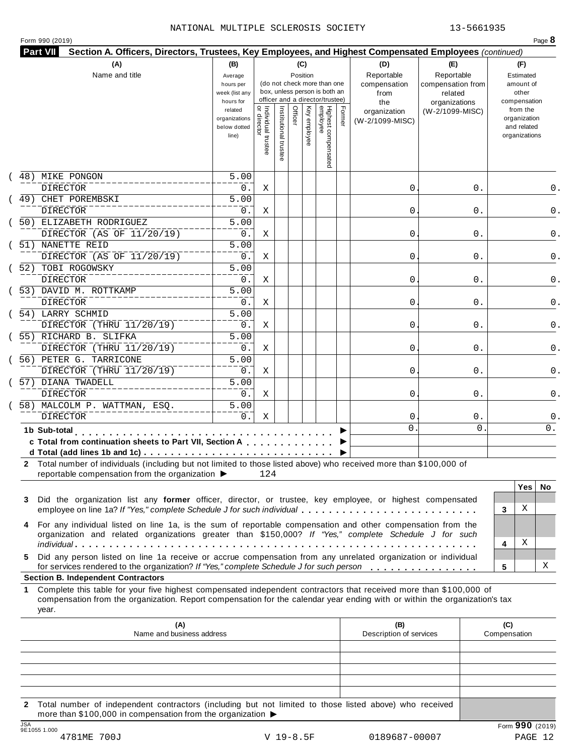|  | Form 990 (2019) |
|--|-----------------|
|  |                 |

| (A)                                                                                                                                                                                                                                                                                                          | (B)                                                 |                                           |                       |         | (C)          |                                                                                                 |        | (D)                                    | (E)                                        | (F)                                                      |
|--------------------------------------------------------------------------------------------------------------------------------------------------------------------------------------------------------------------------------------------------------------------------------------------------------------|-----------------------------------------------------|-------------------------------------------|-----------------------|---------|--------------|-------------------------------------------------------------------------------------------------|--------|----------------------------------------|--------------------------------------------|----------------------------------------------------------|
| Name and title                                                                                                                                                                                                                                                                                               | Average<br>hours per<br>week (list any<br>hours for |                                           |                       |         | Position     | (do not check more than one<br>box, unless person is both an<br>officer and a director/trustee) |        | Reportable<br>compensation<br>from     | Reportable<br>compensation from<br>related | Estimated<br>amount of<br>other<br>compensation          |
|                                                                                                                                                                                                                                                                                                              | related<br>organizations<br>below dotted<br>line)   | <br>  Individual trustee<br>  or director | Institutional trustee | Officer | Key employee | Highest compensated<br>employee                                                                 | Former | the<br>organization<br>(W-2/1099-MISC) | organizations<br>(W-2/1099-MISC)           | from the<br>organization<br>and related<br>organizations |
| 48) MIKE PONGON                                                                                                                                                                                                                                                                                              | $\overline{5.00}$                                   |                                           |                       |         |              |                                                                                                 |        |                                        |                                            |                                                          |
| <b>DIRECTOR</b><br>CHET POREMBSKI<br>49)                                                                                                                                                                                                                                                                     | 0.<br>$\overline{5.00}$                             | Χ                                         |                       |         |              |                                                                                                 |        | 0                                      | 0.                                         |                                                          |
| <b>DIRECTOR</b>                                                                                                                                                                                                                                                                                              | 0.                                                  | Χ                                         |                       |         |              |                                                                                                 |        | 0                                      | 0.                                         |                                                          |
| 50) ELIZABETH RODRIGUEZ<br>DIRECTOR (AS OF 11/20/19)                                                                                                                                                                                                                                                         | $\overline{5.00}$<br>$0$ .                          | Χ                                         |                       |         |              |                                                                                                 |        | 0                                      | 0.                                         |                                                          |
| 51) NANETTE REID                                                                                                                                                                                                                                                                                             | $\overline{5.00}$                                   |                                           |                       |         |              |                                                                                                 |        |                                        |                                            |                                                          |
| DIRECTOR (AS OF 11/20/19)                                                                                                                                                                                                                                                                                    | 0.<br>$\overline{5.00}$                             | Χ                                         |                       |         |              |                                                                                                 |        | 0                                      | 0.                                         |                                                          |
| 52) TOBI ROGOWSKY<br><b>DIRECTOR</b>                                                                                                                                                                                                                                                                         | 0.                                                  | Χ                                         |                       |         |              |                                                                                                 |        | 0                                      | 0.                                         |                                                          |
| 53) DAVID M. ROTTKAMP                                                                                                                                                                                                                                                                                        | $\overline{5.00}$                                   |                                           |                       |         |              |                                                                                                 |        |                                        |                                            |                                                          |
| DIRECTOR                                                                                                                                                                                                                                                                                                     | 0.                                                  | Χ                                         |                       |         |              |                                                                                                 |        | 0                                      | 0.                                         |                                                          |
| 54) LARRY SCHMID                                                                                                                                                                                                                                                                                             | $\overline{5.00}$                                   |                                           |                       |         |              |                                                                                                 |        |                                        |                                            |                                                          |
| DIRECTOR (THRU 11/20/19)                                                                                                                                                                                                                                                                                     | 0.                                                  | Χ                                         |                       |         |              |                                                                                                 |        | 0                                      | 0.                                         |                                                          |
| 55) RICHARD B. SLIFKA<br>DIRECTOR (THRU 11/20/19)                                                                                                                                                                                                                                                            | $\overline{5.00}$<br>0.                             | Χ                                         |                       |         |              |                                                                                                 |        | 0                                      | 0.                                         |                                                          |
| 56) PETER G. TARRICONE                                                                                                                                                                                                                                                                                       | $\overline{5.00}$                                   |                                           |                       |         |              |                                                                                                 |        |                                        |                                            |                                                          |
| DIRECTOR (THRU 11/20/19)                                                                                                                                                                                                                                                                                     | 0.                                                  | Χ                                         |                       |         |              |                                                                                                 |        | 0                                      | 0.                                         |                                                          |
| 57) DIANA TWADELL                                                                                                                                                                                                                                                                                            | 5.00                                                |                                           |                       |         |              |                                                                                                 |        |                                        |                                            |                                                          |
| <b>DIRECTOR</b><br>58) MALCOLM P. WATTMAN, ESQ.                                                                                                                                                                                                                                                              | 0.<br>5.00                                          | Χ                                         |                       |         |              |                                                                                                 |        | 0                                      | 0.                                         |                                                          |
| <b>DIRECTOR</b>                                                                                                                                                                                                                                                                                              | 0.                                                  | Χ                                         |                       |         |              |                                                                                                 |        | 0                                      | 0.                                         |                                                          |
| 1b Sub-total                                                                                                                                                                                                                                                                                                 |                                                     |                                           |                       |         |              |                                                                                                 |        | $\Omega$                               | 0                                          | 0.                                                       |
| and a series and a series<br>c Total from continuation sheets to Part VII, Section A                                                                                                                                                                                                                         |                                                     |                                           |                       |         |              |                                                                                                 |        |                                        |                                            |                                                          |
|                                                                                                                                                                                                                                                                                                              |                                                     |                                           |                       |         |              |                                                                                                 |        |                                        |                                            |                                                          |
| 2 Total number of individuals (including but not limited to those listed above) who received more than \$100,000 of                                                                                                                                                                                          |                                                     |                                           |                       |         |              |                                                                                                 |        |                                        |                                            |                                                          |
| reportable compensation from the organization ▶                                                                                                                                                                                                                                                              |                                                     | 124                                       |                       |         |              |                                                                                                 |        |                                        |                                            | <b>Yes</b><br>No.                                        |
| Did the organization list any former officer, director, or trustee, key employee, or highest compensated<br>3<br>employee on line 1a? If "Yes," complete Schedule J for such individual                                                                                                                      |                                                     |                                           |                       |         |              |                                                                                                 |        |                                        |                                            | Χ<br>3                                                   |
| For any individual listed on line 1a, is the sum of reportable compensation and other compensation from the<br>4<br>organization and related organizations greater than \$150,000? If "Yes," complete Schedule J for such                                                                                    |                                                     |                                           |                       |         |              |                                                                                                 |        |                                        |                                            |                                                          |
|                                                                                                                                                                                                                                                                                                              |                                                     |                                           |                       |         |              |                                                                                                 |        |                                        |                                            | Χ<br>4                                                   |
| Did any person listed on line 1a receive or accrue compensation from any unrelated organization or individual<br>5.<br>for services rendered to the organization? If "Yes," complete Schedule J for such person                                                                                              |                                                     |                                           |                       |         |              |                                                                                                 |        |                                        |                                            | х<br>5                                                   |
| <b>Section B. Independent Contractors</b><br>Complete this table for your five highest compensated independent contractors that received more than \$100,000 of<br>1.<br>compensation from the organization. Report compensation for the calendar year ending with or within the organization's tax<br>year. |                                                     |                                           |                       |         |              |                                                                                                 |        |                                        |                                            |                                                          |
|                                                                                                                                                                                                                                                                                                              |                                                     |                                           |                       |         |              |                                                                                                 |        | (B)                                    |                                            | (C)                                                      |
| (A)<br>Name and business address                                                                                                                                                                                                                                                                             |                                                     |                                           |                       |         |              |                                                                                                 |        | Description of services                |                                            | Compensation                                             |
|                                                                                                                                                                                                                                                                                                              |                                                     |                                           |                       |         |              |                                                                                                 |        |                                        |                                            |                                                          |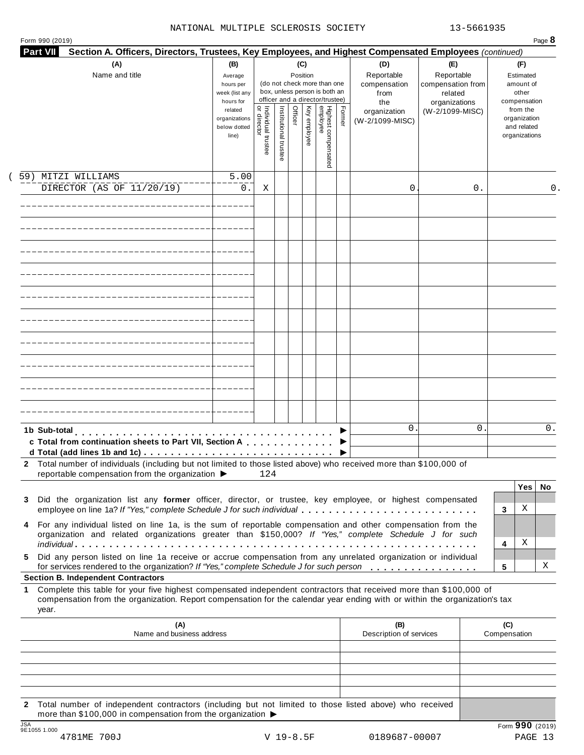#### NATIONAL MULTIPLE SCLEROSIS SOCIETY 13-5661935

| <b>Part VII</b><br>Section A. Officers, Directors, Trustees, Key Employees, and Highest Compensated Employees (continued)<br>(A)<br>Name and title                                                                                                                                                                                         | (B)<br>Average<br>hours per<br>week (list any<br>hours for                      |                                     |                       |         | (C)<br>Position | (do not check more than one<br>box, unless person is both an<br>officer and a director/trustee) |        | (D)<br>Reportable<br>compensation<br>from | (E)<br>Reportable<br>compensation from<br>related |                     | (F)<br>Estimated<br>amount of<br>other<br>compensation   |     |
|--------------------------------------------------------------------------------------------------------------------------------------------------------------------------------------------------------------------------------------------------------------------------------------------------------------------------------------------|---------------------------------------------------------------------------------|-------------------------------------|-----------------------|---------|-----------------|-------------------------------------------------------------------------------------------------|--------|-------------------------------------------|---------------------------------------------------|---------------------|----------------------------------------------------------|-----|
|                                                                                                                                                                                                                                                                                                                                            | related<br>organizations<br>below dotted<br>line)                               | Individual trustee<br>  or director | Institutional trustee | Officer | Key employee    | Highest compensated<br>employee                                                                 | Former | the<br>organization<br>(W-2/1099-MISC)    | organizations<br>(W-2/1099-MISC)                  |                     | from the<br>organization<br>and related<br>organizations |     |
| 59) MITZI WILLIAMS<br>DIRECTOR (AS OF 11/20/19)                                                                                                                                                                                                                                                                                            | 5.00<br>0.                                                                      | Χ                                   |                       |         |                 |                                                                                                 |        | 0                                         | 0.                                                |                     |                                                          | 0.  |
|                                                                                                                                                                                                                                                                                                                                            |                                                                                 |                                     |                       |         |                 |                                                                                                 |        |                                           |                                                   |                     |                                                          |     |
|                                                                                                                                                                                                                                                                                                                                            |                                                                                 |                                     |                       |         |                 |                                                                                                 |        |                                           |                                                   |                     |                                                          |     |
|                                                                                                                                                                                                                                                                                                                                            |                                                                                 |                                     |                       |         |                 |                                                                                                 |        |                                           |                                                   |                     |                                                          |     |
|                                                                                                                                                                                                                                                                                                                                            |                                                                                 |                                     |                       |         |                 |                                                                                                 |        |                                           |                                                   |                     |                                                          |     |
|                                                                                                                                                                                                                                                                                                                                            |                                                                                 |                                     |                       |         |                 |                                                                                                 |        |                                           |                                                   |                     |                                                          |     |
| 1b Sub-total<br>c Total from continuation sheets to Part VII, Section A<br>2 Total number of individuals (including but not limited to those listed above) who received more than \$100,000 of                                                                                                                                             |                                                                                 |                                     |                       |         |                 |                                                                                                 |        | $\mathbf{0}$                              | 0                                                 |                     |                                                          | 0.  |
| reportable compensation from the organization ▶<br>Did the organization list any former officer, director, or trustee, key employee, or highest compensated<br>3<br>employee on line 1a? If "Yes," complete Schedule J for such individual                                                                                                 |                                                                                 | 124                                 |                       |         |                 |                                                                                                 |        |                                           |                                                   | 3                   | Yes<br>Χ                                                 | No. |
| For any individual listed on line 1a, is the sum of reportable compensation and other compensation from the<br>4<br>organization and related organizations greater than \$150,000? If "Yes," complete Schedule J for such<br>Did any person listed on line 1a receive or accrue compensation from any unrelated organization or individual |                                                                                 |                                     |                       |         |                 |                                                                                                 |        |                                           |                                                   | 4                   | Χ                                                        |     |
| 5.<br>for services rendered to the organization? If "Yes," complete Schedule J for such person<br><b>Section B. Independent Contractors</b>                                                                                                                                                                                                |                                                                                 |                                     |                       |         |                 |                                                                                                 |        |                                           |                                                   | 5                   |                                                          | Χ   |
| Complete this table for your five highest compensated independent contractors that received more than \$100,000 of<br>1.<br>compensation from the organization. Report compensation for the calendar year ending with or within the organization's tax<br>year.                                                                            |                                                                                 |                                     |                       |         |                 |                                                                                                 |        |                                           |                                                   |                     |                                                          |     |
| (A)<br>Name and business address                                                                                                                                                                                                                                                                                                           |                                                                                 |                                     |                       |         |                 |                                                                                                 |        | (B)<br>Description of services            |                                                   | (C)<br>Compensation |                                                          |     |
| Total number of independent contractors (including but not limited to those listed above) who received<br>$\mathbf{2}$                                                                                                                                                                                                                     | more than \$100,000 in compensation from the organization $\blacktriangleright$ |                                     |                       |         |                 |                                                                                                 |        |                                           |                                                   |                     |                                                          |     |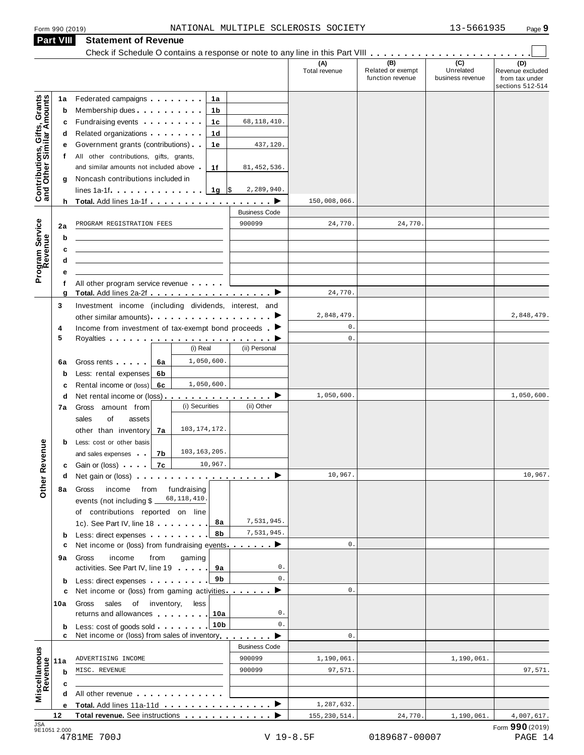| Form 990 (2019)                                           |         |                                                                                                                                                                                                                                | NATIONAL MULTIPLE SCLEROSIS SOCIETY |                      |                                              | 13-5661935                                        | Page 9                                                        |
|-----------------------------------------------------------|---------|--------------------------------------------------------------------------------------------------------------------------------------------------------------------------------------------------------------------------------|-------------------------------------|----------------------|----------------------------------------------|---------------------------------------------------|---------------------------------------------------------------|
| Part VIII                                                 |         | <b>Statement of Revenue</b>                                                                                                                                                                                                    |                                     |                      |                                              |                                                   |                                                               |
|                                                           |         |                                                                                                                                                                                                                                |                                     |                      |                                              |                                                   |                                                               |
|                                                           |         |                                                                                                                                                                                                                                |                                     | (A)<br>Total revenue | (B)<br>Related or exempt<br>function revenue | $\overline{(c)}$<br>Unrelated<br>business revenue | (D)<br>Revenue excluded<br>from tax under<br>sections 512-514 |
|                                                           | 1a      | Federated campaigns <b>Federated</b><br>1a                                                                                                                                                                                     |                                     |                      |                                              |                                                   |                                                               |
| Contributions, Gifts, Grants<br>and Other Similar Amounts | b       | Membership dues <b>All Accords</b> Membership dues<br>1b                                                                                                                                                                       |                                     |                      |                                              |                                                   |                                                               |
|                                                           | c       | Fundraising events <b>Fundraising</b><br>1c                                                                                                                                                                                    | 68, 118, 410.                       |                      |                                              |                                                   |                                                               |
|                                                           | d       | 1d                                                                                                                                                                                                                             |                                     |                      |                                              |                                                   |                                                               |
|                                                           | е       | Government grants (contributions)<br>1e                                                                                                                                                                                        | 437,120.                            |                      |                                              |                                                   |                                                               |
|                                                           | f       | All other contributions, gifts, grants,                                                                                                                                                                                        |                                     |                      |                                              |                                                   |                                                               |
|                                                           |         | and similar amounts not included above.<br>1f                                                                                                                                                                                  | 81, 452, 536.                       |                      |                                              |                                                   |                                                               |
|                                                           | g       | Noncash contributions included in                                                                                                                                                                                              |                                     |                      |                                              |                                                   |                                                               |
|                                                           |         | $lines 1a-1f$ $\ldots$ $\ldots$ $\ldots$                                                                                                                                                                                       | 2,289,940.<br>1g $\sqrt{3}$         |                      |                                              |                                                   |                                                               |
|                                                           |         | h Total. Add lines 1a-1f example and the set of the set of the set of the set of the set of the set of the set of the set of the set of the set of the set of the set of the set of the set of the set of the set of the set o |                                     | 150,008,066.         |                                              |                                                   |                                                               |
|                                                           |         |                                                                                                                                                                                                                                | <b>Business Code</b>                |                      |                                              |                                                   |                                                               |
| Program Service<br>Revenue                                | 2a      | PROGRAM REGISTRATION FEES                                                                                                                                                                                                      | 900099                              | 24,770.              | 24,770.                                      |                                                   |                                                               |
|                                                           | b       |                                                                                                                                                                                                                                |                                     |                      |                                              |                                                   |                                                               |
|                                                           | c       |                                                                                                                                                                                                                                |                                     |                      |                                              |                                                   |                                                               |
|                                                           | d       |                                                                                                                                                                                                                                |                                     |                      |                                              |                                                   |                                                               |
|                                                           | f       | All other program service revenue                                                                                                                                                                                              |                                     |                      |                                              |                                                   |                                                               |
|                                                           | g       | Total. Add lines 2a-2f ▶                                                                                                                                                                                                       |                                     | 24,770.              |                                              |                                                   |                                                               |
|                                                           | 3       | Investment income (including dividends, interest, and                                                                                                                                                                          |                                     |                      |                                              |                                                   |                                                               |
|                                                           |         |                                                                                                                                                                                                                                |                                     | 2,848,479.           |                                              |                                                   | 2,848,479.                                                    |
| 4                                                         |         | Income from investment of tax-exempt bond proceeds $\blacktriangleright$                                                                                                                                                       |                                     | $\mathsf{O}$ .       |                                              |                                                   |                                                               |
| 5                                                         |         |                                                                                                                                                                                                                                |                                     | $\mathbf{0}$ .       |                                              |                                                   |                                                               |
|                                                           |         | (i) Real                                                                                                                                                                                                                       | (ii) Personal                       |                      |                                              |                                                   |                                                               |
|                                                           | 6a      | 1,050,600.<br>Gross rents<br>6а                                                                                                                                                                                                |                                     |                      |                                              |                                                   |                                                               |
|                                                           | b       | Less: rental expenses<br>6b                                                                                                                                                                                                    |                                     |                      |                                              |                                                   |                                                               |
|                                                           | с       | 1,050,600.<br>Rental income or (loss) 6c                                                                                                                                                                                       |                                     | 1,050,600.           |                                              |                                                   |                                                               |
|                                                           | d<br>7a | Net rental income or (loss) $\cdots$ $\cdots$ $\cdots$ $\cdots$ $\cdots$<br>(i) Securities<br>Gross amount from                                                                                                                | (ii) Other                          |                      |                                              |                                                   | 1,050,600.                                                    |
|                                                           |         | sales<br>of<br>assets                                                                                                                                                                                                          |                                     |                      |                                              |                                                   |                                                               |
|                                                           |         | 103, 174, 172.<br>other than inventory<br>7a                                                                                                                                                                                   |                                     |                      |                                              |                                                   |                                                               |
|                                                           | b       | Less: cost or other basis                                                                                                                                                                                                      |                                     |                      |                                              |                                                   |                                                               |
| <b>Other Revenue</b>                                      |         | 103, 163, 205.<br>7b<br>and sales expenses                                                                                                                                                                                     |                                     |                      |                                              |                                                   |                                                               |
|                                                           | c       | 10,967.<br>Gain or (loss) <b>Canada</b><br>7с                                                                                                                                                                                  |                                     |                      |                                              |                                                   |                                                               |
|                                                           | a       | Net gain or (loss) $\cdots$ $\cdots$ $\cdots$ $\cdots$ $\cdots$ $\cdots$ $\cdots$                                                                                                                                              |                                     | 10,967.              |                                              |                                                   | 10,967.                                                       |
|                                                           | 8а      | Gross<br>income<br>from<br>fundraising                                                                                                                                                                                         |                                     |                      |                                              |                                                   |                                                               |
|                                                           |         | 68,118,410<br>events (not including $$$ $-$                                                                                                                                                                                    |                                     |                      |                                              |                                                   |                                                               |
|                                                           |         | of contributions reported on line                                                                                                                                                                                              |                                     |                      |                                              |                                                   |                                                               |
|                                                           |         | 1c). See Part IV, line 18                                                                                                                                                                                                      | 7,531,945.<br>8а                    |                      |                                              |                                                   |                                                               |
|                                                           | b       | Less: direct expenses                                                                                                                                                                                                          | 7,531,945.<br>8b                    |                      |                                              |                                                   |                                                               |
|                                                           | c       | Net income or (loss) from fundraising events ▶                                                                                                                                                                                 |                                     | $\mathbf{0}$ .       |                                              |                                                   |                                                               |
|                                                           | 9а      | Gross<br>income<br>from<br>gaming                                                                                                                                                                                              | 0.                                  |                      |                                              |                                                   |                                                               |
|                                                           |         | activities. See Part IV, line 19                                                                                                                                                                                               | 9а<br>$\mathbf{0}$ .<br>9b          |                      |                                              |                                                   |                                                               |
|                                                           | b<br>c  | Less: direct expenses<br>Net income or (loss) from gaming activities ▶                                                                                                                                                         |                                     | $\mathbf{0}$ .       |                                              |                                                   |                                                               |
| 10a                                                       |         | Gross<br>sales<br>of inventory,<br>less                                                                                                                                                                                        |                                     |                      |                                              |                                                   |                                                               |
|                                                           |         | returns and allowances                                                                                                                                                                                                         | 0.<br>10a                           |                      |                                              |                                                   |                                                               |
|                                                           | b       | Less: cost of goods sold                                                                                                                                                                                                       | 0.<br>10 <sub>b</sub>               |                      |                                              |                                                   |                                                               |
|                                                           | c       | Net income or (loss) from sales of inventory                                                                                                                                                                                   |                                     | $\mathbf{0}$ .       |                                              |                                                   |                                                               |
|                                                           |         |                                                                                                                                                                                                                                | <b>Business Code</b>                |                      |                                              |                                                   |                                                               |
| Miscellaneous<br>Revenue<br>11a                           |         | ADVERTISING INCOME                                                                                                                                                                                                             | 900099                              | 1,190,061.           |                                              | 1,190,061.                                        |                                                               |
|                                                           | b       | MISC. REVENUE                                                                                                                                                                                                                  | 900099                              | 97,571.              |                                              |                                                   | 97,571.                                                       |
|                                                           |         |                                                                                                                                                                                                                                |                                     |                      |                                              |                                                   |                                                               |
|                                                           |         | All other revenue                                                                                                                                                                                                              |                                     |                      |                                              |                                                   |                                                               |
|                                                           |         | Total. Add lines 11a-11d                                                                                                                                                                                                       |                                     | 1,287,632.           |                                              |                                                   |                                                               |
| 12                                                        |         | Total revenue. See instructions                                                                                                                                                                                                |                                     | 155, 230, 514.       | 24,770.                                      | 1,190,061.                                        | 4,007,617.                                                    |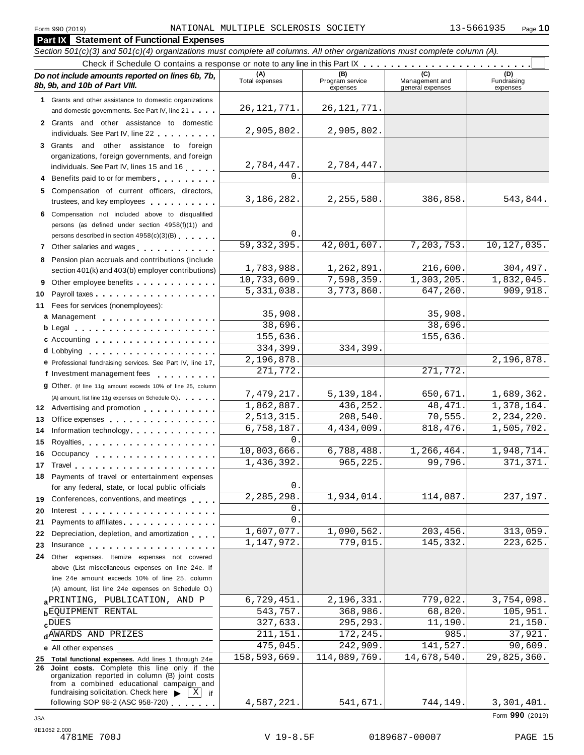| Form 990 (2019)<br><b>Part IX</b> Statement of Functional Expenses                                                                                                                                                | NATIONAL MULTIPLE SCLEROSIS SOCIETY |                                    |                                           | 13-5661935<br>Page 10          |
|-------------------------------------------------------------------------------------------------------------------------------------------------------------------------------------------------------------------|-------------------------------------|------------------------------------|-------------------------------------------|--------------------------------|
| Section 501(c)(3) and 501(c)(4) organizations must complete all columns. All other organizations must complete column (A).                                                                                        |                                     |                                    |                                           |                                |
|                                                                                                                                                                                                                   |                                     |                                    |                                           |                                |
| Do not include amounts reported on lines 6b, 7b,<br>8b, 9b, and 10b of Part VIII.                                                                                                                                 | (A)<br>Total expenses               | (B)<br>Program service<br>expenses | (C)<br>Management and<br>general expenses | (D)<br>Fundraising<br>expenses |
| 1 Grants and other assistance to domestic organizations                                                                                                                                                           | 26, 121, 771.                       | 26, 121, 771.                      |                                           |                                |
| and domestic governments. See Part IV, line 21<br>2 Grants and other assistance to domestic                                                                                                                       |                                     |                                    |                                           |                                |
| individuals. See Part IV, line 22<br>3 Grants and other assistance to foreign                                                                                                                                     | 2,905,802.                          | 2,905,802.                         |                                           |                                |
| organizations, foreign governments, and foreign                                                                                                                                                                   |                                     |                                    |                                           |                                |
| individuals. See Part IV, lines 15 and 16                                                                                                                                                                         | 2,784,447.                          | 2,784,447.                         |                                           |                                |
| 4 Benefits paid to or for members                                                                                                                                                                                 | $\Omega$ .                          |                                    |                                           |                                |
| 5 Compensation of current officers, directors,<br>trustees, and key employees                                                                                                                                     | 3, 186, 282.                        | 2, 255, 580.                       | 386,858.                                  | 543,844.                       |
| 6 Compensation not included above to disqualified<br>persons (as defined under section 4958(f)(1)) and<br>persons described in section 4958(c)(3)(B)                                                              | 0.                                  |                                    |                                           |                                |
| 7 Other salaries and wages                                                                                                                                                                                        | 59,332,395.                         | 42,001,607.                        | 7, 203, 753.                              | 10, 127, 035.                  |
| 8 Pension plan accruals and contributions (include                                                                                                                                                                |                                     |                                    |                                           |                                |
| section 401(k) and 403(b) employer contributions)                                                                                                                                                                 | 1,783,988.                          | 1,262,891.                         | 216,600.                                  | 304,497.                       |
| 9 Other employee benefits                                                                                                                                                                                         | 10,733,609.                         | 7,598,359.                         | 1,303,205.                                | 1,832,045.                     |
| 10                                                                                                                                                                                                                | 5,331,038.                          | 3,773,860.                         | 647,260.                                  | 909,918.                       |
| 11 Fees for services (nonemployees):                                                                                                                                                                              | 35,908.                             |                                    | 35,908.                                   |                                |
| a Management experience a management                                                                                                                                                                              | 38,696.                             |                                    | 38,696.                                   |                                |
| c Accounting                                                                                                                                                                                                      | 155,636.                            |                                    | 155,636.                                  |                                |
|                                                                                                                                                                                                                   | 334,399.                            | 334,399.                           |                                           |                                |
| e Professional fundraising services. See Part IV, line 17                                                                                                                                                         | 2,196,878.                          |                                    |                                           | 2,196,878.                     |
| f Investment management fees                                                                                                                                                                                      | 271,772.                            |                                    | 271,772.                                  |                                |
| 9 Other. (If line 11g amount exceeds 10% of line 25, column                                                                                                                                                       |                                     |                                    |                                           |                                |
| (A) amount, list line 11g expenses on Schedule O.)                                                                                                                                                                | 7,479,217.<br>1,862,887.            | 5, 139, 184.<br>436,252.           | 650,671.<br>48, 471.                      | 1,689,362.<br>1,378,164.       |
| 12 Advertising and promotion                                                                                                                                                                                      | 2,513,315.                          | 208,540.                           | 70, 555.                                  | 2, 234, 220.                   |
| 13 Office expenses<br>14 Information technology experiences                                                                                                                                                       | 6,758,187.                          | 4,434,009.                         | 818,476.                                  | 1,505,702.                     |
| 15                                                                                                                                                                                                                | 0.                                  |                                    |                                           |                                |
| Occupancy<br>16                                                                                                                                                                                                   | 10,003,666.                         | 6,788,488.                         | 1,266,464.                                | 1,948,714.                     |
| 17                                                                                                                                                                                                                | 1,436,392.                          | 965,225.                           | 99,796.                                   | 371,371.                       |
| 18 Payments of travel or entertainment expenses                                                                                                                                                                   |                                     |                                    |                                           |                                |
| for any federal, state, or local public officials                                                                                                                                                                 | 0.<br>2,285,298                     | 1,934,014.                         | 114,087.                                  | 237, 197.                      |
| Conferences, conventions, and meetings<br>19                                                                                                                                                                      | 0.                                  |                                    |                                           |                                |
| 20<br>Interest $\ldots$ , $\ldots$ , $\ldots$ , $\ldots$ , $\ldots$ , $\ldots$ , $\ldots$<br>Payments to affiliates entertainment and the set of the set of the set of the set of the set of the set of the<br>21 | $\mathbf{0}$ .                      |                                    |                                           |                                |
| Depreciation, depletion, and amortization<br>22                                                                                                                                                                   | 1,607,077.                          | 1,090,562.                         | 203,456.                                  | 313,059.                       |
| 23                                                                                                                                                                                                                | 1, 147, 972.                        | 779,015.                           | 145,332.                                  | 223,625.                       |
| Other expenses. Itemize expenses not covered<br>24                                                                                                                                                                |                                     |                                    |                                           |                                |
| above (List miscellaneous expenses on line 24e. If                                                                                                                                                                |                                     |                                    |                                           |                                |
| line 24e amount exceeds 10% of line 25, column                                                                                                                                                                    |                                     |                                    |                                           |                                |
| (A) amount, list line 24e expenses on Schedule O.)<br>a PRINTING, PUBLICATION, AND P                                                                                                                              | 6,729,451.                          | 2,196,331                          | 779,022.                                  | 3,754,098.                     |
| <b>bEQUIPMENT RENTAL</b>                                                                                                                                                                                          | 543,757.                            | 368,986.                           | 68,820                                    | 105,951.                       |
| $c^{DUES}$                                                                                                                                                                                                        | 327,633.                            | 295, 293.                          | 11,190                                    | 21,150.                        |
| dAWARDS AND PRIZES                                                                                                                                                                                                | 211, 151                            | 172,245.                           | 985                                       | 37,921.                        |
| e All other expenses                                                                                                                                                                                              | 475,045.                            | 242,909.                           | 141,527.                                  | 90,609.                        |
| 25 Total functional expenses. Add lines 1 through 24e                                                                                                                                                             | 158,593,669.                        | 114,089,769.                       | 14,678,540.                               | $\overline{29,825,360}$ .      |
| 26 Joint costs. Complete this line only if the<br>organization reported in column (B) joint costs<br>from a combined educational campaign and<br>fundraising solicitation. Check here<br>$X$ if                   |                                     |                                    |                                           |                                |
| following SOP 98-2 (ASC 958-720)                                                                                                                                                                                  | 4,587,221.                          | 541,671.                           | 744,149.                                  | 3,301,401.                     |
| <b>JSA</b>                                                                                                                                                                                                        |                                     |                                    |                                           | Form 990 (2019)                |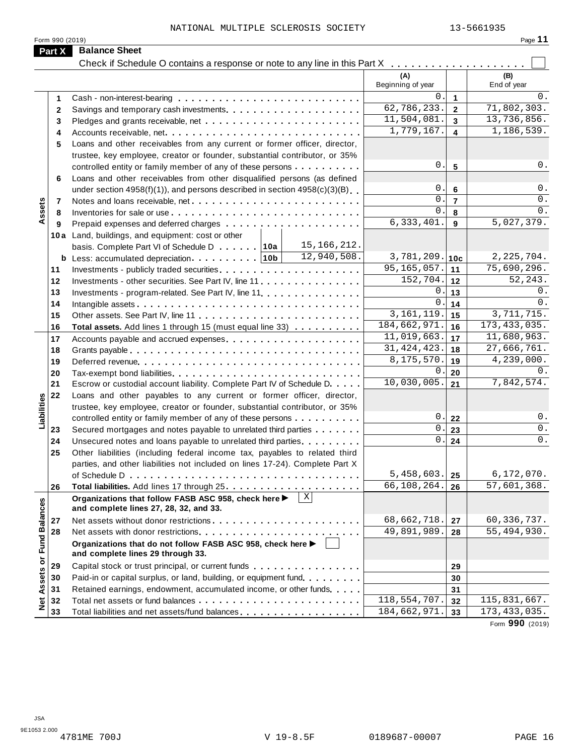|                             | Form 990 (2019) |                                                                                                                           |                           |                         | Page 11            |
|-----------------------------|-----------------|---------------------------------------------------------------------------------------------------------------------------|---------------------------|-------------------------|--------------------|
|                             | Part X          | <b>Balance Sheet</b>                                                                                                      |                           |                         |                    |
|                             |                 |                                                                                                                           |                           |                         |                    |
|                             |                 |                                                                                                                           | (A)<br>Beginning of year  |                         | (B)<br>End of year |
|                             | $\mathbf 1$     |                                                                                                                           | $\Omega$ .                | $\mathbf{1}$            | 0.                 |
|                             | $\mathbf{2}$    |                                                                                                                           | 62,786,233.               | $\overline{2}$          | 71, 802, 303.      |
|                             | 3               |                                                                                                                           | 11,504,081.               | 3                       | 13,736,856.        |
|                             | 4               |                                                                                                                           | 1,779,167.                | $\overline{\mathbf{4}}$ | 1,186,539.         |
|                             | 5               | Loans and other receivables from any current or former officer, director,                                                 |                           |                         |                    |
|                             |                 | trustee, key employee, creator or founder, substantial contributor, or 35%                                                |                           |                         |                    |
|                             |                 | controlled entity or family member of any of these persons                                                                | 0.                        | $5\phantom{.0}$         | 0.                 |
|                             | 6               | Loans and other receivables from other disqualified persons (as defined                                                   |                           |                         |                    |
|                             |                 | under section $4958(f)(1)$ , and persons described in section $4958(c)(3)(B)$                                             | 0.                        | $6\phantom{1}$          | 0.                 |
|                             | -7              | Notes and loans receivable, net                                                                                           | $\Omega$ .                | $\overline{7}$          | $0$ .              |
| Assets                      | 8               |                                                                                                                           | $\Omega$ .                | 8                       | 0.                 |
|                             | 9               |                                                                                                                           | 6, 333, 401.              | 9                       | 5,027,379.         |
|                             |                 | 10a Land, buildings, and equipment: cost or other                                                                         |                           |                         |                    |
|                             |                 | 15,166,212.<br>basis. Complete Part VI of Schedule D 10a                                                                  |                           |                         |                    |
|                             |                 | 12,940,508.                                                                                                               | 3,781,209.                | 10c                     | 2, 225, 704.       |
|                             | 11              |                                                                                                                           | 95, 165, 057.             | 11                      | 75,690,296.        |
|                             | 12              | Investments - other securities. See Part IV, line 11                                                                      | 152,704.                  | 12                      | 52,243.            |
|                             | 13              | Investments - program-related. See Part IV, line 11                                                                       | 0.                        | 13                      | 0.                 |
|                             | 14              |                                                                                                                           | $\mathbf{0}$ .            | 14                      | 0.                 |
|                             | 15              |                                                                                                                           | 3, 161, 119.              | 15                      | 3,711,715.         |
|                             | 16              | <b>Total assets.</b> Add lines 1 through 15 (must equal line 33)                                                          | 184,662,971.              | 16                      | 173, 433, 035.     |
|                             | 17              |                                                                                                                           | 11,019,663.               | 17                      | 11,680,963.        |
|                             | 18              |                                                                                                                           | 31, 424, 423.             | 18                      | 27,666,761.        |
|                             | 19              |                                                                                                                           | 8,175,570.                | 19                      | 4,239,000.         |
|                             | 20              |                                                                                                                           | $\mathbf 0$ .             | 20                      | 0.                 |
|                             | 21              | Escrow or custodial account liability. Complete Part IV of Schedule D.                                                    | 10,030,005.               | 21                      | 7,842,574.         |
|                             | 22              | Loans and other payables to any current or former officer, director,                                                      |                           |                         |                    |
|                             |                 | trustee, key employee, creator or founder, substantial contributor, or 35%                                                |                           |                         |                    |
| Liabilities                 |                 | controlled entity or family member of any of these persons                                                                | 0.                        | 22                      | 0.                 |
|                             | 23              | Secured mortgages and notes payable to unrelated third parties                                                            | 0.                        | 23                      | 0.                 |
|                             | 24              | Unsecured notes and loans payable to unrelated third parties                                                              | $0$ .                     | 24                      | 0.                 |
|                             | 25              | Other liabilities (including federal income tax, payables to related third                                                |                           |                         |                    |
|                             |                 | parties, and other liabilities not included on lines 17-24). Complete Part X                                              |                           |                         |                    |
|                             |                 |                                                                                                                           | 5,458,603.                | 25                      | 6,172,070.         |
|                             | 26              |                                                                                                                           | 66,108,264.               | 26                      | 57,601,368.        |
|                             |                 | $\overline{\mathbf{x}}$<br>Organizations that follow FASB ASC 958, check here ▶<br>and complete lines 27, 28, 32, and 33. |                           |                         |                    |
|                             | 27              |                                                                                                                           | 68,662,718.               | 27                      | 60, 336, 737.      |
|                             | 28              |                                                                                                                           | $\overline{49,891,989}$ . | 28                      | 55,494,930.        |
| Net Assets or Fund Balances |                 | Organizations that do not follow FASB ASC 958, check here ▶<br>and complete lines 29 through 33.                          |                           |                         |                    |
|                             | 29              | Capital stock or trust principal, or current funds                                                                        |                           | 29                      |                    |
|                             | 30              | Paid-in or capital surplus, or land, building, or equipment fund.                                                         |                           | 30                      |                    |
|                             | 31              | Retained earnings, endowment, accumulated income, or other funds                                                          |                           | 31                      |                    |
|                             | 32              |                                                                                                                           | 118,554,707.              | 32                      | 115,831,667.       |
|                             | 33              | Total liabilities and net assets/fund balances                                                                            | 184,662,971.              | 33                      | 173, 433, 035.     |
|                             |                 |                                                                                                                           |                           |                         |                    |

Form **990** (2019)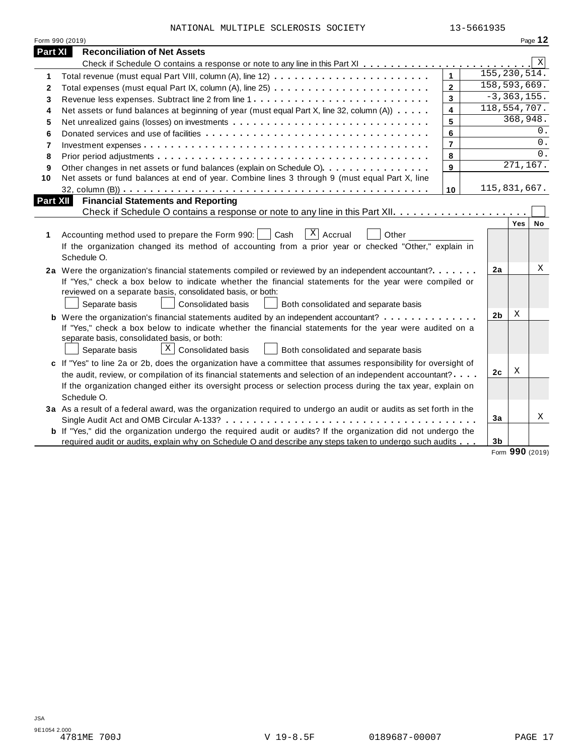| NATIONAL MULTIPLE SCLEROSIS SOCIETY |  | 13-5661935 |
|-------------------------------------|--|------------|

|                | NATIONAL MULTIPLE SCLEROSIS SOCIETY                                                                                   |                         | 13-5661935     |                 |           |
|----------------|-----------------------------------------------------------------------------------------------------------------------|-------------------------|----------------|-----------------|-----------|
|                | Form 990 (2019)                                                                                                       |                         |                | Page 12         |           |
| Part XI        | <b>Reconciliation of Net Assets</b>                                                                                   |                         |                |                 |           |
|                |                                                                                                                       |                         |                |                 | Χ         |
| 1              |                                                                                                                       | $\overline{1}$          | 155, 230, 514. |                 |           |
| $\overline{2}$ |                                                                                                                       | $\overline{2}$          | 158, 593, 669. |                 |           |
| 3              | Revenue less expenses. Subtract line 2 from line 1                                                                    | 3                       |                | $-3, 363, 155.$ |           |
| 4              | Net assets or fund balances at beginning of year (must equal Part X, line 32, column (A))                             | $\overline{\mathbf{4}}$ | 118,554,707.   |                 |           |
| 5              |                                                                                                                       | 5                       |                | 368,948.        |           |
| 6              |                                                                                                                       | 6                       |                |                 | 0.        |
| $\overline{7}$ |                                                                                                                       | $\overline{7}$          |                |                 | $0$ .     |
| 8              |                                                                                                                       | 8                       |                |                 | 0.        |
| 9              | Other changes in net assets or fund balances (explain on Schedule O).                                                 | 9                       |                | 271,167.        |           |
| 10             | Net assets or fund balances at end of year. Combine lines 3 through 9 (must equal Part X, line                        |                         |                |                 |           |
|                |                                                                                                                       | 10                      | 115,831,667.   |                 |           |
|                | Part XII<br><b>Financial Statements and Reporting</b>                                                                 |                         |                |                 |           |
|                |                                                                                                                       |                         |                |                 |           |
|                |                                                                                                                       |                         |                | Yes             | <b>No</b> |
| 1              | $\overline{X}$ Accrual<br>Accounting method used to prepare the Form 990:<br>Cash<br>Other                            |                         |                |                 |           |
|                | If the organization changed its method of accounting from a prior year or checked "Other," explain in                 |                         |                |                 |           |
|                | Schedule O.                                                                                                           |                         |                |                 |           |
|                |                                                                                                                       |                         |                |                 |           |
|                |                                                                                                                       |                         |                |                 |           |
|                | 2a Were the organization's financial statements compiled or reviewed by an independent accountant?                    |                         | 2a             |                 | X         |
|                | If "Yes," check a box below to indicate whether the financial statements for the year were compiled or                |                         |                |                 |           |
|                | reviewed on a separate basis, consolidated basis, or both:                                                            |                         |                |                 |           |
|                | Separate basis<br>Consolidated basis<br>Both consolidated and separate basis                                          |                         |                |                 |           |
|                | <b>b</b> Were the organization's financial statements audited by an independent accountant?                           |                         | 2 <sub>b</sub> | X               |           |
|                | If "Yes," check a box below to indicate whether the financial statements for the year were audited on a               |                         |                |                 |           |
|                | separate basis, consolidated basis, or both:                                                                          |                         |                |                 |           |
|                | $\lfloor x \rfloor$ Consolidated basis<br>Both consolidated and separate basis<br>Separate basis                      |                         |                |                 |           |
|                | c If "Yes" to line 2a or 2b, does the organization have a committee that assumes responsibility for oversight of      |                         |                |                 |           |
|                | the audit, review, or compilation of its financial statements and selection of an independent accountant?             |                         | 2 <sub>c</sub> | Χ               |           |
|                | If the organization changed either its oversight process or selection process during the tax year, explain on         |                         |                |                 |           |
|                | Schedule O.                                                                                                           |                         |                |                 |           |
|                | 3a As a result of a federal award, was the organization required to undergo an audit or audits as set forth in the    |                         |                |                 |           |
|                |                                                                                                                       |                         | 3a             |                 | X         |
|                | <b>b</b> If "Yes," did the organization undergo the required audit or audits? If the organization did not undergo the |                         |                |                 |           |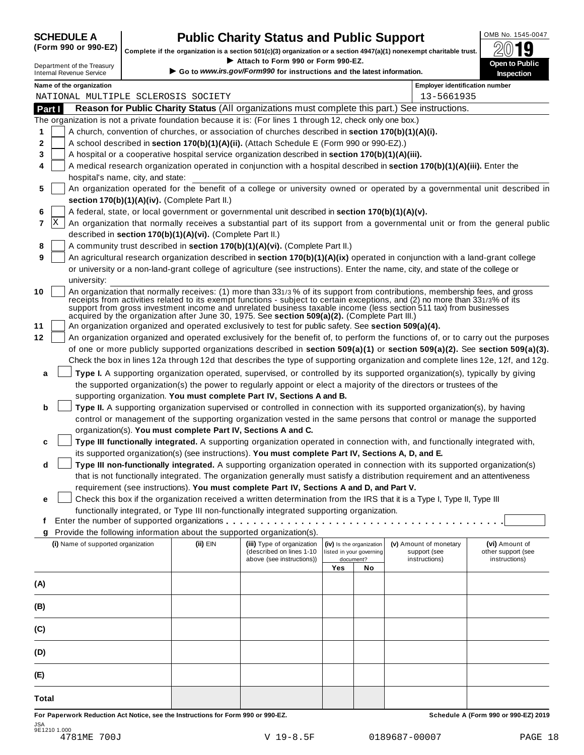# **CHEDULE A Public Charity Status and Public Support**  $\frac{100\text{dB No. }1545-0047}{000\text{dB No.}}$

(Form 990 or 990-EZ) complete if the organization is a section 501(c)(3) organization or a section 4947(a)(1) nonexempt charitable trust.  $2019$ 

|                                                                                                           |                                                               |  |                                                            | Complete if the organization is a section 501(c)(3) organization or a section 4947(a)(1) nonexempt charitable trust. |                          |                          |                                                                                                                                                                                                                                                                                                                                                                                 | ZW IJ                               |
|-----------------------------------------------------------------------------------------------------------|---------------------------------------------------------------|--|------------------------------------------------------------|----------------------------------------------------------------------------------------------------------------------|--------------------------|--------------------------|---------------------------------------------------------------------------------------------------------------------------------------------------------------------------------------------------------------------------------------------------------------------------------------------------------------------------------------------------------------------------------|-------------------------------------|
|                                                                                                           | Department of the Treasury<br><b>Internal Revenue Service</b> |  |                                                            | Attach to Form 990 or Form 990-EZ.<br>Go to www.irs.gov/Form990 for instructions and the latest information.         |                          |                          |                                                                                                                                                                                                                                                                                                                                                                                 | Open to Public<br><b>Inspection</b> |
|                                                                                                           | Name of the organization                                      |  |                                                            |                                                                                                                      |                          |                          | <b>Employer identification number</b>                                                                                                                                                                                                                                                                                                                                           |                                     |
| NATIONAL MULTIPLE SCLEROSIS SOCIETY                                                                       |                                                               |  |                                                            |                                                                                                                      |                          |                          | 13-5661935                                                                                                                                                                                                                                                                                                                                                                      |                                     |
| Reason for Public Charity Status (All organizations must complete this part.) See instructions.<br>Part I |                                                               |  |                                                            |                                                                                                                      |                          |                          |                                                                                                                                                                                                                                                                                                                                                                                 |                                     |
|                                                                                                           |                                                               |  |                                                            | The organization is not a private foundation because it is: (For lines 1 through 12, check only one box.)            |                          |                          |                                                                                                                                                                                                                                                                                                                                                                                 |                                     |
| 1                                                                                                         |                                                               |  |                                                            | A church, convention of churches, or association of churches described in section 170(b)(1)(A)(i).                   |                          |                          |                                                                                                                                                                                                                                                                                                                                                                                 |                                     |
| 2                                                                                                         |                                                               |  |                                                            | A school described in section 170(b)(1)(A)(ii). (Attach Schedule E (Form 990 or 990-EZ).)                            |                          |                          |                                                                                                                                                                                                                                                                                                                                                                                 |                                     |
| 3                                                                                                         |                                                               |  |                                                            | A hospital or a cooperative hospital service organization described in section 170(b)(1)(A)(iii).                    |                          |                          |                                                                                                                                                                                                                                                                                                                                                                                 |                                     |
| 4                                                                                                         |                                                               |  |                                                            |                                                                                                                      |                          |                          | A medical research organization operated in conjunction with a hospital described in section 170(b)(1)(A)(iii). Enter the                                                                                                                                                                                                                                                       |                                     |
|                                                                                                           | hospital's name, city, and state:                             |  |                                                            |                                                                                                                      |                          |                          | An organization operated for the benefit of a college or university owned or operated by a governmental unit described in                                                                                                                                                                                                                                                       |                                     |
| 5                                                                                                         |                                                               |  | section 170(b)(1)(A)(iv). (Complete Part II.)              |                                                                                                                      |                          |                          |                                                                                                                                                                                                                                                                                                                                                                                 |                                     |
|                                                                                                           |                                                               |  |                                                            |                                                                                                                      |                          |                          |                                                                                                                                                                                                                                                                                                                                                                                 |                                     |
| 6<br> X                                                                                                   |                                                               |  |                                                            | A federal, state, or local government or governmental unit described in section 170(b)(1)(A)(v).                     |                          |                          |                                                                                                                                                                                                                                                                                                                                                                                 |                                     |
| 7                                                                                                         |                                                               |  |                                                            |                                                                                                                      |                          |                          | An organization that normally receives a substantial part of its support from a governmental unit or from the general public                                                                                                                                                                                                                                                    |                                     |
|                                                                                                           |                                                               |  | described in section 170(b)(1)(A)(vi). (Complete Part II.) |                                                                                                                      |                          |                          |                                                                                                                                                                                                                                                                                                                                                                                 |                                     |
| 8                                                                                                         |                                                               |  |                                                            | A community trust described in section 170(b)(1)(A)(vi). (Complete Part II.)                                         |                          |                          |                                                                                                                                                                                                                                                                                                                                                                                 |                                     |
| 9                                                                                                         |                                                               |  |                                                            |                                                                                                                      |                          |                          | An agricultural research organization described in section 170(b)(1)(A)(ix) operated in conjunction with a land-grant college                                                                                                                                                                                                                                                   |                                     |
|                                                                                                           |                                                               |  |                                                            |                                                                                                                      |                          |                          | or university or a non-land-grant college of agriculture (see instructions). Enter the name, city, and state of the college or                                                                                                                                                                                                                                                  |                                     |
|                                                                                                           | university:                                                   |  |                                                            |                                                                                                                      |                          |                          |                                                                                                                                                                                                                                                                                                                                                                                 |                                     |
| 10                                                                                                        |                                                               |  |                                                            | acquired by the organization after June 30, 1975. See section 509(a)(2). (Complete Part III.)                        |                          |                          | An organization that normally receives: (1) more than 331/3% of its support from contributions, membership fees, and gross<br>receipts from activities related to its exempt functions - subject to certain exceptions, and (2) no more than 331/3% of its<br>support from gross investment income and unrelated business taxable income (less section 511 tax) from businesses |                                     |
| 11                                                                                                        |                                                               |  |                                                            | An organization organized and operated exclusively to test for public safety. See section 509(a)(4).                 |                          |                          |                                                                                                                                                                                                                                                                                                                                                                                 |                                     |
| 12                                                                                                        |                                                               |  |                                                            |                                                                                                                      |                          |                          | An organization organized and operated exclusively for the benefit of, to perform the functions of, or to carry out the purposes                                                                                                                                                                                                                                                |                                     |
|                                                                                                           |                                                               |  |                                                            |                                                                                                                      |                          |                          | of one or more publicly supported organizations described in section 509(a)(1) or section 509(a)(2). See section 509(a)(3).                                                                                                                                                                                                                                                     |                                     |
|                                                                                                           |                                                               |  |                                                            |                                                                                                                      |                          |                          | Check the box in lines 12a through 12d that describes the type of supporting organization and complete lines 12e, 12f, and 12g.                                                                                                                                                                                                                                                 |                                     |
| a                                                                                                         |                                                               |  |                                                            |                                                                                                                      |                          |                          | Type I. A supporting organization operated, supervised, or controlled by its supported organization(s), typically by giving                                                                                                                                                                                                                                                     |                                     |
|                                                                                                           |                                                               |  |                                                            |                                                                                                                      |                          |                          | the supported organization(s) the power to regularly appoint or elect a majority of the directors or trustees of the                                                                                                                                                                                                                                                            |                                     |
|                                                                                                           |                                                               |  |                                                            | supporting organization. You must complete Part IV, Sections A and B.                                                |                          |                          |                                                                                                                                                                                                                                                                                                                                                                                 |                                     |
| b                                                                                                         |                                                               |  |                                                            |                                                                                                                      |                          |                          | Type II. A supporting organization supervised or controlled in connection with its supported organization(s), by having                                                                                                                                                                                                                                                         |                                     |
|                                                                                                           |                                                               |  |                                                            |                                                                                                                      |                          |                          | control or management of the supporting organization vested in the same persons that control or manage the supported                                                                                                                                                                                                                                                            |                                     |
|                                                                                                           |                                                               |  |                                                            | organization(s). You must complete Part IV, Sections A and C.                                                        |                          |                          |                                                                                                                                                                                                                                                                                                                                                                                 |                                     |
| c                                                                                                         |                                                               |  |                                                            |                                                                                                                      |                          |                          | Type III functionally integrated. A supporting organization operated in connection with, and functionally integrated with,                                                                                                                                                                                                                                                      |                                     |
|                                                                                                           |                                                               |  |                                                            | its supported organization(s) (see instructions). You must complete Part IV, Sections A, D, and E.                   |                          |                          |                                                                                                                                                                                                                                                                                                                                                                                 |                                     |
| d                                                                                                         |                                                               |  |                                                            |                                                                                                                      |                          |                          | Type III non-functionally integrated. A supporting organization operated in connection with its supported organization(s)                                                                                                                                                                                                                                                       |                                     |
|                                                                                                           |                                                               |  |                                                            |                                                                                                                      |                          |                          | that is not functionally integrated. The organization generally must satisfy a distribution requirement and an attentiveness                                                                                                                                                                                                                                                    |                                     |
|                                                                                                           |                                                               |  |                                                            | requirement (see instructions). You must complete Part IV, Sections A and D, and Part V.                             |                          |                          |                                                                                                                                                                                                                                                                                                                                                                                 |                                     |
|                                                                                                           |                                                               |  |                                                            |                                                                                                                      |                          |                          | Check this box if the organization received a written determination from the IRS that it is a Type I, Type II, Type III                                                                                                                                                                                                                                                         |                                     |
| е                                                                                                         |                                                               |  |                                                            | functionally integrated, or Type III non-functionally integrated supporting organization.                            |                          |                          |                                                                                                                                                                                                                                                                                                                                                                                 |                                     |
| f                                                                                                         |                                                               |  |                                                            |                                                                                                                      |                          |                          |                                                                                                                                                                                                                                                                                                                                                                                 |                                     |
|                                                                                                           |                                                               |  |                                                            | Provide the following information about the supported organization(s).                                               |                          |                          |                                                                                                                                                                                                                                                                                                                                                                                 |                                     |
| g                                                                                                         | (i) Name of supported organization                            |  | (ii) EIN                                                   | (iii) Type of organization                                                                                           |                          | (iv) Is the organization | (v) Amount of monetary                                                                                                                                                                                                                                                                                                                                                          | (vi) Amount of                      |
|                                                                                                           |                                                               |  |                                                            | (described on lines 1-10                                                                                             | listed in your governing |                          | support (see                                                                                                                                                                                                                                                                                                                                                                    | other support (see                  |
|                                                                                                           |                                                               |  |                                                            | above (see instructions))                                                                                            |                          | document?                | instructions)                                                                                                                                                                                                                                                                                                                                                                   | instructions)                       |
|                                                                                                           |                                                               |  |                                                            |                                                                                                                      | Yes                      | No                       |                                                                                                                                                                                                                                                                                                                                                                                 |                                     |
| (A)                                                                                                       |                                                               |  |                                                            |                                                                                                                      |                          |                          |                                                                                                                                                                                                                                                                                                                                                                                 |                                     |
|                                                                                                           |                                                               |  |                                                            |                                                                                                                      |                          |                          |                                                                                                                                                                                                                                                                                                                                                                                 |                                     |
| (B)                                                                                                       |                                                               |  |                                                            |                                                                                                                      |                          |                          |                                                                                                                                                                                                                                                                                                                                                                                 |                                     |
|                                                                                                           |                                                               |  |                                                            |                                                                                                                      |                          |                          |                                                                                                                                                                                                                                                                                                                                                                                 |                                     |
| (C)                                                                                                       |                                                               |  |                                                            |                                                                                                                      |                          |                          |                                                                                                                                                                                                                                                                                                                                                                                 |                                     |
|                                                                                                           |                                                               |  |                                                            |                                                                                                                      |                          |                          |                                                                                                                                                                                                                                                                                                                                                                                 |                                     |
| (D)                                                                                                       |                                                               |  |                                                            |                                                                                                                      |                          |                          |                                                                                                                                                                                                                                                                                                                                                                                 |                                     |
|                                                                                                           |                                                               |  |                                                            |                                                                                                                      |                          |                          |                                                                                                                                                                                                                                                                                                                                                                                 |                                     |
| (E)                                                                                                       |                                                               |  |                                                            |                                                                                                                      |                          |                          |                                                                                                                                                                                                                                                                                                                                                                                 |                                     |
|                                                                                                           |                                                               |  |                                                            |                                                                                                                      |                          |                          |                                                                                                                                                                                                                                                                                                                                                                                 |                                     |
| <b>Total</b>                                                                                              |                                                               |  |                                                            |                                                                                                                      |                          |                          |                                                                                                                                                                                                                                                                                                                                                                                 |                                     |

For Paperwork Reduction Act Notice, see the Instructions for Form 990 or 990-EZ. Schedule A (Form 990 or 990-EZ) 2019 JSA 9E1210 1.000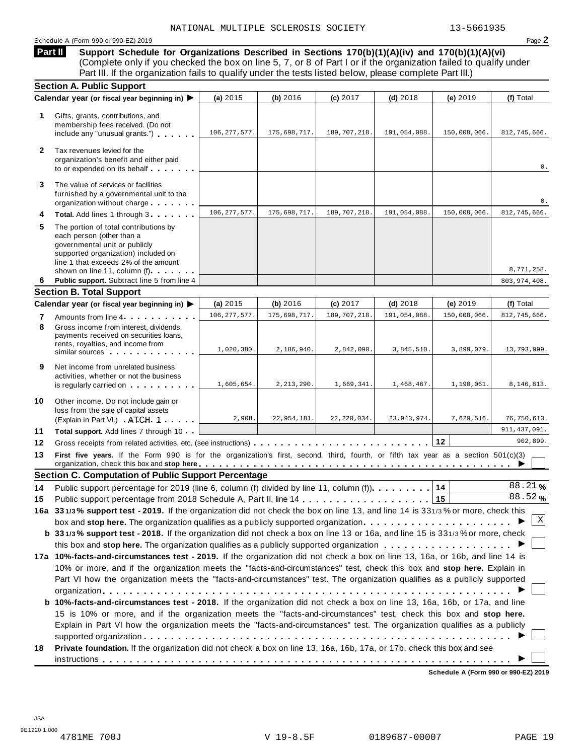#### Schedule A (Form 990 or 990-EZ) 2019 Page **2**

**Support Schedule for Organizations Described in Sections 170(b)(1)(A)(iv) and 170(b)(1)(A)(vi)** (Complete only if you checked the box on line 5, 7, or 8 of Part I or if the organization failed to qualify under **Part II** 

|              | Part III. If the organization fails to qualify under the tests listed below, please complete Part III.)                                                                                                                                                                                                                                                                              |                |              |               |               |              |                |
|--------------|--------------------------------------------------------------------------------------------------------------------------------------------------------------------------------------------------------------------------------------------------------------------------------------------------------------------------------------------------------------------------------------|----------------|--------------|---------------|---------------|--------------|----------------|
|              | <b>Section A. Public Support</b>                                                                                                                                                                                                                                                                                                                                                     |                |              |               |               |              |                |
|              | Calendar year (or fiscal year beginning in) ▶                                                                                                                                                                                                                                                                                                                                        | (a) 2015       | (b) 2016     | (c) 2017      | $(d)$ 2018    | (e) 2019     | (f) Total      |
| 1            | Gifts, grants, contributions, and<br>membership fees received. (Do not<br>include any "unusual grants.")                                                                                                                                                                                                                                                                             | 106, 277, 577. | 175,698,717. | 189,707,218.  | 191,054,088   | 150,008,066. | 812,745,666.   |
| $\mathbf{2}$ | Tax revenues levied for the<br>organization's benefit and either paid<br>to or expended on its behalf                                                                                                                                                                                                                                                                                |                |              |               |               |              | 0.             |
| 3            | The value of services or facilities<br>furnished by a governmental unit to the<br>organization without charge                                                                                                                                                                                                                                                                        |                |              |               |               |              | 0.             |
| 4            | Total. Add lines 1 through 3                                                                                                                                                                                                                                                                                                                                                         | 106, 277, 577. | 175,698,717. | 189,707,218   | 191,054,088   | 150,008,066. | 812,745,666.   |
| 5            | The portion of total contributions by<br>each person (other than a<br>governmental unit or publicly<br>supported organization) included on<br>line 1 that exceeds 2% of the amount<br>shown on line 11, column (f)                                                                                                                                                                   |                |              |               |               |              | 8,771,258.     |
| 6            | Public support. Subtract line 5 from line 4                                                                                                                                                                                                                                                                                                                                          |                |              |               |               |              | 803, 974, 408. |
|              | <b>Section B. Total Support</b>                                                                                                                                                                                                                                                                                                                                                      |                |              |               |               |              |                |
|              | Calendar year (or fiscal year beginning in) ▶                                                                                                                                                                                                                                                                                                                                        | (a) 2015       | (b) 2016     | (c) 2017      | $(d)$ 2018    | (e) 2019     | (f) Total      |
| 7<br>8       | Amounts from line 4<br>Gross income from interest, dividends,<br>payments received on securities loans,                                                                                                                                                                                                                                                                              | 106, 277, 577. | 175,698,717. | 189,707,218   | 191,054,088   | 150,008,066. | 812,745,666.   |
|              | rents, royalties, and income from<br>similar sources experiences                                                                                                                                                                                                                                                                                                                     | 1,020,380.     | 2,186,940.   | 2,842,090.    | 3,845,510.    | 3,899,079.   | 13,793,999.    |
| 9            | Net income from unrelated business<br>activities, whether or not the business<br>is regularly carried on the control of the set of the set of the set of the set of the set of the set of the s                                                                                                                                                                                      | 1,605,654.     | 2, 213, 290. | 1,669,341.    | 1,468,467.    | 1,190,061.   | 8,146,813.     |
| 10           | Other income. Do not include gain or<br>loss from the sale of capital assets<br>(Explain in Part VI.) ATCH 1                                                                                                                                                                                                                                                                         | 2,908.         | 22,954,181.  | 22, 220, 034. | 23, 943, 974. | 7,629,516.   | 76,750,613.    |
| 11           | Total support. Add lines 7 through 10                                                                                                                                                                                                                                                                                                                                                |                |              |               |               |              | 911, 437, 091. |
| 12           |                                                                                                                                                                                                                                                                                                                                                                                      |                |              |               |               | 12           | 902,899.       |
| 13           | First five years. If the Form 990 is for the organization's first, second, third, fourth, or fifth tax year as a section 501(c)(3)                                                                                                                                                                                                                                                   |                |              |               |               |              |                |
|              | <b>Section C. Computation of Public Support Percentage</b>                                                                                                                                                                                                                                                                                                                           |                |              |               |               |              |                |
| 14           | Public support percentage for 2019 (line 6, column (f) divided by line 11, column (f). $\ldots \ldots \ldots$                                                                                                                                                                                                                                                                        |                |              |               |               | 14           | $88.21$ %      |
| 15           |                                                                                                                                                                                                                                                                                                                                                                                      |                |              |               |               |              | 88.52%         |
|              | 16a 331/3% support test - 2019. If the organization did not check the box on line 13, and line 14 is 331/3% or more, check this                                                                                                                                                                                                                                                      |                |              |               |               |              |                |
|              | box and stop here. The organization qualifies as a publicly supported organization                                                                                                                                                                                                                                                                                                   |                |              |               |               |              | Χ              |
|              | b 331/3% support test - 2018. If the organization did not check a box on line 13 or 16a, and line 15 is 331/3% or more, check                                                                                                                                                                                                                                                        |                |              |               |               |              |                |
|              |                                                                                                                                                                                                                                                                                                                                                                                      |                |              |               |               |              |                |
|              | 17a 10%-facts-and-circumstances test - 2019. If the organization did not check a box on line 13, 16a, or 16b, and line 14 is<br>10% or more, and if the organization meets the "facts-and-circumstances" test, check this box and stop here. Explain in<br>Part VI how the organization meets the "facts-and-circumstances" test. The organization qualifies as a publicly supported |                |              |               |               |              |                |
|              |                                                                                                                                                                                                                                                                                                                                                                                      |                |              |               |               |              |                |
|              | <b>b 10%-facts-and-circumstances test - 2018.</b> If the organization did not check a box on line 13, 16a, 16b, or 17a, and line                                                                                                                                                                                                                                                     |                |              |               |               |              |                |
|              | 15 is 10% or more, and if the organization meets the "facts-and-circumstances" test, check this box and stop here.<br>Explain in Part VI how the organization meets the "facts-and-circumstances" test. The organization qualifies as a publicly                                                                                                                                     |                |              |               |               |              |                |
| 18           | Private foundation. If the organization did not check a box on line 13, 16a, 16b, 17a, or 17b, check this box and see                                                                                                                                                                                                                                                                |                |              |               |               |              |                |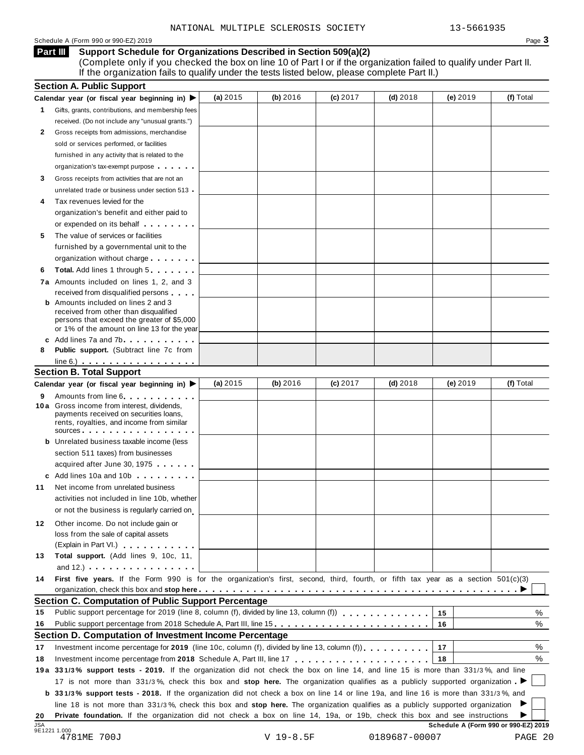#### Schedule A (Form 990 or 990-EZ) 2019 Page 3

#### **Support Schedule for Organizations Described in Section 509(a)(2) Part III**

(Complete only if you checked the box on line 10 of Part I or if the organization failed to qualify under Part II. If the organization fails to qualify under the tests listed below, please complete Part II.)

|                      | <b>Section A. Public Support</b>                                                                                                                                                                                                                           |            |          |            |            |          |           |
|----------------------|------------------------------------------------------------------------------------------------------------------------------------------------------------------------------------------------------------------------------------------------------------|------------|----------|------------|------------|----------|-----------|
|                      | Calendar year (or fiscal year beginning in) $\blacktriangleright$                                                                                                                                                                                          | (a) $2015$ | (b) 2016 | $(c)$ 2017 | $(d)$ 2018 | (e) 2019 | (f) Total |
| 1.                   | Gifts, grants, contributions, and membership fees                                                                                                                                                                                                          |            |          |            |            |          |           |
|                      | received. (Do not include any "unusual grants.")                                                                                                                                                                                                           |            |          |            |            |          |           |
| 2                    | Gross receipts from admissions, merchandise                                                                                                                                                                                                                |            |          |            |            |          |           |
|                      | sold or services performed, or facilities                                                                                                                                                                                                                  |            |          |            |            |          |           |
|                      | furnished in any activity that is related to the                                                                                                                                                                                                           |            |          |            |            |          |           |
|                      | organization's tax-exempt purpose                                                                                                                                                                                                                          |            |          |            |            |          |           |
| 3                    | Gross receipts from activities that are not an                                                                                                                                                                                                             |            |          |            |            |          |           |
|                      | unrelated trade or business under section 513                                                                                                                                                                                                              |            |          |            |            |          |           |
| 4                    | Tax revenues levied for the                                                                                                                                                                                                                                |            |          |            |            |          |           |
|                      | organization's benefit and either paid to                                                                                                                                                                                                                  |            |          |            |            |          |           |
|                      | or expended on its behalf <b>contains the set of the set of the set of the set of the set of the set of the set of the set of the set of the set of the set of the set of the set of the set of the set of the set of the set of</b>                       |            |          |            |            |          |           |
| 5                    | The value of services or facilities                                                                                                                                                                                                                        |            |          |            |            |          |           |
|                      | furnished by a governmental unit to the                                                                                                                                                                                                                    |            |          |            |            |          |           |
|                      | organization without charge                                                                                                                                                                                                                                |            |          |            |            |          |           |
| 6                    | Total. Add lines 1 through 5                                                                                                                                                                                                                               |            |          |            |            |          |           |
|                      | 7a Amounts included on lines 1, 2, and 3                                                                                                                                                                                                                   |            |          |            |            |          |           |
|                      | received from disqualified persons                                                                                                                                                                                                                         |            |          |            |            |          |           |
|                      | <b>b</b> Amounts included on lines 2 and 3                                                                                                                                                                                                                 |            |          |            |            |          |           |
|                      | received from other than disqualified<br>persons that exceed the greater of \$5,000                                                                                                                                                                        |            |          |            |            |          |           |
|                      | or 1% of the amount on line 13 for the year                                                                                                                                                                                                                |            |          |            |            |          |           |
|                      | c Add lines 7a and 7b                                                                                                                                                                                                                                      |            |          |            |            |          |           |
| 8                    | <b>Public support.</b> (Subtract line 7c from                                                                                                                                                                                                              |            |          |            |            |          |           |
|                      | $line 6.)$                                                                                                                                                                                                                                                 |            |          |            |            |          |           |
|                      | <b>Section B. Total Support</b>                                                                                                                                                                                                                            |            |          |            |            |          |           |
|                      | Calendar year (or fiscal year beginning in) ▶                                                                                                                                                                                                              | (a) $2015$ | (b) 2016 | $(c)$ 2017 | $(d)$ 2018 | (e) 2019 | (f) Total |
| 9                    | Amounts from line 6 <b>Amounts</b> from line 6                                                                                                                                                                                                             |            |          |            |            |          |           |
|                      | 10 a Gross income from interest, dividends,<br>payments received on securities loans,<br>rents, royalties, and income from similar<br>sources <b>contracts</b> and <b>sources contracts and contracts contracts and contracts</b>                          |            |          |            |            |          |           |
|                      | <b>b</b> Unrelated business taxable income (less                                                                                                                                                                                                           |            |          |            |            |          |           |
|                      | section 511 taxes) from businesses                                                                                                                                                                                                                         |            |          |            |            |          |           |
|                      | acquired after June 30, 1975                                                                                                                                                                                                                               |            |          |            |            |          |           |
|                      | c Add lines 10a and 10b                                                                                                                                                                                                                                    |            |          |            |            |          |           |
| 11                   | Net income from unrelated business                                                                                                                                                                                                                         |            |          |            |            |          |           |
|                      | activities not included in line 10b, whether                                                                                                                                                                                                               |            |          |            |            |          |           |
|                      | or not the business is regularly carried on                                                                                                                                                                                                                |            |          |            |            |          |           |
|                      |                                                                                                                                                                                                                                                            |            |          |            |            |          |           |
| 12                   | Other income. Do not include gain or<br>loss from the sale of capital assets                                                                                                                                                                               |            |          |            |            |          |           |
|                      | (Explain in Part VI.) <b>All Accords</b>                                                                                                                                                                                                                   |            |          |            |            |          |           |
| 13                   | Total support. (Add lines 9, 10c, 11,                                                                                                                                                                                                                      |            |          |            |            |          |           |
|                      | and $12.$ ) $\cdots$ $\cdots$ $\cdots$ $\cdots$ $\cdots$                                                                                                                                                                                                   |            |          |            |            |          |           |
| 14                   | First five years. If the Form 990 is for the organization's first, second, third, fourth, or fifth tax year as a section 501(c)(3)                                                                                                                         |            |          |            |            |          |           |
|                      |                                                                                                                                                                                                                                                            |            |          |            |            |          |           |
|                      | Section C. Computation of Public Support Percentage                                                                                                                                                                                                        |            |          |            |            |          |           |
| 15                   | Public support percentage for 2019 (line 8, column (f), divided by line 13, column (f))                                                                                                                                                                    |            |          |            |            | 15       | %         |
|                      |                                                                                                                                                                                                                                                            |            |          |            |            | 16       | %         |
|                      |                                                                                                                                                                                                                                                            |            |          |            |            |          |           |
|                      | Public support percentage from 2018 Schedule A, Part III, line 15                                                                                                                                                                                          |            |          |            |            |          |           |
|                      | Section D. Computation of Investment Income Percentage                                                                                                                                                                                                     |            |          |            |            | 17       |           |
|                      | Investment income percentage for 2019 (line 10c, column (f), divided by line 13, column (f)).                                                                                                                                                              |            |          |            |            | 18       |           |
|                      |                                                                                                                                                                                                                                                            |            |          |            |            |          |           |
|                      | 19a 331/3% support tests - 2019. If the organization did not check the box on line 14, and line 15 is more than 331/3%, and line                                                                                                                           |            |          |            |            |          |           |
|                      | 17 is not more than 331/3%, check this box and stop here. The organization qualifies as a publicly supported organization                                                                                                                                  |            |          |            |            |          | %<br>%    |
|                      | b 331/3% support tests - 2018. If the organization did not check a box on line 14 or line 19a, and line 16 is more than 331/3%, and                                                                                                                        |            |          |            |            |          |           |
| 16<br>17<br>18<br>20 | line 18 is not more than 331/3%, check this box and stop here. The organization qualifies as a publicly supported organization<br>Private foundation. If the organization did not check a box on line 14, 19a, or 19b, check this box and see instructions |            |          |            |            |          |           |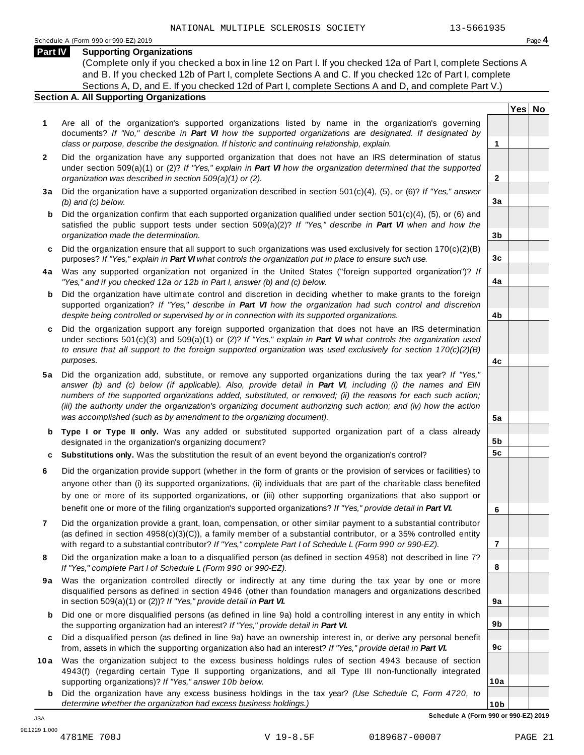**Yes No**

**2**

**3a**

**3b**

**3c**

**4a**

**4b**

**4c**

**5a**

**5b 5c**

**6**

**7**

**8**

**9a**

**9b**

**9c**

**10a**

#### **Part IV Supporting Organizations**

(Complete only if you checked a box in line 12 on Part I. If you checked 12a of Part I, complete Sections A and B. If you checked 12b of Part I, complete Sections A and C. If you checked 12c of Part I, complete Sections A, D, and E. If you checked 12d of Part I, complete Sections A and D, and complete Part V.)

#### **Section A. All Supporting Organizations**

- **1** Are all of the organization's supported organizations listed by name in the organization's governing documents? *If "No," describe in Part VI how the supported organizations are designated. If designated by class or purpose, describe the designation. If historic and continuing relationship, explain.* **1**
- **2** Did the organization have any supported organization that does not have an IRS determination of status under section 509(a)(1) or (2)? *If "Yes," explain in Part VI how the organization determined that the supported organization was described in section 509(a)(1) or (2).*
- **3 a** Did the organization have a supported organization described in section 501(c)(4), (5), or (6)? *If "Yes," answer (b) and (c) below.*
- **b** Did the organization confirm that each supported organization qualified under section 501(c)(4), (5), or (6) and | satisfied the public support tests under section 509(a)(2)? *If "Yes," describe in Part VI when and how the organization made the determination.*
- **c** Did the organization ensure that all support to such organizations was used exclusively for section 170(c)(2)(B) purposes? *If "Yes," explain in Part VI what controls the organization put in place to ensure such use.*
- **4 a** Was any supported organization not organized in the United States ("foreign supported organization")? *If "Yes," and if you checked 12a or 12b in Part I, answer (b) and (c) below.*
- **b** Did the organization have ultimate control and discretion in deciding whether to make grants to the foreign | supported organization? *If "Yes," describe in Part VI how the organization had such control and discretion despite being controlled or supervised by or in connection with its supported organizations.*
- **c** Did the organization support any foreign supported organization that does not have an IRS determination | under sections 501(c)(3) and 509(a)(1) or (2)? *If "Yes," explain in Part VI what controls the organization used to ensure that all support to the foreign supported organization was used exclusively for section 170(c)(2)(B) purposes.*
- **5 a** Did the organization add, substitute, or remove any supported organizations during the tax year? *If "Yes," answer (b) and (c) below (if applicable). Also, provide detail in Part VI, including (i) the names and EIN numbers of the supported organizations added, substituted, or removed; (ii) the reasons for each such action; (iii) the authority under the organization's organizing document authorizing such action; and (iv) how the action was accomplished (such as by amendment to the organizing document).*
- **b** Type I or Type II only. Was any added or substituted supported organization part of a class already | designated in the organization's organizing document?
- **c Substitutions only.** Was the substitution the result of an event beyond the organization's control?
- **6** Did the organization provide support (whether in the form of grants or the provision of services or facilities) to anyone other than (i) its supported organizations, (ii) individuals that are part of the charitable class benefited by one or more of its supported organizations, or (iii) other supporting organizations that also support or benefit one or more of the filing organization's supported organizations? *If "Yes," provide detail in Part VI.*
- **7** Did the organization provide a grant, loan, compensation, or other similar payment to a substantial contributor (as defined in section 4958(c)(3)(C)), a family member of a substantial contributor, or a 35% controlled entity with regard to a substantial contributor? *If "Yes," complete Part I of Schedule L (Form 990 or 990-EZ).*
- **8** Did the organization make a loan to a disqualified person (as defined in section 4958) not described in line 7? *If "Yes," complete Part I of Schedule L (Form 990 or 990-EZ).*
- **9a** Was the organization controlled directly or indirectly at any time during the tax year by one or more | disqualified persons as defined in section 4946 (other than foundation managers and organizations described in section 509(a)(1) or (2))? *If "Yes," provide detail in Part VI.*
- **b** Did one or more disqualified persons (as defined in line 9a) hold a controlling interest in any entity in which | the supporting organization had an interest? *If "Yes," provide detail in Part VI.*
- **c** Did a disqualified person (as defined in line 9a) have an ownership interest in, or derive any personal benefit from, assets in which the supporting organization also had an interest? *If "Yes," provide detail in Part VI.*
- **10a** Was the organization subject to the excess business holdings rules of section 4943 because of section | 4943(f) (regarding certain Type II supporting organizations, and all Type III non-functionally integrated supporting organizations)? *If "Yes," answer 10b below.*
	- **b** Did the organization have any excess business holdings in the tax year? *(Use Schedule C, Form 4720, to determine whether the organization had excess business holdings.)*

**10b Schedule A (Form 990 or 990-EZ) 2019** JSA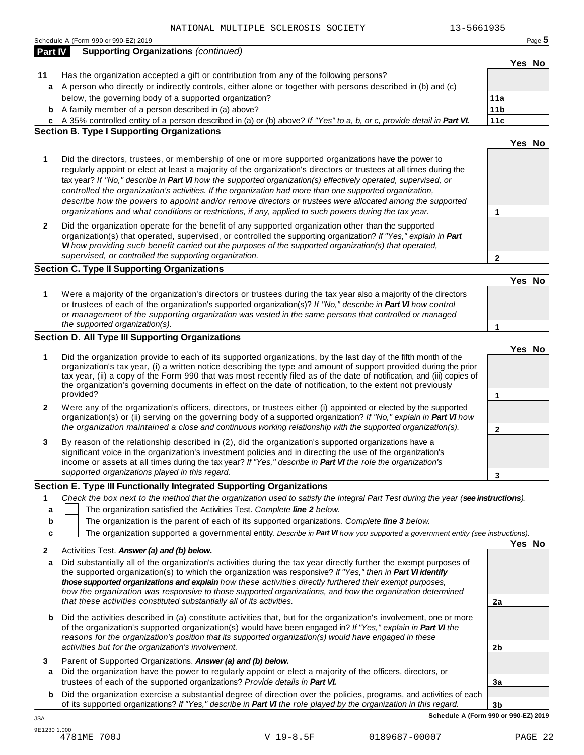|         | 13-5661935<br>NATIONAL MULTIPLE SCLEROSIS SOCIETY                                                                                                                                                                                                                                                                                                                                                                                                                           |                 |        |          |
|---------|-----------------------------------------------------------------------------------------------------------------------------------------------------------------------------------------------------------------------------------------------------------------------------------------------------------------------------------------------------------------------------------------------------------------------------------------------------------------------------|-----------------|--------|----------|
|         | Schedule A (Form 990 or 990-EZ) 2019                                                                                                                                                                                                                                                                                                                                                                                                                                        |                 |        | Page $5$ |
| Part IV | <b>Supporting Organizations (continued)</b>                                                                                                                                                                                                                                                                                                                                                                                                                                 |                 |        |          |
|         |                                                                                                                                                                                                                                                                                                                                                                                                                                                                             |                 | Yes No |          |
| 11      | Has the organization accepted a gift or contribution from any of the following persons?                                                                                                                                                                                                                                                                                                                                                                                     |                 |        |          |
| a       | A person who directly or indirectly controls, either alone or together with persons described in (b) and (c)                                                                                                                                                                                                                                                                                                                                                                |                 |        |          |
|         | below, the governing body of a supported organization?                                                                                                                                                                                                                                                                                                                                                                                                                      | 11a             |        |          |
|         | <b>b</b> A family member of a person described in (a) above?                                                                                                                                                                                                                                                                                                                                                                                                                | 11 <sub>b</sub> |        |          |
|         | c A 35% controlled entity of a person described in (a) or (b) above? If "Yes" to a, b, or c, provide detail in Part VI.                                                                                                                                                                                                                                                                                                                                                     | 11c             |        |          |
|         | <b>Section B. Type I Supporting Organizations</b>                                                                                                                                                                                                                                                                                                                                                                                                                           |                 |        |          |
|         |                                                                                                                                                                                                                                                                                                                                                                                                                                                                             |                 | Yes No |          |
|         |                                                                                                                                                                                                                                                                                                                                                                                                                                                                             |                 |        |          |
| 1       | Did the directors, trustees, or membership of one or more supported organizations have the power to<br>regularly appoint or elect at least a majority of the organization's directors or trustees at all times during the<br>tax year? If "No," describe in Part VI how the supported organization(s) effectively operated, supervised, or                                                                                                                                  |                 |        |          |
|         | controlled the organization's activities. If the organization had more than one supported organization,<br>describe how the powers to appoint and/or remove directors or trustees were allocated among the supported                                                                                                                                                                                                                                                        |                 |        |          |
|         | organizations and what conditions or restrictions, if any, applied to such powers during the tax year.                                                                                                                                                                                                                                                                                                                                                                      | 1               |        |          |
| 2       | Did the organization operate for the benefit of any supported organization other than the supported<br>organization(s) that operated, supervised, or controlled the supporting organization? If "Yes," explain in Part<br>VI how providing such benefit carried out the purposes of the supported organization(s) that operated,                                                                                                                                            |                 |        |          |
|         | supervised, or controlled the supporting organization.                                                                                                                                                                                                                                                                                                                                                                                                                      | $\overline{2}$  |        |          |
|         | <b>Section C. Type II Supporting Organizations</b>                                                                                                                                                                                                                                                                                                                                                                                                                          |                 |        |          |
|         |                                                                                                                                                                                                                                                                                                                                                                                                                                                                             |                 | Yes No |          |
| 1       | Were a majority of the organization's directors or trustees during the tax year also a majority of the directors<br>or trustees of each of the organization's supported organization(s)? If "No," describe in Part VI how control                                                                                                                                                                                                                                           |                 |        |          |
|         | or management of the supporting organization was vested in the same persons that controlled or managed                                                                                                                                                                                                                                                                                                                                                                      |                 |        |          |
|         | the supported organization(s).                                                                                                                                                                                                                                                                                                                                                                                                                                              | 1               |        |          |
|         | <b>Section D. All Type III Supporting Organizations</b>                                                                                                                                                                                                                                                                                                                                                                                                                     |                 |        |          |
| 1       | Did the organization provide to each of its supported organizations, by the last day of the fifth month of the<br>organization's tax year, (i) a written notice describing the type and amount of support provided during the prior<br>tax year, (ii) a copy of the Form 990 that was most recently filed as of the date of notification, and (iii) copies of<br>the organization's governing documents in effect on the date of notification, to the extent not previously |                 | Yes No |          |
|         | provided?                                                                                                                                                                                                                                                                                                                                                                                                                                                                   | 1               |        |          |
| 2       | Were any of the organization's officers, directors, or trustees either (i) appointed or elected by the supported<br>organization(s) or (ii) serving on the governing body of a supported organization? If "No," explain in Part VI how<br>the organization maintained a close and continuous working relationship with the supported organization(s).                                                                                                                       |                 |        |          |
|         |                                                                                                                                                                                                                                                                                                                                                                                                                                                                             | $\mathbf 2$     |        |          |
| 3       | By reason of the relationship described in (2), did the organization's supported organizations have a<br>significant voice in the organization's investment policies and in directing the use of the organization's<br>income or assets at all times during the tax year? If "Yes," describe in Part VI the role the organization's                                                                                                                                         |                 |        |          |
|         | supported organizations played in this regard.                                                                                                                                                                                                                                                                                                                                                                                                                              | 3               |        |          |
|         | Section E. Type III Functionally Integrated Supporting Organizations                                                                                                                                                                                                                                                                                                                                                                                                        |                 |        |          |
| 1       | Check the box next to the method that the organization used to satisfy the Integral Part Test during the year (see instructions).                                                                                                                                                                                                                                                                                                                                           |                 |        |          |
| а       | The organization satisfied the Activities Test. Complete line 2 below.                                                                                                                                                                                                                                                                                                                                                                                                      |                 |        |          |
| b       | The organization is the parent of each of its supported organizations. Complete line 3 below.                                                                                                                                                                                                                                                                                                                                                                               |                 |        |          |
|         | The organization supported a governmental entity. Describe in Part VI how you supported a government entity (see instructions).                                                                                                                                                                                                                                                                                                                                             |                 |        |          |
| c       |                                                                                                                                                                                                                                                                                                                                                                                                                                                                             |                 |        |          |
| 2       | Activities Test. Answer (a) and (b) below.                                                                                                                                                                                                                                                                                                                                                                                                                                  |                 | Yes No |          |
| а       | Did substantially all of the organization's activities during the tax year directly further the exempt purposes of<br>the supported organization(s) to which the organization was responsive? If "Yes," then in Part VI identify<br>those supported organizations and explain how these activities directly furthered their exempt purposes,                                                                                                                                |                 |        |          |
|         | how the organization was responsive to those supported organizations, and how the organization determined<br>that these activities constituted substantially all of its activities.                                                                                                                                                                                                                                                                                         | 2a              |        |          |
|         |                                                                                                                                                                                                                                                                                                                                                                                                                                                                             |                 |        |          |
| b       | Did the activities described in (a) constitute activities that, but for the organization's involvement, one or more<br>of the organization's supported organization(s) would have been engaged in? If "Yes," explain in Part VI the<br>reasons for the organization's position that its supported organization(s) would have engaged in these                                                                                                                               |                 |        |          |
|         | activities but for the organization's involvement.                                                                                                                                                                                                                                                                                                                                                                                                                          | 2 <sub>b</sub>  |        |          |
| 3       | Parent of Supported Organizations. Answer (a) and (b) below.                                                                                                                                                                                                                                                                                                                                                                                                                |                 |        |          |
|         |                                                                                                                                                                                                                                                                                                                                                                                                                                                                             |                 |        |          |

- **a** Did the organization have the power to regularly appoint or elect a majority of the officers, directors, or trustees of each of the supported organizations? *Provide details in Part VI.*
- **3b b** Did the organization exercise a substantial degree of direction over the policies, programs, and activities of each of its supported organizations? *If"Yes," describe in Part VI the role played by the organization in this regard.*

**3a**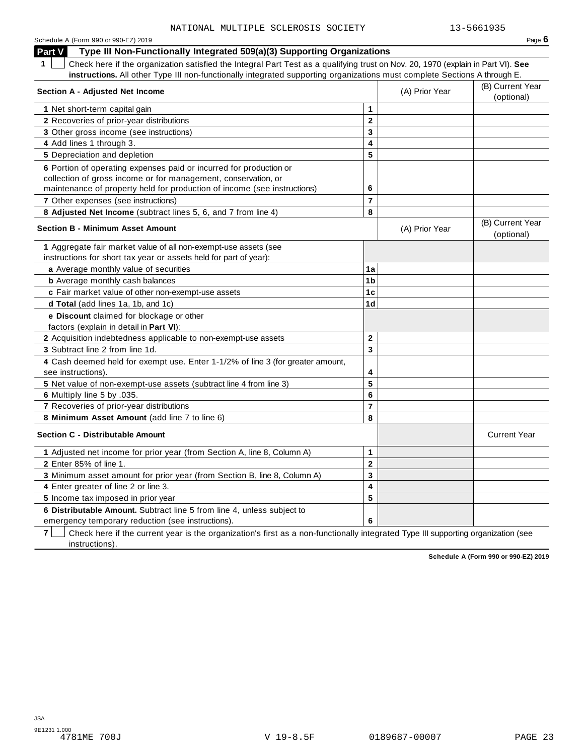| Schedule A (Form 990 or 990-EZ) 2019 | Page $6$ |
|--------------------------------------|----------|
|--------------------------------------|----------|

**Part V Type III Non-Functionally Integrated 509(a)(3) Supporting Organizations**

**1** Check here if the organization satisfied the Integral Part Test as a qualifying trust on Nov. 20, 1970 (explain in Part VI). **See instructions.** All other Type III non-functionally integrated supporting organizations must complete Sections A through E.

| Section A - Adjusted Net Income                                                                      |                         | (A) Prior Year | (B) Current Year<br>(optional) |
|------------------------------------------------------------------------------------------------------|-------------------------|----------------|--------------------------------|
| 1 Net short-term capital gain                                                                        | 1                       |                |                                |
| 2 Recoveries of prior-year distributions                                                             | $\overline{2}$          |                |                                |
| 3 Other gross income (see instructions)                                                              | 3                       |                |                                |
| 4 Add lines 1 through 3.                                                                             | $\overline{\mathbf{4}}$ |                |                                |
| 5 Depreciation and depletion                                                                         | 5                       |                |                                |
| 6 Portion of operating expenses paid or incurred for production or                                   |                         |                |                                |
| collection of gross income or for management, conservation, or                                       |                         |                |                                |
| maintenance of property held for production of income (see instructions)                             | 6                       |                |                                |
| 7 Other expenses (see instructions)                                                                  | 7                       |                |                                |
| 8 Adjusted Net Income (subtract lines 5, 6, and 7 from line 4)                                       | 8                       |                |                                |
| <b>Section B - Minimum Asset Amount</b>                                                              |                         | (A) Prior Year | (B) Current Year<br>(optional) |
| 1 Aggregate fair market value of all non-exempt-use assets (see                                      |                         |                |                                |
| instructions for short tax year or assets held for part of year):                                    |                         |                |                                |
| a Average monthly value of securities                                                                | 1a                      |                |                                |
| <b>b</b> Average monthly cash balances                                                               | 1b                      |                |                                |
| c Fair market value of other non-exempt-use assets                                                   | 1 <sub>c</sub>          |                |                                |
| d Total (add lines 1a, 1b, and 1c)                                                                   | 1 <sub>d</sub>          |                |                                |
| e Discount claimed for blockage or other                                                             |                         |                |                                |
| factors (explain in detail in Part VI):                                                              |                         |                |                                |
| 2 Acquisition indebtedness applicable to non-exempt-use assets                                       | $\overline{2}$          |                |                                |
| 3 Subtract line 2 from line 1d.                                                                      | 3                       |                |                                |
| 4 Cash deemed held for exempt use. Enter 1-1/2% of line 3 (for greater amount,<br>see instructions). | 4                       |                |                                |
| 5 Net value of non-exempt-use assets (subtract line 4 from line 3)                                   | 5                       |                |                                |
| 6 Multiply line 5 by .035.                                                                           | 6                       |                |                                |
| 7 Recoveries of prior-year distributions                                                             | $\overline{7}$          |                |                                |
| 8 Minimum Asset Amount (add line 7 to line 6)                                                        | 8                       |                |                                |
| <b>Section C - Distributable Amount</b>                                                              |                         |                | <b>Current Year</b>            |
| 1 Adjusted net income for prior year (from Section A, line 8, Column A)                              | 1                       |                |                                |
| 2 Enter 85% of line 1.                                                                               | $\mathbf 2$             |                |                                |
| 3 Minimum asset amount for prior year (from Section B, line 8, Column A)                             | 3                       |                |                                |
| 4 Enter greater of line 2 or line 3.                                                                 | 4                       |                |                                |
| 5 Income tax imposed in prior year                                                                   | 5                       |                |                                |
| 6 Distributable Amount. Subtract line 5 from line 4, unless subject to                               |                         |                |                                |
| emergency temporary reduction (see instructions).                                                    | 6                       |                |                                |

**7**  $\Box$  Check here if the current year is the organization's first as a non-functionally integrated Type III supporting organization (see instructions).

**Schedule A (Form 990 or 990-EZ) 2019**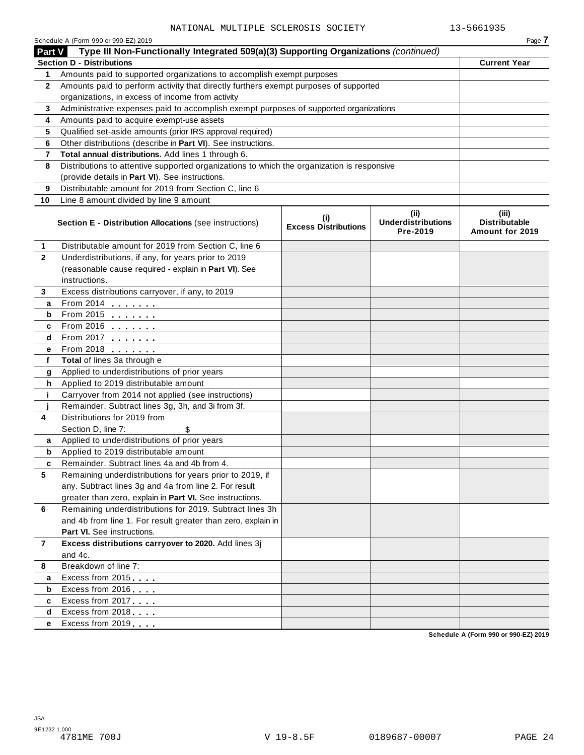|                | Schedule A (Form 990 or 990-EZ) 2019                                                       |                                    |                                               | Page 7                                           |
|----------------|--------------------------------------------------------------------------------------------|------------------------------------|-----------------------------------------------|--------------------------------------------------|
| Part V         | Type III Non-Functionally Integrated 509(a)(3) Supporting Organizations (continued)        |                                    |                                               |                                                  |
|                | <b>Section D - Distributions</b>                                                           |                                    |                                               | <b>Current Year</b>                              |
| 1              | Amounts paid to supported organizations to accomplish exempt purposes                      |                                    |                                               |                                                  |
| $\mathbf{2}$   | Amounts paid to perform activity that directly furthers exempt purposes of supported       |                                    |                                               |                                                  |
|                | organizations, in excess of income from activity                                           |                                    |                                               |                                                  |
| 3              | Administrative expenses paid to accomplish exempt purposes of supported organizations      |                                    |                                               |                                                  |
| 4              | Amounts paid to acquire exempt-use assets                                                  |                                    |                                               |                                                  |
| 5              | Qualified set-aside amounts (prior IRS approval required)                                  |                                    |                                               |                                                  |
| 6              | Other distributions (describe in Part VI). See instructions.                               |                                    |                                               |                                                  |
| 7              | Total annual distributions. Add lines 1 through 6.                                         |                                    |                                               |                                                  |
| 8              | Distributions to attentive supported organizations to which the organization is responsive |                                    |                                               |                                                  |
|                | (provide details in Part VI). See instructions.                                            |                                    |                                               |                                                  |
| 9              | Distributable amount for 2019 from Section C, line 6                                       |                                    |                                               |                                                  |
| 10             | Line 8 amount divided by line 9 amount                                                     |                                    |                                               |                                                  |
|                | Section E - Distribution Allocations (see instructions)                                    | (i)<br><b>Excess Distributions</b> | (ii)<br><b>Underdistributions</b><br>Pre-2019 | (iii)<br><b>Distributable</b><br>Amount for 2019 |
| 1              | Distributable amount for 2019 from Section C, line 6                                       |                                    |                                               |                                                  |
| $\mathbf{2}$   | Underdistributions, if any, for years prior to 2019                                        |                                    |                                               |                                                  |
|                | (reasonable cause required - explain in Part VI). See                                      |                                    |                                               |                                                  |
|                | instructions.                                                                              |                                    |                                               |                                                  |
| 3              | Excess distributions carryover, if any, to 2019                                            |                                    |                                               |                                                  |
| a              | From 2014 <b></b>                                                                          |                                    |                                               |                                                  |
| b              | From 2015                                                                                  |                                    |                                               |                                                  |
| c              | From 2016 <b></b>                                                                          |                                    |                                               |                                                  |
| d              | From 2017                                                                                  |                                    |                                               |                                                  |
| е              | From 2018                                                                                  |                                    |                                               |                                                  |
| f              | Total of lines 3a through e                                                                |                                    |                                               |                                                  |
| g              | Applied to underdistributions of prior years                                               |                                    |                                               |                                                  |
| h              | Applied to 2019 distributable amount                                                       |                                    |                                               |                                                  |
| j.             | Carryover from 2014 not applied (see instructions)                                         |                                    |                                               |                                                  |
|                | Remainder. Subtract lines 3g, 3h, and 3i from 3f.                                          |                                    |                                               |                                                  |
| 4              | Distributions for 2019 from                                                                |                                    |                                               |                                                  |
|                | Section D, line 7:<br>\$                                                                   |                                    |                                               |                                                  |
| a              | Applied to underdistributions of prior years                                               |                                    |                                               |                                                  |
| b              | Applied to 2019 distributable amount                                                       |                                    |                                               |                                                  |
|                | Remainder. Subtract lines 4a and 4b from 4                                                 |                                    |                                               |                                                  |
| 5              | Remaining underdistributions for years prior to 2019, if                                   |                                    |                                               |                                                  |
|                | any. Subtract lines 3g and 4a from line 2. For result                                      |                                    |                                               |                                                  |
|                | greater than zero, explain in Part VI. See instructions.                                   |                                    |                                               |                                                  |
| 6              | Remaining underdistributions for 2019. Subtract lines 3h                                   |                                    |                                               |                                                  |
|                | and 4b from line 1. For result greater than zero, explain in                               |                                    |                                               |                                                  |
|                | Part VI. See instructions.                                                                 |                                    |                                               |                                                  |
| $\overline{7}$ | Excess distributions carryover to 2020. Add lines 3j                                       |                                    |                                               |                                                  |
|                | and 4c.                                                                                    |                                    |                                               |                                                  |
| 8              | Breakdown of line 7:                                                                       |                                    |                                               |                                                  |
| a              | Excess from 2015                                                                           |                                    |                                               |                                                  |
| b              | Excess from 2016                                                                           |                                    |                                               |                                                  |
| c              | Excess from 2017                                                                           |                                    |                                               |                                                  |
| d              | Excess from 2018                                                                           |                                    |                                               |                                                  |
| е              | Excess from 2019                                                                           |                                    |                                               |                                                  |
|                |                                                                                            |                                    |                                               | Schedule A (Form 990 or 990-EZ) 2019             |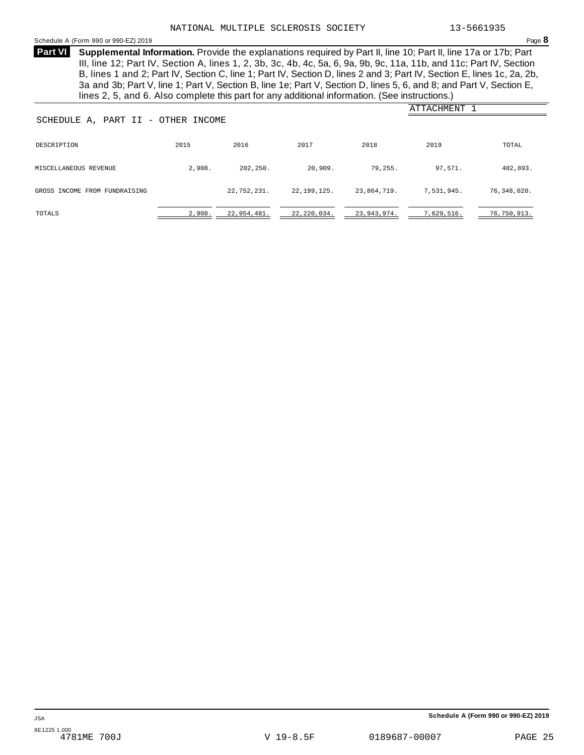#### <span id="page-24-0"></span>Schedule <sup>A</sup> (Form <sup>990</sup> or 990-EZ) <sup>2019</sup> Page **8**

**Supplemental Information.** Provide the explanations required by Part II, line 10; Part II, line 17a or 17b; Part **Part VI** III, line 12; Part IV, Section A, lines 1, 2, 3b, 3c, 4b, 4c, 5a, 6, 9a, 9b, 9c, 11a, 11b, and 11c; Part IV, Section B, lines 1 and 2; Part IV, Section C, line 1; Part IV, Section D, lines 2 and 3; Part IV, Section E, lines 1c, 2a, 2b, 3a and 3b; Part V, line 1; Part V, Section B, line 1e; Part V, Section D, lines 5, 6, and 8; and Part V, Section E, lines 2, 5, and 6. Also complete this part for any additional information. (See instructions.)

| SCHEDULE A, PART II - OTHER INCOME |        |             |               |             | ATTACHMENT 1 |             |
|------------------------------------|--------|-------------|---------------|-------------|--------------|-------------|
|                                    |        |             |               |             |              |             |
| DESCRIPTION                        | 2015   | 2016        | 2017          | 2018        | 2019         | TOTAL       |
| MISCELLANEOUS REVENUE              | 2,908. | 202,250.    | 20,909.       | 79,255.     | 97,571.      | 402,893.    |
| GROSS INCOME FROM FUNDRAISING      |        | 22,752,231. | 22,199,125.   | 23,864,719. | 7,531,945.   | 76,348,020. |
| TOTALS                             | 2,908. | 22,954,481. | 22, 220, 034. | 23,943,974. | 7,629,516.   | 76,750,913. |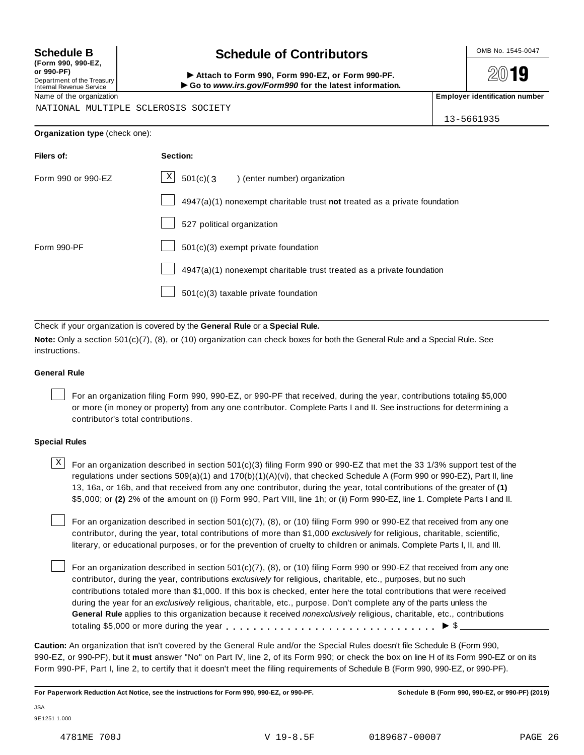**(Form 990, 990-EZ, or 990-PF)** Department of the Treasury Internal Revenue Service

# Schedule B **Schedule of Contributors**

Attach to Form 990, Form 990-EZ, or Form 990-PF. ▶ Go to *www.irs.gov/Form990* for the latest information.

2019

Name of the organization **Employer identification number Employer identification number** 

NATIONAL MULTIPLE SCLEROSIS SOCIETY

13-5661935

| Organization type (check one): |  |
|--------------------------------|--|
|--------------------------------|--|

| Filers of:         | Section:                                                                    |
|--------------------|-----------------------------------------------------------------------------|
| Form 990 or 990-EZ | $\mathbf{x}$<br>$501(c)$ (3<br>) (enter number) organization                |
|                    | $4947(a)(1)$ nonexempt charitable trust not treated as a private foundation |
|                    | 527 political organization                                                  |
| Form 990-PF        | $501(c)(3)$ exempt private foundation                                       |
|                    | 4947(a)(1) nonexempt charitable trust treated as a private foundation       |
|                    | $501(c)(3)$ taxable private foundation                                      |

Check if your organization is covered by the **General Rule** or a **Special Rule.**

**Note:** Only a section 501(c)(7), (8), or (10) organization can check boxes for both the General Rule and a Special Rule. See instructions.

#### **General Rule**

For an organization filing Form 990, 990-EZ, or 990-PF that received, during the year, contributions totaling \$5,000 or more (in money or property) from any one contributor. Complete Parts I and II. See instructions for determining a contributor's total contributions.

#### **Special Rules**

 $\text{X}$  For an organization described in section 501(c)(3) filing Form 990 or 990-EZ that met the 33 1/3% support test of the regulations under sections 509(a)(1) and 170(b)(1)(A)(vi), that checked Schedule A (Form 990 or 990-EZ), Part II, line 13, 16a, or 16b, and that received from any one contributor, during the year, total contributions of the greater of **(1)** \$5,000; or **(2)** 2% of the amount on (i) Form 990, Part VIII, line 1h; or (ii) Form 990-EZ, line 1. Complete Parts I and II.

For an organization described in section 501(c)(7), (8), or (10) filing Form 990 or 990-EZ that received from any one contributor, during the year, total contributions of more than \$1,000 *exclusively* for religious, charitable, scientific, literary, or educational purposes, or for the prevention of cruelty to children or animals. Complete Parts I, II, and III.

For an organization described in section 501(c)(7), (8), or (10) filing Form 990 or 990-EZ that received from any one contributor, during the year, contributions *exclusively* for religious, charitable, etc., purposes, but no such contributions totaled more than \$1,000. If this box is checked, enter here the total contributions that were received during the year for an *exclusively* religious, charitable, etc., purpose. Don't complete any of the parts unless the **General Rule** applies to this organization because it received *nonexclusively* religious, charitable, etc., contributions totaling \$5,000 or more during the year  $\ldots \ldots \ldots \ldots \ldots \ldots \ldots \ldots \ldots \vdots \bullet$   $\mathcal{S}$ 

**Caution:** An organization that isn't covered by the General Rule and/or the Special Rules doesn't file Schedule B (Form 990, 990-EZ, or 990-PF), but it **must** answer "No" on Part IV, line 2, of its Form 990; or check the box on line H of its Form 990-EZ or on its Form 990-PF, Part I, line 2, to certify that it doesn't meet the filing requirements of Schedule B (Form 990, 990-EZ, or 990-PF).

**For Paperwork Reduction Act Notice, see the instructions for Form 990, 990-EZ, or 990-PF. Schedule B (Form 990, 990-EZ, or 990-PF) (2019)**

JSA 9E1251 1.000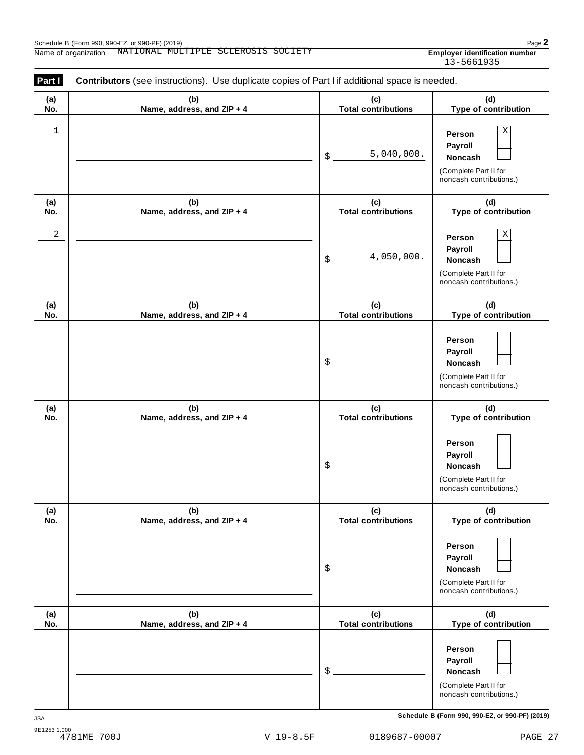Employer identification number<br>13-5661935

| (a) | (b)                        | (c)                        | (d)                                                                                             |
|-----|----------------------------|----------------------------|-------------------------------------------------------------------------------------------------|
| No. | Name, address, and ZIP + 4 | <b>Total contributions</b> | Type of contribution                                                                            |
| 1   |                            | 5,040,000.<br>\$           | $\mathbf X$<br>Person<br>Payroll<br>Noncash<br>(Complete Part II for<br>noncash contributions.) |
| (a) | (b)                        | (c)                        | (d)                                                                                             |
| No. | Name, address, and ZIP + 4 | <b>Total contributions</b> | Type of contribution                                                                            |
| 2   |                            | 4,050,000.<br>\$           | $\mathbf X$<br>Person<br>Payroll<br>Noncash<br>(Complete Part II for<br>noncash contributions.) |
| (a) | (b)                        | (c)                        | (d)                                                                                             |
| No. | Name, address, and ZIP + 4 | <b>Total contributions</b> | Type of contribution                                                                            |
|     |                            | \$                         | Person<br>Payroll<br>Noncash<br>(Complete Part II for<br>noncash contributions.)                |
| (a) | (b)                        | (c)                        | (d)                                                                                             |
| No. | Name, address, and ZIP + 4 | <b>Total contributions</b> | Type of contribution                                                                            |
|     |                            | \$                         | Person<br>Payroll<br><b>Noncash</b><br>(Complete Part II for<br>noncash contributions.)         |
| (a) | (b)                        | (c)                        | (d)                                                                                             |
| No. | Name, address, and ZIP + 4 | <b>Total contributions</b> | Type of contribution                                                                            |
|     |                            | \$                         | Person<br>Payroll<br>Noncash<br>(Complete Part II for<br>noncash contributions.)                |
| (a) | (b)                        | (c)                        | (d)                                                                                             |
| No. | Name, address, and ZIP + 4 | <b>Total contributions</b> | Type of contribution                                                                            |
|     |                            | \$                         | Person<br>Payroll<br>Noncash<br>(Complete Part II for<br>noncash contributions.)                |

**Schedule B (Form 990, 990-EZ, or 990-PF) (2019)** JSA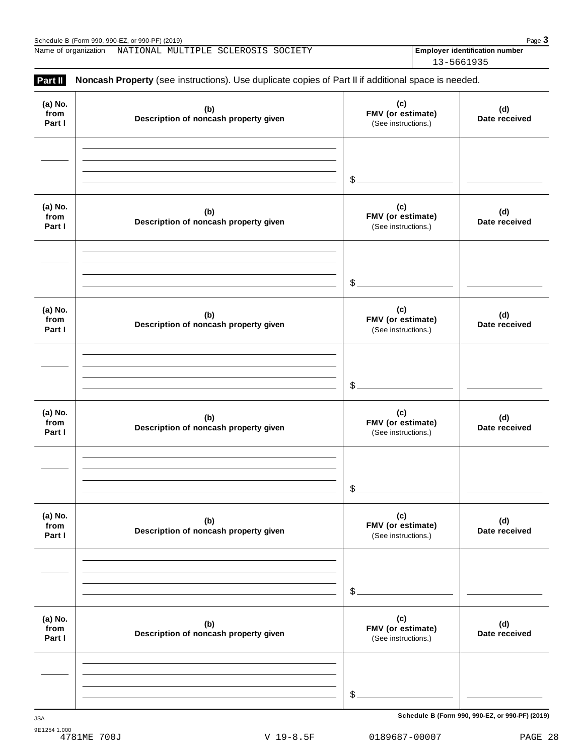**(a) No.**

Schedule B (Form 990, 990-EZ, or 990-PF) (2019)<br>
Name of organization NATIONAL MULTIPLE SCLEROSIS SOCIETY **Property and Schedule Page 3**<br>
Page 3 Name of organization MATIONAL MULTIPLE SCLEROSIS SOCIETY **Employer identification number** 

**Part II Noncash Property** (see instructions). Use duplicate copies of Part II if additional space is needed. **(c) FMV (or estimate)** (See instructions.) **(b) Description of noncash property given (d)** 13-5661935

| from<br>Part I            | (n)<br>Description of noncash property given | FMV (or estimate)<br>(See instructions.)        | (u)<br>Date received |
|---------------------------|----------------------------------------------|-------------------------------------------------|----------------------|
|                           |                                              |                                                 |                      |
|                           |                                              | $\frac{1}{2}$                                   |                      |
| (a) No.<br>from<br>Part I | (b)<br>Description of noncash property given | (c)<br>FMV (or estimate)<br>(See instructions.) | (d)<br>Date received |
|                           |                                              |                                                 |                      |
|                           |                                              | $\frac{1}{2}$                                   |                      |
| (a) No.<br>from<br>Part I | (b)<br>Description of noncash property given | (c)<br>FMV (or estimate)<br>(See instructions.) | (d)<br>Date received |
|                           |                                              |                                                 |                      |
|                           |                                              | $\delta$                                        |                      |
| (a) No.<br>from<br>Part I | (b)<br>Description of noncash property given | (c)<br>FMV (or estimate)<br>(See instructions.) | (d)<br>Date received |
|                           |                                              |                                                 |                      |
|                           |                                              | $\frac{1}{2}$                                   |                      |
| (a) No.<br>from<br>Part I | (b)<br>Description of noncash property given | (c)<br>FMV (or estimate)<br>(See instructions.) | (d)<br>Date received |
|                           |                                              |                                                 |                      |
|                           |                                              | $$$ .                                           |                      |
| (a) No.<br>from<br>Part I | (b)<br>Description of noncash property given | (c)<br>FMV (or estimate)<br>(See instructions.) | (d)<br>Date received |
|                           |                                              |                                                 |                      |
|                           |                                              |                                                 |                      |
|                           |                                              | $\mathcal{L}_{-}$                               |                      |

**Schedule B (Form 990, 990-EZ, or 990-PF) (2019)** JSA

9E1254 1.000<br>4781ME 700J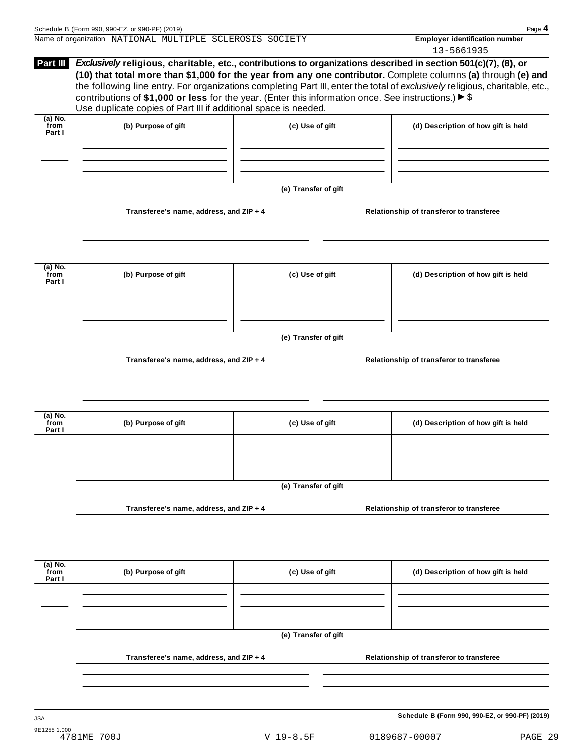| Schedule B (Form 990, 990-EZ, or 990-PF) (2019)          |  |                                       | Page 4 |
|----------------------------------------------------------|--|---------------------------------------|--------|
| Name of organization NATIONAL MULTIPLE SCLEROSIS SOCIETY |  | <b>Employer identification number</b> |        |
|                                                          |  | 13-5661935                            |        |

| Part III                    | Exclusively religious, charitable, etc., contributions to organizations described in section 501(c)(7), (8), or<br>(10) that total more than \$1,000 for the year from any one contributor. Complete columns (a) through (e) and<br>the following line entry. For organizations completing Part III, enter the total of exclusively religious, charitable, etc.,<br>contributions of \$1,000 or less for the year. (Enter this information once. See instructions.) $\triangleright$ \$<br>Use duplicate copies of Part III if additional space is needed. |                      |  |                                                 |  |  |  |
|-----------------------------|------------------------------------------------------------------------------------------------------------------------------------------------------------------------------------------------------------------------------------------------------------------------------------------------------------------------------------------------------------------------------------------------------------------------------------------------------------------------------------------------------------------------------------------------------------|----------------------|--|-------------------------------------------------|--|--|--|
| $(a)$ No.<br>from<br>Part I | (b) Purpose of gift                                                                                                                                                                                                                                                                                                                                                                                                                                                                                                                                        | (c) Use of gift      |  | (d) Description of how gift is held             |  |  |  |
|                             |                                                                                                                                                                                                                                                                                                                                                                                                                                                                                                                                                            |                      |  |                                                 |  |  |  |
|                             |                                                                                                                                                                                                                                                                                                                                                                                                                                                                                                                                                            | (e) Transfer of gift |  |                                                 |  |  |  |
|                             | Transferee's name, address, and ZIP + 4                                                                                                                                                                                                                                                                                                                                                                                                                                                                                                                    |                      |  | Relationship of transferor to transferee        |  |  |  |
| $(a)$ No.<br>from<br>Part I | (b) Purpose of gift                                                                                                                                                                                                                                                                                                                                                                                                                                                                                                                                        | (c) Use of gift      |  | (d) Description of how gift is held             |  |  |  |
|                             |                                                                                                                                                                                                                                                                                                                                                                                                                                                                                                                                                            |                      |  |                                                 |  |  |  |
|                             | Transferee's name, address, and ZIP + 4                                                                                                                                                                                                                                                                                                                                                                                                                                                                                                                    | (e) Transfer of gift |  | Relationship of transferor to transferee        |  |  |  |
| $(a)$ No.<br>from           | (b) Purpose of gift                                                                                                                                                                                                                                                                                                                                                                                                                                                                                                                                        | (c) Use of gift      |  | (d) Description of how gift is held             |  |  |  |
| Part I                      |                                                                                                                                                                                                                                                                                                                                                                                                                                                                                                                                                            |                      |  |                                                 |  |  |  |
|                             |                                                                                                                                                                                                                                                                                                                                                                                                                                                                                                                                                            | (e) Transfer of gift |  |                                                 |  |  |  |
|                             | Transferee's name, address, and ZIP + 4                                                                                                                                                                                                                                                                                                                                                                                                                                                                                                                    |                      |  | Relationship of transferor to transferee        |  |  |  |
| (a) No.<br>from<br>Part I   | (b) Purpose of gift                                                                                                                                                                                                                                                                                                                                                                                                                                                                                                                                        | (c) Use of gift      |  | (d) Description of how gift is held             |  |  |  |
|                             |                                                                                                                                                                                                                                                                                                                                                                                                                                                                                                                                                            |                      |  |                                                 |  |  |  |
|                             | Transferee's name, address, and ZIP + 4                                                                                                                                                                                                                                                                                                                                                                                                                                                                                                                    | (e) Transfer of gift |  | Relationship of transferor to transferee        |  |  |  |
|                             |                                                                                                                                                                                                                                                                                                                                                                                                                                                                                                                                                            |                      |  |                                                 |  |  |  |
| <b>JSA</b>                  |                                                                                                                                                                                                                                                                                                                                                                                                                                                                                                                                                            |                      |  | Schedule B (Form 990, 990-EZ, or 990-PF) (2019) |  |  |  |

V 19-8.5F 0189687-00007 PAGE 29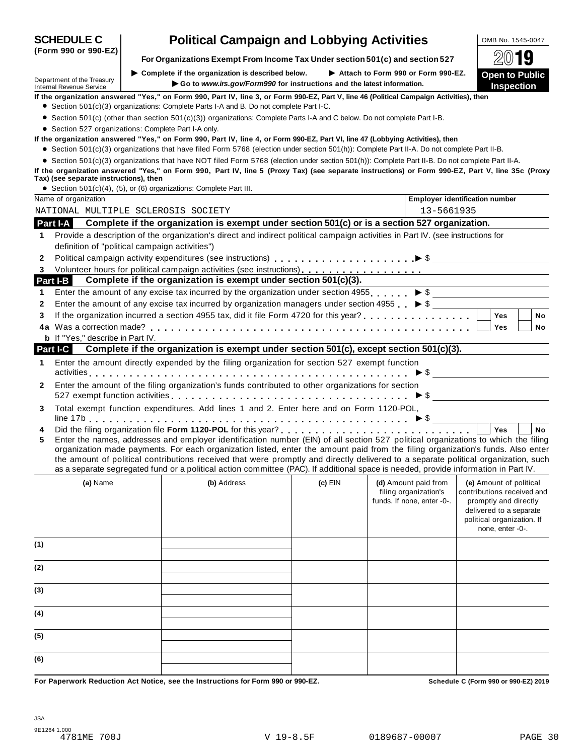| <b>SCHEDULE C</b>                                             | <b>Political Campaign and Lobbying Activities</b>                                                                                                                                                                                                                                                                                                                                                                                                                                                                                                    |                                                                                  |                                                                             | OMB No. 1545-0047                                                                                                                                           |  |
|---------------------------------------------------------------|------------------------------------------------------------------------------------------------------------------------------------------------------------------------------------------------------------------------------------------------------------------------------------------------------------------------------------------------------------------------------------------------------------------------------------------------------------------------------------------------------------------------------------------------------|----------------------------------------------------------------------------------|-----------------------------------------------------------------------------|-------------------------------------------------------------------------------------------------------------------------------------------------------------|--|
| (Form 990 or 990-EZ)                                          | For Organizations Exempt From Income Tax Under section 501(c) and section 527                                                                                                                                                                                                                                                                                                                                                                                                                                                                        |                                                                                  |                                                                             |                                                                                                                                                             |  |
| Department of the Treasury<br><b>Internal Revenue Service</b> | $\triangleright$ Complete if the organization is described below.<br>Go to www.irs.gov/Form990 for instructions and the latest information.                                                                                                                                                                                                                                                                                                                                                                                                          | Attach to Form 990 or Form 990-EZ.<br><b>Open to Public</b><br><b>Inspection</b> |                                                                             |                                                                                                                                                             |  |
|                                                               | If the organization answered "Yes," on Form 990, Part IV, line 3, or Form 990-EZ, Part V, line 46 (Political Campaign Activities), then                                                                                                                                                                                                                                                                                                                                                                                                              |                                                                                  |                                                                             |                                                                                                                                                             |  |
|                                                               | • Section 501(c)(3) organizations: Complete Parts I-A and B. Do not complete Part I-C.                                                                                                                                                                                                                                                                                                                                                                                                                                                               |                                                                                  |                                                                             |                                                                                                                                                             |  |
|                                                               | • Section 501(c) (other than section 501(c)(3)) organizations: Complete Parts I-A and C below. Do not complete Part I-B.                                                                                                                                                                                                                                                                                                                                                                                                                             |                                                                                  |                                                                             |                                                                                                                                                             |  |
|                                                               | • Section 527 organizations: Complete Part I-A only.<br>If the organization answered "Yes," on Form 990, Part IV, line 4, or Form 990-EZ, Part VI, line 47 (Lobbying Activities), then                                                                                                                                                                                                                                                                                                                                                               |                                                                                  |                                                                             |                                                                                                                                                             |  |
|                                                               | • Section 501(c)(3) organizations that have filed Form 5768 (election under section 501(h)): Complete Part II-A. Do not complete Part II-B.                                                                                                                                                                                                                                                                                                                                                                                                          |                                                                                  |                                                                             |                                                                                                                                                             |  |
|                                                               | • Section 501(c)(3) organizations that have NOT filed Form 5768 (election under section 501(h)): Complete Part II-B. Do not complete Part II-A.                                                                                                                                                                                                                                                                                                                                                                                                      |                                                                                  |                                                                             |                                                                                                                                                             |  |
| Tax) (see separate instructions), then                        | If the organization answered "Yes," on Form 990, Part IV, line 5 (Proxy Tax) (see separate instructions) or Form 990-EZ, Part V, line 35c (Proxy                                                                                                                                                                                                                                                                                                                                                                                                     |                                                                                  |                                                                             |                                                                                                                                                             |  |
| Name of organization                                          | • Section 501(c)(4), (5), or (6) organizations: Complete Part III.                                                                                                                                                                                                                                                                                                                                                                                                                                                                                   |                                                                                  | <b>Employer identification number</b>                                       |                                                                                                                                                             |  |
|                                                               | NATIONAL MULTIPLE SCLEROSIS SOCIETY                                                                                                                                                                                                                                                                                                                                                                                                                                                                                                                  |                                                                                  | 13-5661935                                                                  |                                                                                                                                                             |  |
|                                                               | Complete if the organization is exempt under section 501(c) or is a section 527 organization.                                                                                                                                                                                                                                                                                                                                                                                                                                                        |                                                                                  |                                                                             |                                                                                                                                                             |  |
| Part I-A                                                      | Provide a description of the organization's direct and indirect political campaign activities in Part IV. (see instructions for                                                                                                                                                                                                                                                                                                                                                                                                                      |                                                                                  |                                                                             |                                                                                                                                                             |  |
| 1                                                             | definition of "political campaign activities")                                                                                                                                                                                                                                                                                                                                                                                                                                                                                                       |                                                                                  |                                                                             |                                                                                                                                                             |  |
| 2                                                             |                                                                                                                                                                                                                                                                                                                                                                                                                                                                                                                                                      |                                                                                  |                                                                             |                                                                                                                                                             |  |
| 3                                                             |                                                                                                                                                                                                                                                                                                                                                                                                                                                                                                                                                      |                                                                                  |                                                                             |                                                                                                                                                             |  |
| Part I-B                                                      | Complete if the organization is exempt under section 501(c)(3).                                                                                                                                                                                                                                                                                                                                                                                                                                                                                      |                                                                                  |                                                                             |                                                                                                                                                             |  |
| 1                                                             | Enter the amount of any excise tax incurred by the organization under section 4955. $\triangleright$ \$                                                                                                                                                                                                                                                                                                                                                                                                                                              |                                                                                  |                                                                             |                                                                                                                                                             |  |
| 2                                                             | Enter the amount of any excise tax incurred by organization managers under section 4955 $\triangleright$ \$                                                                                                                                                                                                                                                                                                                                                                                                                                          |                                                                                  |                                                                             |                                                                                                                                                             |  |
| 3                                                             |                                                                                                                                                                                                                                                                                                                                                                                                                                                                                                                                                      |                                                                                  |                                                                             | Yes<br><b>No</b>                                                                                                                                            |  |
|                                                               |                                                                                                                                                                                                                                                                                                                                                                                                                                                                                                                                                      |                                                                                  |                                                                             | Yes<br>No                                                                                                                                                   |  |
| <b>b</b> If "Yes," describe in Part IV.                       |                                                                                                                                                                                                                                                                                                                                                                                                                                                                                                                                                      |                                                                                  |                                                                             |                                                                                                                                                             |  |
| Part I-C                                                      | Complete if the organization is exempt under section 501(c), except section 501(c)(3).                                                                                                                                                                                                                                                                                                                                                                                                                                                               |                                                                                  |                                                                             |                                                                                                                                                             |  |
| 1                                                             | Enter the amount directly expended by the filing organization for section 527 exempt function                                                                                                                                                                                                                                                                                                                                                                                                                                                        |                                                                                  |                                                                             |                                                                                                                                                             |  |
| 2                                                             | Enter the amount of the filing organization's funds contributed to other organizations for section                                                                                                                                                                                                                                                                                                                                                                                                                                                   |                                                                                  |                                                                             |                                                                                                                                                             |  |
|                                                               |                                                                                                                                                                                                                                                                                                                                                                                                                                                                                                                                                      |                                                                                  |                                                                             |                                                                                                                                                             |  |
| 3                                                             | Total exempt function expenditures. Add lines 1 and 2. Enter here and on Form 1120-POL,                                                                                                                                                                                                                                                                                                                                                                                                                                                              |                                                                                  |                                                                             |                                                                                                                                                             |  |
| 4                                                             |                                                                                                                                                                                                                                                                                                                                                                                                                                                                                                                                                      |                                                                                  |                                                                             | Yes<br><b>No</b>                                                                                                                                            |  |
| 5                                                             | Enter the names, addresses and employer identification number (EIN) of all section 527 political organizations to which the filing<br>organization made payments. For each organization listed, enter the amount paid from the filing organization's funds. Also enter<br>the amount of political contributions received that were promptly and directly delivered to a separate political organization, such<br>as a separate segregated fund or a political action committee (PAC). If additional space is needed, provide information in Part IV. |                                                                                  |                                                                             |                                                                                                                                                             |  |
|                                                               |                                                                                                                                                                                                                                                                                                                                                                                                                                                                                                                                                      |                                                                                  |                                                                             |                                                                                                                                                             |  |
| (a) Name                                                      | (b) Address                                                                                                                                                                                                                                                                                                                                                                                                                                                                                                                                          | $(c)$ EIN                                                                        | (d) Amount paid from<br>filing organization's<br>funds. If none, enter -0-. | (e) Amount of political<br>contributions received and<br>promptly and directly<br>delivered to a separate<br>political organization. If<br>none, enter -0-. |  |
| (1)                                                           |                                                                                                                                                                                                                                                                                                                                                                                                                                                                                                                                                      |                                                                                  |                                                                             |                                                                                                                                                             |  |
| (2)                                                           |                                                                                                                                                                                                                                                                                                                                                                                                                                                                                                                                                      |                                                                                  |                                                                             |                                                                                                                                                             |  |
| (3)                                                           |                                                                                                                                                                                                                                                                                                                                                                                                                                                                                                                                                      |                                                                                  |                                                                             |                                                                                                                                                             |  |
| (4)                                                           |                                                                                                                                                                                                                                                                                                                                                                                                                                                                                                                                                      |                                                                                  |                                                                             |                                                                                                                                                             |  |
| (5)                                                           |                                                                                                                                                                                                                                                                                                                                                                                                                                                                                                                                                      |                                                                                  |                                                                             |                                                                                                                                                             |  |
| (6)                                                           |                                                                                                                                                                                                                                                                                                                                                                                                                                                                                                                                                      |                                                                                  |                                                                             |                                                                                                                                                             |  |
|                                                               | For Panerwork Peduction Act Notice, see the Instructions for Form 000 or 000-F7                                                                                                                                                                                                                                                                                                                                                                                                                                                                      |                                                                                  |                                                                             | Schodule C (Form 000 or 000 F7) 2010                                                                                                                        |  |

aperwork Reduction Act Notice, see the Instructions for Form 990 or 990-EZ. Subsequely and the Schedule C (Form 990 or 990-EZ) 2019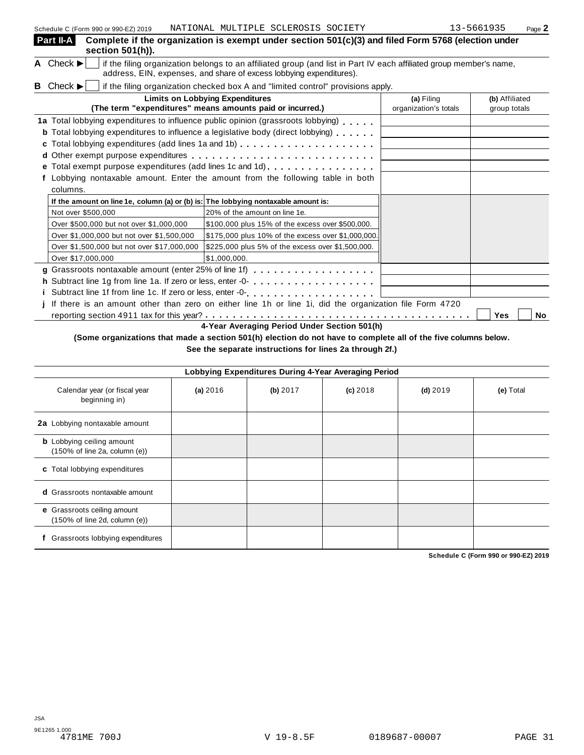| Part II-A<br>Complete if the organization is exempt under section $501(c)(3)$ and filed Form 5768 (election under<br>section 501(h)).                                                                                             |                                     |                                |
|-----------------------------------------------------------------------------------------------------------------------------------------------------------------------------------------------------------------------------------|-------------------------------------|--------------------------------|
| A Check $\blacktriangleright$<br>if the filing organization belongs to an affiliated group (and list in Part IV each affiliated group member's name,<br>address, EIN, expenses, and share of excess lobbying expenditures).       |                                     |                                |
| <b>B</b> Check $\blacktriangleright$<br>if the filing organization checked box A and "limited control" provisions apply.                                                                                                          |                                     |                                |
| <b>Limits on Lobbying Expenditures</b><br>(The term "expenditures" means amounts paid or incurred.)                                                                                                                               | (a) Filing<br>organization's totals | (b) Affiliated<br>group totals |
| 1a Total lobbying expenditures to influence public opinion (grassroots lobbying)<br><b>b</b> Total lobbying expenditures to influence a legislative body (direct lobbying)<br>c Total lobbying expenditures (add lines 1a and 1b) |                                     |                                |
| e Total exempt purpose expenditures (add lines 1c and 1d)<br>Lobbying nontaxable amount. Enter the amount from the following table in both                                                                                        |                                     |                                |
| columns.                                                                                                                                                                                                                          |                                     |                                |
| If the amount on line 1e, column (a) or (b) is: The lobbying nontaxable amount is:                                                                                                                                                |                                     |                                |
| Not over \$500,000<br>20% of the amount on line 1e.                                                                                                                                                                               |                                     |                                |
| Over \$500,000 but not over \$1,000,000<br>\$100,000 plus 15% of the excess over \$500,000.                                                                                                                                       |                                     |                                |
| Over \$1,000,000 but not over \$1,500,000<br>\$175,000 plus 10% of the excess over \$1,000,000.                                                                                                                                   |                                     |                                |
| Over \$1,500,000 but not over \$17,000,000<br>\$225,000 plus 5% of the excess over \$1,500,000.                                                                                                                                   |                                     |                                |
| Over \$17,000,000<br>\$1,000,000.                                                                                                                                                                                                 |                                     |                                |
|                                                                                                                                                                                                                                   |                                     |                                |
|                                                                                                                                                                                                                                   |                                     |                                |
|                                                                                                                                                                                                                                   |                                     |                                |
| If there is an amount other than zero on either line 1h or line 1i, did the organization file Form 4720                                                                                                                           |                                     |                                |
| 4-Year Averaging Period Under Section 501(h)                                                                                                                                                                                      |                                     | Yes<br><b>No</b>               |

### (Some organizations that made a section 501(h) election do not have to complete all of the five columns below. **See the separate instructions for lines 2a through 2f.)**

|                                                                                   |          |          | Lobbying Expenditures During 4-Year Averaging Period |            |           |
|-----------------------------------------------------------------------------------|----------|----------|------------------------------------------------------|------------|-----------|
| Calendar year (or fiscal year<br>beginning in)                                    | (a) 2016 | (b) 2017 | $(c)$ 2018                                           | $(d)$ 2019 | (e) Total |
| 2a Lobbying nontaxable amount                                                     |          |          |                                                      |            |           |
| <b>b</b> Lobbying ceiling amount<br>(150% of line 2a, column (e))                 |          |          |                                                      |            |           |
| c Total lobbying expenditures                                                     |          |          |                                                      |            |           |
| <b>d</b> Grassroots nontaxable amount                                             |          |          |                                                      |            |           |
| e Grassroots ceiling amount<br>$(150\% \text{ of line } 2d, \text{ column } (e))$ |          |          |                                                      |            |           |
| Grassroots lobbying expenditures                                                  |          |          |                                                      |            |           |

**Schedule C (Form 990 or 990-EZ) 2019**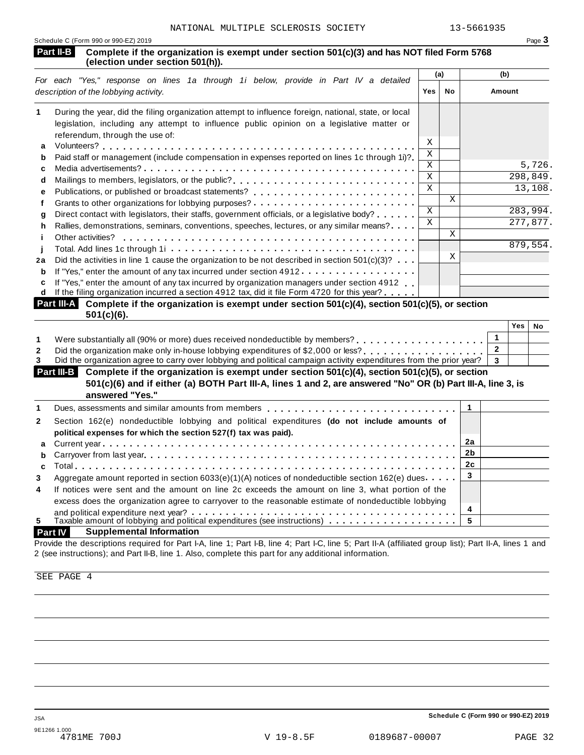|           | Schedule C (Form 990 or 990-EZ) 2019                                                                                           | Page 3 |
|-----------|--------------------------------------------------------------------------------------------------------------------------------|--------|
| Part II-B | Complete if the organization is exempt under section 501(c)(3) and has NOT filed Form 5768<br>(election under section 501(h)). |        |

|    |                                                                                                                                                                                                                                                                                                                                 |              | (a) | (b)      |
|----|---------------------------------------------------------------------------------------------------------------------------------------------------------------------------------------------------------------------------------------------------------------------------------------------------------------------------------|--------------|-----|----------|
|    | For each "Yes," response on lines 1a through 1i below, provide in Part IV a detailed<br>description of the lobbying activity.                                                                                                                                                                                                   | Yes          | No  | Amount   |
|    | During the year, did the filing organization attempt to influence foreign, national, state, or local<br>legislation, including any attempt to influence public opinion on a legislative matter or<br>referendum, through the use of:                                                                                            |              |     |          |
| a  |                                                                                                                                                                                                                                                                                                                                 | X            |     |          |
| b  | Paid staff or management (include compensation in expenses reported on lines 1c through 1i)?                                                                                                                                                                                                                                    | Χ            |     |          |
| c  |                                                                                                                                                                                                                                                                                                                                 | X            |     | 5,726.   |
| d  | Mailings to members, legislators, or the public?                                                                                                                                                                                                                                                                                | $\mathbf{x}$ |     | 298,849. |
| е  |                                                                                                                                                                                                                                                                                                                                 | $\mathbf{x}$ |     | 13,108.  |
|    | Grants to other organizations for lobbying purposes? $\ldots \ldots \ldots \ldots \ldots \ldots \ldots \ldots$                                                                                                                                                                                                                  |              | X   |          |
| a  | Direct contact with legislators, their staffs, government officials, or a legislative body?                                                                                                                                                                                                                                     | $\mathsf{x}$ |     | 283,994. |
| h  | Rallies, demonstrations, seminars, conventions, speeches, lectures, or any similar means?                                                                                                                                                                                                                                       | X            |     | 277,877. |
|    | Other activities?                                                                                                                                                                                                                                                                                                               |              | X   |          |
|    |                                                                                                                                                                                                                                                                                                                                 |              |     | 879,554. |
| 2a | Did the activities in line 1 cause the organization to be not described in section $501(c)(3)$ ?                                                                                                                                                                                                                                |              | X   |          |
| b  | If "Yes," enter the amount of any tax incurred under section 4912                                                                                                                                                                                                                                                               |              |     |          |
| с  | If "Yes," enter the amount of any tax incurred by organization managers under section 4912<br>If the filing organization incurred a section 4912 tax, did it file Form 4720 for this year?<br><b>Doublin A.</b> Associate if the consideration is consistent on the specific $\mathsf{FA44-V43}$ associated $\mathsf{FA44-V43}$ |              |     |          |

| <b>Part III-A</b> Complete if the organization is exempt under section $501(c)(4)$ , section $501(c)(5)$ , or section<br>$501(c)(6)$ . |  |               |  |  |  |  |  |
|----------------------------------------------------------------------------------------------------------------------------------------|--|---------------|--|--|--|--|--|
|                                                                                                                                        |  | $Yes \mid NC$ |  |  |  |  |  |
| . 0 معرض معرض من المساوي المساوي والمستورة والمستورة المستور من عمر المساوي المساوية المستور المستور المستور المستور                   |  |               |  |  |  |  |  |

|                                                                                                                               | 152 I NO |  |
|-------------------------------------------------------------------------------------------------------------------------------|----------|--|
|                                                                                                                               |          |  |
|                                                                                                                               |          |  |
| Did the organization agree to carry over lobbying and political campaign activity expenditures from the prior year? $\vert$ 3 |          |  |

| <b>Part III-B</b> Complete if the organization is exempt under section $501(c)(4)$ , section $501(c)(5)$ , or section |  |
|-----------------------------------------------------------------------------------------------------------------------|--|
| 501(c)(6) and if either (a) BOTH Part III-A, lines 1 and 2, are answered "No" OR (b) Part III-A, line 3, is           |  |
| answered "Yes."                                                                                                       |  |

|              | answered res.                                                                                                                                                                                                                  |    |  |
|--------------|--------------------------------------------------------------------------------------------------------------------------------------------------------------------------------------------------------------------------------|----|--|
|              | Dues, assessments and similar amounts from members entitled values of the set of the system of the system of the system of the system of the system of the system of the system of the system of the system of the system of t |    |  |
| $\mathbf{2}$ | Section 162(e) nondeductible lobbying and political expenditures (do not include amounts of                                                                                                                                    |    |  |
|              | political expenses for which the section 527(f) tax was paid).                                                                                                                                                                 |    |  |
|              |                                                                                                                                                                                                                                | 2a |  |
|              |                                                                                                                                                                                                                                |    |  |
|              |                                                                                                                                                                                                                                | 2c |  |
| 3            | Aggregate amount reported in section $6033(e)(1)(A)$ notices of nondeductible section 162(e) dues                                                                                                                              |    |  |
| 4            | If notices were sent and the amount on line 2c exceeds the amount on line 3, what portion of the                                                                                                                               |    |  |
|              | excess does the organization agree to carryover to the reasonable estimate of nondeductible lobbying                                                                                                                           |    |  |
|              |                                                                                                                                                                                                                                | 4  |  |
| 5            |                                                                                                                                                                                                                                |    |  |
|              |                                                                                                                                                                                                                                |    |  |

## **Part IV Supplemental Information**

Provide the descriptions required for Part I-A, line 1; Part I-B, line 4; Part I-C, line 5; Part II-A (affiliated group list); Part II-A, lines 1 and 2 (see instructions); and Part II-B, line 1. Also, complete this part for any additional information.

SEE PAGE 4

**Schedule C (Form 990 or 990-EZ) 2019**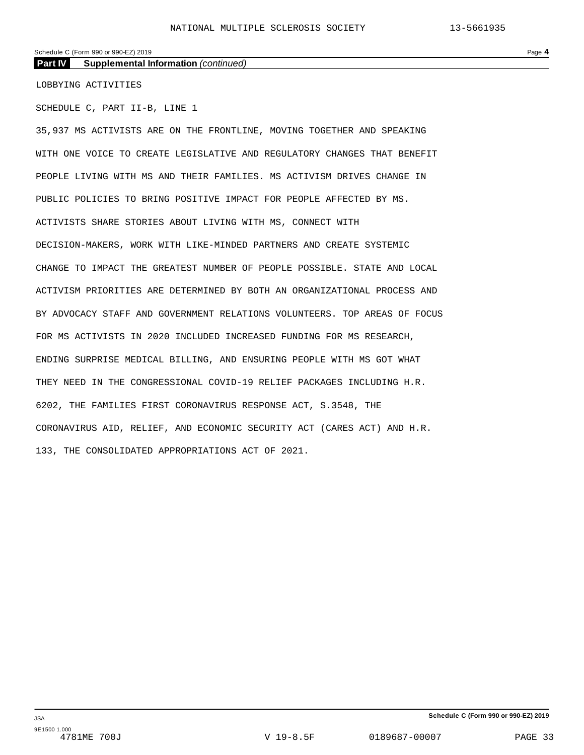#### Schedule C (Form 990 or 990-EZ) 2019 Page **4**

**Part IV Supplemental Information** *(continued)*

LOBBYING ACTIVITIES

SCHEDULE C, PART II-B, LINE 1

35,937 MS ACTIVISTS ARE ON THE FRONTLINE, MOVING TOGETHER AND SPEAKING WITH ONE VOICE TO CREATE LEGISLATIVE AND REGULATORY CHANGES THAT BENEFIT PEOPLE LIVING WITH MS AND THEIR FAMILIES. MS ACTIVISM DRIVES CHANGE IN PUBLIC POLICIES TO BRING POSITIVE IMPACT FOR PEOPLE AFFECTED BY MS. ACTIVISTS SHARE STORIES ABOUT LIVING WITH MS, CONNECT WITH DECISION-MAKERS, WORK WITH LIKE-MINDED PARTNERS AND CREATE SYSTEMIC CHANGE TO IMPACT THE GREATEST NUMBER OF PEOPLE POSSIBLE. STATE AND LOCAL ACTIVISM PRIORITIES ARE DETERMINED BY BOTH AN ORGANIZATIONAL PROCESS AND BY ADVOCACY STAFF AND GOVERNMENT RELATIONS VOLUNTEERS. TOP AREAS OF FOCUS FOR MS ACTIVISTS IN 2020 INCLUDED INCREASED FUNDING FOR MS RESEARCH, ENDING SURPRISE MEDICAL BILLING, AND ENSURING PEOPLE WITH MS GOT WHAT THEY NEED IN THE CONGRESSIONAL COVID-19 RELIEF PACKAGES INCLUDING H.R. 6202, THE FAMILIES FIRST CORONAVIRUS RESPONSE ACT, S.3548, THE CORONAVIRUS AID, RELIEF, AND ECONOMIC SECURITY ACT (CARES ACT) AND H.R. 133, THE CONSOLIDATED APPROPRIATIONS ACT OF 2021.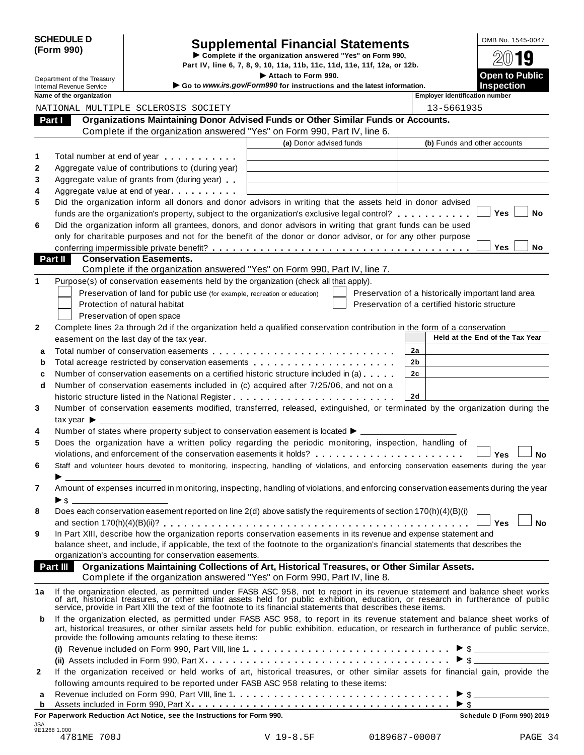| <b>SCHEDULE D</b> |  |
|-------------------|--|
| (Form 990)        |  |

# SCHEDULE D<br>
Supplemental Financial Statements<br>
Form 990)<br>
Part IV, line 6, 7, 8, 9, 10, 11a, 11b, 11c, 11d, 11e, 11f, 12a, or 12b.<br>
Part IV, line 6, 7, 8, 9, 10, 11a, 11b, 11c, 11d, 11e, 11f, 12a, or 12b.

Department of the Treasury **I Attach 1990.** The S. 7, 8, 9, 10, 11a, 11b, 11c, 11d, 11e, 11f, 12a, or 12b.<br> **Department of the Treasury Inches Containery Containery Containery Containery Containery Containery** 

**Extrach to Form 990.**<br>
Internal Revenue Service I instructions and the latest information.<br>
Inspection<br>
Name of the organization

| ime of the organization |                               |  |
|-------------------------|-------------------------------|--|
|                         | ATIONAL MULTIPLE SCLEROSIS S( |  |

**Name of the organization Employer identification number**

|        |                                                                                                                                                                                                                                      |                                                                                              | בייוסיסיכי וסכותווספנוטוו ווסוווסכו                |
|--------|--------------------------------------------------------------------------------------------------------------------------------------------------------------------------------------------------------------------------------------|----------------------------------------------------------------------------------------------|----------------------------------------------------|
|        | NATIONAL MULTIPLE SCLEROSIS SOCIETY                                                                                                                                                                                                  |                                                                                              | 13-5661935                                         |
| Part I |                                                                                                                                                                                                                                      | Organizations Maintaining Donor Advised Funds or Other Similar Funds or Accounts.            |                                                    |
|        | Complete if the organization answered "Yes" on Form 990, Part IV, line 6.                                                                                                                                                            |                                                                                              |                                                    |
|        |                                                                                                                                                                                                                                      | (a) Donor advised funds                                                                      | (b) Funds and other accounts                       |
|        | Total number at end of year <b>that the state of the state of the state of the state of the state of the state of the state of the state of the state of the state of the state of the state of the state of the state of the st</b> |                                                                                              |                                                    |
|        | Aggregate value of contributions to (during year)                                                                                                                                                                                    |                                                                                              |                                                    |
|        | Aggregate value of grants from (during year)                                                                                                                                                                                         |                                                                                              |                                                    |
|        | Aggregate value at end of year                                                                                                                                                                                                       |                                                                                              |                                                    |
| 4<br>5 | Did the organization inform all donors and donor advisors in writing that the assets held in donor advised                                                                                                                           |                                                                                              |                                                    |
|        | funds are the organization's property, subject to the organization's exclusive legal control?                                                                                                                                        |                                                                                              | Yes<br>No                                          |
| 6      | Did the organization inform all grantees, donors, and donor advisors in writing that grant funds can be used                                                                                                                         |                                                                                              |                                                    |
|        | only for charitable purposes and not for the benefit of the donor or donor advisor, or for any other purpose                                                                                                                         |                                                                                              |                                                    |
|        |                                                                                                                                                                                                                                      |                                                                                              | Yes<br>No                                          |
|        | <b>Part II</b><br><b>Conservation Easements.</b>                                                                                                                                                                                     |                                                                                              |                                                    |
|        | Complete if the organization answered "Yes" on Form 990, Part IV, line 7.                                                                                                                                                            |                                                                                              |                                                    |
|        | Purpose(s) of conservation easements held by the organization (check all that apply).                                                                                                                                                |                                                                                              |                                                    |
| 1      |                                                                                                                                                                                                                                      |                                                                                              |                                                    |
|        | Preservation of land for public use (for example, recreation or education)                                                                                                                                                           |                                                                                              | Preservation of a historically important land area |
|        | Protection of natural habitat                                                                                                                                                                                                        |                                                                                              | Preservation of a certified historic structure     |
|        | Preservation of open space                                                                                                                                                                                                           |                                                                                              |                                                    |
|        | Complete lines 2a through 2d if the organization held a qualified conservation contribution in the form of a conservation                                                                                                            |                                                                                              |                                                    |
|        | easement on the last day of the tax year.                                                                                                                                                                                            |                                                                                              | Held at the End of the Tax Year                    |
| a      | Total number of conservation easements quantum or example $\mathbf{r}$ . The sum of the set of $\mathbf{r}$                                                                                                                          |                                                                                              | 2a                                                 |
| b      | Total acreage restricted by conservation easements                                                                                                                                                                                   |                                                                                              | 2b                                                 |
| c      | Number of conservation easements on a certified historic structure included in (a)                                                                                                                                                   |                                                                                              | 2c                                                 |
| d      | Number of conservation easements included in (c) acquired after 7/25/06, and not on a                                                                                                                                                |                                                                                              |                                                    |
|        |                                                                                                                                                                                                                                      |                                                                                              | 2d                                                 |
| 3      | Number of conservation easements modified, transferred, released, extinguished, or terminated by the organization during the                                                                                                         |                                                                                              |                                                    |
|        |                                                                                                                                                                                                                                      |                                                                                              |                                                    |
| 4      | Number of states where property subject to conservation easement is located ▶ _________                                                                                                                                              |                                                                                              |                                                    |
|        | Does the organization have a written policy regarding the periodic monitoring, inspection, handling of                                                                                                                               |                                                                                              |                                                    |
|        |                                                                                                                                                                                                                                      |                                                                                              | Yes<br><b>No</b>                                   |
|        | Staff and volunteer hours devoted to monitoring, inspecting, handling of violations, and enforcing conservation easements during the year                                                                                            |                                                                                              |                                                    |
|        | $\blacktriangleright$ and $\blacktriangleright$                                                                                                                                                                                      |                                                                                              |                                                    |
| 7      | Amount of expenses incurred in monitoring, inspecting, handling of violations, and enforcing conservation easements during the year                                                                                                  |                                                                                              |                                                    |
|        | $\blacktriangleright$ s                                                                                                                                                                                                              |                                                                                              |                                                    |
| 8      | Does each conservation easement reported on line 2(d) above satisfy the requirements of section 170(h)(4)(B)(i)                                                                                                                      |                                                                                              |                                                    |
|        | and section 170(h)(4)(B)(ii)?                                                                                                                                                                                                        |                                                                                              | Yes<br>No                                          |
|        | In Part XIII, describe how the organization reports conservation easements in its revenue and expense statement and                                                                                                                  |                                                                                              |                                                    |
|        | balance sheet, and include, if applicable, the text of the footnote to the organization's financial statements that describes the                                                                                                    |                                                                                              |                                                    |
|        | organization's accounting for conservation easements.                                                                                                                                                                                |                                                                                              |                                                    |
|        | Part III                                                                                                                                                                                                                             | Organizations Maintaining Collections of Art, Historical Treasures, or Other Similar Assets. |                                                    |
|        | Complete if the organization answered "Yes" on Form 990, Part IV, line 8.                                                                                                                                                            |                                                                                              |                                                    |
| 1a     | If the organization elected, as permitted under FASB ASC 958, not to report in its revenue statement and balance sheet works                                                                                                         |                                                                                              |                                                    |
|        | of art, historical treasures, or other similar assets held for public exhibition, education, or research in furtherance of public                                                                                                    |                                                                                              |                                                    |
|        | service, provide in Part XIII the text of the footnote to its financial statements that describes these items.                                                                                                                       |                                                                                              |                                                    |
| b      | If the organization elected, as permitted under FASB ASC 958, to report in its revenue statement and balance sheet works of                                                                                                          |                                                                                              |                                                    |
|        | art, historical treasures, or other similar assets held for public exhibition, education, or research in furtherance of public service,                                                                                              |                                                                                              |                                                    |
|        | provide the following amounts relating to these items:                                                                                                                                                                               |                                                                                              |                                                    |
|        |                                                                                                                                                                                                                                      |                                                                                              | $\triangleright$ \$                                |
|        |                                                                                                                                                                                                                                      |                                                                                              | $\triangleright$ \$                                |
| 2      | If the organization received or held works of art, historical treasures, or other similar assets for financial gain, provide the                                                                                                     |                                                                                              |                                                    |
|        | following amounts required to be reported under FASB ASC 958 relating to these items:                                                                                                                                                |                                                                                              |                                                    |
| а      |                                                                                                                                                                                                                                      |                                                                                              | $\triangleright$ \$                                |
| b      |                                                                                                                                                                                                                                      |                                                                                              |                                                    |

**For Paperwork Reduction Act Notice, see the Instructions for Form 990. Schedule D (Form 990) 2019** JSA 9E1268 1.000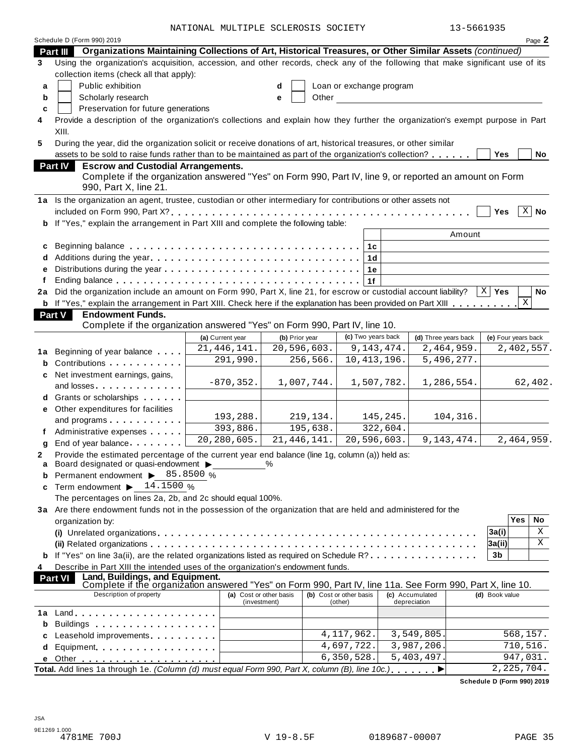NATIONAL MULTIPLE SCLEROSIS SOCIETY 13-5661935

|    | Schedule D (Form 990) 2019                                                                                                                                                                                                         |                         |                |                          |                 |                      |                     |              | Page 2      |
|----|------------------------------------------------------------------------------------------------------------------------------------------------------------------------------------------------------------------------------------|-------------------------|----------------|--------------------------|-----------------|----------------------|---------------------|--------------|-------------|
|    | Organizations Maintaining Collections of Art, Historical Treasures, or Other Similar Assets (continued)<br>Part III                                                                                                                |                         |                |                          |                 |                      |                     |              |             |
| 3  | Using the organization's acquisition, accession, and other records, check any of the following that make significant use of its                                                                                                    |                         |                |                          |                 |                      |                     |              |             |
|    | collection items (check all that apply):                                                                                                                                                                                           |                         |                |                          |                 |                      |                     |              |             |
| a  | Public exhibition                                                                                                                                                                                                                  |                         | d              | Loan or exchange program |                 |                      |                     |              |             |
| b  | Scholarly research                                                                                                                                                                                                                 |                         | Other<br>е     |                          |                 |                      |                     |              |             |
| c  | Preservation for future generations                                                                                                                                                                                                |                         |                |                          |                 |                      |                     |              |             |
| 4  | Provide a description of the organization's collections and explain how they further the organization's exempt purpose in Part                                                                                                     |                         |                |                          |                 |                      |                     |              |             |
|    | XIII.                                                                                                                                                                                                                              |                         |                |                          |                 |                      |                     |              |             |
| 5  | During the year, did the organization solicit or receive donations of art, historical treasures, or other similar                                                                                                                  |                         |                |                          |                 |                      |                     |              |             |
|    | assets to be sold to raise funds rather than to be maintained as part of the organization's collection?                                                                                                                            |                         |                |                          |                 |                      | Yes                 |              | No          |
|    | <b>Escrow and Custodial Arrangements.</b><br><b>Part IV</b>                                                                                                                                                                        |                         |                |                          |                 |                      |                     |              |             |
|    | Complete if the organization answered "Yes" on Form 990, Part IV, line 9, or reported an amount on Form                                                                                                                            |                         |                |                          |                 |                      |                     |              |             |
|    | 990, Part X, line 21.                                                                                                                                                                                                              |                         |                |                          |                 |                      |                     |              |             |
|    | 1a Is the organization an agent, trustee, custodian or other intermediary for contributions or other assets not                                                                                                                    |                         |                |                          |                 |                      |                     |              |             |
|    |                                                                                                                                                                                                                                    |                         |                |                          |                 |                      | Yes                 |              | $X \mid$ No |
| b  | If "Yes," explain the arrangement in Part XIII and complete the following table:                                                                                                                                                   |                         |                |                          |                 |                      |                     |              |             |
|    |                                                                                                                                                                                                                                    |                         |                |                          |                 | Amount               |                     |              |             |
| c  |                                                                                                                                                                                                                                    |                         |                | 1c                       |                 |                      |                     |              |             |
|    |                                                                                                                                                                                                                                    |                         |                | 1 <sub>d</sub>           |                 |                      |                     |              |             |
|    |                                                                                                                                                                                                                                    |                         |                | 1e                       |                 |                      |                     |              |             |
|    |                                                                                                                                                                                                                                    |                         |                | 1f                       |                 |                      |                     |              |             |
| 2a | Did the organization include an amount on Form 990, Part X, line 21, for escrow or custodial account liability?                                                                                                                    |                         |                |                          |                 |                      | $X \mid Y$ es       |              | No          |
|    | <b>b</b> If "Yes," explain the arrangement in Part XIII. Check here if the explanation has been provided on Part XIII                                                                                                              |                         |                |                          |                 |                      |                     | X            |             |
|    | <b>Endowment Funds.</b><br><b>Part V</b>                                                                                                                                                                                           |                         |                |                          |                 |                      |                     |              |             |
|    | Complete if the organization answered "Yes" on Form 990, Part IV, line 10.                                                                                                                                                         |                         |                |                          |                 |                      |                     |              |             |
|    |                                                                                                                                                                                                                                    | (a) Current year        | (b) Prior year | (c) Two years back       |                 | (d) Three years back | (e) Four years back |              |             |
|    |                                                                                                                                                                                                                                    | 21, 446, 141.           | 20,596,603.    | 9, 143, 474.             |                 | 2,464,959.           |                     |              | 2,402,557.  |
| 1а | Beginning of year balance                                                                                                                                                                                                          | 291,990.                | 256,566.       | 10, 413, 196.            |                 | 5,496,277.           |                     |              |             |
| b  | Contributions <b>Contributions</b>                                                                                                                                                                                                 |                         |                |                          |                 |                      |                     |              |             |
| c  | Net investment earnings, gains,                                                                                                                                                                                                    | $-870, 352.$            | 1,007,744.     | 1,507,782.               |                 | 1,286,554.           |                     |              | 62,402.     |
|    | and losses and services and losses                                                                                                                                                                                                 |                         |                |                          |                 |                      |                     |              |             |
|    | Grants or scholarships                                                                                                                                                                                                             |                         |                |                          |                 |                      |                     |              |             |
| е  | Other expenditures for facilities                                                                                                                                                                                                  | 193,288.                | 219,134.       |                          | 145,245.        | 104,316.             |                     |              |             |
|    | and programs expansion and programs                                                                                                                                                                                                | 393,886.                | 195,638.       |                          | 322,604.        |                      |                     |              |             |
|    | Administrative expenses                                                                                                                                                                                                            | 20,280,605.             | 21, 446, 141.  | 20,596,603.              |                 | 9, 143, 474.         |                     |              | 2,464,959.  |
| g  | End of year balance                                                                                                                                                                                                                |                         |                |                          |                 |                      |                     |              |             |
| 2  | Provide the estimated percentage of the current year end balance (line 1g, column (a)) held as:                                                                                                                                    |                         |                |                          |                 |                      |                     |              |             |
| a  | Board designated or quasi-endowment $\blacktriangleright$                                                                                                                                                                          |                         |                |                          |                 |                      |                     |              |             |
| b  | Permanent endowment > 85.8500 %                                                                                                                                                                                                    |                         |                |                          |                 |                      |                     |              |             |
| C  | Term endowment $\blacktriangleright$ 14.1500 %                                                                                                                                                                                     |                         |                |                          |                 |                      |                     |              |             |
|    | The percentages on lines 2a, 2b, and 2c should equal 100%.                                                                                                                                                                         |                         |                |                          |                 |                      |                     |              |             |
|    | 3a Are there endowment funds not in the possession of the organization that are held and administered for the                                                                                                                      |                         |                |                          |                 |                      |                     | <b>Yes</b>   | No          |
|    | organization by:                                                                                                                                                                                                                   |                         |                |                          |                 |                      |                     |              | Χ           |
|    |                                                                                                                                                                                                                                    |                         |                |                          |                 |                      | 3a(i)               |              |             |
|    |                                                                                                                                                                                                                                    |                         |                |                          |                 |                      | 3a(ii)              |              | Χ           |
|    | If "Yes" on line 3a(ii), are the related organizations listed as required on Schedule R?                                                                                                                                           |                         |                |                          |                 |                      | 3b                  |              |             |
| 4  | Describe in Part XIII the intended uses of the organization's endowment funds.                                                                                                                                                     |                         |                |                          |                 |                      |                     |              |             |
|    | Land, Buildings, and Equipment.<br>Complete if the organization answered "Yes" on Form 990, Part IV, line 11a. See Form 990, Part X, line 10.<br><b>Part VI</b>                                                                    |                         |                |                          |                 |                      |                     |              |             |
|    | Description of property                                                                                                                                                                                                            | (a) Cost or other basis |                | (b) Cost or other basis  | (c) Accumulated |                      | (d) Book value      |              |             |
|    |                                                                                                                                                                                                                                    | (investment)            |                | (other)                  | depreciation    |                      |                     |              |             |
| 1a |                                                                                                                                                                                                                                    |                         |                |                          |                 |                      |                     |              |             |
| b  | Buildings <b>Example 20</b> and the set of the set of the set of the set of the set of the set of the set of the set of the set of the set of the set of the set of the set of the set of the set of the set of the set of the set |                         |                |                          |                 |                      |                     |              |             |
| c  | Leasehold improvements entitled as a set of the set of the set of the set of the set of the set of the set of the set of the set of the set of the set of the set of the set of the set of the set of the set of the set of th     |                         |                | 4, 117, 962.             | 3,549,805       |                      |                     | 568,157.     |             |
| d  | Equipment                                                                                                                                                                                                                          |                         |                | 4,697,722.               | 3,987,206.      |                      |                     | 710,516.     |             |
|    |                                                                                                                                                                                                                                    |                         |                | 6, 350, 528.             | 5,403,497       |                      |                     | 947,031.     |             |
|    | Total. Add lines 1a through 1e. (Column (d) must equal Form 990, Part X, column (B), line 10c.)                                                                                                                                    |                         |                |                          |                 |                      |                     | 2, 225, 704. |             |

**Schedule D (Form 990) 2019**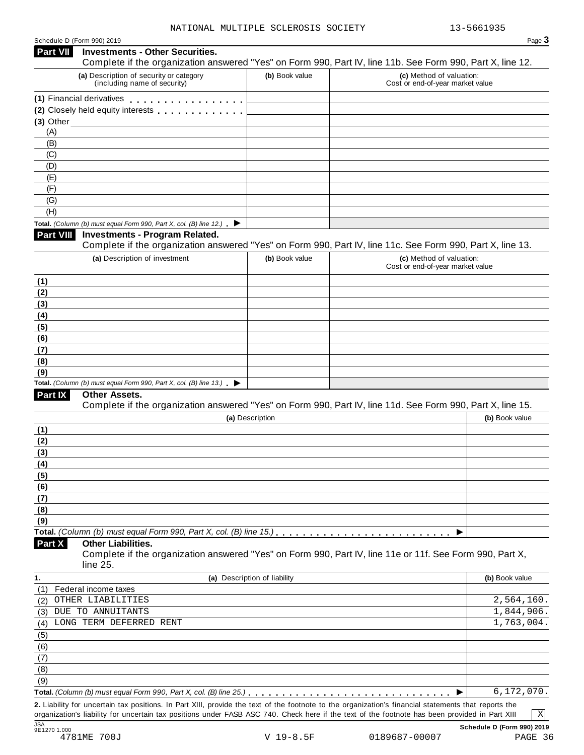| Schedule D (Form 990) 2019 |  |  |
|----------------------------|--|--|

| Schedule D (Form 990) 2019                                                                 |                                        |                              |                                                                                                            | Page 3                                 |
|--------------------------------------------------------------------------------------------|----------------------------------------|------------------------------|------------------------------------------------------------------------------------------------------------|----------------------------------------|
| <b>Part VII</b>                                                                            | <b>Investments - Other Securities.</b> |                              | Complete if the organization answered "Yes" on Form 990, Part IV, line 11b. See Form 990, Part X, line 12. |                                        |
| (a) Description of security or category<br>(including name of security)                    |                                        | (b) Book value               | (c) Method of valuation:<br>Cost or end-of-year market value                                               |                                        |
| (1) Financial derivatives                                                                  |                                        |                              |                                                                                                            |                                        |
| (2) Closely held equity interests [1] [1] Closely held equity interests                    |                                        |                              |                                                                                                            |                                        |
| $(3)$ Other                                                                                |                                        |                              |                                                                                                            |                                        |
| (A)                                                                                        |                                        |                              |                                                                                                            |                                        |
| (B)                                                                                        |                                        |                              |                                                                                                            |                                        |
| (C)                                                                                        |                                        |                              |                                                                                                            |                                        |
| (D)                                                                                        |                                        |                              |                                                                                                            |                                        |
| (E)<br>(F)                                                                                 |                                        |                              |                                                                                                            |                                        |
| (G)                                                                                        |                                        |                              |                                                                                                            |                                        |
| (H)                                                                                        |                                        |                              |                                                                                                            |                                        |
| Total. (Column (b) must equal Form 990, Part X, col. (B) line 12.) $\blacktriangleright$   |                                        |                              |                                                                                                            |                                        |
| Part VIII                                                                                  | <b>Investments - Program Related.</b>  |                              | Complete if the organization answered "Yes" on Form 990, Part IV, line 11c. See Form 990, Part X, line 13. |                                        |
| (a) Description of investment                                                              |                                        | (b) Book value               | (c) Method of valuation:                                                                                   |                                        |
|                                                                                            |                                        |                              | Cost or end-of-year market value                                                                           |                                        |
| (1)                                                                                        |                                        |                              |                                                                                                            |                                        |
| (2)                                                                                        |                                        |                              |                                                                                                            |                                        |
| (3)                                                                                        |                                        |                              |                                                                                                            |                                        |
| (4)                                                                                        |                                        |                              |                                                                                                            |                                        |
| (5)<br>(6)                                                                                 |                                        |                              |                                                                                                            |                                        |
| (7)                                                                                        |                                        |                              |                                                                                                            |                                        |
| (8)                                                                                        |                                        |                              |                                                                                                            |                                        |
| (9)                                                                                        |                                        |                              |                                                                                                            |                                        |
| Total. (Column (b) must equal Form 990, Part X, col. (B) line 13.) $\blacktriangleright$   |                                        |                              |                                                                                                            |                                        |
| Part IX<br>Other Assets.                                                                   |                                        |                              | Complete if the organization answered "Yes" on Form 990, Part IV, line 11d. See Form 990, Part X, line 15. |                                        |
|                                                                                            |                                        | (a) Description              |                                                                                                            | (b) Book value                         |
| (1)                                                                                        |                                        |                              |                                                                                                            |                                        |
| (2)                                                                                        |                                        |                              |                                                                                                            |                                        |
| (3)                                                                                        |                                        |                              |                                                                                                            |                                        |
| (4)                                                                                        |                                        |                              |                                                                                                            |                                        |
| (5)                                                                                        |                                        |                              |                                                                                                            |                                        |
|                                                                                            |                                        |                              |                                                                                                            |                                        |
|                                                                                            |                                        |                              |                                                                                                            |                                        |
|                                                                                            |                                        |                              |                                                                                                            |                                        |
|                                                                                            |                                        |                              |                                                                                                            |                                        |
|                                                                                            |                                        |                              |                                                                                                            |                                        |
|                                                                                            |                                        |                              | ▶                                                                                                          |                                        |
| <b>Other Liabilities.</b><br>line 25.                                                      |                                        |                              | Complete if the organization answered "Yes" on Form 990, Part IV, line 11e or 11f. See Form 990, Part X,   |                                        |
|                                                                                            |                                        | (a) Description of liability |                                                                                                            | (b) Book value                         |
| Federal income taxes                                                                       |                                        |                              |                                                                                                            |                                        |
| OTHER LIABILITIES                                                                          |                                        |                              |                                                                                                            |                                        |
| DUE TO ANNUITANTS                                                                          |                                        |                              |                                                                                                            |                                        |
| LONG TERM DEFERRED RENT                                                                    |                                        |                              |                                                                                                            |                                        |
|                                                                                            |                                        |                              |                                                                                                            |                                        |
|                                                                                            |                                        |                              |                                                                                                            |                                        |
|                                                                                            |                                        |                              |                                                                                                            | 2,564,160.<br>1,844,906.<br>1,763,004. |
| (6)<br>(7)<br>(8)<br>(9)<br>Part X<br>(1)<br>(2)<br>(3)<br>(4)<br>(5)<br>(6)<br>(7)<br>(8) |                                        |                              |                                                                                                            |                                        |
| (9)                                                                                        |                                        |                              |                                                                                                            | 6,172,070.                             |

**1.5**<br> **1861270 1.000**<br> **4781ME 700J** 

JSA **Schedule D (Form 990) 2019**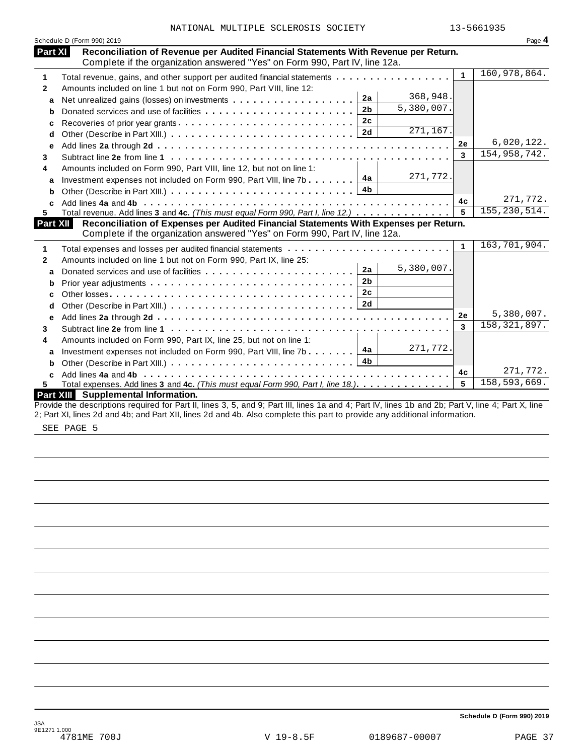|                 | Schedule D (Form 990) 2019                                                                                                                                         |                      | Page 4         |
|-----------------|--------------------------------------------------------------------------------------------------------------------------------------------------------------------|----------------------|----------------|
| Part XI         | Reconciliation of Revenue per Audited Financial Statements With Revenue per Return.<br>Complete if the organization answered "Yes" on Form 990, Part IV, line 12a. |                      |                |
| 1               | Total revenue, gains, and other support per audited financial statements                                                                                           | $\mathbf{1}$         | 160,978,864.   |
| $\mathbf{2}$    | Amounts included on line 1 but not on Form 990, Part VIII, line 12:                                                                                                |                      |                |
| a               | 368,948.<br>2a                                                                                                                                                     |                      |                |
| b               | 5,380,007.<br>2 <sub>b</sub>                                                                                                                                       |                      |                |
| c               | 2c<br>Recoveries of prior year grants                                                                                                                              |                      |                |
| d               | 271, 167.<br>2d                                                                                                                                                    |                      |                |
| e               |                                                                                                                                                                    | 2e                   | 6,020,122.     |
| 3               |                                                                                                                                                                    | 3                    | 154, 958, 742. |
| 4               | Amounts included on Form 990, Part VIII, line 12, but not on line 1:                                                                                               |                      |                |
| a               | 271,772.<br>4a<br>Investment expenses not included on Form 990, Part VIII, line 7b                                                                                 |                      |                |
| b               | 4 <sub>b</sub>                                                                                                                                                     |                      |                |
| C               |                                                                                                                                                                    | 4c                   | 271,772.       |
| 5               | Total revenue. Add lines 3 and 4c. (This must equal Form 990, Part I, line 12.)                                                                                    | 5                    | 155, 230, 514. |
| <b>Part XII</b> | Reconciliation of Expenses per Audited Financial Statements With Expenses per Return.                                                                              |                      |                |
|                 | Complete if the organization answered "Yes" on Form 990, Part IV, line 12a.                                                                                        |                      |                |
| 1               |                                                                                                                                                                    | $\blacktriangleleft$ | 163,701,904.   |
| 2               | Amounts included on line 1 but not on Form 990, Part IX, line 25:                                                                                                  |                      |                |
| a               | 5,380,007.<br>2a<br>Donated services and use of facilities                                                                                                         |                      |                |
| b               | 2 <sub>b</sub>                                                                                                                                                     |                      |                |
| c               | 2c                                                                                                                                                                 |                      |                |
| d               |                                                                                                                                                                    |                      |                |
| е               |                                                                                                                                                                    | 2e                   | 5,380,007.     |
| 3               |                                                                                                                                                                    | 3                    | 158, 321, 897. |
| 4               | Amounts included on Form 990, Part IX, line 25, but not on line 1:                                                                                                 |                      |                |
| a               | 271,772.<br>4a<br>Investment expenses not included on Form 990, Part VIII, line 7b                                                                                 |                      |                |
| b               | 4b                                                                                                                                                                 |                      |                |
| C               |                                                                                                                                                                    | 4c                   | 271,772.       |
| 5.              | Total expenses. Add lines 3 and 4c. (This must equal Form 990, Part I, line 18.)                                                                                   | 5                    | 158,593,669.   |
|                 | Part XIII Supplemental Information.                                                                                                                                |                      |                |
|                 | Provide the descriptions required for Part II, lines 3, 5, and 9; Part III, lines 1a and 4; Part IV, lines 1b and 2b; Part V, line 4; Part X, line                 |                      |                |
|                 | 2; Part XI, lines 2d and 4b; and Part XII, lines 2d and 4b. Also complete this part to provide any additional information.                                         |                      |                |

SEE PAGE 5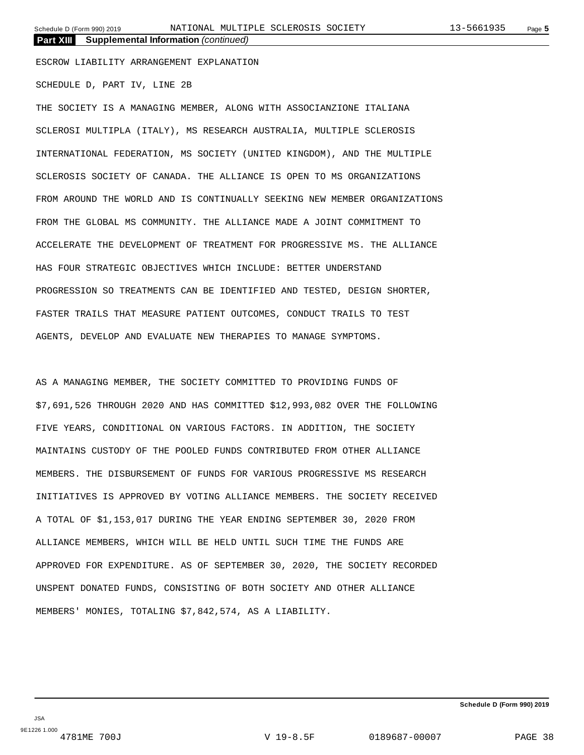**Part XIII Supplemental Information** *(continued)*

ESCROW LIABILITY ARRANGEMENT EXPLANATION

SCHEDULE D, PART IV, LINE 2B

THE SOCIETY IS A MANAGING MEMBER, ALONG WITH ASSOCIANZIONE ITALIANA SCLEROSI MULTIPLA (ITALY), MS RESEARCH AUSTRALIA, MULTIPLE SCLEROSIS INTERNATIONAL FEDERATION, MS SOCIETY (UNITED KINGDOM), AND THE MULTIPLE SCLEROSIS SOCIETY OF CANADA. THE ALLIANCE IS OPEN TO MS ORGANIZATIONS FROM AROUND THE WORLD AND IS CONTINUALLY SEEKING NEW MEMBER ORGANIZATIONS FROM THE GLOBAL MS COMMUNITY. THE ALLIANCE MADE A JOINT COMMITMENT TO ACCELERATE THE DEVELOPMENT OF TREATMENT FOR PROGRESSIVE MS. THE ALLIANCE HAS FOUR STRATEGIC OBJECTIVES WHICH INCLUDE: BETTER UNDERSTAND PROGRESSION SO TREATMENTS CAN BE IDENTIFIED AND TESTED, DESIGN SHORTER, FASTER TRAILS THAT MEASURE PATIENT OUTCOMES, CONDUCT TRAILS TO TEST AGENTS, DEVELOP AND EVALUATE NEW THERAPIES TO MANAGE SYMPTOMS.

AS A MANAGING MEMBER, THE SOCIETY COMMITTED TO PROVIDING FUNDS OF \$7,691,526 THROUGH 2020 AND HAS COMMITTED \$12,993,082 OVER THE FOLLOWING FIVE YEARS, CONDITIONAL ON VARIOUS FACTORS. IN ADDITION, THE SOCIETY MAINTAINS CUSTODY OF THE POOLED FUNDS CONTRIBUTED FROM OTHER ALLIANCE MEMBERS. THE DISBURSEMENT OF FUNDS FOR VARIOUS PROGRESSIVE MS RESEARCH INITIATIVES IS APPROVED BY VOTING ALLIANCE MEMBERS. THE SOCIETY RECEIVED A TOTAL OF \$1,153,017 DURING THE YEAR ENDING SEPTEMBER 30, 2020 FROM ALLIANCE MEMBERS, WHICH WILL BE HELD UNTIL SUCH TIME THE FUNDS ARE APPROVED FOR EXPENDITURE. AS OF SEPTEMBER 30, 2020, THE SOCIETY RECORDED UNSPENT DONATED FUNDS, CONSISTING OF BOTH SOCIETY AND OTHER ALLIANCE MEMBERS' MONIES, TOTALING \$7,842,574, AS A LIABILITY.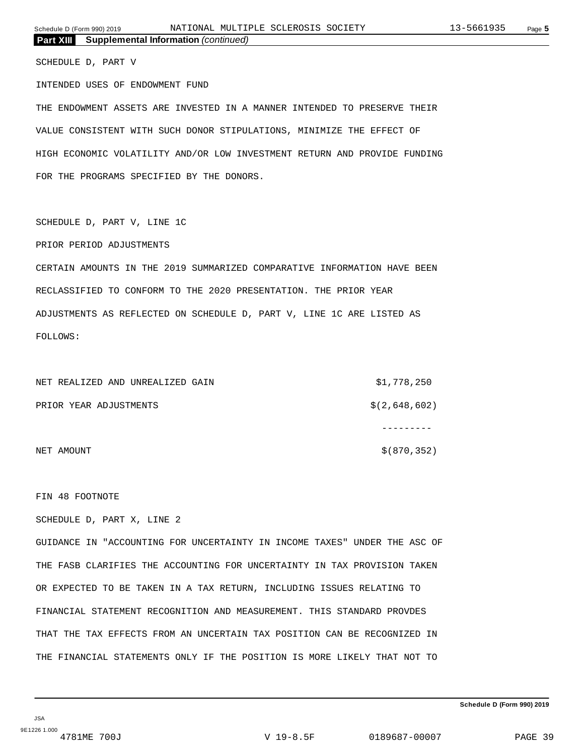| Part XIII Supplemental Information (continued)                            |               |
|---------------------------------------------------------------------------|---------------|
| SCHEDULE D, PART V                                                        |               |
| INTENDED USES OF ENDOWMENT FUND                                           |               |
| THE ENDOWMENT ASSETS ARE INVESTED IN A MANNER INTENDED TO PRESERVE THEIR  |               |
| VALUE CONSISTENT WITH SUCH DONOR STIPULATIONS, MINIMIZE THE EFFECT OF     |               |
| HIGH ECONOMIC VOLATILITY AND/OR LOW INVESTMENT RETURN AND PROVIDE FUNDING |               |
| FOR THE PROGRAMS SPECIFIED BY THE DONORS.                                 |               |
|                                                                           |               |
| SCHEDULE D, PART V, LINE 1C                                               |               |
| PRIOR PERIOD ADJUSTMENTS                                                  |               |
| CERTAIN AMOUNTS IN THE 2019 SUMMARIZED COMPARATIVE INFORMATION HAVE BEEN  |               |
| RECLASSIFIED TO CONFORM TO THE 2020 PRESENTATION. THE PRIOR YEAR          |               |
| ADJUSTMENTS AS REFLECTED ON SCHEDULE D, PART V, LINE 1C ARE LISTED AS     |               |
| FOLLOWS:                                                                  |               |
|                                                                           |               |
| NET REALIZED AND UNREALIZED GAIN                                          | \$1,778,250   |
| PRIOR YEAR ADJUSTMENTS                                                    | \$(2,648,602) |
|                                                                           | ----------    |
| NET AMOUNT                                                                | \$ (870, 352) |
|                                                                           |               |
| FIN 48 FOOTNOTE                                                           |               |
| SCHEDULE D, PART X, LINE 2                                                |               |
|                                                                           |               |

GUIDANCE IN "ACCOUNTING FOR UNCERTAINTY IN INCOME TAXES" UNDER THE ASC OF THE FASB CLARIFIES THE ACCOUNTING FOR UNCERTAINTY IN TAX PROVISION TAKEN OR EXPECTED TO BE TAKEN IN A TAX RETURN, INCLUDING ISSUES RELATING TO FINANCIAL STATEMENT RECOGNITION AND MEASUREMENT. THIS STANDARD PROVDES THAT THE TAX EFFECTS FROM AN UNCERTAIN TAX POSITION CAN BE RECOGNIZED IN THE FINANCIAL STATEMENTS ONLY IF THE POSITION IS MORE LIKELY THAT NOT TO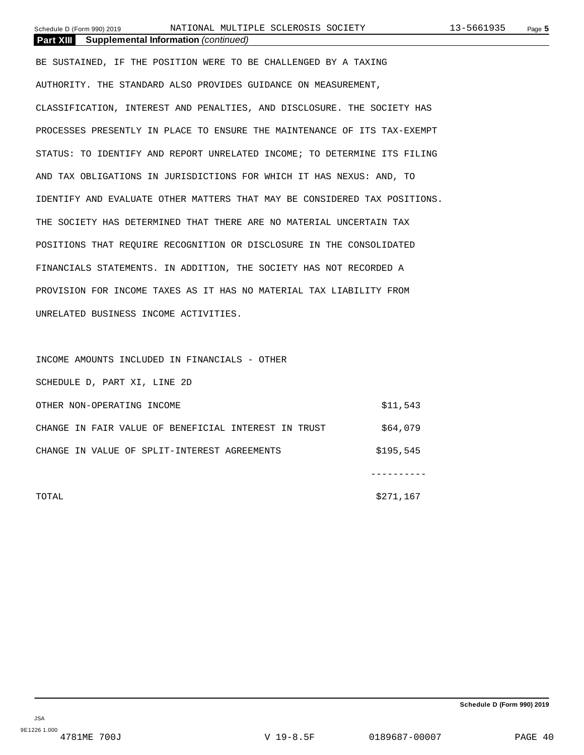**Part XIII Supplemental Information** *(continued)*

BE SUSTAINED, IF THE POSITION WERE TO BE CHALLENGED BY A TAXING AUTHORITY. THE STANDARD ALSO PROVIDES GUIDANCE ON MEASUREMENT, CLASSIFICATION, INTEREST AND PENALTIES, AND DISCLOSURE. THE SOCIETY HAS PROCESSES PRESENTLY IN PLACE TO ENSURE THE MAINTENANCE OF ITS TAX-EXEMPT STATUS: TO IDENTIFY AND REPORT UNRELATED INCOME; TO DETERMINE ITS FILING AND TAX OBLIGATIONS IN JURISDICTIONS FOR WHICH IT HAS NEXUS: AND, TO IDENTIFY AND EVALUATE OTHER MATTERS THAT MAY BE CONSIDERED TAX POSITIONS. THE SOCIETY HAS DETERMINED THAT THERE ARE NO MATERIAL UNCERTAIN TAX POSITIONS THAT REQUIRE RECOGNITION OR DISCLOSURE IN THE CONSOLIDATED FINANCIALS STATEMENTS. IN ADDITION, THE SOCIETY HAS NOT RECORDED A PROVISION FOR INCOME TAXES AS IT HAS NO MATERIAL TAX LIABILITY FROM UNRELATED BUSINESS INCOME ACTIVITIES.

INCOME AMOUNTS INCLUDED IN FINANCIALS - OTHER SCHEDULE D, PART XI, LINE 2D OTHER NON-OPERATING INCOME \$11,543 CHANGE IN FAIR VALUE OF BENEFICIAL INTEREST IN TRUST  $$64,079$ CHANGE IN VALUE OF SPLIT-INTEREST AGREEMENTS  $$195,545$ ----------

 $\texttt{5271,167} \begin{picture}(10,10) \put(0,0){\vector(1,0){10}} \put(10,0){\vector(1,0){10}} \put(10,0){\vector(1,0){10}} \put(10,0){\vector(1,0){10}} \put(10,0){\vector(1,0){10}} \put(10,0){\vector(1,0){10}} \put(10,0){\vector(1,0){10}} \put(10,0){\vector(1,0){10}} \put(10,0){\vector(1,0){10}} \put(10,0){\vector(1,0){10}} \put(10,0){\vector(1,0){10$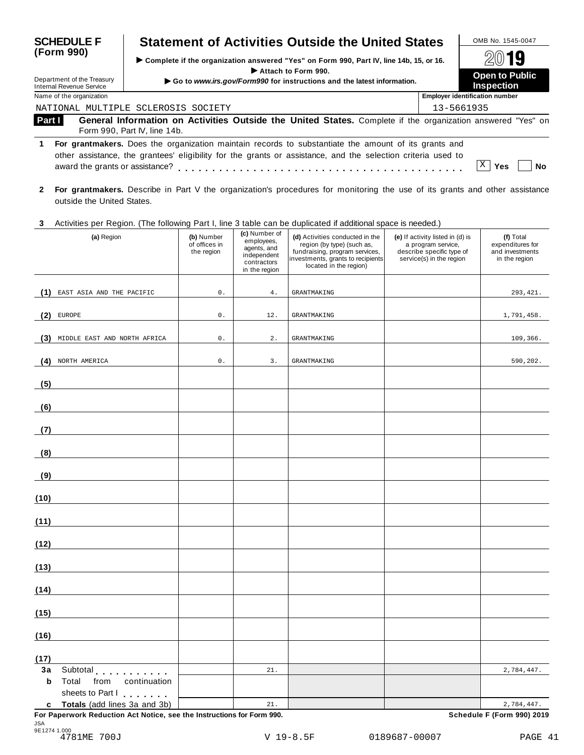| <b>SCHEDULE F</b><br>(Form 990) |                                                        | <b>Statement of Activities Outside the United States</b>                                                                                                                                                             |            | OMB No. 1545-0047                          |
|---------------------------------|--------------------------------------------------------|----------------------------------------------------------------------------------------------------------------------------------------------------------------------------------------------------------------------|------------|--------------------------------------------|
|                                 |                                                        | ► Complete if the organization answered "Yes" on Form 990, Part IV, line 14b, 15, or 16.                                                                                                                             | 2019       |                                            |
|                                 | Department of the Treasury<br>Internal Revenue Service | Attach to Form 990.<br>Go to www.irs.gov/Form990 for instructions and the latest information.                                                                                                                        |            | <b>Open to Public</b><br><b>Inspection</b> |
|                                 | Name of the organization                               |                                                                                                                                                                                                                      |            | <b>Employer identification number</b>      |
|                                 |                                                        | NATIONAL MULTIPLE SCLEROSIS SOCIETY                                                                                                                                                                                  | 13-5661935 |                                            |
| Part I                          |                                                        | General Information on Activities Outside the United States. Complete if the organization answered "Yes" on<br>Form 990, Part IV, line 14b.                                                                          |            |                                            |
| 1.                              | award the grants or assistance?                        | For grantmakers. Does the organization maintain records to substantiate the amount of its grants and<br>other assistance, the grantees' eligibility for the grants or assistance, and the selection criteria used to |            | Yes<br>Nο                                  |

**2 For grantmakers.** Describe in Part V the organization's procedures for monitoring the use of its grants and other assistance outside the United States.

# **3** Activities per Region. (The following Part I, line 3 table can be duplicated ifadditional space is needed.)

|             | Activities per region. The following Fart I, line 5 table can be duplicated if additional space is needed.) |                                           | (c) Number of                                                            |                                                                                                                                                                |                                                                                                                 |                                                                   |
|-------------|-------------------------------------------------------------------------------------------------------------|-------------------------------------------|--------------------------------------------------------------------------|----------------------------------------------------------------------------------------------------------------------------------------------------------------|-----------------------------------------------------------------------------------------------------------------|-------------------------------------------------------------------|
|             | (a) Region                                                                                                  | (b) Number<br>of offices in<br>the region | employees,<br>agents, and<br>independent<br>contractors<br>in the region | (d) Activities conducted in the<br>region (by type) (such as,<br>fundraising, program services,<br>investments, grants to recipients<br>located in the region) | (e) If activity listed in (d) is<br>a program service,<br>describe specific type of<br>service(s) in the region | (f) Total<br>expenditures for<br>and investments<br>in the region |
|             |                                                                                                             |                                           |                                                                          |                                                                                                                                                                |                                                                                                                 |                                                                   |
| (1)         | EAST ASIA AND THE PACIFIC                                                                                   | $0$ .                                     | 4.                                                                       | <b>GRANTMAKING</b>                                                                                                                                             |                                                                                                                 | 293, 421.                                                         |
| (2)         | EUROPE                                                                                                      | $0$ .                                     | 12.                                                                      | <b>GRANTMAKING</b>                                                                                                                                             |                                                                                                                 | 1,791,458.                                                        |
|             | (3) MIDDLE EAST AND NORTH AFRICA                                                                            | $0$ .                                     | $\mathbf 2$ .                                                            | <b>GRANTMAKING</b>                                                                                                                                             |                                                                                                                 | 109,366.                                                          |
| (4)         | NORTH AMERICA                                                                                               | $0$ .                                     | 3.                                                                       | <b>GRANTMAKING</b>                                                                                                                                             |                                                                                                                 | 590,202.                                                          |
| (5)         |                                                                                                             |                                           |                                                                          |                                                                                                                                                                |                                                                                                                 |                                                                   |
| (6)         |                                                                                                             |                                           |                                                                          |                                                                                                                                                                |                                                                                                                 |                                                                   |
| (7)         |                                                                                                             |                                           |                                                                          |                                                                                                                                                                |                                                                                                                 |                                                                   |
| (8)         |                                                                                                             |                                           |                                                                          |                                                                                                                                                                |                                                                                                                 |                                                                   |
| (9)         |                                                                                                             |                                           |                                                                          |                                                                                                                                                                |                                                                                                                 |                                                                   |
| (10)        |                                                                                                             |                                           |                                                                          |                                                                                                                                                                |                                                                                                                 |                                                                   |
| (11)        |                                                                                                             |                                           |                                                                          |                                                                                                                                                                |                                                                                                                 |                                                                   |
| (12)        |                                                                                                             |                                           |                                                                          |                                                                                                                                                                |                                                                                                                 |                                                                   |
| (13)        |                                                                                                             |                                           |                                                                          |                                                                                                                                                                |                                                                                                                 |                                                                   |
| (14)        |                                                                                                             |                                           |                                                                          |                                                                                                                                                                |                                                                                                                 |                                                                   |
| (15)        |                                                                                                             |                                           |                                                                          |                                                                                                                                                                |                                                                                                                 |                                                                   |
| (16)        |                                                                                                             |                                           |                                                                          |                                                                                                                                                                |                                                                                                                 |                                                                   |
| (17)        |                                                                                                             |                                           |                                                                          |                                                                                                                                                                |                                                                                                                 |                                                                   |
| 3a          | Subtotal                                                                                                    |                                           | 21.                                                                      |                                                                                                                                                                |                                                                                                                 | 2,784,447.                                                        |
| $\mathbf b$ | Total<br>from<br>continuation<br>sheets to Part I                                                           |                                           |                                                                          |                                                                                                                                                                |                                                                                                                 |                                                                   |
|             | c Totals (add lines 3a and 3b)                                                                              |                                           | 21.                                                                      |                                                                                                                                                                |                                                                                                                 | 2,784,447.                                                        |
|             |                                                                                                             |                                           |                                                                          |                                                                                                                                                                |                                                                                                                 |                                                                   |

**For Paperwork Reduction Act Notice, see the Instructions for Form 990. Schedule F (Form 990) 2019** JSA 9E1274 1.000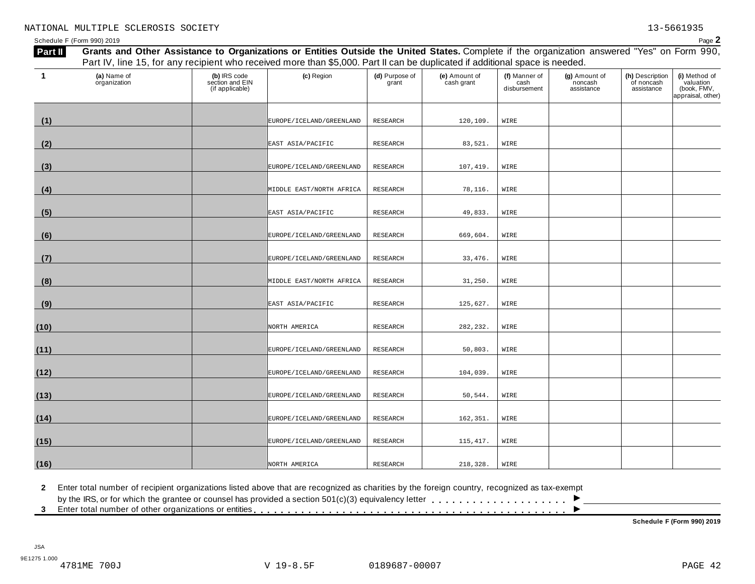**(i)** Method of valuation

Schedule <sup>F</sup> (Form 990) <sup>2019</sup> Page **2** Part II Grants and Other Assistance to Organizations or Entities Outside the United States. Complete if the organization answered "Yes" on Form 990, Part IV, line 15, for any recipient who received more than \$5,000. Part II can be duplicated if additional space is needed. **(a)** Name of organization **(b)** IRS code section and EIN (if applicable) **(c)** Region **(d)** Purpose of grant **(e)** Amount of cash grant **(f)** Manner of cash disbursement **(g)** Amount of noncash assistance **(h)** Description of noncash assistance **1 (1)** EUROPE/ICELAND/GREENLAND RESEARCH 120,109. WIRE

| <b>Siguilleuible</b> | (if applicable) |                          | giun.    |           | ື<br>disbursement | 1101100011<br>assistance | assistance | <u>vaiaanoi i</u><br>(book, FMV,<br>appraisal, other) |
|----------------------|-----------------|--------------------------|----------|-----------|-------------------|--------------------------|------------|-------------------------------------------------------|
| (1)                  |                 | EUROPE/ICELAND/GREENLAND | RESEARCH | 120,109.  | WIRE              |                          |            |                                                       |
|                      |                 |                          |          |           |                   |                          |            |                                                       |
| (2)                  |                 | EAST ASIA/PACIFIC        | RESEARCH | 83,521.   | WIRE              |                          |            |                                                       |
| (3)                  |                 | EUROPE/ICELAND/GREENLAND | RESEARCH | 107,419.  | WIRE              |                          |            |                                                       |
| (4)                  |                 | MIDDLE EAST/NORTH AFRICA | RESEARCH | 78,116.   | WIRE              |                          |            |                                                       |
| (5)                  |                 | EAST ASIA/PACIFIC        | RESEARCH | 49,833.   | WIRE              |                          |            |                                                       |
| (6)                  |                 | EUROPE/ICELAND/GREENLAND | RESEARCH | 669,604.  | WIRE              |                          |            |                                                       |
| (7)                  |                 | EUROPE/ICELAND/GREENLAND | RESEARCH | 33, 476.  | WIRE              |                          |            |                                                       |
| (8)                  |                 | MIDDLE EAST/NORTH AFRICA | RESEARCH | 31,250.   | WIRE              |                          |            |                                                       |
| (9)                  |                 | EAST ASIA/PACIFIC        | RESEARCH | 125,627.  | WIRE              |                          |            |                                                       |
| (10)                 |                 | NORTH AMERICA            | RESEARCH | 282,232.  | WIRE              |                          |            |                                                       |
| (11)                 |                 | EUROPE/ICELAND/GREENLAND | RESEARCH | 50,803.   | WIRE              |                          |            |                                                       |
| (12)                 |                 | EUROPE/ICELAND/GREENLAND | RESEARCH | 104,039.  | WIRE              |                          |            |                                                       |
| (13)                 |                 | EUROPE/ICELAND/GREENLAND | RESEARCH | 50,544.   | WIRE              |                          |            |                                                       |
| (14)                 |                 | EUROPE/ICELAND/GREENLAND | RESEARCH | 162,351.  | WIRE              |                          |            |                                                       |
| (15)                 |                 | EUROPE/ICELAND/GREENLAND | RESEARCH | 115, 417. | WIRE              |                          |            |                                                       |
| (16)                 |                 | NORTH AMERICA            | RESEARCH | 218,328.  | WIRE              |                          |            |                                                       |

by the IRS, or for which the grantee or counsel has provided <sup>a</sup> section 501(c)(3) equivalency letter I

2 Enter total number of recipient organizations listed above that are recognized as charities by the foreign country, recognized as tax-exempt<br>by the IRS, or for which the grantee or counsel has provided a section 501(c)(

**Schedule F (Form 990) 2019**

 $\overline{\phantom{a}}$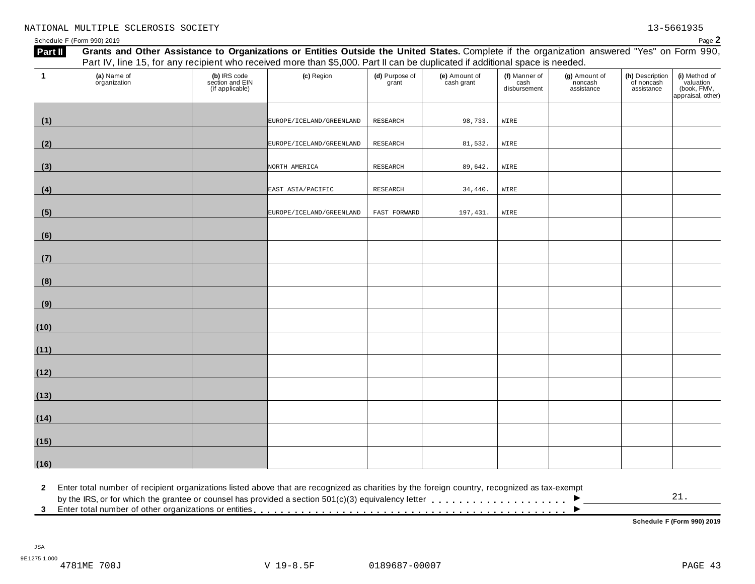| -1           | (a) Name of<br>organization                                                                                                                  | (b) IRS code<br>section and EIN<br>(if applicable) | (c) Region                   | (d) Purpose of<br>grant | (e) Amount of<br>cash grant | (f) Manner of<br>cash<br>disbursement | (g) Amount of<br>noncash<br>assistance | (h) Description<br>of noncash<br>assistance | (i) Method of<br>valuation<br>(book, FMV,<br>appraisal, other) |
|--------------|----------------------------------------------------------------------------------------------------------------------------------------------|----------------------------------------------------|------------------------------|-------------------------|-----------------------------|---------------------------------------|----------------------------------------|---------------------------------------------|----------------------------------------------------------------|
| (1)          |                                                                                                                                              |                                                    | EUROPE / ICELAND / GREENLAND | <b>RESEARCH</b>         | 98,733.                     | WIRE                                  |                                        |                                             |                                                                |
| (2)          |                                                                                                                                              |                                                    | EUROPE / ICELAND / GREENLAND | RESEARCH                | 81,532.                     | WIRE                                  |                                        |                                             |                                                                |
| (3)          |                                                                                                                                              |                                                    | NORTH AMERICA                | RESEARCH                | 89,642.                     | WIRE                                  |                                        |                                             |                                                                |
| (4)          |                                                                                                                                              |                                                    | EAST ASIA/PACIFIC            | RESEARCH                | 34,440.                     | WIRE                                  |                                        |                                             |                                                                |
| (5)          |                                                                                                                                              |                                                    | EUROPE / ICELAND / GREENLAND | FAST FORWARD            | 197,431.                    | WIRE                                  |                                        |                                             |                                                                |
| (6)          |                                                                                                                                              |                                                    |                              |                         |                             |                                       |                                        |                                             |                                                                |
| (7)          |                                                                                                                                              |                                                    |                              |                         |                             |                                       |                                        |                                             |                                                                |
| (8)          |                                                                                                                                              |                                                    |                              |                         |                             |                                       |                                        |                                             |                                                                |
| (9)          |                                                                                                                                              |                                                    |                              |                         |                             |                                       |                                        |                                             |                                                                |
| (10)         |                                                                                                                                              |                                                    |                              |                         |                             |                                       |                                        |                                             |                                                                |
| (11)         |                                                                                                                                              |                                                    |                              |                         |                             |                                       |                                        |                                             |                                                                |
| (12)         |                                                                                                                                              |                                                    |                              |                         |                             |                                       |                                        |                                             |                                                                |
| (13)         |                                                                                                                                              |                                                    |                              |                         |                             |                                       |                                        |                                             |                                                                |
| (14)         |                                                                                                                                              |                                                    |                              |                         |                             |                                       |                                        |                                             |                                                                |
| (15)         |                                                                                                                                              |                                                    |                              |                         |                             |                                       |                                        |                                             |                                                                |
| <u>(16)</u>  |                                                                                                                                              |                                                    |                              |                         |                             |                                       |                                        |                                             |                                                                |
| $\mathbf{2}$ | Enter total number of recipient organizations listed above that are recognized as charities by the foreign country, recognized as tax-exempt |                                                    |                              |                         |                             |                                       |                                        |                                             | 21.                                                            |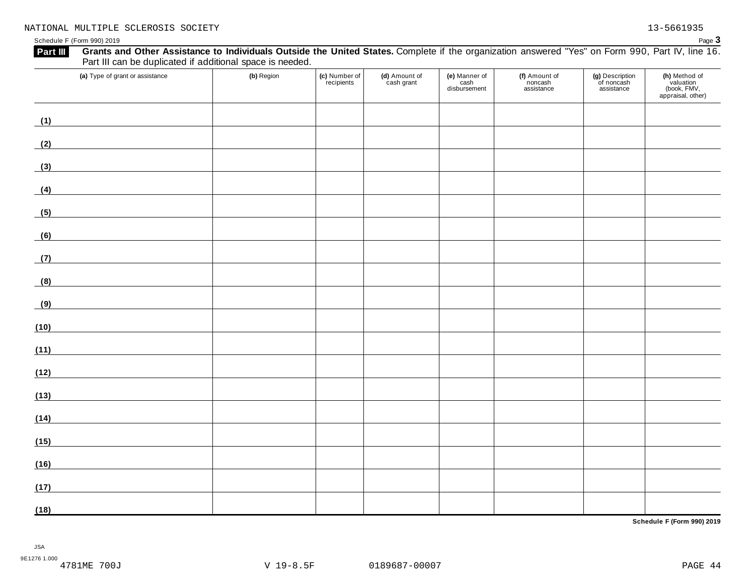| Grants and Other Assistance to Individuals Outside the United States. Complete if the organization answered "Yes" on Form 990, Part IV, line 16.<br>Part III<br>Part III can be duplicated if additional space is needed. |            |                             |                             |                                       |                                        |                                             |                                                                |
|---------------------------------------------------------------------------------------------------------------------------------------------------------------------------------------------------------------------------|------------|-----------------------------|-----------------------------|---------------------------------------|----------------------------------------|---------------------------------------------|----------------------------------------------------------------|
| (a) Type of grant or assistance                                                                                                                                                                                           | (b) Region | (c) Number of<br>recipients | (d) Amount of<br>cash grant | (e) Manner of<br>cash<br>disbursement | (f) Amount of<br>noncash<br>assistance | (g) Description<br>of noncash<br>assistance | (h) Method of<br>valuation<br>(book, FMV,<br>appraisal, other) |
| (1)                                                                                                                                                                                                                       |            |                             |                             |                                       |                                        |                                             |                                                                |
| (2)                                                                                                                                                                                                                       |            |                             |                             |                                       |                                        |                                             |                                                                |
| (3)<br><u> 1990 - Johann Barbara, martxa</u>                                                                                                                                                                              |            |                             |                             |                                       |                                        |                                             |                                                                |
| (4)<br><u> 1980 - Johann Barbara, martxa a</u>                                                                                                                                                                            |            |                             |                             |                                       |                                        |                                             |                                                                |
| (5)                                                                                                                                                                                                                       |            |                             |                             |                                       |                                        |                                             |                                                                |
| (6)                                                                                                                                                                                                                       |            |                             |                             |                                       |                                        |                                             |                                                                |
| (7)                                                                                                                                                                                                                       |            |                             |                             |                                       |                                        |                                             |                                                                |
| (8)                                                                                                                                                                                                                       |            |                             |                             |                                       |                                        |                                             |                                                                |
| (9)                                                                                                                                                                                                                       |            |                             |                             |                                       |                                        |                                             |                                                                |
| (10)                                                                                                                                                                                                                      |            |                             |                             |                                       |                                        |                                             |                                                                |
| (11)                                                                                                                                                                                                                      |            |                             |                             |                                       |                                        |                                             |                                                                |
| (12)                                                                                                                                                                                                                      |            |                             |                             |                                       |                                        |                                             |                                                                |
| (13)                                                                                                                                                                                                                      |            |                             |                             |                                       |                                        |                                             |                                                                |
| (14)                                                                                                                                                                                                                      |            |                             |                             |                                       |                                        |                                             |                                                                |
| (15)                                                                                                                                                                                                                      |            |                             |                             |                                       |                                        |                                             |                                                                |
| (16)                                                                                                                                                                                                                      |            |                             |                             |                                       |                                        |                                             |                                                                |
| (17)                                                                                                                                                                                                                      |            |                             |                             |                                       |                                        |                                             |                                                                |
| (18)                                                                                                                                                                                                                      |            |                             |                             |                                       |                                        |                                             |                                                                |

**Schedule F (Form 990) 2019**

JSA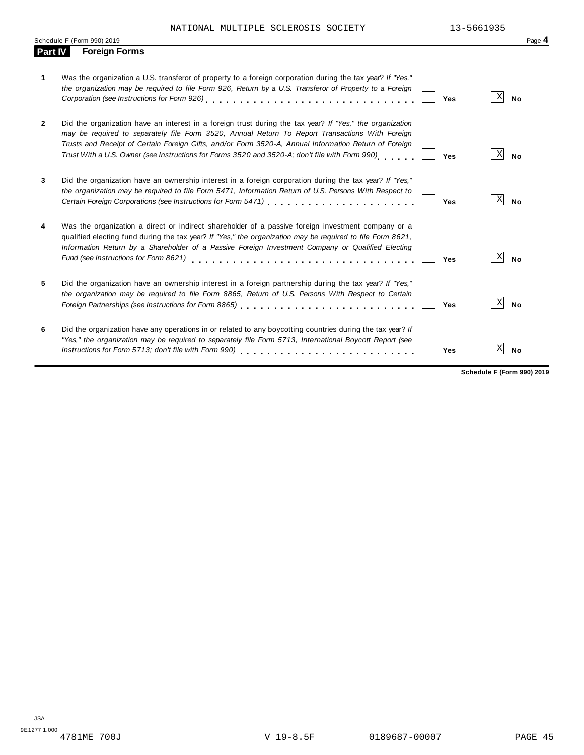|                | Schedule F (Form 990) 2019                                                                                                                                                                                                                                                                                                                                                                                                    | Page 4         |
|----------------|-------------------------------------------------------------------------------------------------------------------------------------------------------------------------------------------------------------------------------------------------------------------------------------------------------------------------------------------------------------------------------------------------------------------------------|----------------|
| <b>Part IV</b> | <b>Foreign Forms</b>                                                                                                                                                                                                                                                                                                                                                                                                          |                |
| 1              | Was the organization a U.S. transferor of property to a foreign corporation during the tax year? If "Yes,"<br>the organization may be required to file Form 926, Return by a U.S. Transferor of Property to a Foreign<br>Yes                                                                                                                                                                                                  | X<br><b>No</b> |
| $\overline{2}$ | Did the organization have an interest in a foreign trust during the tax year? If "Yes," the organization<br>may be required to separately file Form 3520, Annual Return To Report Transactions With Foreign<br>Trusts and Receipt of Certain Foreign Gifts, and/or Form 3520-A, Annual Information Return of Foreign<br>Trust With a U.S. Owner (see Instructions for Forms 3520 and 3520-A; don't file with Form 990)<br>Yes | X<br><b>No</b> |
| 3              | Did the organization have an ownership interest in a foreign corporation during the tax year? If "Yes,"<br>the organization may be required to file Form 5471, Information Return of U.S. Persons With Respect to<br>Certain Foreign Corporations (see Instructions for Form 5471) [11] [12] Certain Foreign Corporations (see Instructions for Form 5471)<br>Yes                                                             | X <br>No       |
| 4              | Was the organization a direct or indirect shareholder of a passive foreign investment company or a<br>qualified electing fund during the tax year? If "Yes," the organization may be required to file Form 8621,<br>Information Return by a Shareholder of a Passive Foreign Investment Company or Qualified Electing<br>Fund (see Instructions for Form 8621)<br>Yes                                                         | X<br><b>No</b> |
| 5.             | Did the organization have an ownership interest in a foreign partnership during the tax year? If "Yes,"<br>the organization may be required to file Form 8865, Return of U.S. Persons With Respect to Certain<br>Foreign Partnerships (see Instructions for Form 8865)<br>Yes                                                                                                                                                 | X<br><b>No</b> |
| 6              | Did the organization have any operations in or related to any boycotting countries during the tax year? If<br>"Yes," the organization may be required to separately file Form 5713, International Boycott Report (see<br>Instructions for Form 5713; don't file with Form 990)<br>Yes                                                                                                                                         | Х<br><b>No</b> |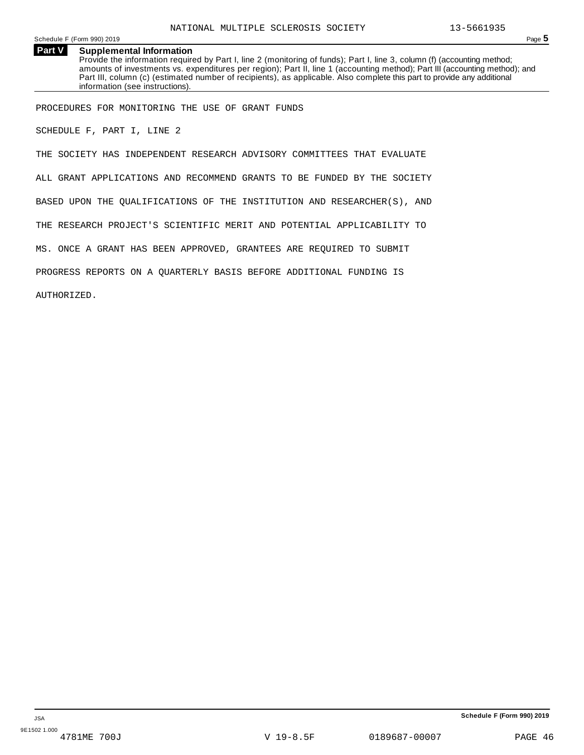Schedule <sup>F</sup> (Form 990) <sup>2019</sup> Page **5**

**Part V Supplemental Information** Provide the information required by Part I, line 2 (monitoring of funds); Part I, line 3, column (f) (accounting method; amounts of investments vs. expenditures per region); Part II, line 1 (accounting method); Part III (accounting method); and Part III, column (c) (estimated number of recipients), as applicable. Also complete this part to provide any additional information (see instructions).

PROCEDURES FOR MONITORING THE USE OF GRANT FUNDS

SCHEDULE F, PART I, LINE 2

THE SOCIETY HAS INDEPENDENT RESEARCH ADVISORY COMMITTEES THAT EVALUATE ALL GRANT APPLICATIONS AND RECOMMEND GRANTS TO BE FUNDED BY THE SOCIETY BASED UPON THE QUALIFICATIONS OF THE INSTITUTION AND RESEARCHER(S), AND THE RESEARCH PROJECT'S SCIENTIFIC MERIT AND POTENTIAL APPLICABILITY TO MS. ONCE A GRANT HAS BEEN APPROVED, GRANTEES ARE REQUIRED TO SUBMIT PROGRESS REPORTS ON A QUARTERLY BASIS BEFORE ADDITIONAL FUNDING IS AUTHORIZED.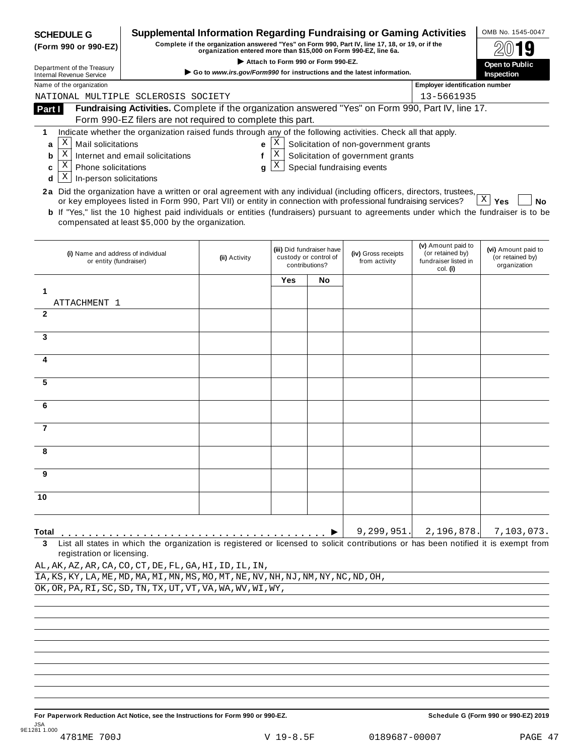| <b>SCHEDULE G</b>                                                                                                                                                                                                                                                      |                                                                                                                                                                     | <b>Supplemental Information Regarding Fundraising or Gaming Activities</b> |     |                                                                      |                                       |                                                                            | OMB No. 1545-0047                                       |  |  |
|------------------------------------------------------------------------------------------------------------------------------------------------------------------------------------------------------------------------------------------------------------------------|---------------------------------------------------------------------------------------------------------------------------------------------------------------------|----------------------------------------------------------------------------|-----|----------------------------------------------------------------------|---------------------------------------|----------------------------------------------------------------------------|---------------------------------------------------------|--|--|
| Complete if the organization answered "Yes" on Form 990, Part IV, line 17, 18, or 19, or if the<br>(Form 990 or 990-EZ)<br>organization entered more than \$15,000 on Form 990-EZ, line 6a.                                                                            |                                                                                                                                                                     |                                                                            |     |                                                                      |                                       |                                                                            |                                                         |  |  |
| Attach to Form 990 or Form 990-EZ.<br>Department of the Treasury                                                                                                                                                                                                       |                                                                                                                                                                     |                                                                            |     |                                                                      |                                       |                                                                            | Open to Public<br><b>Inspection</b>                     |  |  |
| <b>Internal Revenue Service</b>                                                                                                                                                                                                                                        | Go to www.irs.gov/Form990 for instructions and the latest information.                                                                                              |                                                                            |     |                                                                      |                                       |                                                                            |                                                         |  |  |
| Name of the organization<br>NATIONAL MULTIPLE SCLEROSIS SOCIETY                                                                                                                                                                                                        |                                                                                                                                                                     |                                                                            |     |                                                                      |                                       | <b>Employer identification number</b><br>13-5661935                        |                                                         |  |  |
| Part I                                                                                                                                                                                                                                                                 | Fundraising Activities. Complete if the organization answered "Yes" on Form 990, Part IV, line 17.                                                                  |                                                                            |     |                                                                      |                                       |                                                                            |                                                         |  |  |
|                                                                                                                                                                                                                                                                        | Form 990-EZ filers are not required to complete this part.                                                                                                          |                                                                            |     |                                                                      |                                       |                                                                            |                                                         |  |  |
| 1                                                                                                                                                                                                                                                                      | Indicate whether the organization raised funds through any of the following activities. Check all that apply.                                                       |                                                                            |     |                                                                      |                                       |                                                                            |                                                         |  |  |
| Χ<br>Mail solicitations<br>a                                                                                                                                                                                                                                           |                                                                                                                                                                     | e                                                                          | Χ   |                                                                      | Solicitation of non-government grants |                                                                            |                                                         |  |  |
| $\mathbf X$<br>b                                                                                                                                                                                                                                                       | Internet and email solicitations                                                                                                                                    | f                                                                          | X   |                                                                      | Solicitation of government grants     |                                                                            |                                                         |  |  |
| Χ<br><b>Phone solicitations</b><br>c                                                                                                                                                                                                                                   |                                                                                                                                                                     | g                                                                          | X   |                                                                      | Special fundraising events            |                                                                            |                                                         |  |  |
| Χ<br>In-person solicitations<br>d                                                                                                                                                                                                                                      |                                                                                                                                                                     |                                                                            |     |                                                                      |                                       |                                                                            |                                                         |  |  |
| 2a Did the organization have a written or oral agreement with any individual (including officers, directors, trustees,<br><b>b</b> If "Yes," list the 10 highest paid individuals or entities (fundraisers) pursuant to agreements under which the fundraiser is to be | or key employees listed in Form 990, Part VII) or entity in connection with professional fundraising services?<br>compensated at least \$5,000 by the organization. |                                                                            |     |                                                                      |                                       |                                                                            | $\mathbf{X}$<br>Yes<br>No                               |  |  |
| (i) Name and address of individual<br>or entity (fundraiser)                                                                                                                                                                                                           |                                                                                                                                                                     | (ii) Activity                                                              |     | (iii) Did fundraiser have<br>custody or control of<br>contributions? | (iv) Gross receipts<br>from activity  | (v) Amount paid to<br>(or retained by)<br>fundraiser listed in<br>col. (i) | (vi) Amount paid to<br>(or retained by)<br>organization |  |  |
|                                                                                                                                                                                                                                                                        |                                                                                                                                                                     |                                                                            | Yes | No                                                                   |                                       |                                                                            |                                                         |  |  |
| 1                                                                                                                                                                                                                                                                      |                                                                                                                                                                     |                                                                            |     |                                                                      |                                       |                                                                            |                                                         |  |  |
| ATTACHMENT 1                                                                                                                                                                                                                                                           |                                                                                                                                                                     |                                                                            |     |                                                                      |                                       |                                                                            |                                                         |  |  |
| $\mathbf{2}$                                                                                                                                                                                                                                                           |                                                                                                                                                                     |                                                                            |     |                                                                      |                                       |                                                                            |                                                         |  |  |
| 3                                                                                                                                                                                                                                                                      |                                                                                                                                                                     |                                                                            |     |                                                                      |                                       |                                                                            |                                                         |  |  |
|                                                                                                                                                                                                                                                                        |                                                                                                                                                                     |                                                                            |     |                                                                      |                                       |                                                                            |                                                         |  |  |
| 4                                                                                                                                                                                                                                                                      |                                                                                                                                                                     |                                                                            |     |                                                                      |                                       |                                                                            |                                                         |  |  |
|                                                                                                                                                                                                                                                                        |                                                                                                                                                                     |                                                                            |     |                                                                      |                                       |                                                                            |                                                         |  |  |
| 5                                                                                                                                                                                                                                                                      |                                                                                                                                                                     |                                                                            |     |                                                                      |                                       |                                                                            |                                                         |  |  |
|                                                                                                                                                                                                                                                                        |                                                                                                                                                                     |                                                                            |     |                                                                      |                                       |                                                                            |                                                         |  |  |
| 6                                                                                                                                                                                                                                                                      |                                                                                                                                                                     |                                                                            |     |                                                                      |                                       |                                                                            |                                                         |  |  |
| 7                                                                                                                                                                                                                                                                      |                                                                                                                                                                     |                                                                            |     |                                                                      |                                       |                                                                            |                                                         |  |  |
|                                                                                                                                                                                                                                                                        |                                                                                                                                                                     |                                                                            |     |                                                                      |                                       |                                                                            |                                                         |  |  |
| 8                                                                                                                                                                                                                                                                      |                                                                                                                                                                     |                                                                            |     |                                                                      |                                       |                                                                            |                                                         |  |  |
|                                                                                                                                                                                                                                                                        |                                                                                                                                                                     |                                                                            |     |                                                                      |                                       |                                                                            |                                                         |  |  |
| 9                                                                                                                                                                                                                                                                      |                                                                                                                                                                     |                                                                            |     |                                                                      |                                       |                                                                            |                                                         |  |  |
|                                                                                                                                                                                                                                                                        |                                                                                                                                                                     |                                                                            |     |                                                                      |                                       |                                                                            |                                                         |  |  |
| 10                                                                                                                                                                                                                                                                     |                                                                                                                                                                     |                                                                            |     |                                                                      |                                       |                                                                            |                                                         |  |  |
|                                                                                                                                                                                                                                                                        |                                                                                                                                                                     |                                                                            |     |                                                                      |                                       |                                                                            |                                                         |  |  |
| Total                                                                                                                                                                                                                                                                  |                                                                                                                                                                     |                                                                            |     |                                                                      | 9, 299, 951.                          | 2,196,878.                                                                 | 7,103,073.                                              |  |  |
| List all states in which the organization is registered or licensed to solicit contributions or has been notified it is exempt from<br>3<br>registration or licensing.                                                                                                 |                                                                                                                                                                     |                                                                            |     |                                                                      |                                       |                                                                            |                                                         |  |  |
| AL, AK, AZ, AR, CA, CO, CT, DE, FL, GA, HI, ID, IL, IN,                                                                                                                                                                                                                |                                                                                                                                                                     |                                                                            |     |                                                                      |                                       |                                                                            |                                                         |  |  |
| IA, KS, KY, LA, ME, MD, MA, MI, MN, MS, MO, MT, NE, NV, NH, NJ, NM, NY, NC, ND, OH,                                                                                                                                                                                    |                                                                                                                                                                     |                                                                            |     |                                                                      |                                       |                                                                            |                                                         |  |  |
| OK, OR, PA, RI, SC, SD, TN, TX, UT, VT, VA, WA, WV, WI, WY,                                                                                                                                                                                                            |                                                                                                                                                                     |                                                                            |     |                                                                      |                                       |                                                                            |                                                         |  |  |
|                                                                                                                                                                                                                                                                        |                                                                                                                                                                     |                                                                            |     |                                                                      |                                       |                                                                            |                                                         |  |  |
|                                                                                                                                                                                                                                                                        |                                                                                                                                                                     |                                                                            |     |                                                                      |                                       |                                                                            |                                                         |  |  |
|                                                                                                                                                                                                                                                                        |                                                                                                                                                                     |                                                                            |     |                                                                      |                                       |                                                                            |                                                         |  |  |
|                                                                                                                                                                                                                                                                        |                                                                                                                                                                     |                                                                            |     |                                                                      |                                       |                                                                            |                                                         |  |  |
|                                                                                                                                                                                                                                                                        |                                                                                                                                                                     |                                                                            |     |                                                                      |                                       |                                                                            |                                                         |  |  |
|                                                                                                                                                                                                                                                                        |                                                                                                                                                                     |                                                                            |     |                                                                      |                                       |                                                                            |                                                         |  |  |

For Paperwork Reduction Act Notice, see the Instructions for Form 990 or 990-EZ. Schedule G (Form 990 or 990-EZ) 2019 JSA 9E1281 1.000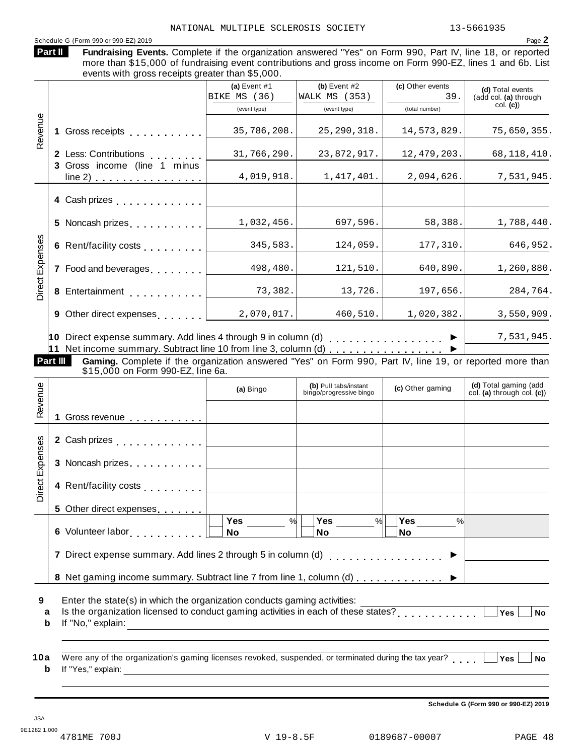# Schedule <sup>G</sup> (Form <sup>990</sup> or 990-EZ) <sup>2019</sup> Page **2**

Fundraising Events. Complete if the organization answered "Yes" on Form 990, Part IV, line 18, or reported more than \$15,000 of fundraising event contributions and gross income on Form 990-EZ, lines 1 and 6b. List events with gross receipts greater than \$5,000. **Part II (a)** Event #1 **(b)** Event #2 **(c)** Other events **(d)** Total events (add col. **(a)** through col. **(c)**) (event type) (event type) (total number) BIKE MS  $(36)$  WALK MS  $(353)$  | 39.

|                             |          |                                                                                                                                               | (event type) | <b>(GVGIIL LYPG)</b>  | $\mu$ uudi nunnoon |                       |
|-----------------------------|----------|-----------------------------------------------------------------------------------------------------------------------------------------------|--------------|-----------------------|--------------------|-----------------------|
| Revenue                     |          | Gross receipts <b>contained</b> cross receipts                                                                                                | 35,786,208.  | 25, 290, 318.         | 14,573,829.        | 75,650,355.           |
|                             |          | 2 Less: Contributions                                                                                                                         | 31,766,290.  | 23,872,917.           | 12, 479, 203.      | 68, 118, 410.         |
|                             |          | 3 Gross income (line 1 minus<br>line 2)<br>.                                                                                                  | 4,019,918.   | 1,417,401.            | 2,094,626.         | 7,531,945.            |
|                             |          | 4 Cash prizes                                                                                                                                 |              |                       |                    |                       |
|                             |          | 5 Noncash prizes                                                                                                                              | 1,032,456.   | 697,596.              | 58,388.            | 1,788,440.            |
|                             |          | 6 Rent/facility costs                                                                                                                         | 345,583.     | 124,059.              | 177,310.           | 646,952.              |
| Direct Expenses             |          | 7 Food and beverages                                                                                                                          | 498,480.     | 121,510.              | 640,890.           | 1,260,880.            |
|                             |          | 8 Entertainment                                                                                                                               | 73,382.      | 13,726.               | 197,656.           | 284,764.              |
|                             |          | 9 Other direct expenses                                                                                                                       | 2,070,017.   | 460,510.              | 1,020,382.         | 3,550,909.            |
|                             |          | 10 Direct expense summary. Add lines 4 through 9 in column (d)<br>11 Net income summary. Subtract line 10 from line 3, column (d)             |              |                       | .                  | 7,531,945.            |
|                             | Part III | Gaming. Complete if the organization answered "Yes" on Form 990, Part IV, line 19, or reported more than<br>\$15,000 on Form 990-EZ, line 6a. |              |                       |                    |                       |
| $\mathbf{\underline{\Phi}}$ |          |                                                                                                                                               | $(A)$ Ringe  | (b) Pull tabs/instant | $(n)$ Other gaming | (d) Total gaming (add |

|                 |                                                                                                                                                                                                                                  | (a) Bingo                                | (b) Pull tabs/instant<br>bingo/progressive bingo | (c) Other gaming                    | (d) Total gaming (add<br>col. (a) through col. (c)) |
|-----------------|----------------------------------------------------------------------------------------------------------------------------------------------------------------------------------------------------------------------------------|------------------------------------------|--------------------------------------------------|-------------------------------------|-----------------------------------------------------|
| Revenue         | 1 Gross revenue                                                                                                                                                                                                                  |                                          |                                                  |                                     |                                                     |
|                 | 2 Cash prizes                                                                                                                                                                                                                    |                                          |                                                  |                                     |                                                     |
| Direct Expenses | 3 Noncash prizes                                                                                                                                                                                                                 |                                          |                                                  |                                     |                                                     |
|                 | 4 Rent/facility costs                                                                                                                                                                                                            |                                          |                                                  |                                     |                                                     |
|                 | 5 Other direct expenses                                                                                                                                                                                                          |                                          |                                                  |                                     |                                                     |
|                 | 6 Volunteer labor<br>international products of the set of the set of the set of the set of the set of the set of the set of the set of the set of the set of the set of the set of the set of the set of the set of the set of t | <b>Yes</b><br>$\frac{1}{2}$<br><b>No</b> | <b>Yes</b><br>%<br>No                            | <b>Yes</b><br>$\frac{0}{0}$<br>lNo. |                                                     |
|                 |                                                                                                                                                                                                                                  |                                          |                                                  |                                     |                                                     |
|                 |                                                                                                                                                                                                                                  |                                          |                                                  |                                     |                                                     |
|                 |                                                                                                                                                                                                                                  |                                          |                                                  |                                     |                                                     |

- **9** Enter the state(s) in which the organization conducts gaming activities:
- Erner the state(s) in which the organization conducts gaming activities.<br> **a** Is the organization licensed to conduct gaming activities in each of these states?<br> **b** If the theoretic state of the state of the states of the **b** If "No," explain:
- **10** a Were any of the organization's gaming licenses revoked, suspended, or terminated during the tax year?<br>http://www.wali.in.com/industrial/industrial/industrial/industrial/industrial/industrial/industrial/industrial/ **b** If "Yes," explain:

**Schedule G (Form 990 or 990-EZ) 2019**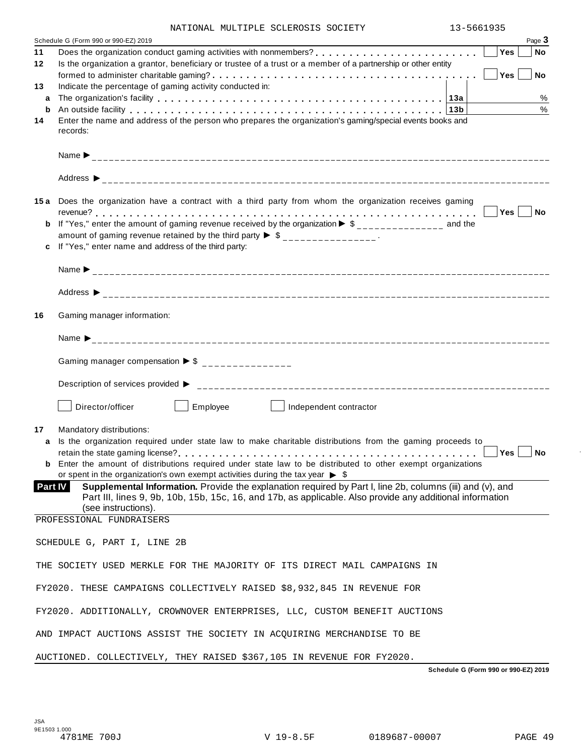| NATIONAL MULTIPLE SCLEROSIS SOCIETY |  | 13-5661935 |
|-------------------------------------|--|------------|
|                                     |  |            |

| 11      | Schedule G (Form 990 or 990-EZ) 2019                                                                                                                                                                                                          | Yes | Page 3<br>No |
|---------|-----------------------------------------------------------------------------------------------------------------------------------------------------------------------------------------------------------------------------------------------|-----|--------------|
| 12      | Is the organization a grantor, beneficiary or trustee of a trust or a member of a partnership or other entity                                                                                                                                 |     |              |
|         |                                                                                                                                                                                                                                               | Yes | ∣ No         |
| 13      | Indicate the percentage of gaming activity conducted in:                                                                                                                                                                                      |     |              |
| a       |                                                                                                                                                                                                                                               |     | $\%$         |
| b       | An outside facility enterpretation of the control of the control of the control of the control of the control of the control of the control of the control of the control of the control of the control of the control of the                 |     | $\%$         |
| 14      | Enter the name and address of the person who prepares the organization's gaming/special events books and<br>records:                                                                                                                          |     |              |
|         |                                                                                                                                                                                                                                               |     |              |
|         |                                                                                                                                                                                                                                               |     |              |
|         | 15a Does the organization have a contract with a third party from whom the organization receives gaming                                                                                                                                       |     |              |
|         |                                                                                                                                                                                                                                               |     |              |
| b       | If "Yes," enter the amount of gaming revenue received by the organization $\triangleright$ \$______________ and the                                                                                                                           |     |              |
|         | amount of gaming revenue retained by the third party $\triangleright$ \$ _______________.                                                                                                                                                     |     |              |
|         | If "Yes," enter name and address of the third party:                                                                                                                                                                                          |     |              |
|         |                                                                                                                                                                                                                                               |     |              |
|         |                                                                                                                                                                                                                                               |     |              |
| 16      | Gaming manager information:                                                                                                                                                                                                                   |     |              |
|         | Name $\sum_{-2}$                                                                                                                                                                                                                              |     |              |
|         | Gaming manager compensation $\triangleright$ \$ _______________                                                                                                                                                                               |     |              |
|         |                                                                                                                                                                                                                                               |     |              |
|         | Director/officer<br>Employee<br>Independent contractor                                                                                                                                                                                        |     |              |
| 17      | Mandatory distributions:                                                                                                                                                                                                                      |     |              |
| a       | Is the organization required under state law to make charitable distributions from the gaming proceeds to                                                                                                                                     |     |              |
|         |                                                                                                                                                                                                                                               | Yes | <b>No</b>    |
|         | <b>b</b> Enter the amount of distributions required under state law to be distributed to other exempt organizations                                                                                                                           |     |              |
|         | or spent in the organization's own exempt activities during the tax year $\triangleright$ \$                                                                                                                                                  |     |              |
| Part IV | Supplemental Information. Provide the explanation required by Part I, line 2b, columns (iii) and (v), and<br>Part III, lines 9, 9b, 10b, 15b, 15c, 16, and 17b, as applicable. Also provide any additional information<br>(see instructions). |     |              |
|         | PROFESSIONAL FUNDRAISERS                                                                                                                                                                                                                      |     |              |
|         |                                                                                                                                                                                                                                               |     |              |
|         | SCHEDULE G, PART I, LINE 2B                                                                                                                                                                                                                   |     |              |
|         | THE SOCIETY USED MERKLE FOR THE MAJORITY OF ITS DIRECT MAIL CAMPAIGNS IN                                                                                                                                                                      |     |              |
|         | FY2020. THESE CAMPAIGNS COLLECTIVELY RAISED \$8,932,845 IN REVENUE FOR                                                                                                                                                                        |     |              |
|         | FY2020. ADDITIONALLY, CROWNOVER ENTERPRISES, LLC, CUSTOM BENEFIT AUCTIONS                                                                                                                                                                     |     |              |
|         | AND IMPACT AUCTIONS ASSIST THE SOCIETY IN ACQUIRING MERCHANDISE TO BE                                                                                                                                                                         |     |              |
|         | AUCTIONED. COLLECTIVELY, THEY RAISED \$367,105 IN REVENUE FOR FY2020.                                                                                                                                                                         |     |              |

**Schedule G (Form 990 or 990-EZ) 2019**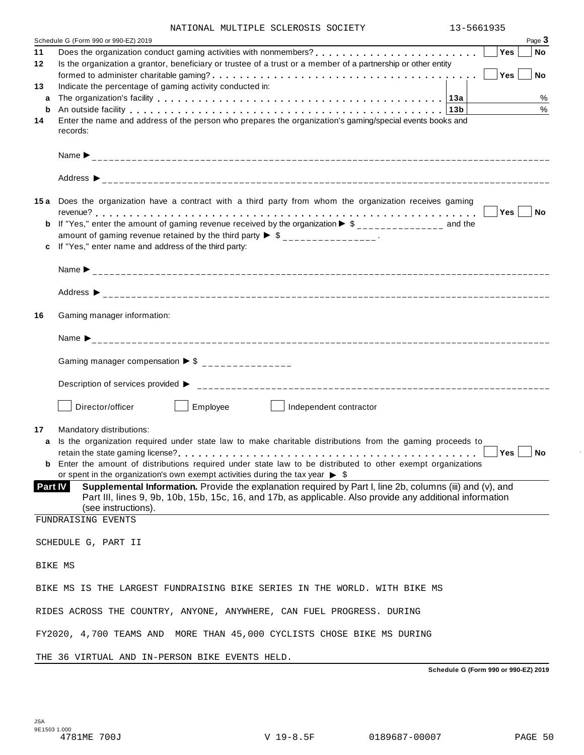| NATIONAL MULTIPLE SCLEROSIS SOCIETY |  | 13-5661935 |
|-------------------------------------|--|------------|
|                                     |  |            |

|         | Schedule G (Form 990 or 990-EZ) 2019                                                                                                                                                                                           |     | Page 3        |
|---------|--------------------------------------------------------------------------------------------------------------------------------------------------------------------------------------------------------------------------------|-----|---------------|
| 11      |                                                                                                                                                                                                                                | Yes | No            |
| 12      | Is the organization a grantor, beneficiary or trustee of a trust or a member of a partnership or other entity                                                                                                                  |     | <b>No</b>     |
| 13      | Indicate the percentage of gaming activity conducted in:                                                                                                                                                                       | Yes |               |
| a       |                                                                                                                                                                                                                                |     | %             |
| b       | An outside facility enterpretence in the set of the control of the control of the control of the control of the control of the control of the control of the control of the control of the control of the control of the contr |     | $\frac{0}{0}$ |
| 14      | Enter the name and address of the person who prepares the organization's gaming/special events books and<br>records:                                                                                                           |     |               |
|         |                                                                                                                                                                                                                                |     |               |
|         |                                                                                                                                                                                                                                |     |               |
|         | 15a Does the organization have a contract with a third party from whom the organization receives gaming                                                                                                                        |     |               |
|         |                                                                                                                                                                                                                                |     | Yes No        |
|         | If "Yes," enter the amount of gaming revenue received by the organization $\triangleright$ \$______________ and the<br>amount of gaming revenue retained by the third party $\triangleright$ \$ _______________.               |     |               |
|         | If "Yes," enter name and address of the third party:                                                                                                                                                                           |     |               |
|         |                                                                                                                                                                                                                                |     |               |
|         |                                                                                                                                                                                                                                |     |               |
| 16      | Gaming manager information:                                                                                                                                                                                                    |     |               |
|         |                                                                                                                                                                                                                                |     |               |
|         | Gaming manager compensation $\triangleright$ \$ _______________                                                                                                                                                                |     |               |
|         |                                                                                                                                                                                                                                |     |               |
|         | Director/officer<br>Employee<br>Independent contractor<br><b>Contract Contract Contract</b>                                                                                                                                    |     |               |
| 17<br>a | Mandatory distributions:<br>Is the organization required under state law to make charitable distributions from the gaming proceeds to                                                                                          | Yes | No No         |
|         | <b>b</b> Enter the amount of distributions required under state law to be distributed to other exempt organizations                                                                                                            |     |               |
|         | or spent in the organization's own exempt activities during the tax year $\triangleright$ \$<br>Supplemental Information. Provide the explanation required by Part I, line 2b, columns (iii) and (v), and<br>Part IV           |     |               |
|         | Part III, lines 9, 9b, 10b, 15b, 15c, 16, and 17b, as applicable. Also provide any additional information<br>(see instructions).                                                                                               |     |               |
|         | FUNDRAISING EVENTS                                                                                                                                                                                                             |     |               |
|         | SCHEDULE G, PART II                                                                                                                                                                                                            |     |               |
|         | BIKE MS                                                                                                                                                                                                                        |     |               |
|         | BIKE MS IS THE LARGEST FUNDRAISING BIKE SERIES IN THE WORLD. WITH BIKE MS                                                                                                                                                      |     |               |
|         | RIDES ACROSS THE COUNTRY, ANYONE, ANYWHERE, CAN FUEL PROGRESS. DURING                                                                                                                                                          |     |               |
|         | FY2020, 4,700 TEAMS AND MORE THAN 45,000 CYCLISTS CHOSE BIKE MS DURING                                                                                                                                                         |     |               |
|         | THE 36 VIRTUAL AND IN-PERSON BIKE EVENTS HELD.                                                                                                                                                                                 |     |               |

**Schedule G (Form 990 or 990-EZ) 2019**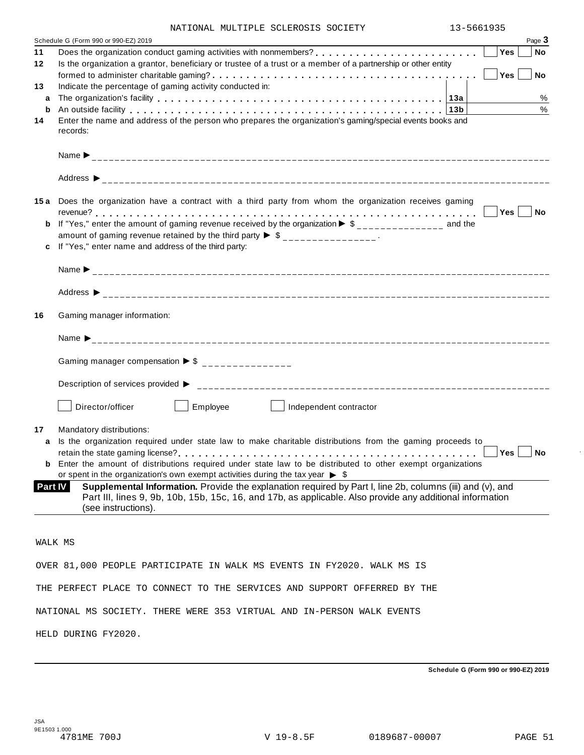|  | NATIONAL MULTIPLE SCLEROSIS SOCIETY | 13-5661935 |
|--|-------------------------------------|------------|

|                | Page 3<br>Schedule G (Form 990 or 990-EZ) 2019                                                                                                                                                                                        |
|----------------|---------------------------------------------------------------------------------------------------------------------------------------------------------------------------------------------------------------------------------------|
| 11             | Does the organization conduct gaming activities with nonmembers?<br>Yes<br><b>No</b>                                                                                                                                                  |
| 12             | Is the organization a grantor, beneficiary or trustee of a trust or a member of a partnership or other entity                                                                                                                         |
|                | Yes<br><b>No</b>                                                                                                                                                                                                                      |
| 13             | Indicate the percentage of gaming activity conducted in:                                                                                                                                                                              |
| a              | %                                                                                                                                                                                                                                     |
| b              | $\%$<br>An outside facility enterpretation of the control of the control of the control of the control of the control of the control of the control of the control of the control of the control of the control of the control of the |
| 14             | Enter the name and address of the person who prepares the organization's gaming/special events books and                                                                                                                              |
|                | records:                                                                                                                                                                                                                              |
|                |                                                                                                                                                                                                                                       |
|                |                                                                                                                                                                                                                                       |
|                |                                                                                                                                                                                                                                       |
|                |                                                                                                                                                                                                                                       |
|                |                                                                                                                                                                                                                                       |
|                | 15a Does the organization have a contract with a third party from whom the organization receives gaming                                                                                                                               |
|                | Yes<br>$\overline{\phantom{a}}$ No                                                                                                                                                                                                    |
|                | If "Yes," enter the amount of gaming revenue received by the organization $\blacktriangleright$ \$______________ and the                                                                                                              |
|                | amount of gaming revenue retained by the third party $\triangleright$ \$ _______________.                                                                                                                                             |
|                | If "Yes," enter name and address of the third party:                                                                                                                                                                                  |
|                |                                                                                                                                                                                                                                       |
|                |                                                                                                                                                                                                                                       |
|                |                                                                                                                                                                                                                                       |
|                |                                                                                                                                                                                                                                       |
| 16             | Gaming manager information:                                                                                                                                                                                                           |
|                |                                                                                                                                                                                                                                       |
|                |                                                                                                                                                                                                                                       |
|                |                                                                                                                                                                                                                                       |
|                |                                                                                                                                                                                                                                       |
|                | Gaming manager compensation $\triangleright$ \$ _______________                                                                                                                                                                       |
|                |                                                                                                                                                                                                                                       |
|                |                                                                                                                                                                                                                                       |
|                |                                                                                                                                                                                                                                       |
|                | Director/officer<br>Employee and all a later<br>Independent contractor                                                                                                                                                                |
|                |                                                                                                                                                                                                                                       |
| 17             | Mandatory distributions:                                                                                                                                                                                                              |
| a              | Is the organization required under state law to make charitable distributions from the gaming proceeds to<br>No                                                                                                                       |
|                | Yes                                                                                                                                                                                                                                   |
|                | <b>b</b> Enter the amount of distributions required under state law to be distributed to other exempt organizations<br>or spent in the organization's own exempt activities during the tax year $\triangleright$ \$                   |
| <b>Part IV</b> | Supplemental Information. Provide the explanation required by Part I, line 2b, columns (iii) and (v), and                                                                                                                             |
|                | Part III, lines 9, 9b, 10b, 15b, 15c, 16, and 17b, as applicable. Also provide any additional information                                                                                                                             |
|                | (see instructions).                                                                                                                                                                                                                   |
|                |                                                                                                                                                                                                                                       |
|                |                                                                                                                                                                                                                                       |
|                | WALK MS                                                                                                                                                                                                                               |
|                |                                                                                                                                                                                                                                       |
|                | OVER 81,000 PEOPLE PARTICIPATE IN WALK MS EVENTS IN FY2020. WALK MS IS                                                                                                                                                                |
|                |                                                                                                                                                                                                                                       |
|                | THE PERFECT PLACE TO CONNECT TO THE SERVICES AND SUPPORT OFFERRED BY THE                                                                                                                                                              |
|                | NATIONAL MS SOCIETY. THERE WERE 353 VIRTUAL AND IN-PERSON WALK EVENTS                                                                                                                                                                 |

HELD DURING FY2020.

**Schedule G (Form 990 or 990-EZ) 2019**

 $\ddot{\phantom{a}}$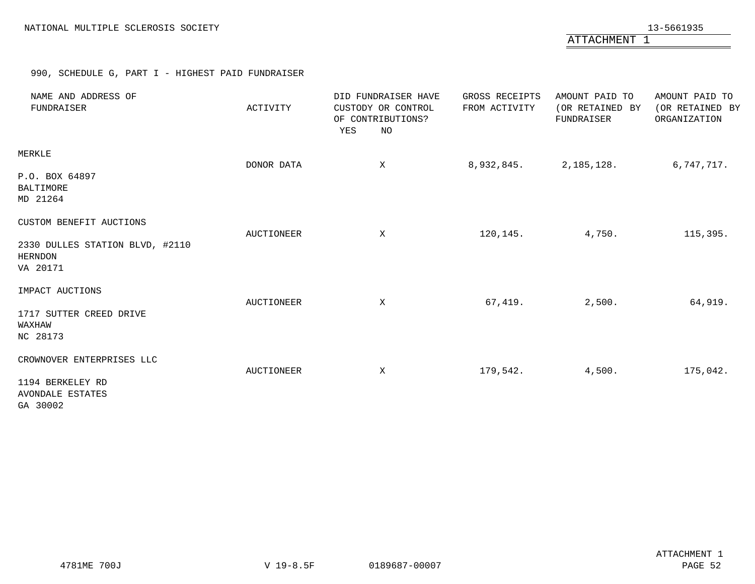ATTACHMENT 1

# 990, SCHEDULE G, PART I - HIGHEST PAID FUNDRAISER

<span id="page-51-0"></span>

| NAME AND ADDRESS OF<br>FUNDRAISER                                                 | ACTIVITY   | DID FUNDRAISER HAVE<br>CUSTODY OR CONTROL<br>OF CONTRIBUTIONS?<br>YES<br>NO | GROSS RECEIPTS<br>FROM ACTIVITY | AMOUNT PAID TO<br>(OR RETAINED BY<br>FUNDRAISER | AMOUNT PAID TO<br>(OR RETAINED BY<br>ORGANIZATION |
|-----------------------------------------------------------------------------------|------------|-----------------------------------------------------------------------------|---------------------------------|-------------------------------------------------|---------------------------------------------------|
| MERKLE<br>P.O. BOX 64897<br>BALTIMORE<br>MD 21264                                 | DONOR DATA | $\mathbf x$                                                                 | 8,932,845.                      | 2,185,128.                                      | 6,747,717.                                        |
| CUSTOM BENEFIT AUCTIONS<br>2330 DULLES STATION BLVD, #2110<br>HERNDON<br>VA 20171 | AUCTIONEER | X                                                                           | 120,145.                        | 4,750.                                          | 115,395.                                          |
| IMPACT AUCTIONS<br>1717 SUTTER CREED DRIVE<br>WAXHAW<br>NC 28173                  | AUCTIONEER | X                                                                           | 67,419.                         | 2,500.                                          | 64,919.                                           |
| CROWNOVER ENTERPRISES LLC<br>1194 BERKELEY RD<br>AVONDALE ESTATES<br>GA 30002     | AUCTIONEER | X                                                                           | 179,542.                        | 4,500.                                          | 175,042.                                          |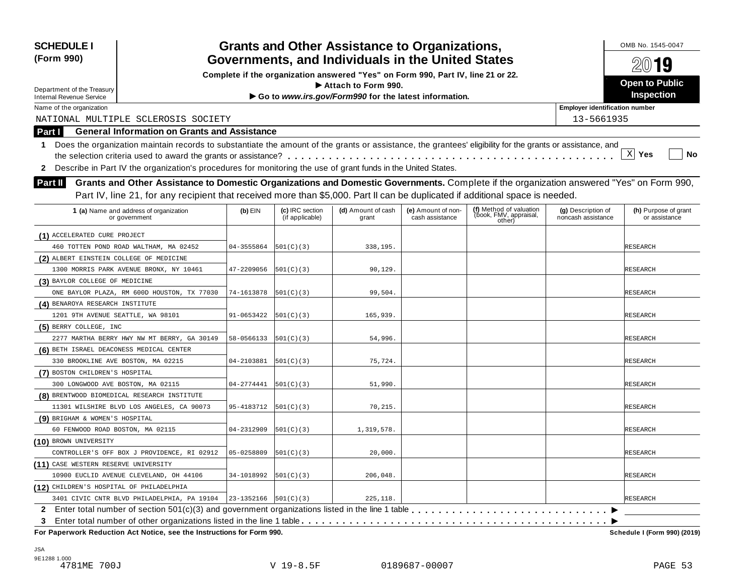| <b>SCHEDULE I</b><br>(Form 990)                                                                                                                                           |                                                   |                                    | <b>Grants and Other Assistance to Organizations,</b>                             |                                       |                                                             |                                          | OMB No. 1545-0047<br>$20$ 19          |  |  |
|---------------------------------------------------------------------------------------------------------------------------------------------------------------------------|---------------------------------------------------|------------------------------------|----------------------------------------------------------------------------------|---------------------------------------|-------------------------------------------------------------|------------------------------------------|---------------------------------------|--|--|
|                                                                                                                                                                           | Governments, and Individuals in the United States |                                    |                                                                                  |                                       |                                                             |                                          |                                       |  |  |
|                                                                                                                                                                           |                                                   |                                    | Complete if the organization answered "Yes" on Form 990, Part IV, line 21 or 22. |                                       |                                                             |                                          | <b>Open to Public</b>                 |  |  |
| Department of the Treasury                                                                                                                                                |                                                   |                                    | $\blacktriangleright$ Attach to Form 990.                                        |                                       |                                                             |                                          | Inspection                            |  |  |
| <b>Internal Revenue Service</b>                                                                                                                                           |                                                   |                                    | Go to www.irs.gov/Form990 for the latest information.                            |                                       |                                                             |                                          |                                       |  |  |
| Name of the organization                                                                                                                                                  |                                                   |                                    |                                                                                  |                                       |                                                             | <b>Employer identification number</b>    |                                       |  |  |
| NATIONAL MULTIPLE SCLEROSIS SOCIETY                                                                                                                                       |                                                   |                                    |                                                                                  |                                       |                                                             | 13-5661935                               |                                       |  |  |
| <b>General Information on Grants and Assistance</b><br>Part I                                                                                                             |                                                   |                                    |                                                                                  |                                       |                                                             |                                          |                                       |  |  |
| Does the organization maintain records to substantiate the amount of the grants or assistance, the grantees' eligibility for the grants or assistance, and<br>$\mathbf 1$ |                                                   |                                    |                                                                                  |                                       |                                                             |                                          |                                       |  |  |
|                                                                                                                                                                           |                                                   |                                    |                                                                                  |                                       |                                                             |                                          | $\mathbf{x}$<br>Yes<br>No             |  |  |
| Describe in Part IV the organization's procedures for monitoring the use of grant funds in the United States.<br>2                                                        |                                                   |                                    |                                                                                  |                                       |                                                             |                                          |                                       |  |  |
| Grants and Other Assistance to Domestic Organizations and Domestic Governments. Complete if the organization answered "Yes" on Form 990,<br><b>Part II</b>                |                                                   |                                    |                                                                                  |                                       |                                                             |                                          |                                       |  |  |
| Part IV, line 21, for any recipient that received more than \$5,000. Part II can be duplicated if additional space is needed.                                             |                                                   |                                    |                                                                                  |                                       |                                                             |                                          |                                       |  |  |
| 1 (a) Name and address of organization<br>or government                                                                                                                   | $(b)$ EIN                                         | (c) IRC section<br>(if applicable) | (d) Amount of cash<br>grant                                                      | (e) Amount of non-<br>cash assistance | (f) Method of valuation<br>(book, FMV, appraisal,<br>other) | (g) Description of<br>noncash assistance | (h) Purpose of grant<br>or assistance |  |  |
|                                                                                                                                                                           |                                                   |                                    |                                                                                  |                                       |                                                             |                                          |                                       |  |  |
| (1) ACCELERATED CURE PROJECT                                                                                                                                              |                                                   |                                    |                                                                                  |                                       |                                                             |                                          |                                       |  |  |
| 460 TOTTEN POND ROAD WALTHAM, MA 02452                                                                                                                                    | 04-3555864                                        | 501(C)(3)                          | 338,195.                                                                         |                                       |                                                             |                                          | RESEARCH                              |  |  |
| (2) ALBERT EINSTEIN COLLEGE OF MEDICINE                                                                                                                                   |                                                   |                                    |                                                                                  |                                       |                                                             |                                          |                                       |  |  |
| 1300 MORRIS PARK AVENUE BRONX, NY 10461                                                                                                                                   | 47-2209056                                        | 501(C)(3)                          | 90, 129.                                                                         |                                       |                                                             |                                          | RESEARCH                              |  |  |
| (3) BAYLOR COLLEGE OF MEDICINE                                                                                                                                            |                                                   |                                    |                                                                                  |                                       |                                                             |                                          |                                       |  |  |
| ONE BAYLOR PLAZA, RM 600D HOUSTON, TX 77030                                                                                                                               | 74-1613878                                        | 501(C)(3)                          | 99,504.                                                                          |                                       |                                                             |                                          | RESEARCH                              |  |  |
| (4) BENAROYA RESEARCH INSTITUTE                                                                                                                                           |                                                   |                                    |                                                                                  |                                       |                                                             |                                          |                                       |  |  |
| 1201 9TH AVENUE SEATTLE, WA 98101                                                                                                                                         | 91-0653422                                        | 501(C)(3)                          | 165,939.                                                                         |                                       |                                                             |                                          | RESEARCH                              |  |  |
| (5) BERRY COLLEGE, INC<br>2277 MARTHA BERRY HWY NW MT BERRY, GA 30149                                                                                                     | 58-0566133                                        |                                    |                                                                                  |                                       |                                                             |                                          |                                       |  |  |
|                                                                                                                                                                           |                                                   | 501(C)(3)                          | 54,996.                                                                          |                                       |                                                             |                                          | RESEARCH                              |  |  |
| (6) BETH ISRAEL DEACONESS MEDICAL CENTER                                                                                                                                  | 04-2103881                                        |                                    |                                                                                  |                                       |                                                             |                                          |                                       |  |  |
| 330 BROOKLINE AVE BOSTON, MA 02215                                                                                                                                        |                                                   | 501(C)(3)                          | 75,724.                                                                          |                                       |                                                             |                                          | RESEARCH                              |  |  |
| (7) BOSTON CHILDREN'S HOSPITAL                                                                                                                                            | 04-2774441                                        |                                    |                                                                                  |                                       |                                                             |                                          |                                       |  |  |
| 300 LONGWOOD AVE BOSTON, MA 02115                                                                                                                                         |                                                   | 501(C)(3)                          | 51,990.                                                                          |                                       |                                                             |                                          | RESEARCH                              |  |  |
| (8) BRENTWOOD BIOMEDICAL RESEARCH INSTITUTE<br>11301 WILSHIRE BLVD LOS ANGELES, CA 90073                                                                                  | 95-4183712                                        | 501(C)(3)                          | 70, 215.                                                                         |                                       |                                                             |                                          | RESEARCH                              |  |  |
| (9) BRIGHAM & WOMEN'S HOSPITAL                                                                                                                                            |                                                   |                                    |                                                                                  |                                       |                                                             |                                          |                                       |  |  |
| 60 FENWOOD ROAD BOSTON, MA 02115                                                                                                                                          | 04-2312909                                        | 501(C)(3)                          | 1,319,578.                                                                       |                                       |                                                             |                                          | RESEARCH                              |  |  |
| (10) BROWN UNIVERSITY                                                                                                                                                     |                                                   |                                    |                                                                                  |                                       |                                                             |                                          |                                       |  |  |
| CONTROLLER'S OFF BOX J PROVIDENCE, RI 02912                                                                                                                               | 05-0258809                                        | 501(C)(3)                          | 20,000.                                                                          |                                       |                                                             |                                          | <b>RESEARCH</b>                       |  |  |
| (11) CASE WESTERN RESERVE UNIVERSITY                                                                                                                                      |                                                   |                                    |                                                                                  |                                       |                                                             |                                          |                                       |  |  |
| 10900 EUCLID AVENUE CLEVELAND, OH 44106                                                                                                                                   | 34-1018992                                        | 501(C)(3)                          | 206,048.                                                                         |                                       |                                                             |                                          | RESEARCH                              |  |  |
| (12) CHILDREN'S HOSPITAL OF PHILADELPHIA                                                                                                                                  |                                                   |                                    |                                                                                  |                                       |                                                             |                                          |                                       |  |  |
| 3401 CIVIC CNTR BLVD PHILADELPHIA, PA 19104   23-1352166   501(C)(3)                                                                                                      |                                                   |                                    | 225, 118.                                                                        |                                       |                                                             |                                          | <b>RESEARCH</b>                       |  |  |
|                                                                                                                                                                           |                                                   |                                    |                                                                                  |                                       |                                                             |                                          |                                       |  |  |
| 3                                                                                                                                                                         |                                                   |                                    |                                                                                  |                                       |                                                             |                                          |                                       |  |  |
| For Paperwork Reduction Act Notice, see the Instructions for Form 990.                                                                                                    |                                                   |                                    |                                                                                  |                                       |                                                             |                                          | Schedule I (Form 990) (2019)          |  |  |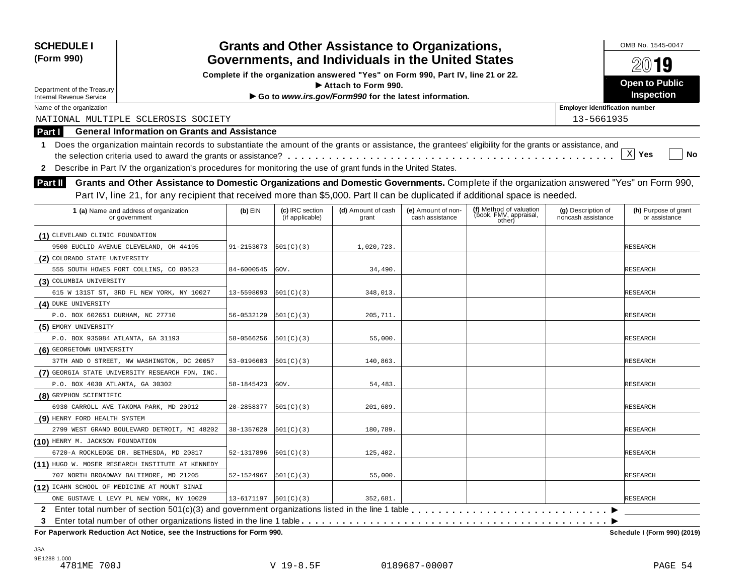| <b>SCHEDULE I</b><br>(Form 990)   |                                                                                                                                                            |                              |                                    | <b>Grants and Other Assistance to Organizations,</b><br>Governments, and Individuals in the United States |                                       |                                                             |                                          | OMB No. 1545-0047<br>$20$ 19          |  |  |
|-----------------------------------|------------------------------------------------------------------------------------------------------------------------------------------------------------|------------------------------|------------------------------------|-----------------------------------------------------------------------------------------------------------|---------------------------------------|-------------------------------------------------------------|------------------------------------------|---------------------------------------|--|--|
|                                   | Complete if the organization answered "Yes" on Form 990, Part IV, line 21 or 22.                                                                           |                              |                                    |                                                                                                           |                                       |                                                             |                                          |                                       |  |  |
| Department of the Treasury        |                                                                                                                                                            |                              |                                    | $\blacktriangleright$ Attach to Form 990.                                                                 |                                       |                                                             |                                          | Open to Public                        |  |  |
| <b>Internal Revenue Service</b>   |                                                                                                                                                            |                              |                                    | Go to www.irs.gov/Form990 for the latest information.                                                     |                                       |                                                             |                                          | Inspection                            |  |  |
| Name of the organization          | <b>Employer identification number</b>                                                                                                                      |                              |                                    |                                                                                                           |                                       |                                                             |                                          |                                       |  |  |
|                                   | NATIONAL MULTIPLE SCLEROSIS SOCIETY                                                                                                                        |                              |                                    |                                                                                                           |                                       |                                                             | 13-5661935                               |                                       |  |  |
| Part I                            | <b>General Information on Grants and Assistance</b>                                                                                                        |                              |                                    |                                                                                                           |                                       |                                                             |                                          |                                       |  |  |
| 1.                                | Does the organization maintain records to substantiate the amount of the grants or assistance, the grantees' eligibility for the grants or assistance, and |                              |                                    |                                                                                                           |                                       |                                                             |                                          |                                       |  |  |
|                                   |                                                                                                                                                            |                              |                                    |                                                                                                           |                                       |                                                             |                                          | $X$ Yes<br>No                         |  |  |
| $\mathbf{2}$                      | Describe in Part IV the organization's procedures for monitoring the use of grant funds in the United States.                                              |                              |                                    |                                                                                                           |                                       |                                                             |                                          |                                       |  |  |
| <b>Part II</b>                    | Grants and Other Assistance to Domestic Organizations and Domestic Governments. Complete if the organization answered "Yes" on Form 990,                   |                              |                                    |                                                                                                           |                                       |                                                             |                                          |                                       |  |  |
|                                   |                                                                                                                                                            |                              |                                    |                                                                                                           |                                       |                                                             |                                          |                                       |  |  |
|                                   | Part IV, line 21, for any recipient that received more than \$5,000. Part II can be duplicated if additional space is needed.                              |                              |                                    |                                                                                                           |                                       |                                                             |                                          |                                       |  |  |
|                                   | 1 (a) Name and address of organization<br>or government                                                                                                    | $(b)$ EIN                    | (c) IRC section<br>(if applicable) | (d) Amount of cash<br>grant                                                                               | (e) Amount of non-<br>cash assistance | (f) Method of valuation<br>(book, FMV, appraisal,<br>other) | (g) Description of<br>noncash assistance | (h) Purpose of grant<br>or assistance |  |  |
| (1) CLEVELAND CLINIC FOUNDATION   |                                                                                                                                                            |                              |                                    |                                                                                                           |                                       |                                                             |                                          |                                       |  |  |
|                                   | 9500 EUCLID AVENUE CLEVELAND, OH 44195                                                                                                                     | 91-2153073                   | 501(C)(3)                          | 1,020,723.                                                                                                |                                       |                                                             |                                          | RESEARCH                              |  |  |
| (2) COLORADO STATE UNIVERSITY     |                                                                                                                                                            |                              |                                    |                                                                                                           |                                       |                                                             |                                          |                                       |  |  |
|                                   | 555 SOUTH HOWES FORT COLLINS, CO 80523                                                                                                                     | 84-6000545                   | GOV.                               | 34,490.                                                                                                   |                                       |                                                             |                                          | RESEARCH                              |  |  |
| (3) COLUMBIA UNIVERSITY           |                                                                                                                                                            |                              |                                    |                                                                                                           |                                       |                                                             |                                          |                                       |  |  |
|                                   | 615 W 131ST ST, 3RD FL NEW YORK, NY 10027                                                                                                                  | 13-5598093                   | 501(C)(3)                          | 348,013.                                                                                                  |                                       |                                                             |                                          | RESEARCH                              |  |  |
| (4) DUKE UNIVERSITY               |                                                                                                                                                            |                              |                                    |                                                                                                           |                                       |                                                             |                                          |                                       |  |  |
| P.O. BOX 602651 DURHAM, NC 27710  |                                                                                                                                                            | 56-0532129                   | 501(C)(3)                          | 205,711.                                                                                                  |                                       |                                                             |                                          | RESEARCH                              |  |  |
| (5) EMORY UNIVERSITY              |                                                                                                                                                            |                              |                                    |                                                                                                           |                                       |                                                             |                                          |                                       |  |  |
| P.O. BOX 935084 ATLANTA, GA 31193 |                                                                                                                                                            | 58-0566256                   | [501(C)(3)                         | 55,000.                                                                                                   |                                       |                                                             |                                          | RESEARCH                              |  |  |
| (6) GEORGETOWN UNIVERSITY         |                                                                                                                                                            |                              |                                    |                                                                                                           |                                       |                                                             |                                          |                                       |  |  |
|                                   | 37TH AND O STREET, NW WASHINGTON, DC 20057                                                                                                                 | 53-0196603                   | 501(C)(3)                          | 140,863.                                                                                                  |                                       |                                                             |                                          | RESEARCH                              |  |  |
|                                   | (7) GEORGIA STATE UNIVERSITY RESEARCH FDN, INC.                                                                                                            |                              |                                    |                                                                                                           |                                       |                                                             |                                          |                                       |  |  |
| P.O. BOX 4030 ATLANTA, GA 30302   |                                                                                                                                                            | 58-1845423                   | GOV.                               | 54,483.                                                                                                   |                                       |                                                             |                                          | RESEARCH                              |  |  |
| (8) GRYPHON SCIENTIFIC            |                                                                                                                                                            |                              |                                    |                                                                                                           |                                       |                                                             |                                          |                                       |  |  |
|                                   | 6930 CARROLL AVE TAKOMA PARK, MD 20912                                                                                                                     | 20-2858377                   | 501(C)(3)                          | 201,609.                                                                                                  |                                       |                                                             |                                          | RESEARCH                              |  |  |
| (9) HENRY FORD HEALTH SYSTEM      |                                                                                                                                                            |                              |                                    |                                                                                                           |                                       |                                                             |                                          |                                       |  |  |
|                                   | 2799 WEST GRAND BOULEVARD DETROIT, MI 48202                                                                                                                | 38-1357020                   | [501(C)(3)                         | 180,789.                                                                                                  |                                       |                                                             |                                          | RESEARCH                              |  |  |
| (10) HENRY M. JACKSON FOUNDATION  |                                                                                                                                                            |                              |                                    |                                                                                                           |                                       |                                                             |                                          |                                       |  |  |
|                                   | 6720-A ROCKLEDGE DR. BETHESDA, MD 20817                                                                                                                    | 52-1317896                   | 501(C)(3)                          | 125,402.                                                                                                  |                                       |                                                             |                                          | <b>RESEARCH</b>                       |  |  |
|                                   | (11) HUGO W. MOSER RESEARCH INSTITUTE AT KENNEDY                                                                                                           |                              |                                    |                                                                                                           |                                       |                                                             |                                          |                                       |  |  |
|                                   | 707 NORTH BROADWAY BALTIMORE, MD 21205                                                                                                                     | 52-1524967                   | 501(C)(3)                          | 55,000.                                                                                                   |                                       |                                                             |                                          | RESEARCH                              |  |  |
|                                   | (12) ICAHN SCHOOL OF MEDICINE AT MOUNT SINAI                                                                                                               |                              |                                    |                                                                                                           |                                       |                                                             |                                          |                                       |  |  |
|                                   | ONE GUSTAVE L LEVY PL NEW YORK, NY 10029                                                                                                                   | $13 - 6171197$ $ 501(C)(3) $ |                                    | 352,681.                                                                                                  |                                       |                                                             |                                          | <b>RESEARCH</b>                       |  |  |
|                                   |                                                                                                                                                            |                              |                                    |                                                                                                           |                                       |                                                             |                                          |                                       |  |  |
| 3                                 |                                                                                                                                                            |                              |                                    |                                                                                                           |                                       |                                                             |                                          |                                       |  |  |
|                                   | For Paperwork Reduction Act Notice, see the Instructions for Form 990.                                                                                     |                              |                                    |                                                                                                           |                                       |                                                             |                                          | Schedule I (Form 990) (2019)          |  |  |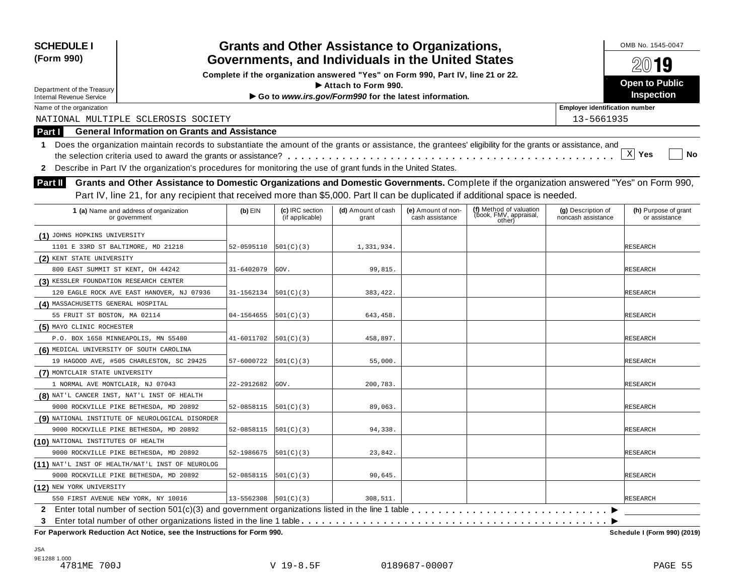| <b>SCHEDULE I</b><br>(Form 990)                                                                                                                                  |                                                                                  |                           |                                    | <b>Grants and Other Assistance to Organizations,</b><br>Governments, and Individuals in the United States |                                       |                                                                                                                                          |                                          | OMB No. 1545-0047<br>2019             |  |  |
|------------------------------------------------------------------------------------------------------------------------------------------------------------------|----------------------------------------------------------------------------------|---------------------------|------------------------------------|-----------------------------------------------------------------------------------------------------------|---------------------------------------|------------------------------------------------------------------------------------------------------------------------------------------|------------------------------------------|---------------------------------------|--|--|
|                                                                                                                                                                  | Complete if the organization answered "Yes" on Form 990, Part IV, line 21 or 22. |                           |                                    |                                                                                                           |                                       |                                                                                                                                          |                                          |                                       |  |  |
| Department of the Treasury                                                                                                                                       |                                                                                  |                           |                                    | Attach to Form 990.                                                                                       |                                       |                                                                                                                                          |                                          | <b>Open to Public</b>                 |  |  |
| <b>Internal Revenue Service</b>                                                                                                                                  |                                                                                  |                           |                                    | Go to www.irs.gov/Form990 for the latest information.                                                     |                                       |                                                                                                                                          |                                          | <b>Inspection</b>                     |  |  |
| Name of the organization                                                                                                                                         |                                                                                  |                           |                                    |                                                                                                           |                                       |                                                                                                                                          | <b>Employer identification number</b>    |                                       |  |  |
| NATIONAL MULTIPLE SCLEROSIS SOCIETY                                                                                                                              |                                                                                  |                           |                                    |                                                                                                           |                                       |                                                                                                                                          | 13-5661935                               |                                       |  |  |
| Part I                                                                                                                                                           | <b>General Information on Grants and Assistance</b>                              |                           |                                    |                                                                                                           |                                       |                                                                                                                                          |                                          |                                       |  |  |
| Does the organization maintain records to substantiate the amount of the grants or assistance, the grantees' eligibility for the grants or assistance, and<br>1. |                                                                                  |                           |                                    |                                                                                                           |                                       |                                                                                                                                          |                                          |                                       |  |  |
|                                                                                                                                                                  |                                                                                  |                           |                                    |                                                                                                           |                                       |                                                                                                                                          |                                          | $\mathbf{x}$<br>Yes<br>No             |  |  |
| Describe in Part IV the organization's procedures for monitoring the use of grant funds in the United States.<br>$\mathbf{2}$                                    |                                                                                  |                           |                                    |                                                                                                           |                                       |                                                                                                                                          |                                          |                                       |  |  |
| Part II                                                                                                                                                          |                                                                                  |                           |                                    |                                                                                                           |                                       | Grants and Other Assistance to Domestic Organizations and Domestic Governments. Complete if the organization answered "Yes" on Form 990, |                                          |                                       |  |  |
|                                                                                                                                                                  |                                                                                  |                           |                                    |                                                                                                           |                                       | Part IV, line 21, for any recipient that received more than \$5,000. Part II can be duplicated if additional space is needed.            |                                          |                                       |  |  |
|                                                                                                                                                                  |                                                                                  |                           |                                    |                                                                                                           |                                       |                                                                                                                                          |                                          |                                       |  |  |
| 1 (a) Name and address of organization<br>or government                                                                                                          |                                                                                  | $(b)$ EIN                 | (c) IRC section<br>(if applicable) | (d) Amount of cash<br>grant                                                                               | (e) Amount of non-<br>cash assistance | (f) Method of valuation<br>(book, FMV, appraisal,<br>other)                                                                              | (g) Description of<br>noncash assistance | (h) Purpose of grant<br>or assistance |  |  |
| (1) JOHNS HOPKINS UNIVERSITY                                                                                                                                     |                                                                                  |                           |                                    |                                                                                                           |                                       |                                                                                                                                          |                                          |                                       |  |  |
| 1101 E 33RD ST BALTIMORE, MD 21218                                                                                                                               |                                                                                  | 52-0595110                | 501(C)(3)                          | 1,331,934.                                                                                                |                                       |                                                                                                                                          |                                          | RESEARCH                              |  |  |
| (2) KENT STATE UNIVERSITY                                                                                                                                        |                                                                                  |                           |                                    |                                                                                                           |                                       |                                                                                                                                          |                                          |                                       |  |  |
| 800 EAST SUMMIT ST KENT, OH 44242                                                                                                                                |                                                                                  | 31-6402079                | GOV.                               | 99,815.                                                                                                   |                                       |                                                                                                                                          |                                          | RESEARCH                              |  |  |
| (3) KESSLER FOUNDATION RESEARCH CENTER                                                                                                                           |                                                                                  |                           |                                    |                                                                                                           |                                       |                                                                                                                                          |                                          |                                       |  |  |
| 120 EAGLE ROCK AVE EAST HANOVER, NJ 07936                                                                                                                        |                                                                                  | 31-1562134                | 501(C)(3)                          | 383, 422.                                                                                                 |                                       |                                                                                                                                          |                                          | RESEARCH                              |  |  |
| (4) MASSACHUSETTS GENERAL HOSPITAL                                                                                                                               |                                                                                  |                           |                                    |                                                                                                           |                                       |                                                                                                                                          |                                          |                                       |  |  |
| 55 FRUIT ST BOSTON, MA 02114                                                                                                                                     |                                                                                  | 04-1564655                | 501(C)(3)                          | 643,458.                                                                                                  |                                       |                                                                                                                                          |                                          | RESEARCH                              |  |  |
| (5) MAYO CLINIC ROCHESTER                                                                                                                                        |                                                                                  |                           |                                    |                                                                                                           |                                       |                                                                                                                                          |                                          |                                       |  |  |
| P.O. BOX 1658 MINNEAPOLIS, MN 55480                                                                                                                              |                                                                                  | 41-6011702                | 501(C)(3)                          | 458,897.                                                                                                  |                                       |                                                                                                                                          |                                          | RESEARCH                              |  |  |
| (6) MEDICAL UNIVERSITY OF SOUTH CAROLINA                                                                                                                         |                                                                                  |                           |                                    |                                                                                                           |                                       |                                                                                                                                          |                                          |                                       |  |  |
| 19 HAGOOD AVE, #505 CHARLESTON, SC 29425                                                                                                                         |                                                                                  | 57-6000722                | 501(C)(3)                          | 55,000.                                                                                                   |                                       |                                                                                                                                          |                                          | RESEARCH                              |  |  |
| (7) MONTCLAIR STATE UNIVERSITY                                                                                                                                   |                                                                                  |                           |                                    |                                                                                                           |                                       |                                                                                                                                          |                                          |                                       |  |  |
| 1 NORMAL AVE MONTCLAIR, NJ 07043                                                                                                                                 |                                                                                  | 22-2912682                | GOV.                               | 200,783.                                                                                                  |                                       |                                                                                                                                          |                                          | RESEARCH                              |  |  |
| (8) NAT'L CANCER INST, NAT'L INST OF HEALTH                                                                                                                      |                                                                                  |                           |                                    |                                                                                                           |                                       |                                                                                                                                          |                                          |                                       |  |  |
| 9000 ROCKVILLE PIKE BETHESDA, MD 20892                                                                                                                           |                                                                                  | 52-0858115                | 501(C)(3)                          | 89,063.                                                                                                   |                                       |                                                                                                                                          |                                          | RESEARCH                              |  |  |
| (9) NATIONAL INSTITUTE OF NEUROLOGICAL DISORDER                                                                                                                  |                                                                                  |                           |                                    |                                                                                                           |                                       |                                                                                                                                          |                                          |                                       |  |  |
| 9000 ROCKVILLE PIKE BETHESDA, MD 20892                                                                                                                           |                                                                                  | 52-0858115                | 501(C)(3)                          | 94,338.                                                                                                   |                                       |                                                                                                                                          |                                          | <b>RESEARCH</b>                       |  |  |
| (10) NATIONAL INSTITUTES OF HEALTH                                                                                                                               |                                                                                  |                           |                                    |                                                                                                           |                                       |                                                                                                                                          |                                          |                                       |  |  |
| 9000 ROCKVILLE PIKE BETHESDA, MD 20892                                                                                                                           |                                                                                  | 52-1986675                | 501(C)(3)                          | 23,842.                                                                                                   |                                       |                                                                                                                                          |                                          | <b>RESEARCH</b>                       |  |  |
| (11) NAT'L INST OF HEALTH/NAT'L INST OF NEUROLOG                                                                                                                 |                                                                                  |                           |                                    |                                                                                                           |                                       |                                                                                                                                          |                                          |                                       |  |  |
| 9000 ROCKVILLE PIKE BETHESDA, MD 20892                                                                                                                           |                                                                                  | 52-0858115                | 501(C)(3)                          | 90,645.                                                                                                   |                                       |                                                                                                                                          |                                          | RESEARCH                              |  |  |
| (12) NEW YORK UNIVERSITY                                                                                                                                         |                                                                                  |                           |                                    |                                                                                                           |                                       |                                                                                                                                          |                                          |                                       |  |  |
| 550 FIRST AVENUE NEW YORK, NY 10016                                                                                                                              |                                                                                  | $13 - 5562308$  501(C)(3) |                                    | 308,511.                                                                                                  |                                       |                                                                                                                                          |                                          | <b>RESEARCH</b>                       |  |  |
| 2 Enter total number of section 501(c)(3) and government organizations listed in the line 1 table                                                                |                                                                                  |                           |                                    |                                                                                                           |                                       |                                                                                                                                          |                                          |                                       |  |  |
| 3<br>For Paperwork Reduction Act Notice, see the Instructions for Form 990.                                                                                      |                                                                                  |                           |                                    |                                                                                                           |                                       |                                                                                                                                          |                                          | Schedule I (Form 990) (2019)          |  |  |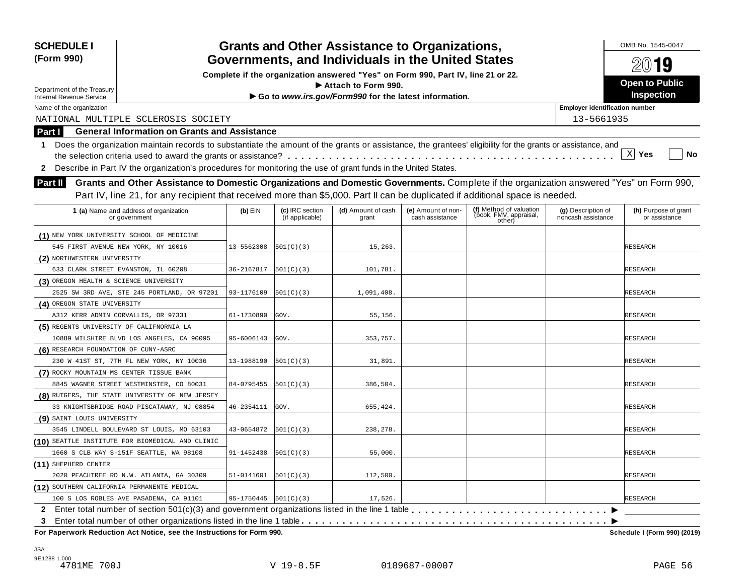| <b>SCHEDULE I</b><br>(Form 990)                                                                                                                                  |                                                                                  |                                    | <b>Grants and Other Assistance to Organizations,</b>  |                                       |                                  |                                          | OMB No. 1545-0047                          |
|------------------------------------------------------------------------------------------------------------------------------------------------------------------|----------------------------------------------------------------------------------|------------------------------------|-------------------------------------------------------|---------------------------------------|----------------------------------|------------------------------------------|--------------------------------------------|
|                                                                                                                                                                  | Governments, and Individuals in the United States                                |                                    |                                                       | $20$ 19                               |                                  |                                          |                                            |
|                                                                                                                                                                  | Complete if the organization answered "Yes" on Form 990, Part IV, line 21 or 22. |                                    |                                                       |                                       |                                  |                                          |                                            |
| Department of the Treasury                                                                                                                                       |                                                                                  |                                    | Attach to Form 990.                                   |                                       |                                  |                                          | <b>Open to Public</b><br><b>Inspection</b> |
| <b>Internal Revenue Service</b>                                                                                                                                  |                                                                                  |                                    | Go to www.irs.gov/Form990 for the latest information. |                                       |                                  |                                          |                                            |
| Name of the organization                                                                                                                                         |                                                                                  |                                    |                                                       |                                       |                                  | <b>Employer identification number</b>    |                                            |
| NATIONAL MULTIPLE SCLEROSIS SOCIETY                                                                                                                              |                                                                                  |                                    |                                                       |                                       |                                  | 13-5661935                               |                                            |
| <b>General Information on Grants and Assistance</b><br>Part I                                                                                                    |                                                                                  |                                    |                                                       |                                       |                                  |                                          |                                            |
| Does the organization maintain records to substantiate the amount of the grants or assistance, the grantees' eligibility for the grants or assistance, and<br>1. |                                                                                  |                                    |                                                       |                                       |                                  |                                          |                                            |
|                                                                                                                                                                  |                                                                                  |                                    |                                                       |                                       |                                  |                                          | $\mathbf{x}$<br>Yes<br>No                  |
| Describe in Part IV the organization's procedures for monitoring the use of grant funds in the United States.<br>$\mathbf{2}$                                    |                                                                                  |                                    |                                                       |                                       |                                  |                                          |                                            |
| Grants and Other Assistance to Domestic Organizations and Domestic Governments. Complete if the organization answered "Yes" on Form 990,<br>Part II              |                                                                                  |                                    |                                                       |                                       |                                  |                                          |                                            |
| Part IV, line 21, for any recipient that received more than \$5,000. Part II can be duplicated if additional space is needed.                                    |                                                                                  |                                    |                                                       |                                       |                                  |                                          |                                            |
|                                                                                                                                                                  |                                                                                  |                                    |                                                       |                                       | (f) Method of valuation          |                                          |                                            |
| 1 (a) Name and address of organization<br>or government                                                                                                          | $(b)$ EIN                                                                        | (c) IRC section<br>(if applicable) | (d) Amount of cash<br>grant                           | (e) Amount of non-<br>cash assistance | (book, FMV, appraisal,<br>other) | (g) Description of<br>noncash assistance | (h) Purpose of grant<br>or assistance      |
| (1) NEW YORK UNIVERSITY SCHOOL OF MEDICINE                                                                                                                       |                                                                                  |                                    |                                                       |                                       |                                  |                                          |                                            |
| 545 FIRST AVENUE NEW YORK, NY 10016                                                                                                                              | 13-5562308                                                                       | 501(C)(3)                          | 15, 263.                                              |                                       |                                  |                                          | RESEARCH                                   |
| (2) NORTHWESTERN UNIVERSITY                                                                                                                                      |                                                                                  |                                    |                                                       |                                       |                                  |                                          |                                            |
| 633 CLARK STREET EVANSTON, IL 60208                                                                                                                              | 36-2167817                                                                       | 501(C)(3)                          | 101,781.                                              |                                       |                                  |                                          | RESEARCH                                   |
| (3) OREGON HEALTH & SCIENCE UNIVERSITY                                                                                                                           |                                                                                  |                                    |                                                       |                                       |                                  |                                          |                                            |
| 2525 SW 3RD AVE, STE 245 PORTLAND, OR 97201                                                                                                                      | 93-1176109                                                                       | 501(C)(3)                          | 1,091,408.                                            |                                       |                                  |                                          | RESEARCH                                   |
| (4) OREGON STATE UNIVERSITY                                                                                                                                      |                                                                                  |                                    |                                                       |                                       |                                  |                                          |                                            |
| A312 KERR ADMIN CORVALLIS, OR 97331                                                                                                                              | 61-1730890                                                                       | GOV.                               | 55, 156.                                              |                                       |                                  |                                          | RESEARCH                                   |
| (5) REGENTS UNIVERSITY OF CALIFNORNIA LA                                                                                                                         |                                                                                  |                                    |                                                       |                                       |                                  |                                          |                                            |
| 10889 WILSHIRE BLVD LOS ANGELES, CA 90095                                                                                                                        | 95-6006143                                                                       | GOV.                               | 353,757.                                              |                                       |                                  |                                          | RESEARCH                                   |
| (6) RESEARCH FOUNDATION OF CUNY-ASRC                                                                                                                             |                                                                                  |                                    |                                                       |                                       |                                  |                                          |                                            |
| 230 W 41ST ST, 7TH FL NEW YORK, NY 10036                                                                                                                         | 13-1988190                                                                       | 501(C)(3)                          | 31,891.                                               |                                       |                                  |                                          | RESEARCH                                   |
| (7) ROCKY MOUNTAIN MS CENTER TISSUE BANK                                                                                                                         |                                                                                  |                                    |                                                       |                                       |                                  |                                          |                                            |
| 8845 WAGNER STREET WESTMINSTER, CO 80031                                                                                                                         | 84-0795455                                                                       | 501(C)(3)                          | 386,504.                                              |                                       |                                  |                                          | RESEARCH                                   |
| (8) RUTGERS, THE STATE UNIVERSITY OF NEW JERSEY                                                                                                                  |                                                                                  |                                    |                                                       |                                       |                                  |                                          |                                            |
| 33 KNIGHTSBRIDGE ROAD PISCATAWAY, NJ 08854                                                                                                                       | 46-2354111                                                                       | GOV.                               | 655,424.                                              |                                       |                                  |                                          | RESEARCH                                   |
| (9) SAINT LOUIS UNIVERSITY                                                                                                                                       |                                                                                  |                                    |                                                       |                                       |                                  |                                          |                                            |
| 3545 LINDELL BOULEVARD ST LOUIS, MO 63103                                                                                                                        | 43-0654872                                                                       | 501(C)(3)                          | 238,278.                                              |                                       |                                  |                                          | <b>RESEARCH</b>                            |
| (10) SEATTLE INSTITUTE FOR BIOMEDICAL AND CLINIC                                                                                                                 |                                                                                  |                                    |                                                       |                                       |                                  |                                          |                                            |
| 1660 S CLB WAY S-151F SEATTLE, WA 98108                                                                                                                          | 91-1452438                                                                       | 501(C)(3)                          | 55,000.                                               |                                       |                                  |                                          | <b>RESEARCH</b>                            |
| (11) SHEPHERD CENTER                                                                                                                                             |                                                                                  |                                    |                                                       |                                       |                                  |                                          |                                            |
| 2020 PEACHTREE RD N.W. ATLANTA, GA 30309                                                                                                                         | 51-0141601                                                                       | 501(C)(3)                          | 112,500.                                              |                                       |                                  |                                          | RESEARCH                                   |
| (12) SOUTHERN CALIFORNIA PERMANENTE MEDICAL                                                                                                                      |                                                                                  |                                    |                                                       |                                       |                                  |                                          |                                            |
| 100 S LOS ROBLES AVE PASADENA, CA 91101                                                                                                                          | $95-1750445$ $ 501(C)(3) $                                                       |                                    | 17,526.                                               |                                       |                                  |                                          | <b>RESEARCH</b>                            |
|                                                                                                                                                                  |                                                                                  |                                    |                                                       |                                       |                                  |                                          |                                            |
| 3                                                                                                                                                                |                                                                                  |                                    |                                                       |                                       |                                  |                                          |                                            |
| For Paperwork Reduction Act Notice, see the Instructions for Form 990.                                                                                           |                                                                                  |                                    |                                                       |                                       |                                  |                                          | Schedule I (Form 990) (2019)               |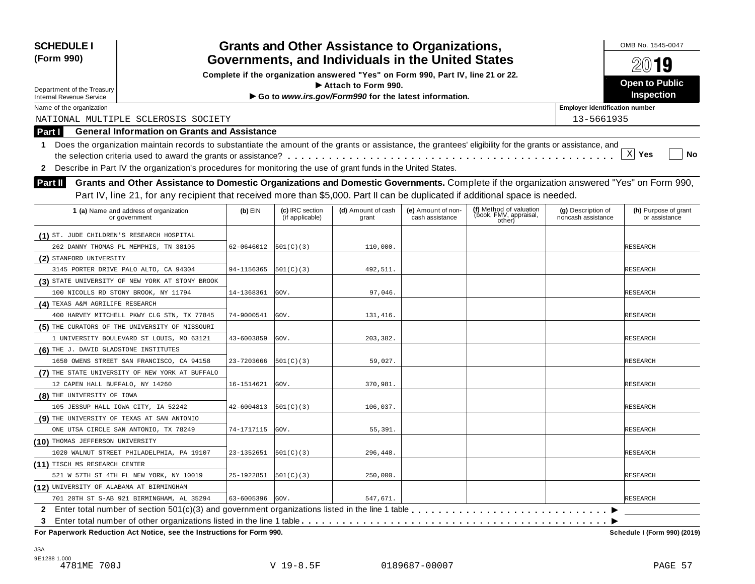| <b>SCHEDULE I</b>                         |                                                                                                                                                            |                     |                                    | <b>Grants and Other Assistance to Organizations,</b>                             |                                       |                                  |                                          | OMB No. 1545-0047                     |  |
|-------------------------------------------|------------------------------------------------------------------------------------------------------------------------------------------------------------|---------------------|------------------------------------|----------------------------------------------------------------------------------|---------------------------------------|----------------------------------|------------------------------------------|---------------------------------------|--|
| (Form 990)                                | Governments, and Individuals in the United States                                                                                                          |                     |                                    |                                                                                  |                                       |                                  |                                          |                                       |  |
|                                           |                                                                                                                                                            |                     |                                    | Complete if the organization answered "Yes" on Form 990, Part IV, line 21 or 22. |                                       |                                  |                                          | 20019                                 |  |
| Department of the Treasury                |                                                                                                                                                            |                     |                                    | $\blacktriangleright$ Attach to Form 990.                                        |                                       |                                  |                                          | Open to Public                        |  |
| <b>Internal Revenue Service</b>           |                                                                                                                                                            |                     |                                    | Go to www.irs.gov/Form990 for the latest information.                            |                                       |                                  |                                          | Inspection                            |  |
| Name of the organization                  |                                                                                                                                                            |                     |                                    |                                                                                  |                                       |                                  | <b>Employer identification number</b>    |                                       |  |
|                                           | NATIONAL MULTIPLE SCLEROSIS SOCIETY                                                                                                                        |                     |                                    |                                                                                  |                                       |                                  | 13-5661935                               |                                       |  |
| Part I                                    | <b>General Information on Grants and Assistance</b>                                                                                                        |                     |                                    |                                                                                  |                                       |                                  |                                          |                                       |  |
| 1.                                        | Does the organization maintain records to substantiate the amount of the grants or assistance, the grantees' eligibility for the grants or assistance, and |                     |                                    |                                                                                  |                                       |                                  |                                          |                                       |  |
|                                           |                                                                                                                                                            |                     |                                    |                                                                                  |                                       |                                  |                                          | $\mathbf{x}$<br>Yes<br>No             |  |
| $\mathbf{z}$                              | Describe in Part IV the organization's procedures for monitoring the use of grant funds in the United States.                                              |                     |                                    |                                                                                  |                                       |                                  |                                          |                                       |  |
| <b>Part II</b>                            | Grants and Other Assistance to Domestic Organizations and Domestic Governments. Complete if the organization answered "Yes" on Form 990,                   |                     |                                    |                                                                                  |                                       |                                  |                                          |                                       |  |
|                                           | Part IV, line 21, for any recipient that received more than \$5,000. Part II can be duplicated if additional space is needed.                              |                     |                                    |                                                                                  |                                       |                                  |                                          |                                       |  |
|                                           |                                                                                                                                                            |                     |                                    |                                                                                  |                                       | (f) Method of valuation          |                                          |                                       |  |
|                                           | 1 (a) Name and address of organization<br>or government                                                                                                    | $(b)$ EIN           | (c) IRC section<br>(if applicable) | (d) Amount of cash<br>grant                                                      | (e) Amount of non-<br>cash assistance | (book, FMV, appraisal,<br>other) | (g) Description of<br>noncash assistance | (h) Purpose of grant<br>or assistance |  |
| (1) ST. JUDE CHILDREN'S RESEARCH HOSPITAL |                                                                                                                                                            |                     |                                    |                                                                                  |                                       |                                  |                                          |                                       |  |
|                                           | 262 DANNY THOMAS PL MEMPHIS, TN 38105                                                                                                                      | 62-0646012          | 501(C)(3)                          | 110,000.                                                                         |                                       |                                  |                                          | RESEARCH                              |  |
| (2) STANFORD UNIVERSITY                   |                                                                                                                                                            |                     |                                    |                                                                                  |                                       |                                  |                                          |                                       |  |
|                                           | 3145 PORTER DRIVE PALO ALTO, CA 94304                                                                                                                      | 94-1156365          | [501(C)(3)                         | 492,511.                                                                         |                                       |                                  |                                          | RESEARCH                              |  |
|                                           | (3) STATE UNIVERSITY OF NEW YORK AT STONY BROOK                                                                                                            |                     |                                    |                                                                                  |                                       |                                  |                                          |                                       |  |
|                                           | 100 NICOLLS RD STONY BROOK, NY 11794                                                                                                                       | 14-1368361          | GOV.                               | 97,046.                                                                          |                                       |                                  |                                          | RESEARCH                              |  |
| (4) TEXAS A&M AGRILIFE RESEARCH           |                                                                                                                                                            |                     |                                    |                                                                                  |                                       |                                  |                                          |                                       |  |
|                                           | 400 HARVEY MITCHELL PKWY CLG STN, TX 77845                                                                                                                 | 74-9000541          | GOV.                               | 131,416.                                                                         |                                       |                                  |                                          | RESEARCH                              |  |
|                                           | (5) THE CURATORS OF THE UNIVERSITY OF MISSOURI                                                                                                             |                     |                                    |                                                                                  |                                       |                                  |                                          |                                       |  |
|                                           | 1 UNIVERSITY BOULEVARD ST LOUIS, MO 63121                                                                                                                  | 43-6003859          | GOV.                               | 203,382.                                                                         |                                       |                                  |                                          | RESEARCH                              |  |
| (6) THE J. DAVID GLADSTONE INSTITUTES     |                                                                                                                                                            |                     |                                    |                                                                                  |                                       |                                  |                                          |                                       |  |
|                                           | 1650 OWENS STREET SAN FRANCISCO, CA 94158                                                                                                                  | 23-7203666          | 501(C)(3)                          | 59,027.                                                                          |                                       |                                  |                                          | RESEARCH                              |  |
|                                           | (7) THE STATE UNIVERSITY OF NEW YORK AT BUFFALO                                                                                                            |                     |                                    |                                                                                  |                                       |                                  |                                          |                                       |  |
| 12 CAPEN HALL BUFFALO, NY 14260           |                                                                                                                                                            | 16-1514621          | GOV.                               | 370,981.                                                                         |                                       |                                  |                                          | RESEARCH                              |  |
| (8) THE UNIVERSITY OF IOWA                |                                                                                                                                                            |                     |                                    |                                                                                  |                                       |                                  |                                          |                                       |  |
|                                           | 105 JESSUP HALL IOWA CITY, IA 52242                                                                                                                        | 42-6004813          | 501(C)(3)                          | 106,037.                                                                         |                                       |                                  |                                          | RESEARCH                              |  |
|                                           | (9) THE UNIVERSITY OF TEXAS AT SAN ANTONIO                                                                                                                 |                     |                                    |                                                                                  |                                       |                                  |                                          |                                       |  |
|                                           | ONE UTSA CIRCLE SAN ANTONIO, TX 78249                                                                                                                      | 74-1717115          | GOV.                               | 55,391.                                                                          |                                       |                                  |                                          | RESEARCH                              |  |
| (10) THOMAS JEFFERSON UNIVERSITY          |                                                                                                                                                            |                     |                                    |                                                                                  |                                       |                                  |                                          |                                       |  |
|                                           | 1020 WALNUT STREET PHILADELPHIA, PA 19107                                                                                                                  | 23-1352651          | 501(C)(3)                          | 296,448.                                                                         |                                       |                                  |                                          | <b>RESEARCH</b>                       |  |
| (11) TISCH MS RESEARCH CENTER             |                                                                                                                                                            |                     |                                    |                                                                                  |                                       |                                  |                                          |                                       |  |
|                                           | 521 W 57TH ST 4TH FL NEW YORK, NY 10019                                                                                                                    | 25-1922851          | 501(C)(3)                          | 250,000.                                                                         |                                       |                                  |                                          | RESEARCH                              |  |
| (12) UNIVERSITY OF ALABAMA AT BIRMINGHAM  |                                                                                                                                                            |                     |                                    |                                                                                  |                                       |                                  |                                          |                                       |  |
|                                           | 701 20TH ST S-AB 921 BIRMINGHAM, AL 35294                                                                                                                  | $63 - 6005396$ GOV. |                                    | 547,671.                                                                         |                                       |                                  |                                          | <b>RESEARCH</b>                       |  |
|                                           |                                                                                                                                                            |                     |                                    |                                                                                  |                                       |                                  |                                          |                                       |  |
| 3                                         |                                                                                                                                                            |                     |                                    |                                                                                  |                                       |                                  |                                          |                                       |  |
|                                           | For Paperwork Reduction Act Notice, see the Instructions for Form 990.                                                                                     |                     |                                    |                                                                                  |                                       |                                  |                                          | Schedule I (Form 990) (2019)          |  |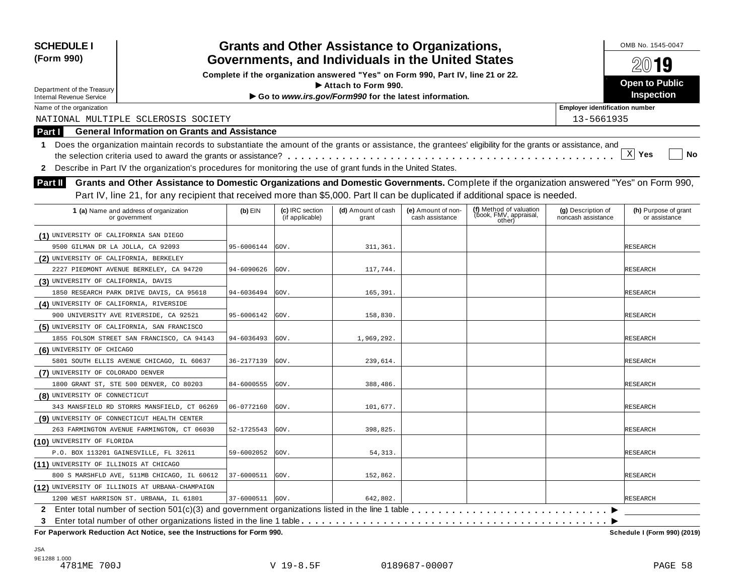| Complete if the organization answered "Yes" on Form 990, Part IV, line 21 or 22.<br>Open to Public<br>$\blacktriangleright$ Attach to Form 990.<br>Department of the Treasury<br>Inspection<br>Go to www.irs.gov/Form990 for the latest information.<br><b>Internal Revenue Service</b><br><b>Employer identification number</b><br>Name of the organization<br>NATIONAL MULTIPLE SCLEROSIS SOCIETY<br>13-5661935<br><b>General Information on Grants and Assistance</b><br>Part I<br>Does the organization maintain records to substantiate the amount of the grants or assistance, the grantees' eligibility for the grants or assistance, and<br>1.<br>$X$ Yes<br>No<br>Describe in Part IV the organization's procedures for monitoring the use of grant funds in the United States.<br>$\mathbf{2}$<br>Grants and Other Assistance to Domestic Organizations and Domestic Governments. Complete if the organization answered "Yes" on Form 990,<br><b>Part II</b><br>Part IV, line 21, for any recipient that received more than \$5,000. Part II can be duplicated if additional space is needed.<br>(f) Method of valuation<br>(c) IRC section<br>(d) Amount of cash<br>(h) Purpose of grant<br>$(b)$ EIN<br>(e) Amount of non-<br>(g) Description of<br>1 (a) Name and address of organization<br>(book, FMV, appraisal,<br>(if applicable)<br>cash assistance<br>noncash assistance<br>grant<br>or assistance<br>or government<br>other)<br>(1) UNIVERSITY OF CALIFORNIA SAN DIEGO<br>95-6006144<br>311.361.<br>9500 GILMAN DR LA JOLLA, CA 92093<br>GOV.<br>RESEARCH<br>(2) UNIVERSITY OF CALIFORNIA, BERKELEY<br>GOV.<br>117,744.<br>2227 PIEDMONT AVENUE BERKELEY, CA 94720<br>94-6090626<br>RESEARCH<br>(3) UNIVERSITY OF CALIFORNIA, DAVIS<br>1850 RESEARCH PARK DRIVE DAVIS, CA 95618<br>GOV.<br>165,391.<br>RESEARCH<br>94-6036494<br>(4) UNIVERSITY OF CALIFORNIA, RIVERSIDE<br>GOV.<br>158,830.<br>900 UNIVERSITY AVE RIVERSIDE, CA 92521<br>95-6006142<br>RESEARCH<br>(5) UNIVERSITY OF CALIFORNIA, SAN FRANCISCO<br>1855 FOLSOM STREET SAN FRANCISCO, CA 94143<br>94-6036493<br>GOV.<br>1,969,292.<br>RESEARCH<br>(6) UNIVERSITY OF CHICAGO<br>36-2177139<br>GOV.<br>239,614.<br>5801 SOUTH ELLIS AVENUE CHICAGO, IL 60637<br>RESEARCH<br>(7) UNIVERSITY OF COLORADO DENVER<br>1800 GRANT ST, STE 500 DENVER, CO 80203<br>84-6000555<br>GOV.<br>388,486.<br>RESEARCH<br>(8) UNIVERSITY OF CONNECTICUT<br>06-0772160<br>GOV.<br>101,677.<br>343 MANSFIELD RD STORRS MANSFIELD, CT 06269<br>RESEARCH<br>(9) UNIVERSITY OF CONNECTICUT HEALTH CENTER<br>263 FARMINGTON AVENUE FARMINGTON, CT 06030<br>52-1725543<br>GOV.<br>398,825.<br>RESEARCH<br>(10) UNIVERSITY OF FLORIDA<br>P.O. BOX 113201 GAINESVILLE, FL 32611<br>59-6002052<br>GOV.<br>54, 313.<br><b>RESEARCH</b><br>(11) UNIVERSITY OF ILLINOIS AT CHICAGO<br>37-6000511<br>152,862.<br>800 S MARSHFLD AVE, 511MB CHICAGO, IL 60612<br>GOV.<br>RESEARCH<br>(12) UNIVERSITY OF ILLINOIS AT URBANA-CHAMPAIGN<br>37-6000511 GOV.<br>642,802.<br>1200 WEST HARRISON ST. URBANA, IL 61801<br><b>RESEARCH</b><br>3<br>For Paperwork Reduction Act Notice, see the Instructions for Form 990. | <b>SCHEDULE I</b><br>(Form 990) |  |  |  | <b>Grants and Other Assistance to Organizations,</b><br>Governments, and Individuals in the United States |  |  |  | OMB No. 1545-0047<br>20019 |  |  |
|---------------------------------------------------------------------------------------------------------------------------------------------------------------------------------------------------------------------------------------------------------------------------------------------------------------------------------------------------------------------------------------------------------------------------------------------------------------------------------------------------------------------------------------------------------------------------------------------------------------------------------------------------------------------------------------------------------------------------------------------------------------------------------------------------------------------------------------------------------------------------------------------------------------------------------------------------------------------------------------------------------------------------------------------------------------------------------------------------------------------------------------------------------------------------------------------------------------------------------------------------------------------------------------------------------------------------------------------------------------------------------------------------------------------------------------------------------------------------------------------------------------------------------------------------------------------------------------------------------------------------------------------------------------------------------------------------------------------------------------------------------------------------------------------------------------------------------------------------------------------------------------------------------------------------------------------------------------------------------------------------------------------------------------------------------------------------------------------------------------------------------------------------------------------------------------------------------------------------------------------------------------------------------------------------------------------------------------------------------------------------------------------------------------------------------------------------------------------------------------------------------------------------------------------------------------------------------------------------------------------------------------------------------------------------------------------------------------------------------------------------------------------------------------------------------------------------------------------------------------------------------------------------------------------------------------------------------------------------------------------------------------------------------------------------------------------------------------------------------------------------------------------------------------------|---------------------------------|--|--|--|-----------------------------------------------------------------------------------------------------------|--|--|--|----------------------------|--|--|
|                                                                                                                                                                                                                                                                                                                                                                                                                                                                                                                                                                                                                                                                                                                                                                                                                                                                                                                                                                                                                                                                                                                                                                                                                                                                                                                                                                                                                                                                                                                                                                                                                                                                                                                                                                                                                                                                                                                                                                                                                                                                                                                                                                                                                                                                                                                                                                                                                                                                                                                                                                                                                                                                                                                                                                                                                                                                                                                                                                                                                                                                                                                                                                     |                                 |  |  |  |                                                                                                           |  |  |  |                            |  |  |
|                                                                                                                                                                                                                                                                                                                                                                                                                                                                                                                                                                                                                                                                                                                                                                                                                                                                                                                                                                                                                                                                                                                                                                                                                                                                                                                                                                                                                                                                                                                                                                                                                                                                                                                                                                                                                                                                                                                                                                                                                                                                                                                                                                                                                                                                                                                                                                                                                                                                                                                                                                                                                                                                                                                                                                                                                                                                                                                                                                                                                                                                                                                                                                     |                                 |  |  |  |                                                                                                           |  |  |  |                            |  |  |
|                                                                                                                                                                                                                                                                                                                                                                                                                                                                                                                                                                                                                                                                                                                                                                                                                                                                                                                                                                                                                                                                                                                                                                                                                                                                                                                                                                                                                                                                                                                                                                                                                                                                                                                                                                                                                                                                                                                                                                                                                                                                                                                                                                                                                                                                                                                                                                                                                                                                                                                                                                                                                                                                                                                                                                                                                                                                                                                                                                                                                                                                                                                                                                     |                                 |  |  |  |                                                                                                           |  |  |  |                            |  |  |
|                                                                                                                                                                                                                                                                                                                                                                                                                                                                                                                                                                                                                                                                                                                                                                                                                                                                                                                                                                                                                                                                                                                                                                                                                                                                                                                                                                                                                                                                                                                                                                                                                                                                                                                                                                                                                                                                                                                                                                                                                                                                                                                                                                                                                                                                                                                                                                                                                                                                                                                                                                                                                                                                                                                                                                                                                                                                                                                                                                                                                                                                                                                                                                     |                                 |  |  |  |                                                                                                           |  |  |  |                            |  |  |
|                                                                                                                                                                                                                                                                                                                                                                                                                                                                                                                                                                                                                                                                                                                                                                                                                                                                                                                                                                                                                                                                                                                                                                                                                                                                                                                                                                                                                                                                                                                                                                                                                                                                                                                                                                                                                                                                                                                                                                                                                                                                                                                                                                                                                                                                                                                                                                                                                                                                                                                                                                                                                                                                                                                                                                                                                                                                                                                                                                                                                                                                                                                                                                     |                                 |  |  |  |                                                                                                           |  |  |  |                            |  |  |
|                                                                                                                                                                                                                                                                                                                                                                                                                                                                                                                                                                                                                                                                                                                                                                                                                                                                                                                                                                                                                                                                                                                                                                                                                                                                                                                                                                                                                                                                                                                                                                                                                                                                                                                                                                                                                                                                                                                                                                                                                                                                                                                                                                                                                                                                                                                                                                                                                                                                                                                                                                                                                                                                                                                                                                                                                                                                                                                                                                                                                                                                                                                                                                     |                                 |  |  |  |                                                                                                           |  |  |  |                            |  |  |
|                                                                                                                                                                                                                                                                                                                                                                                                                                                                                                                                                                                                                                                                                                                                                                                                                                                                                                                                                                                                                                                                                                                                                                                                                                                                                                                                                                                                                                                                                                                                                                                                                                                                                                                                                                                                                                                                                                                                                                                                                                                                                                                                                                                                                                                                                                                                                                                                                                                                                                                                                                                                                                                                                                                                                                                                                                                                                                                                                                                                                                                                                                                                                                     |                                 |  |  |  |                                                                                                           |  |  |  |                            |  |  |
|                                                                                                                                                                                                                                                                                                                                                                                                                                                                                                                                                                                                                                                                                                                                                                                                                                                                                                                                                                                                                                                                                                                                                                                                                                                                                                                                                                                                                                                                                                                                                                                                                                                                                                                                                                                                                                                                                                                                                                                                                                                                                                                                                                                                                                                                                                                                                                                                                                                                                                                                                                                                                                                                                                                                                                                                                                                                                                                                                                                                                                                                                                                                                                     |                                 |  |  |  |                                                                                                           |  |  |  |                            |  |  |
|                                                                                                                                                                                                                                                                                                                                                                                                                                                                                                                                                                                                                                                                                                                                                                                                                                                                                                                                                                                                                                                                                                                                                                                                                                                                                                                                                                                                                                                                                                                                                                                                                                                                                                                                                                                                                                                                                                                                                                                                                                                                                                                                                                                                                                                                                                                                                                                                                                                                                                                                                                                                                                                                                                                                                                                                                                                                                                                                                                                                                                                                                                                                                                     |                                 |  |  |  |                                                                                                           |  |  |  |                            |  |  |
|                                                                                                                                                                                                                                                                                                                                                                                                                                                                                                                                                                                                                                                                                                                                                                                                                                                                                                                                                                                                                                                                                                                                                                                                                                                                                                                                                                                                                                                                                                                                                                                                                                                                                                                                                                                                                                                                                                                                                                                                                                                                                                                                                                                                                                                                                                                                                                                                                                                                                                                                                                                                                                                                                                                                                                                                                                                                                                                                                                                                                                                                                                                                                                     |                                 |  |  |  |                                                                                                           |  |  |  |                            |  |  |
|                                                                                                                                                                                                                                                                                                                                                                                                                                                                                                                                                                                                                                                                                                                                                                                                                                                                                                                                                                                                                                                                                                                                                                                                                                                                                                                                                                                                                                                                                                                                                                                                                                                                                                                                                                                                                                                                                                                                                                                                                                                                                                                                                                                                                                                                                                                                                                                                                                                                                                                                                                                                                                                                                                                                                                                                                                                                                                                                                                                                                                                                                                                                                                     |                                 |  |  |  |                                                                                                           |  |  |  |                            |  |  |
|                                                                                                                                                                                                                                                                                                                                                                                                                                                                                                                                                                                                                                                                                                                                                                                                                                                                                                                                                                                                                                                                                                                                                                                                                                                                                                                                                                                                                                                                                                                                                                                                                                                                                                                                                                                                                                                                                                                                                                                                                                                                                                                                                                                                                                                                                                                                                                                                                                                                                                                                                                                                                                                                                                                                                                                                                                                                                                                                                                                                                                                                                                                                                                     |                                 |  |  |  |                                                                                                           |  |  |  |                            |  |  |
|                                                                                                                                                                                                                                                                                                                                                                                                                                                                                                                                                                                                                                                                                                                                                                                                                                                                                                                                                                                                                                                                                                                                                                                                                                                                                                                                                                                                                                                                                                                                                                                                                                                                                                                                                                                                                                                                                                                                                                                                                                                                                                                                                                                                                                                                                                                                                                                                                                                                                                                                                                                                                                                                                                                                                                                                                                                                                                                                                                                                                                                                                                                                                                     |                                 |  |  |  |                                                                                                           |  |  |  |                            |  |  |
|                                                                                                                                                                                                                                                                                                                                                                                                                                                                                                                                                                                                                                                                                                                                                                                                                                                                                                                                                                                                                                                                                                                                                                                                                                                                                                                                                                                                                                                                                                                                                                                                                                                                                                                                                                                                                                                                                                                                                                                                                                                                                                                                                                                                                                                                                                                                                                                                                                                                                                                                                                                                                                                                                                                                                                                                                                                                                                                                                                                                                                                                                                                                                                     |                                 |  |  |  |                                                                                                           |  |  |  |                            |  |  |
|                                                                                                                                                                                                                                                                                                                                                                                                                                                                                                                                                                                                                                                                                                                                                                                                                                                                                                                                                                                                                                                                                                                                                                                                                                                                                                                                                                                                                                                                                                                                                                                                                                                                                                                                                                                                                                                                                                                                                                                                                                                                                                                                                                                                                                                                                                                                                                                                                                                                                                                                                                                                                                                                                                                                                                                                                                                                                                                                                                                                                                                                                                                                                                     |                                 |  |  |  |                                                                                                           |  |  |  |                            |  |  |
|                                                                                                                                                                                                                                                                                                                                                                                                                                                                                                                                                                                                                                                                                                                                                                                                                                                                                                                                                                                                                                                                                                                                                                                                                                                                                                                                                                                                                                                                                                                                                                                                                                                                                                                                                                                                                                                                                                                                                                                                                                                                                                                                                                                                                                                                                                                                                                                                                                                                                                                                                                                                                                                                                                                                                                                                                                                                                                                                                                                                                                                                                                                                                                     |                                 |  |  |  |                                                                                                           |  |  |  |                            |  |  |
|                                                                                                                                                                                                                                                                                                                                                                                                                                                                                                                                                                                                                                                                                                                                                                                                                                                                                                                                                                                                                                                                                                                                                                                                                                                                                                                                                                                                                                                                                                                                                                                                                                                                                                                                                                                                                                                                                                                                                                                                                                                                                                                                                                                                                                                                                                                                                                                                                                                                                                                                                                                                                                                                                                                                                                                                                                                                                                                                                                                                                                                                                                                                                                     |                                 |  |  |  |                                                                                                           |  |  |  |                            |  |  |
|                                                                                                                                                                                                                                                                                                                                                                                                                                                                                                                                                                                                                                                                                                                                                                                                                                                                                                                                                                                                                                                                                                                                                                                                                                                                                                                                                                                                                                                                                                                                                                                                                                                                                                                                                                                                                                                                                                                                                                                                                                                                                                                                                                                                                                                                                                                                                                                                                                                                                                                                                                                                                                                                                                                                                                                                                                                                                                                                                                                                                                                                                                                                                                     |                                 |  |  |  |                                                                                                           |  |  |  |                            |  |  |
|                                                                                                                                                                                                                                                                                                                                                                                                                                                                                                                                                                                                                                                                                                                                                                                                                                                                                                                                                                                                                                                                                                                                                                                                                                                                                                                                                                                                                                                                                                                                                                                                                                                                                                                                                                                                                                                                                                                                                                                                                                                                                                                                                                                                                                                                                                                                                                                                                                                                                                                                                                                                                                                                                                                                                                                                                                                                                                                                                                                                                                                                                                                                                                     |                                 |  |  |  |                                                                                                           |  |  |  |                            |  |  |
|                                                                                                                                                                                                                                                                                                                                                                                                                                                                                                                                                                                                                                                                                                                                                                                                                                                                                                                                                                                                                                                                                                                                                                                                                                                                                                                                                                                                                                                                                                                                                                                                                                                                                                                                                                                                                                                                                                                                                                                                                                                                                                                                                                                                                                                                                                                                                                                                                                                                                                                                                                                                                                                                                                                                                                                                                                                                                                                                                                                                                                                                                                                                                                     |                                 |  |  |  |                                                                                                           |  |  |  |                            |  |  |
|                                                                                                                                                                                                                                                                                                                                                                                                                                                                                                                                                                                                                                                                                                                                                                                                                                                                                                                                                                                                                                                                                                                                                                                                                                                                                                                                                                                                                                                                                                                                                                                                                                                                                                                                                                                                                                                                                                                                                                                                                                                                                                                                                                                                                                                                                                                                                                                                                                                                                                                                                                                                                                                                                                                                                                                                                                                                                                                                                                                                                                                                                                                                                                     |                                 |  |  |  |                                                                                                           |  |  |  |                            |  |  |
|                                                                                                                                                                                                                                                                                                                                                                                                                                                                                                                                                                                                                                                                                                                                                                                                                                                                                                                                                                                                                                                                                                                                                                                                                                                                                                                                                                                                                                                                                                                                                                                                                                                                                                                                                                                                                                                                                                                                                                                                                                                                                                                                                                                                                                                                                                                                                                                                                                                                                                                                                                                                                                                                                                                                                                                                                                                                                                                                                                                                                                                                                                                                                                     |                                 |  |  |  |                                                                                                           |  |  |  |                            |  |  |
|                                                                                                                                                                                                                                                                                                                                                                                                                                                                                                                                                                                                                                                                                                                                                                                                                                                                                                                                                                                                                                                                                                                                                                                                                                                                                                                                                                                                                                                                                                                                                                                                                                                                                                                                                                                                                                                                                                                                                                                                                                                                                                                                                                                                                                                                                                                                                                                                                                                                                                                                                                                                                                                                                                                                                                                                                                                                                                                                                                                                                                                                                                                                                                     |                                 |  |  |  |                                                                                                           |  |  |  |                            |  |  |
|                                                                                                                                                                                                                                                                                                                                                                                                                                                                                                                                                                                                                                                                                                                                                                                                                                                                                                                                                                                                                                                                                                                                                                                                                                                                                                                                                                                                                                                                                                                                                                                                                                                                                                                                                                                                                                                                                                                                                                                                                                                                                                                                                                                                                                                                                                                                                                                                                                                                                                                                                                                                                                                                                                                                                                                                                                                                                                                                                                                                                                                                                                                                                                     |                                 |  |  |  |                                                                                                           |  |  |  |                            |  |  |
|                                                                                                                                                                                                                                                                                                                                                                                                                                                                                                                                                                                                                                                                                                                                                                                                                                                                                                                                                                                                                                                                                                                                                                                                                                                                                                                                                                                                                                                                                                                                                                                                                                                                                                                                                                                                                                                                                                                                                                                                                                                                                                                                                                                                                                                                                                                                                                                                                                                                                                                                                                                                                                                                                                                                                                                                                                                                                                                                                                                                                                                                                                                                                                     |                                 |  |  |  |                                                                                                           |  |  |  |                            |  |  |
|                                                                                                                                                                                                                                                                                                                                                                                                                                                                                                                                                                                                                                                                                                                                                                                                                                                                                                                                                                                                                                                                                                                                                                                                                                                                                                                                                                                                                                                                                                                                                                                                                                                                                                                                                                                                                                                                                                                                                                                                                                                                                                                                                                                                                                                                                                                                                                                                                                                                                                                                                                                                                                                                                                                                                                                                                                                                                                                                                                                                                                                                                                                                                                     |                                 |  |  |  |                                                                                                           |  |  |  |                            |  |  |
|                                                                                                                                                                                                                                                                                                                                                                                                                                                                                                                                                                                                                                                                                                                                                                                                                                                                                                                                                                                                                                                                                                                                                                                                                                                                                                                                                                                                                                                                                                                                                                                                                                                                                                                                                                                                                                                                                                                                                                                                                                                                                                                                                                                                                                                                                                                                                                                                                                                                                                                                                                                                                                                                                                                                                                                                                                                                                                                                                                                                                                                                                                                                                                     |                                 |  |  |  |                                                                                                           |  |  |  |                            |  |  |
|                                                                                                                                                                                                                                                                                                                                                                                                                                                                                                                                                                                                                                                                                                                                                                                                                                                                                                                                                                                                                                                                                                                                                                                                                                                                                                                                                                                                                                                                                                                                                                                                                                                                                                                                                                                                                                                                                                                                                                                                                                                                                                                                                                                                                                                                                                                                                                                                                                                                                                                                                                                                                                                                                                                                                                                                                                                                                                                                                                                                                                                                                                                                                                     |                                 |  |  |  |                                                                                                           |  |  |  |                            |  |  |
|                                                                                                                                                                                                                                                                                                                                                                                                                                                                                                                                                                                                                                                                                                                                                                                                                                                                                                                                                                                                                                                                                                                                                                                                                                                                                                                                                                                                                                                                                                                                                                                                                                                                                                                                                                                                                                                                                                                                                                                                                                                                                                                                                                                                                                                                                                                                                                                                                                                                                                                                                                                                                                                                                                                                                                                                                                                                                                                                                                                                                                                                                                                                                                     |                                 |  |  |  |                                                                                                           |  |  |  |                            |  |  |
|                                                                                                                                                                                                                                                                                                                                                                                                                                                                                                                                                                                                                                                                                                                                                                                                                                                                                                                                                                                                                                                                                                                                                                                                                                                                                                                                                                                                                                                                                                                                                                                                                                                                                                                                                                                                                                                                                                                                                                                                                                                                                                                                                                                                                                                                                                                                                                                                                                                                                                                                                                                                                                                                                                                                                                                                                                                                                                                                                                                                                                                                                                                                                                     |                                 |  |  |  |                                                                                                           |  |  |  |                            |  |  |
|                                                                                                                                                                                                                                                                                                                                                                                                                                                                                                                                                                                                                                                                                                                                                                                                                                                                                                                                                                                                                                                                                                                                                                                                                                                                                                                                                                                                                                                                                                                                                                                                                                                                                                                                                                                                                                                                                                                                                                                                                                                                                                                                                                                                                                                                                                                                                                                                                                                                                                                                                                                                                                                                                                                                                                                                                                                                                                                                                                                                                                                                                                                                                                     |                                 |  |  |  |                                                                                                           |  |  |  |                            |  |  |
|                                                                                                                                                                                                                                                                                                                                                                                                                                                                                                                                                                                                                                                                                                                                                                                                                                                                                                                                                                                                                                                                                                                                                                                                                                                                                                                                                                                                                                                                                                                                                                                                                                                                                                                                                                                                                                                                                                                                                                                                                                                                                                                                                                                                                                                                                                                                                                                                                                                                                                                                                                                                                                                                                                                                                                                                                                                                                                                                                                                                                                                                                                                                                                     |                                 |  |  |  |                                                                                                           |  |  |  |                            |  |  |
|                                                                                                                                                                                                                                                                                                                                                                                                                                                                                                                                                                                                                                                                                                                                                                                                                                                                                                                                                                                                                                                                                                                                                                                                                                                                                                                                                                                                                                                                                                                                                                                                                                                                                                                                                                                                                                                                                                                                                                                                                                                                                                                                                                                                                                                                                                                                                                                                                                                                                                                                                                                                                                                                                                                                                                                                                                                                                                                                                                                                                                                                                                                                                                     |                                 |  |  |  |                                                                                                           |  |  |  |                            |  |  |
|                                                                                                                                                                                                                                                                                                                                                                                                                                                                                                                                                                                                                                                                                                                                                                                                                                                                                                                                                                                                                                                                                                                                                                                                                                                                                                                                                                                                                                                                                                                                                                                                                                                                                                                                                                                                                                                                                                                                                                                                                                                                                                                                                                                                                                                                                                                                                                                                                                                                                                                                                                                                                                                                                                                                                                                                                                                                                                                                                                                                                                                                                                                                                                     |                                 |  |  |  |                                                                                                           |  |  |  |                            |  |  |
|                                                                                                                                                                                                                                                                                                                                                                                                                                                                                                                                                                                                                                                                                                                                                                                                                                                                                                                                                                                                                                                                                                                                                                                                                                                                                                                                                                                                                                                                                                                                                                                                                                                                                                                                                                                                                                                                                                                                                                                                                                                                                                                                                                                                                                                                                                                                                                                                                                                                                                                                                                                                                                                                                                                                                                                                                                                                                                                                                                                                                                                                                                                                                                     |                                 |  |  |  |                                                                                                           |  |  |  |                            |  |  |
|                                                                                                                                                                                                                                                                                                                                                                                                                                                                                                                                                                                                                                                                                                                                                                                                                                                                                                                                                                                                                                                                                                                                                                                                                                                                                                                                                                                                                                                                                                                                                                                                                                                                                                                                                                                                                                                                                                                                                                                                                                                                                                                                                                                                                                                                                                                                                                                                                                                                                                                                                                                                                                                                                                                                                                                                                                                                                                                                                                                                                                                                                                                                                                     |                                 |  |  |  |                                                                                                           |  |  |  |                            |  |  |
|                                                                                                                                                                                                                                                                                                                                                                                                                                                                                                                                                                                                                                                                                                                                                                                                                                                                                                                                                                                                                                                                                                                                                                                                                                                                                                                                                                                                                                                                                                                                                                                                                                                                                                                                                                                                                                                                                                                                                                                                                                                                                                                                                                                                                                                                                                                                                                                                                                                                                                                                                                                                                                                                                                                                                                                                                                                                                                                                                                                                                                                                                                                                                                     |                                 |  |  |  |                                                                                                           |  |  |  |                            |  |  |
|                                                                                                                                                                                                                                                                                                                                                                                                                                                                                                                                                                                                                                                                                                                                                                                                                                                                                                                                                                                                                                                                                                                                                                                                                                                                                                                                                                                                                                                                                                                                                                                                                                                                                                                                                                                                                                                                                                                                                                                                                                                                                                                                                                                                                                                                                                                                                                                                                                                                                                                                                                                                                                                                                                                                                                                                                                                                                                                                                                                                                                                                                                                                                                     |                                 |  |  |  |                                                                                                           |  |  |  |                            |  |  |
|                                                                                                                                                                                                                                                                                                                                                                                                                                                                                                                                                                                                                                                                                                                                                                                                                                                                                                                                                                                                                                                                                                                                                                                                                                                                                                                                                                                                                                                                                                                                                                                                                                                                                                                                                                                                                                                                                                                                                                                                                                                                                                                                                                                                                                                                                                                                                                                                                                                                                                                                                                                                                                                                                                                                                                                                                                                                                                                                                                                                                                                                                                                                                                     |                                 |  |  |  |                                                                                                           |  |  |  |                            |  |  |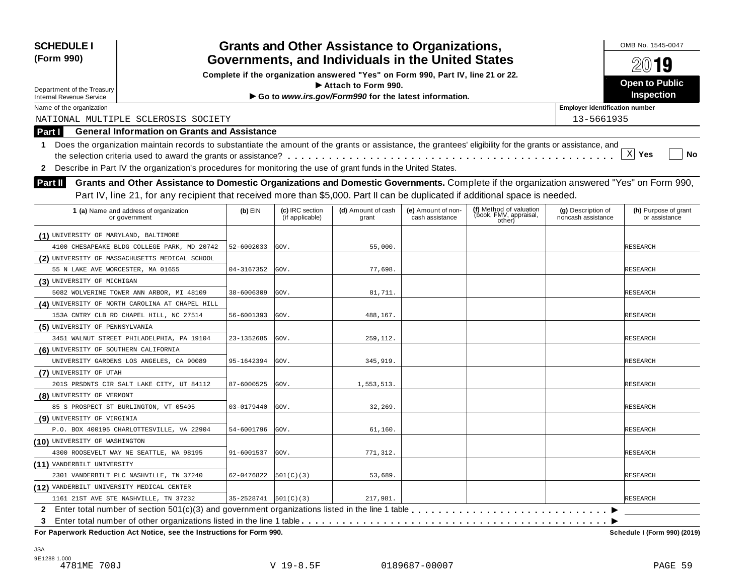| <b>SCHEDULE I</b><br>(Form 990)           |                                                                                                                                                            | <b>Grants and Other Assistance to Organizations,</b><br>Governments, and Individuals in the United States |                                    |                                                                                  |                                       |                                                             |                                          | OMB No. 1545-0047                     |  |
|-------------------------------------------|------------------------------------------------------------------------------------------------------------------------------------------------------------|-----------------------------------------------------------------------------------------------------------|------------------------------------|----------------------------------------------------------------------------------|---------------------------------------|-------------------------------------------------------------|------------------------------------------|---------------------------------------|--|
|                                           |                                                                                                                                                            |                                                                                                           |                                    |                                                                                  |                                       |                                                             |                                          | 20019                                 |  |
|                                           |                                                                                                                                                            |                                                                                                           |                                    | Complete if the organization answered "Yes" on Form 990, Part IV, line 21 or 22. |                                       |                                                             |                                          | Open to Public                        |  |
| Department of the Treasury                |                                                                                                                                                            |                                                                                                           |                                    | $\blacktriangleright$ Attach to Form 990.                                        |                                       |                                                             |                                          | Inspection                            |  |
| <b>Internal Revenue Service</b>           |                                                                                                                                                            |                                                                                                           |                                    | Go to www.irs.gov/Form990 for the latest information.                            |                                       |                                                             |                                          |                                       |  |
| Name of the organization                  |                                                                                                                                                            |                                                                                                           |                                    |                                                                                  |                                       |                                                             | <b>Employer identification number</b>    |                                       |  |
|                                           | NATIONAL MULTIPLE SCLEROSIS SOCIETY                                                                                                                        |                                                                                                           |                                    |                                                                                  |                                       |                                                             | 13-5661935                               |                                       |  |
| Part I                                    | <b>General Information on Grants and Assistance</b>                                                                                                        |                                                                                                           |                                    |                                                                                  |                                       |                                                             |                                          |                                       |  |
| 1.                                        | Does the organization maintain records to substantiate the amount of the grants or assistance, the grantees' eligibility for the grants or assistance, and |                                                                                                           |                                    |                                                                                  |                                       |                                                             |                                          | $\mathbf{x}$                          |  |
|                                           |                                                                                                                                                            |                                                                                                           |                                    |                                                                                  |                                       |                                                             |                                          | Yes<br>No                             |  |
| $\mathbf{z}$                              | Describe in Part IV the organization's procedures for monitoring the use of grant funds in the United States.                                              |                                                                                                           |                                    |                                                                                  |                                       |                                                             |                                          |                                       |  |
| <b>Part II</b>                            | Grants and Other Assistance to Domestic Organizations and Domestic Governments. Complete if the organization answered "Yes" on Form 990,                   |                                                                                                           |                                    |                                                                                  |                                       |                                                             |                                          |                                       |  |
|                                           | Part IV, line 21, for any recipient that received more than \$5,000. Part II can be duplicated if additional space is needed.                              |                                                                                                           |                                    |                                                                                  |                                       |                                                             |                                          |                                       |  |
|                                           | 1 (a) Name and address of organization<br>or government                                                                                                    | $(b)$ EIN                                                                                                 | (c) IRC section<br>(if applicable) | (d) Amount of cash<br>grant                                                      | (e) Amount of non-<br>cash assistance | (f) Method of valuation<br>(book, FMV, appraisal,<br>other) | (g) Description of<br>noncash assistance | (h) Purpose of grant<br>or assistance |  |
| (1) UNIVERSITY OF MARYLAND, BALTIMORE     |                                                                                                                                                            |                                                                                                           |                                    |                                                                                  |                                       |                                                             |                                          |                                       |  |
|                                           | 4100 CHESAPEAKE BLDG COLLEGE PARK, MD 20742                                                                                                                | 52-6002033                                                                                                | GOV.                               | 55,000.                                                                          |                                       |                                                             |                                          | RESEARCH                              |  |
|                                           | (2) UNIVERSITY OF MASSACHUSETTS MEDICAL SCHOOL                                                                                                             |                                                                                                           |                                    |                                                                                  |                                       |                                                             |                                          |                                       |  |
| 55 N LAKE AVE WORCESTER, MA 01655         |                                                                                                                                                            | 04-3167352                                                                                                | GOV.                               | 77,698.                                                                          |                                       |                                                             |                                          | RESEARCH                              |  |
| (3) UNIVERSITY OF MICHIGAN                |                                                                                                                                                            |                                                                                                           |                                    |                                                                                  |                                       |                                                             |                                          |                                       |  |
|                                           | 5082 WOLVERINE TOWER ANN ARBOR, MI 48109                                                                                                                   | 38-6006309                                                                                                | GOV.                               | 81,711.                                                                          |                                       |                                                             |                                          | RESEARCH                              |  |
|                                           | (4) UNIVERSITY OF NORTH CAROLINA AT CHAPEL HILL                                                                                                            |                                                                                                           |                                    |                                                                                  |                                       |                                                             |                                          |                                       |  |
|                                           | 153A CNTRY CLB RD CHAPEL HILL, NC 27514                                                                                                                    | 56-6001393                                                                                                | GOV.                               | 488,167.                                                                         |                                       |                                                             |                                          | RESEARCH                              |  |
| (5) UNIVERSITY OF PENNSYLVANIA            |                                                                                                                                                            |                                                                                                           |                                    |                                                                                  |                                       |                                                             |                                          |                                       |  |
|                                           | 3451 WALNUT STREET PHILADELPHIA, PA 19104                                                                                                                  | 23-1352685                                                                                                | GOV.                               | 259,112.                                                                         |                                       |                                                             |                                          | RESEARCH                              |  |
| (6) UNIVERSITY OF SOUTHERN CALIFORNIA     |                                                                                                                                                            |                                                                                                           |                                    |                                                                                  |                                       |                                                             |                                          |                                       |  |
|                                           | UNIVERSITY GARDENS LOS ANGELES, CA 90089                                                                                                                   | 95-1642394                                                                                                | GOV.                               | 345,919.                                                                         |                                       |                                                             |                                          | RESEARCH                              |  |
| (7) UNIVERSITY OF UTAH                    |                                                                                                                                                            |                                                                                                           |                                    |                                                                                  |                                       |                                                             |                                          |                                       |  |
|                                           | 201S PRSDNTS CIR SALT LAKE CITY, UT 84112                                                                                                                  | 87-6000525                                                                                                | GOV.                               | 1,553,513.                                                                       |                                       |                                                             |                                          | RESEARCH                              |  |
| (8) UNIVERSITY OF VERMONT                 |                                                                                                                                                            |                                                                                                           |                                    |                                                                                  |                                       |                                                             |                                          |                                       |  |
| 85 S PROSPECT ST BURLINGTON, VT 05405     |                                                                                                                                                            | 03-0179440                                                                                                | GOV.                               | 32, 269.                                                                         |                                       |                                                             |                                          | RESEARCH                              |  |
| (9) UNIVERSITY OF VIRGINIA                |                                                                                                                                                            |                                                                                                           |                                    |                                                                                  |                                       |                                                             |                                          |                                       |  |
|                                           | P.O. BOX 400195 CHARLOTTESVILLE, VA 22904                                                                                                                  | 54-6001796                                                                                                | GOV.                               | 61,160.                                                                          |                                       |                                                             |                                          | RESEARCH                              |  |
| (10) UNIVERSITY OF WASHINGTON             |                                                                                                                                                            |                                                                                                           |                                    |                                                                                  |                                       |                                                             |                                          |                                       |  |
|                                           | 4300 ROOSEVELT WAY NE SEATTLE, WA 98195                                                                                                                    | 91-6001537                                                                                                | GOV.                               | 771,312.                                                                         |                                       |                                                             |                                          | <b>RESEARCH</b>                       |  |
| (11) VANDERBILT UNIVERSITY                |                                                                                                                                                            |                                                                                                           |                                    |                                                                                  |                                       |                                                             |                                          |                                       |  |
|                                           | 2301 VANDERBILT PLC NASHVILLE, TN 37240                                                                                                                    | 62-0476822                                                                                                | 501(C)(3)                          | 53,689.                                                                          |                                       |                                                             |                                          | RESEARCH                              |  |
| (12) VANDERBILT UNIVERSITY MEDICAL CENTER |                                                                                                                                                            |                                                                                                           |                                    |                                                                                  |                                       |                                                             |                                          |                                       |  |
| 1161 21ST AVE STE NASHVILLE, TN 37232     |                                                                                                                                                            | $35-2528741$ $501(C)(3)$                                                                                  |                                    | 217,981.                                                                         |                                       |                                                             |                                          | <b>RESEARCH</b>                       |  |
|                                           |                                                                                                                                                            |                                                                                                           |                                    |                                                                                  |                                       |                                                             |                                          |                                       |  |
| 3                                         |                                                                                                                                                            |                                                                                                           |                                    |                                                                                  |                                       |                                                             |                                          |                                       |  |
|                                           | For Paperwork Reduction Act Notice, see the Instructions for Form 990.                                                                                     |                                                                                                           |                                    |                                                                                  |                                       |                                                             |                                          | Schedule I (Form 990) (2019)          |  |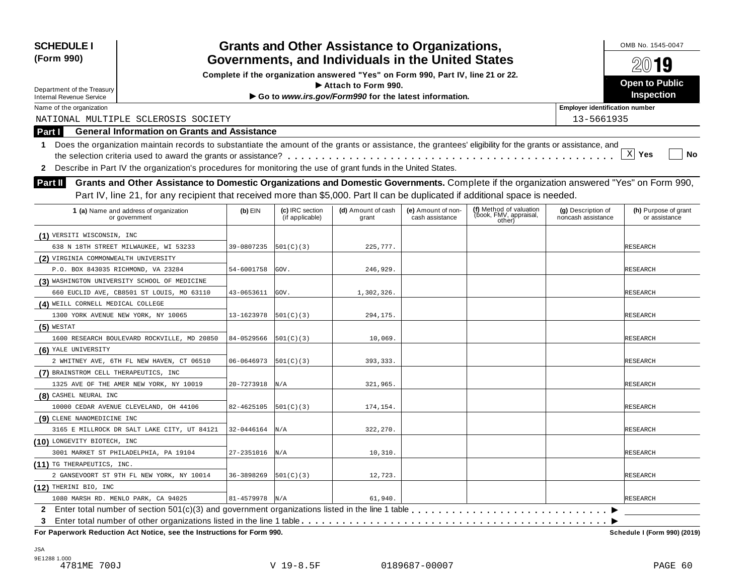| (Form 990)                                                                                                                                                       |                                                                                  |                                    | <b>Grants and Other Assistance to Organizations,</b><br>Governments, and Individuals in the United States |                                       |                                                             |                                          | OMB No. 1545-0047<br>$20$ 19          |  |  |
|------------------------------------------------------------------------------------------------------------------------------------------------------------------|----------------------------------------------------------------------------------|------------------------------------|-----------------------------------------------------------------------------------------------------------|---------------------------------------|-------------------------------------------------------------|------------------------------------------|---------------------------------------|--|--|
|                                                                                                                                                                  | Complete if the organization answered "Yes" on Form 990, Part IV, line 21 or 22. |                                    |                                                                                                           |                                       |                                                             |                                          |                                       |  |  |
| Department of the Treasury                                                                                                                                       |                                                                                  |                                    | $\blacktriangleright$ Attach to Form 990.                                                                 |                                       |                                                             |                                          | Open to Public                        |  |  |
| <b>Internal Revenue Service</b>                                                                                                                                  |                                                                                  |                                    | Go to www.irs.gov/Form990 for the latest information.                                                     |                                       |                                                             |                                          | Inspection                            |  |  |
| Name of the organization                                                                                                                                         |                                                                                  |                                    |                                                                                                           |                                       |                                                             | <b>Employer identification number</b>    |                                       |  |  |
| NATIONAL MULTIPLE SCLEROSIS SOCIETY                                                                                                                              |                                                                                  |                                    |                                                                                                           |                                       |                                                             | 13-5661935                               |                                       |  |  |
| <b>General Information on Grants and Assistance</b><br>Part I                                                                                                    |                                                                                  |                                    |                                                                                                           |                                       |                                                             |                                          |                                       |  |  |
| Does the organization maintain records to substantiate the amount of the grants or assistance, the grantees' eligibility for the grants or assistance, and<br>1. |                                                                                  |                                    |                                                                                                           |                                       |                                                             |                                          |                                       |  |  |
|                                                                                                                                                                  |                                                                                  |                                    |                                                                                                           |                                       |                                                             |                                          | $X$ Yes<br>No                         |  |  |
| Describe in Part IV the organization's procedures for monitoring the use of grant funds in the United States.<br>$\mathbf{2}$                                    |                                                                                  |                                    |                                                                                                           |                                       |                                                             |                                          |                                       |  |  |
| Grants and Other Assistance to Domestic Organizations and Domestic Governments. Complete if the organization answered "Yes" on Form 990,<br><b>Part II</b>       |                                                                                  |                                    |                                                                                                           |                                       |                                                             |                                          |                                       |  |  |
| Part IV, line 21, for any recipient that received more than \$5,000. Part II can be duplicated if additional space is needed.                                    |                                                                                  |                                    |                                                                                                           |                                       |                                                             |                                          |                                       |  |  |
|                                                                                                                                                                  |                                                                                  |                                    |                                                                                                           |                                       |                                                             |                                          |                                       |  |  |
| 1 (a) Name and address of organization<br>or government                                                                                                          | $(b)$ EIN                                                                        | (c) IRC section<br>(if applicable) | (d) Amount of cash<br>grant                                                                               | (e) Amount of non-<br>cash assistance | (f) Method of valuation<br>(book, FMV, appraisal,<br>other) | (g) Description of<br>noncash assistance | (h) Purpose of grant<br>or assistance |  |  |
| (1) VERSITI WISCONSIN, INC                                                                                                                                       |                                                                                  |                                    |                                                                                                           |                                       |                                                             |                                          |                                       |  |  |
| 638 N 18TH STREET MILWAUKEE, WI 53233                                                                                                                            | 39-0807235                                                                       | 501(C)(3)                          | 225,777.                                                                                                  |                                       |                                                             |                                          | RESEARCH                              |  |  |
| (2) VIRGINIA COMMONWEALTH UNIVERSITY                                                                                                                             |                                                                                  |                                    |                                                                                                           |                                       |                                                             |                                          |                                       |  |  |
| P.O. BOX 843035 RICHMOND, VA 23284                                                                                                                               | 54-6001758                                                                       | GOV.                               | 246.929.                                                                                                  |                                       |                                                             |                                          | RESEARCH                              |  |  |
| (3) WASHINGTON UNIVERSITY SCHOOL OF MEDICINE                                                                                                                     |                                                                                  |                                    |                                                                                                           |                                       |                                                             |                                          |                                       |  |  |
| 660 EUCLID AVE, CB8501 ST LOUIS, MO 63110                                                                                                                        | 43-0653611                                                                       | GOV.                               | 1,302,326.                                                                                                |                                       |                                                             |                                          | RESEARCH                              |  |  |
| (4) WEILL CORNELL MEDICAL COLLEGE                                                                                                                                |                                                                                  |                                    |                                                                                                           |                                       |                                                             |                                          |                                       |  |  |
| 1300 YORK AVENUE NEW YORK, NY 10065                                                                                                                              | 13-1623978                                                                       | [501(C)(3)                         | 294,175.                                                                                                  |                                       |                                                             |                                          | RESEARCH                              |  |  |
| $(5)$ WESTAT                                                                                                                                                     |                                                                                  |                                    |                                                                                                           |                                       |                                                             |                                          |                                       |  |  |
| 1600 RESEARCH BOULEVARD ROCKVILLE, MD 20850                                                                                                                      | 84-0529566                                                                       | [501(C)(3)                         | 10,069.                                                                                                   |                                       |                                                             |                                          | RESEARCH                              |  |  |
| (6) YALE UNIVERSITY                                                                                                                                              |                                                                                  |                                    |                                                                                                           |                                       |                                                             |                                          |                                       |  |  |
| 2 WHITNEY AVE, 6TH FL NEW HAVEN, CT 06510                                                                                                                        | 06-0646973                                                                       | 501(C)(3)                          | 393,333.                                                                                                  |                                       |                                                             |                                          | RESEARCH                              |  |  |
| (7) BRAINSTROM CELL THERAPEUTICS, INC                                                                                                                            |                                                                                  |                                    |                                                                                                           |                                       |                                                             |                                          |                                       |  |  |
| 1325 AVE OF THE AMER NEW YORK, NY 10019                                                                                                                          | 20-7273918                                                                       | N/A                                | 321,965.                                                                                                  |                                       |                                                             |                                          | RESEARCH                              |  |  |
| (8) CASHEL NEURAL INC                                                                                                                                            |                                                                                  |                                    |                                                                                                           |                                       |                                                             |                                          |                                       |  |  |
| 10000 CEDAR AVENUE CLEVELAND, OH 44106                                                                                                                           | 82-4625105                                                                       | [501(C)(3)                         | 174,154.                                                                                                  |                                       |                                                             |                                          | RESEARCH                              |  |  |
| (9) CLENE NANOMEDICINE INC                                                                                                                                       |                                                                                  |                                    |                                                                                                           |                                       |                                                             |                                          |                                       |  |  |
| 3165 E MILLROCK DR SALT LAKE CITY, UT 84121                                                                                                                      | 32-0446164                                                                       | N/A                                | 322,270.                                                                                                  |                                       |                                                             |                                          | RESEARCH                              |  |  |
| (10) LONGEVITY BIOTECH, INC                                                                                                                                      |                                                                                  |                                    |                                                                                                           |                                       |                                                             |                                          |                                       |  |  |
| 3001 MARKET ST PHILADELPHIA, PA 19104                                                                                                                            | 27-2351016                                                                       | N/A                                | 10, 310.                                                                                                  |                                       |                                                             |                                          | <b>RESEARCH</b>                       |  |  |
| (11) TG THERAPEUTICS, INC.                                                                                                                                       |                                                                                  |                                    |                                                                                                           |                                       |                                                             |                                          |                                       |  |  |
| 2 GANSEVOORT ST 9TH FL NEW YORK, NY 10014                                                                                                                        | 36-3898269                                                                       | 501(C)(3)                          | 12,723.                                                                                                   |                                       |                                                             |                                          | RESEARCH                              |  |  |
| (12) THERINI BIO, INC                                                                                                                                            |                                                                                  |                                    |                                                                                                           |                                       |                                                             |                                          |                                       |  |  |
| 1080 MARSH RD. MENLO PARK, CA 94025                                                                                                                              | $81 - 4579978$ N/A                                                               |                                    | 61,940.                                                                                                   |                                       |                                                             |                                          | <b>RESEARCH</b>                       |  |  |
|                                                                                                                                                                  |                                                                                  |                                    |                                                                                                           |                                       |                                                             |                                          |                                       |  |  |
| 3<br>For Paperwork Reduction Act Notice, see the Instructions for Form 990.                                                                                      |                                                                                  |                                    |                                                                                                           |                                       |                                                             |                                          |                                       |  |  |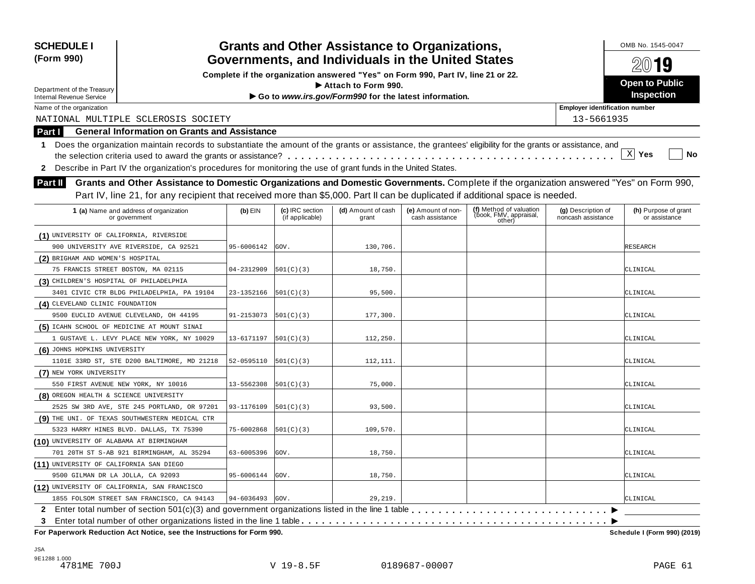| <b>SCHEDULE I</b>                        |                                                                                                                                                            |                     |                                    | <b>Grants and Other Assistance to Organizations,</b>                             |                                       |                                  |                                          | OMB No. 1545-0047                     |
|------------------------------------------|------------------------------------------------------------------------------------------------------------------------------------------------------------|---------------------|------------------------------------|----------------------------------------------------------------------------------|---------------------------------------|----------------------------------|------------------------------------------|---------------------------------------|
| (Form 990)                               |                                                                                                                                                            |                     |                                    | Governments, and Individuals in the United States                                |                                       |                                  |                                          | $20$ 19                               |
|                                          |                                                                                                                                                            |                     |                                    | Complete if the organization answered "Yes" on Form 990, Part IV, line 21 or 22. |                                       |                                  |                                          |                                       |
| Department of the Treasury               |                                                                                                                                                            |                     |                                    | $\blacktriangleright$ Attach to Form 990.                                        |                                       |                                  |                                          | Open to Public                        |
| <b>Internal Revenue Service</b>          |                                                                                                                                                            |                     |                                    | Go to www.irs.gov/Form990 for the latest information.                            |                                       |                                  |                                          | Inspection                            |
| Name of the organization                 |                                                                                                                                                            |                     |                                    |                                                                                  |                                       |                                  | <b>Employer identification number</b>    |                                       |
|                                          | NATIONAL MULTIPLE SCLEROSIS SOCIETY                                                                                                                        |                     |                                    |                                                                                  |                                       |                                  | 13-5661935                               |                                       |
| Part I                                   | <b>General Information on Grants and Assistance</b>                                                                                                        |                     |                                    |                                                                                  |                                       |                                  |                                          |                                       |
| 1.                                       | Does the organization maintain records to substantiate the amount of the grants or assistance, the grantees' eligibility for the grants or assistance, and |                     |                                    |                                                                                  |                                       |                                  |                                          |                                       |
|                                          |                                                                                                                                                            |                     |                                    |                                                                                  |                                       |                                  |                                          | $X$ Yes<br>No                         |
| $\mathbf{2}$                             | Describe in Part IV the organization's procedures for monitoring the use of grant funds in the United States.                                              |                     |                                    |                                                                                  |                                       |                                  |                                          |                                       |
| <b>Part II</b>                           | Grants and Other Assistance to Domestic Organizations and Domestic Governments. Complete if the organization answered "Yes" on Form 990,                   |                     |                                    |                                                                                  |                                       |                                  |                                          |                                       |
|                                          | Part IV, line 21, for any recipient that received more than \$5,000. Part II can be duplicated if additional space is needed.                              |                     |                                    |                                                                                  |                                       |                                  |                                          |                                       |
|                                          |                                                                                                                                                            |                     |                                    |                                                                                  |                                       | (f) Method of valuation          |                                          |                                       |
|                                          | 1 (a) Name and address of organization<br>or government                                                                                                    | $(b)$ EIN           | (c) IRC section<br>(if applicable) | (d) Amount of cash<br>grant                                                      | (e) Amount of non-<br>cash assistance | (book, FMV, appraisal,<br>other) | (g) Description of<br>noncash assistance | (h) Purpose of grant<br>or assistance |
| (1) UNIVERSITY OF CALIFORNIA, RIVERSIDE  |                                                                                                                                                            |                     |                                    |                                                                                  |                                       |                                  |                                          |                                       |
|                                          | 900 UNIVERSITY AVE RIVERSIDE, CA 92521                                                                                                                     | 95-6006142          | GOV.                               | 130,706.                                                                         |                                       |                                  |                                          | RESEARCH                              |
| (2) BRIGHAM AND WOMEN'S HOSPITAL         |                                                                                                                                                            |                     |                                    |                                                                                  |                                       |                                  |                                          |                                       |
|                                          | 75 FRANCIS STREET BOSTON, MA 02115                                                                                                                         | 04-2312909          | 501(C)(3)                          | 18,750.                                                                          |                                       |                                  |                                          | CLINICAL                              |
| (3) CHILDREN'S HOSPITAL OF PHILADELPHIA  |                                                                                                                                                            |                     |                                    |                                                                                  |                                       |                                  |                                          |                                       |
|                                          | 3401 CIVIC CTR BLDG PHILADELPHIA, PA 19104                                                                                                                 | 23-1352166          | [501(C)(3)                         | 95,500.                                                                          |                                       |                                  |                                          | CLINICAL                              |
| (4) CLEVELAND CLINIC FOUNDATION          |                                                                                                                                                            |                     |                                    |                                                                                  |                                       |                                  |                                          |                                       |
|                                          | 9500 EUCLID AVENUE CLEVELAND, OH 44195                                                                                                                     | 91-2153073          | [501(C)(3)                         | 177,300.                                                                         |                                       |                                  |                                          | CLINICAL                              |
|                                          | (5) ICAHN SCHOOL OF MEDICINE AT MOUNT SINAI                                                                                                                |                     |                                    |                                                                                  |                                       |                                  |                                          |                                       |
|                                          | 1 GUSTAVE L. LEVY PLACE NEW YORK, NY 10029                                                                                                                 | 13-6171197          | [501(C)(3)                         | 112,250.                                                                         |                                       |                                  |                                          | CLINICAL                              |
| (6) JOHNS HOPKINS UNIVERSITY             |                                                                                                                                                            |                     |                                    |                                                                                  |                                       |                                  |                                          |                                       |
|                                          | 1101E 33RD ST, STE D200 BALTIMORE, MD 21218                                                                                                                | 52-0595110          | 501(C)(3)                          | 112,111.                                                                         |                                       |                                  |                                          | CLINICAL                              |
| (7) NEW YORK UNIVERSITY                  |                                                                                                                                                            |                     |                                    |                                                                                  |                                       |                                  |                                          |                                       |
|                                          | 550 FIRST AVENUE NEW YORK, NY 10016                                                                                                                        | 13-5562308          | 501(C)(3)                          | 75,000.                                                                          |                                       |                                  |                                          | CLINICAL                              |
| (8) OREGON HEALTH & SCIENCE UNIVERSITY   |                                                                                                                                                            |                     |                                    |                                                                                  |                                       |                                  |                                          |                                       |
|                                          | 2525 SW 3RD AVE, STE 245 PORTLAND, OR 97201                                                                                                                | 93-1176109          | [501(C)(3)                         | 93,500.                                                                          |                                       |                                  |                                          | CLINICAL                              |
|                                          | (9) THE UNI. OF TEXAS SOUTHWESTERN MEDICAL CTR                                                                                                             |                     |                                    |                                                                                  |                                       |                                  |                                          |                                       |
|                                          | 5323 HARRY HINES BLVD. DALLAS, TX 75390                                                                                                                    | 75-6002868          | [501(C)(3)                         | 109,570.                                                                         |                                       |                                  |                                          | CLINICAL                              |
| (10) UNIVERSITY OF ALABAMA AT BIRMINGHAM |                                                                                                                                                            |                     |                                    |                                                                                  |                                       |                                  |                                          |                                       |
|                                          | 701 20TH ST S-AB 921 BIRMINGHAM, AL 35294                                                                                                                  | 63-6005396          | GOV.                               | 18,750.                                                                          |                                       |                                  |                                          | CLINICAL                              |
| (11) UNIVERSITY OF CALIFORNIA SAN DIEGO  |                                                                                                                                                            |                     |                                    |                                                                                  |                                       |                                  |                                          |                                       |
| 9500 GILMAN DR LA JOLLA, CA 92093        |                                                                                                                                                            | 95-6006144          | GOV.                               | 18,750.                                                                          |                                       |                                  |                                          | CLINICAL                              |
|                                          | (12) UNIVERSITY OF CALIFORNIA, SAN FRANCISCO                                                                                                               |                     |                                    |                                                                                  |                                       |                                  |                                          |                                       |
|                                          | 1855 FOLSOM STREET SAN FRANCISCO, CA 94143                                                                                                                 | $94 - 6036493$ GOV. |                                    | 29,219.                                                                          |                                       |                                  |                                          | CLINICAL                              |
|                                          | 2 Enter total number of section 501(c)(3) and government organizations listed in the line 1 table                                                          |                     |                                    |                                                                                  |                                       |                                  |                                          |                                       |
| 3                                        |                                                                                                                                                            |                     |                                    |                                                                                  |                                       |                                  |                                          |                                       |
|                                          | For Paperwork Reduction Act Notice, see the Instructions for Form 990.                                                                                     |                     |                                    |                                                                                  |                                       |                                  |                                          | Schedule I (Form 990) (2019)          |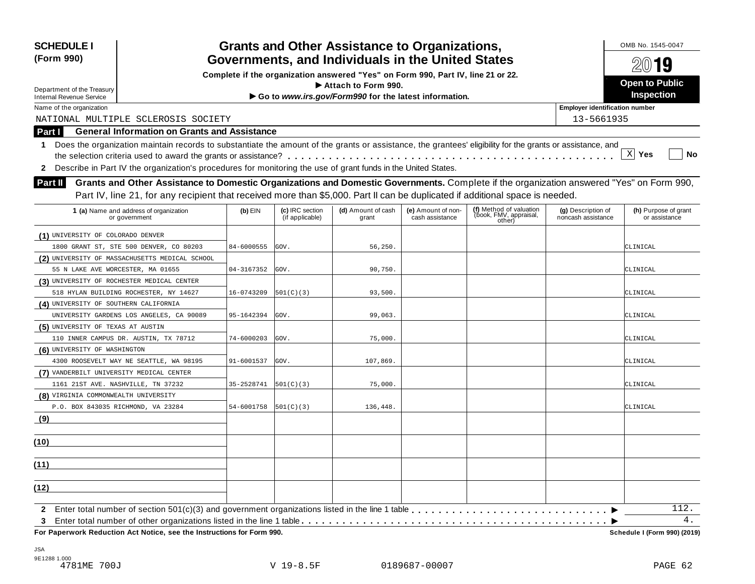| <b>SCHEDULE I</b><br>(Form 990)                                                                                                                              |            | <b>Grants and Other Assistance to Organizations,</b><br>Governments, and Individuals in the United States |                                                                                  |                                       |                                                             |                                          |                                       |  |
|--------------------------------------------------------------------------------------------------------------------------------------------------------------|------------|-----------------------------------------------------------------------------------------------------------|----------------------------------------------------------------------------------|---------------------------------------|-------------------------------------------------------------|------------------------------------------|---------------------------------------|--|
|                                                                                                                                                              |            |                                                                                                           | Complete if the organization answered "Yes" on Form 990, Part IV, line 21 or 22. |                                       |                                                             |                                          | 2019                                  |  |
| Department of the Treasury                                                                                                                                   |            |                                                                                                           | Attach to Form 990.                                                              |                                       |                                                             |                                          | <b>Open to Public</b>                 |  |
| Internal Revenue Service                                                                                                                                     |            |                                                                                                           | Go to www.irs.gov/Form990 for the latest information.                            |                                       |                                                             |                                          | <b>Inspection</b>                     |  |
| Name of the organization                                                                                                                                     |            |                                                                                                           |                                                                                  |                                       |                                                             | <b>Employer identification number</b>    |                                       |  |
| NATIONAL MULTIPLE SCLEROSIS SOCIETY                                                                                                                          |            |                                                                                                           |                                                                                  |                                       |                                                             | 13-5661935                               |                                       |  |
| <b>General Information on Grants and Assistance</b><br>Part I                                                                                                |            |                                                                                                           |                                                                                  |                                       |                                                             |                                          |                                       |  |
| 1 Does the organization maintain records to substantiate the amount of the grants or assistance, the grantees' eligibility for the grants or assistance, and |            |                                                                                                           |                                                                                  |                                       |                                                             |                                          |                                       |  |
|                                                                                                                                                              |            |                                                                                                           |                                                                                  |                                       |                                                             |                                          | $\mathbf{x}$<br>Yes<br>No             |  |
| Describe in Part IV the organization's procedures for monitoring the use of grant funds in the United States.<br>$\mathbf{2}$                                |            |                                                                                                           |                                                                                  |                                       |                                                             |                                          |                                       |  |
| Grants and Other Assistance to Domestic Organizations and Domestic Governments. Complete if the organization answered "Yes" on Form 990,<br>Part II          |            |                                                                                                           |                                                                                  |                                       |                                                             |                                          |                                       |  |
| Part IV, line 21, for any recipient that received more than \$5,000. Part II can be duplicated if additional space is needed.                                |            |                                                                                                           |                                                                                  |                                       |                                                             |                                          |                                       |  |
|                                                                                                                                                              |            |                                                                                                           |                                                                                  |                                       |                                                             |                                          |                                       |  |
| 1 (a) Name and address of organization<br>or government                                                                                                      | $(b)$ EIN  | (c) IRC section<br>(if applicable)                                                                        | (d) Amount of cash<br>grant                                                      | (e) Amount of non-<br>cash assistance | (f) Method of valuation<br>(book, FMV, appraisal,<br>other) | (g) Description of<br>noncash assistance | (h) Purpose of grant<br>or assistance |  |
| (1) UNIVERSITY OF COLORADO DENVER                                                                                                                            |            |                                                                                                           |                                                                                  |                                       |                                                             |                                          |                                       |  |
| 1800 GRANT ST, STE 500 DENVER, CO 80203                                                                                                                      | 84-6000555 | GOV.                                                                                                      | 56,250.                                                                          |                                       |                                                             |                                          | CLINICAL                              |  |
| (2) UNIVERSITY OF MASSACHUSETTS MEDICAL SCHOOL                                                                                                               |            |                                                                                                           |                                                                                  |                                       |                                                             |                                          |                                       |  |
| 55 N LAKE AVE WORCESTER, MA 01655                                                                                                                            | 04-3167352 | GOV.                                                                                                      | 90,750.                                                                          |                                       |                                                             |                                          | CLINICAL                              |  |
| (3) UNIVERSITY OF ROCHESTER MEDICAL CENTER                                                                                                                   |            |                                                                                                           |                                                                                  |                                       |                                                             |                                          |                                       |  |
| 518 HYLAN BUILDING ROCHESTER, NY 14627                                                                                                                       | 16-0743209 | 501(C)(3)                                                                                                 | 93,500.                                                                          |                                       |                                                             |                                          | CLINICAL                              |  |
| (4) UNIVERSITY OF SOUTHERN CALIFORNIA                                                                                                                        |            |                                                                                                           |                                                                                  |                                       |                                                             |                                          |                                       |  |
| UNIVERSITY GARDENS LOS ANGELES, CA 90089                                                                                                                     | 95-1642394 | GOV.                                                                                                      | 99,063.                                                                          |                                       |                                                             |                                          | CLINICAL                              |  |
| (5) UNIVERSITY OF TEXAS AT AUSTIN                                                                                                                            |            |                                                                                                           |                                                                                  |                                       |                                                             |                                          |                                       |  |
| 110 INNER CAMPUS DR. AUSTIN, TX 78712                                                                                                                        | 74-6000203 | GOV.                                                                                                      | 75,000.                                                                          |                                       |                                                             |                                          | CLINICAL                              |  |
| (6) UNIVERSITY OF WASHINGTON                                                                                                                                 |            |                                                                                                           |                                                                                  |                                       |                                                             |                                          |                                       |  |
| 4300 ROOSEVELT WAY NE SEATTLE, WA 98195                                                                                                                      | 91-6001537 | GOV.                                                                                                      | 107,869.                                                                         |                                       |                                                             |                                          | CLINICAL                              |  |
| (7) VANDERBILT UNIVERSITY MEDICAL CENTER                                                                                                                     |            |                                                                                                           |                                                                                  |                                       |                                                             |                                          |                                       |  |
| 1161 21ST AVE. NASHVILLE, TN 37232                                                                                                                           | 35-2528741 | 501(C)(3)                                                                                                 | 75,000.                                                                          |                                       |                                                             |                                          | CLINICAL                              |  |
| (8) VIRGINIA COMMONWEALTH UNIVERSITY                                                                                                                         |            |                                                                                                           |                                                                                  |                                       |                                                             |                                          |                                       |  |
| P.O. BOX 843035 RICHMOND, VA 23284                                                                                                                           | 54-6001758 | 501(C)(3)                                                                                                 | 136,448.                                                                         |                                       |                                                             |                                          | CLINICAL                              |  |
| (9)                                                                                                                                                          |            |                                                                                                           |                                                                                  |                                       |                                                             |                                          |                                       |  |
| (10)                                                                                                                                                         |            |                                                                                                           |                                                                                  |                                       |                                                             |                                          |                                       |  |
| (11)                                                                                                                                                         |            |                                                                                                           |                                                                                  |                                       |                                                             |                                          |                                       |  |
| (12)                                                                                                                                                         |            |                                                                                                           |                                                                                  |                                       |                                                             |                                          |                                       |  |
|                                                                                                                                                              |            |                                                                                                           |                                                                                  |                                       |                                                             |                                          |                                       |  |
| $\mathbf{2}$<br>3                                                                                                                                            |            |                                                                                                           |                                                                                  |                                       |                                                             |                                          | 112.<br>4.                            |  |
| For Paperwork Reduction Act Notice, see the Instructions for Form 990.                                                                                       |            |                                                                                                           |                                                                                  |                                       |                                                             |                                          | Schedule I (Form 990) (2019)          |  |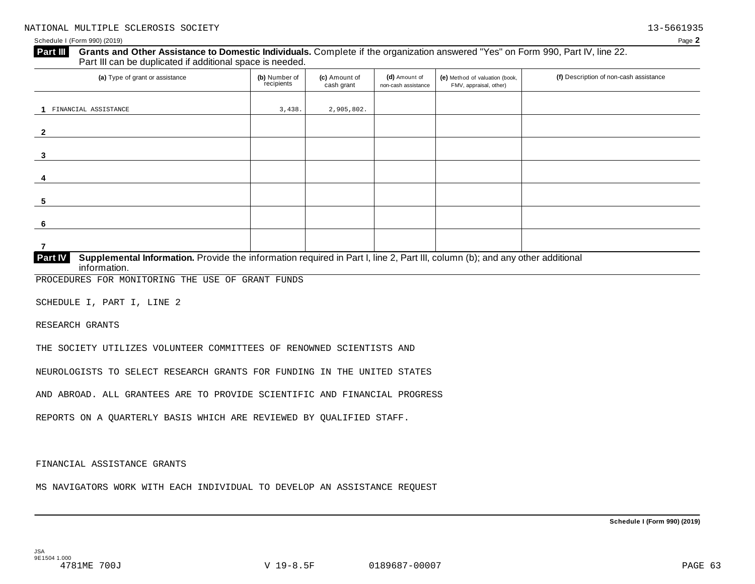### Schedule I (Form 990) (2019) Page **2**

# **Grants and Other Assistance to Domestic Individuals.** Complete ifthe organization answered "Yes" on Form 990, Part IV, line 22. **Part III** Grants and Other Assistance to Domestic Individuals<br>Part III can be duplicated if additional space is needed.

| (a) Type of grant or assistance                                                                                                                | (b) Number of<br>recipients | (c) Amount of<br>cash grant | (d) Amount of<br>non-cash assistance | (e) Method of valuation (book,<br>FMV, appraisal, other) | (f) Description of non-cash assistance |
|------------------------------------------------------------------------------------------------------------------------------------------------|-----------------------------|-----------------------------|--------------------------------------|----------------------------------------------------------|----------------------------------------|
|                                                                                                                                                |                             |                             |                                      |                                                          |                                        |
| FINANCIAL ASSISTANCE                                                                                                                           | 3,438.                      | 2,905,802.                  |                                      |                                                          |                                        |
|                                                                                                                                                |                             |                             |                                      |                                                          |                                        |
| $\overline{2}$                                                                                                                                 |                             |                             |                                      |                                                          |                                        |
|                                                                                                                                                |                             |                             |                                      |                                                          |                                        |
| 3                                                                                                                                              |                             |                             |                                      |                                                          |                                        |
|                                                                                                                                                |                             |                             |                                      |                                                          |                                        |
| 4                                                                                                                                              |                             |                             |                                      |                                                          |                                        |
|                                                                                                                                                |                             |                             |                                      |                                                          |                                        |
| 5                                                                                                                                              |                             |                             |                                      |                                                          |                                        |
|                                                                                                                                                |                             |                             |                                      |                                                          |                                        |
| 6                                                                                                                                              |                             |                             |                                      |                                                          |                                        |
|                                                                                                                                                |                             |                             |                                      |                                                          |                                        |
| 7                                                                                                                                              |                             |                             |                                      |                                                          |                                        |
| <b>Part IV</b><br>Supplemental Information. Provide the information required in Part I, line 2, Part III, column (b); and any other additional |                             |                             |                                      |                                                          |                                        |

**information. Part IV Supplement** 

PROCEDURES FOR MONITORING THE USE OF GRANT FUNDS

SCHEDULE I, PART I, LINE 2

RESEARCH GRANTS

THE SOCIETY UTILIZES VOLUNTEER COMMITTEES OF RENOWNED SCIENTISTS AND

NEUROLOGISTS TO SELECT RESEARCH GRANTS FOR FUNDING IN THE UNITED STATES

AND ABROAD. ALL GRANTEES ARE TO PROVIDE SCIENTIFIC AND FINANCIAL PROGRESS

REPORTS ON A QUARTERLY BASIS WHICH ARE REVIEWED BY QUALIFIED STAFF.

FINANCIAL ASSISTANCE GRANTS

MS NAVIGATORS WORK WITH EACH INDIVIDUAL TO DEVELOP AN ASSISTANCE REQUEST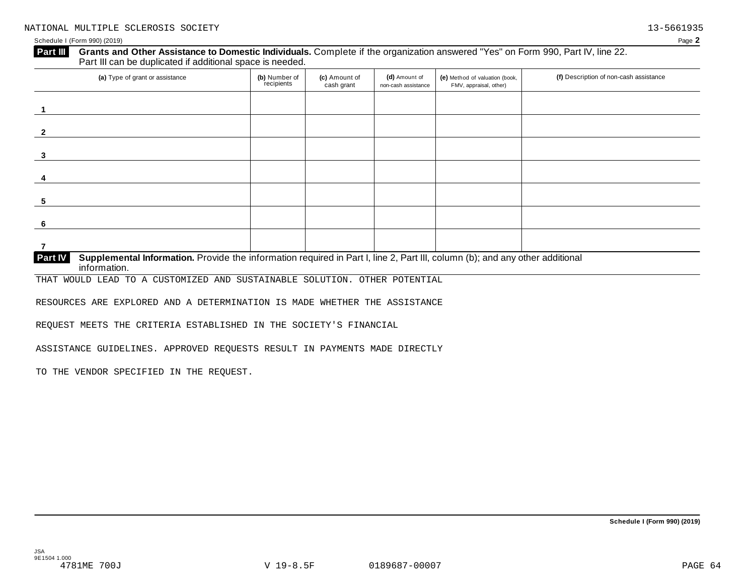# **Grants and Other Assistance to Domestic Individuals.** Complete ifthe organization answered "Yes" on Form 990, Part IV, line 22. **Part III** Grants and Other Assistance to Domestic Individuals<br>Part III can be duplicated if additional space is needed.

| (a) Type of grant or assistance                                                                                                     | (b) Number of<br>recipients | (c) Amount of<br>cash grant | (d) Amount of<br>non-cash assistance | (e) Method of valuation (book,<br>FMV, appraisal, other) | (f) Description of non-cash assistance |
|-------------------------------------------------------------------------------------------------------------------------------------|-----------------------------|-----------------------------|--------------------------------------|----------------------------------------------------------|----------------------------------------|
|                                                                                                                                     |                             |                             |                                      |                                                          |                                        |
| $\overline{2}$                                                                                                                      |                             |                             |                                      |                                                          |                                        |
| 3                                                                                                                                   |                             |                             |                                      |                                                          |                                        |
| 4                                                                                                                                   |                             |                             |                                      |                                                          |                                        |
| 5                                                                                                                                   |                             |                             |                                      |                                                          |                                        |
| 6                                                                                                                                   |                             |                             |                                      |                                                          |                                        |
| 7                                                                                                                                   |                             |                             |                                      |                                                          |                                        |
| PartW<br>Supplemental Information, Provide the information required in Part Lline 2, Part III, column (b); and any other additional |                             |                             |                                      |                                                          |                                        |

**Supplemental Information.** Provide the information required in Part I, line 2, Part III, column (b); and any other additional information. **Part IV**

THAT WOULD LEAD TO A CUSTOMIZED AND SUSTAINABLE SOLUTION. OTHER POTENTIAL

RESOURCES ARE EXPLORED AND A DETERMINATION IS MADE WHETHER THE ASSISTANCE

REQUEST MEETS THE CRITERIA ESTABLISHED IN THE SOCIETY'S FINANCIAL

ASSISTANCE GUIDELINES. APPROVED REQUESTS RESULT IN PAYMENTS MADE DIRECTLY

TO THE VENDOR SPECIFIED IN THE REQUEST.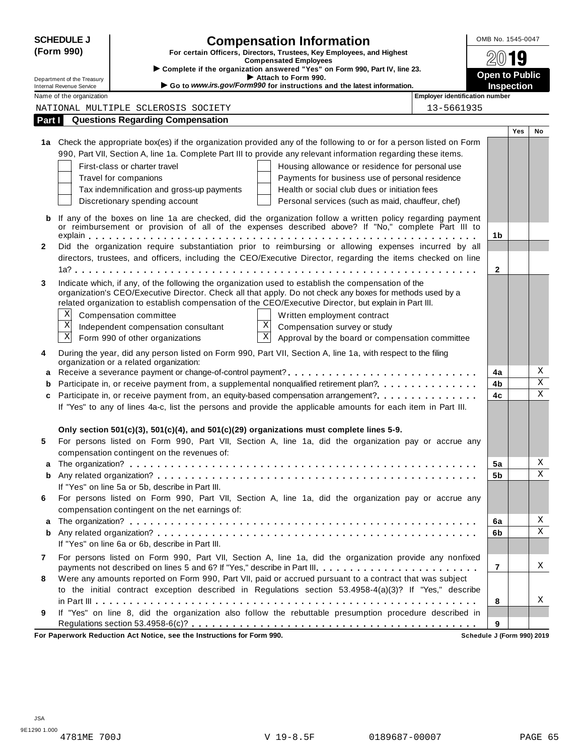|        | <b>SCHEDULE J</b>                                    |                                                                        | <b>Compensation Information</b>                                                                                                                                                                                  |                                       | OMB No. 1545-0047          |            |                         |
|--------|------------------------------------------------------|------------------------------------------------------------------------|------------------------------------------------------------------------------------------------------------------------------------------------------------------------------------------------------------------|---------------------------------------|----------------------------|------------|-------------------------|
|        | (Form 990)                                           |                                                                        | For certain Officers, Directors, Trustees, Key Employees, and Highest                                                                                                                                            |                                       |                            |            |                         |
|        |                                                      |                                                                        | <b>Compensated Employees</b><br>Complete if the organization answered "Yes" on Form 990, Part IV, line 23.                                                                                                       |                                       |                            |            |                         |
|        | Department of the Treasury                           |                                                                        | Attach to Form 990.                                                                                                                                                                                              |                                       | <b>Open to Public</b>      |            |                         |
|        | Internal Revenue Service<br>Name of the organization |                                                                        | Go to www.irs.gov/Form990 for instructions and the latest information.                                                                                                                                           | <b>Employer identification number</b> | <b>Inspection</b>          |            |                         |
|        |                                                      | NATIONAL MULTIPLE SCLEROSIS SOCIETY                                    |                                                                                                                                                                                                                  | 13-5661935                            |                            |            |                         |
|        |                                                      | <b>Questions Regarding Compensation</b>                                |                                                                                                                                                                                                                  |                                       |                            |            |                         |
| Part I |                                                      |                                                                        |                                                                                                                                                                                                                  |                                       |                            | <b>Yes</b> | No                      |
|        |                                                      |                                                                        | 1a Check the appropriate box(es) if the organization provided any of the following to or for a person listed on Form                                                                                             |                                       |                            |            |                         |
|        |                                                      |                                                                        | 990, Part VII, Section A, line 1a. Complete Part III to provide any relevant information regarding these items.                                                                                                  |                                       |                            |            |                         |
|        |                                                      | First-class or charter travel                                          | Housing allowance or residence for personal use                                                                                                                                                                  |                                       |                            |            |                         |
|        |                                                      | Travel for companions                                                  | Payments for business use of personal residence                                                                                                                                                                  |                                       |                            |            |                         |
|        |                                                      | Tax indemnification and gross-up payments                              | Health or social club dues or initiation fees                                                                                                                                                                    |                                       |                            |            |                         |
|        |                                                      | Discretionary spending account                                         | Personal services (such as maid, chauffeur, chef)                                                                                                                                                                |                                       |                            |            |                         |
|        |                                                      |                                                                        |                                                                                                                                                                                                                  |                                       |                            |            |                         |
| b      |                                                      |                                                                        | If any of the boxes on line 1a are checked, did the organization follow a written policy regarding payment                                                                                                       |                                       |                            |            |                         |
|        |                                                      |                                                                        | or reimbursement or provision of all of the expenses described above? If "No," complete Part III to                                                                                                              |                                       | 1b                         |            |                         |
| 2      |                                                      |                                                                        | Did the organization require substantiation prior to reimbursing or allowing expenses incurred by all                                                                                                            |                                       |                            |            |                         |
|        |                                                      |                                                                        | directors, trustees, and officers, including the CEO/Executive Director, regarding the items checked on line                                                                                                     |                                       |                            |            |                         |
|        |                                                      |                                                                        |                                                                                                                                                                                                                  |                                       | $\mathbf{2}$               |            |                         |
|        |                                                      |                                                                        |                                                                                                                                                                                                                  |                                       |                            |            |                         |
| 3      |                                                      |                                                                        | Indicate which, if any, of the following the organization used to establish the compensation of the<br>organization's CEO/Executive Director. Check all that apply. Do not check any boxes for methods used by a |                                       |                            |            |                         |
|        |                                                      |                                                                        | related organization to establish compensation of the CEO/Executive Director, but explain in Part III.                                                                                                           |                                       |                            |            |                         |
|        | X                                                    | Compensation committee                                                 | Written employment contract                                                                                                                                                                                      |                                       |                            |            |                         |
|        | $\boldsymbol{\mathrm{X}}$                            | Independent compensation consultant                                    | $\bold{X}$<br>Compensation survey or study                                                                                                                                                                       |                                       |                            |            |                         |
|        | $\mathbf X$                                          | Form 990 of other organizations                                        | $\vert X \vert$<br>Approval by the board or compensation committee                                                                                                                                               |                                       |                            |            |                         |
|        |                                                      |                                                                        |                                                                                                                                                                                                                  |                                       |                            |            |                         |
| 4      |                                                      | organization or a related organization:                                | During the year, did any person listed on Form 990, Part VII, Section A, line 1a, with respect to the filing                                                                                                     |                                       |                            |            |                         |
|        |                                                      |                                                                        | a Receive a severance payment or change-of-control payment?                                                                                                                                                      |                                       | 4a                         |            | Χ                       |
|        |                                                      |                                                                        | Participate in, or receive payment from, a supplemental nonqualified retirement plan?                                                                                                                            |                                       | 4b                         |            | $\overline{\mathbf{x}}$ |
| c      |                                                      |                                                                        | Participate in, or receive payment from, an equity-based compensation arrangement?                                                                                                                               |                                       | 4c                         |            | $\mathbf X$             |
|        |                                                      |                                                                        | If "Yes" to any of lines 4a-c, list the persons and provide the applicable amounts for each item in Part III.                                                                                                    |                                       |                            |            |                         |
|        |                                                      |                                                                        |                                                                                                                                                                                                                  |                                       |                            |            |                         |
|        |                                                      |                                                                        | Only section $501(c)(3)$ , $501(c)(4)$ , and $501(c)(29)$ organizations must complete lines 5-9.                                                                                                                 |                                       |                            |            |                         |
| 5      |                                                      |                                                                        | For persons listed on Form 990, Part VII, Section A, line 1a, did the organization pay or accrue any                                                                                                             |                                       |                            |            |                         |
|        |                                                      | compensation contingent on the revenues of:                            |                                                                                                                                                                                                                  |                                       |                            |            |                         |
|        |                                                      |                                                                        |                                                                                                                                                                                                                  |                                       | 5a                         |            | Χ                       |
| b      |                                                      |                                                                        |                                                                                                                                                                                                                  |                                       | 5b                         |            | Χ                       |
|        |                                                      | If "Yes" on line 5a or 5b, describe in Part III.                       |                                                                                                                                                                                                                  |                                       |                            |            |                         |
| 6      |                                                      |                                                                        | For persons listed on Form 990, Part VII, Section A, line 1a, did the organization pay or accrue any                                                                                                             |                                       |                            |            |                         |
|        |                                                      | compensation contingent on the net earnings of:                        |                                                                                                                                                                                                                  |                                       |                            |            |                         |
| a      |                                                      |                                                                        |                                                                                                                                                                                                                  |                                       | 6a                         |            | Χ                       |
| b      |                                                      |                                                                        |                                                                                                                                                                                                                  |                                       | 6b                         |            | Χ                       |
|        |                                                      | If "Yes" on line 6a or 6b, describe in Part III.                       |                                                                                                                                                                                                                  |                                       |                            |            |                         |
| 7      |                                                      |                                                                        | For persons listed on Form 990, Part VII, Section A, line 1a, did the organization provide any nonfixed                                                                                                          |                                       |                            |            |                         |
|        |                                                      |                                                                        | payments not described on lines 5 and 6? If "Yes," describe in Part III.                                                                                                                                         |                                       | $\overline{7}$             |            | Χ                       |
| 8      |                                                      |                                                                        | Were any amounts reported on Form 990, Part VII, paid or accrued pursuant to a contract that was subject                                                                                                         |                                       |                            |            |                         |
|        |                                                      |                                                                        | to the initial contract exception described in Regulations section 53.4958-4(a)(3)? If "Yes," describe                                                                                                           |                                       |                            |            |                         |
|        |                                                      |                                                                        |                                                                                                                                                                                                                  |                                       | 8                          |            | X                       |
| 9      |                                                      |                                                                        | If "Yes" on line 8, did the organization also follow the rebuttable presumption procedure described in                                                                                                           |                                       |                            |            |                         |
|        |                                                      |                                                                        |                                                                                                                                                                                                                  |                                       | 9                          |            |                         |
|        |                                                      | For Paperwork Reduction Act Notice, see the Instructions for Form 990. |                                                                                                                                                                                                                  |                                       | Schedule J (Form 990) 2019 |            |                         |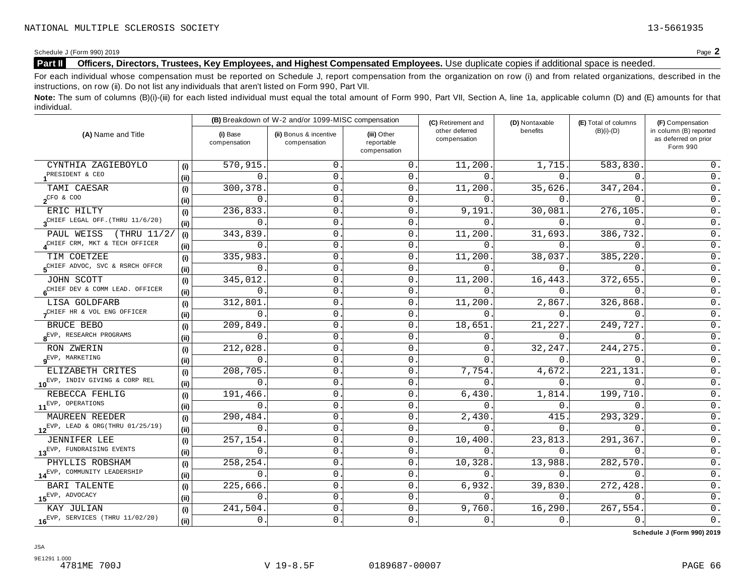# **Part II Officers, Directors, Trustees, Key Employees, and Highest Compensated Employees.** Use duplicate copies ifadditional space is needed.

For each individual whose compensation must be reported on Schedule J, report compensation from the organization on row (i) and from related organizations, described in the instructions, on row (ii). Do not list any individuals that aren't listed on Form 990, Part VII.

Note: The sum of columns (B)(i)-(iii) for each listed individual must equal the total amount of Form 990, Part VII, Section A, line 1a, applicable column (D) and (E) amounts for that individual.

|                                              |      |                          | (B) Breakdown of W-2 and/or 1099-MISC compensation |                                           | (C) Retirement and             | (D) Nontaxable | (E) Total of columns | (F) Compensation                                           |
|----------------------------------------------|------|--------------------------|----------------------------------------------------|-------------------------------------------|--------------------------------|----------------|----------------------|------------------------------------------------------------|
| (A) Name and Title                           |      | (i) Base<br>compensation | (ii) Bonus & incentive<br>compensation             | (iii) Other<br>reportable<br>compensation | other deferred<br>compensation | benefits       | $(B)(i)-(D)$         | in column (B) reported<br>as deferred on prior<br>Form 990 |
| CYNTHIA ZAGIEBOYLO                           | (i)  | 570,915                  | $\mathbf{0}$ .                                     | 0                                         | 11,200                         | 1,715.         | 583,830.             | $0$ .                                                      |
| PRESIDENT & CEO                              | (ii) | 0                        | 0.                                                 | $\mathbf 0$                               | $\Omega$ .                     | 0.             | $0$ .                | $0$ .                                                      |
| TAMI CAESAR                                  | (i)  | 300,378                  | 0.                                                 | 0                                         | 11,200                         | 35,626.        | 347,204.             | $0$ .                                                      |
| $2^{\text{CFO} & \text{COO}}$                | (ii) | 0                        | $\mathsf{O}\,$ .                                   | 0                                         | $\Omega$                       | 0.             | $\Omega$             | $\overline{0}$ .                                           |
| ERIC HILTY                                   | (i)  | 236,833                  | 0.                                                 | 0                                         | 9,191                          | 30,081.        | 276,105              | $0$ .                                                      |
| $3^{\text{CHIEF}}$ LEGAL OFF. (THRU 11/6/20) | (ii) | 0                        | 0.                                                 | 0                                         | $\Omega$ .                     | 0.             | $\Omega$             | $0$ .                                                      |
| PAUL WEISS (THRU 11/2/                       | (i)  | 343,839                  | $0\,$ .                                            | 0                                         | 11,200                         | 31,693.        | 386,732              | $\mathsf 0$ .                                              |
| CHIEF CRM, MKT & TECH OFFICER                | (ii) | 0                        | 0                                                  | 0                                         | $\mathbf 0$ .                  | 0.             | $\mathbf{0}$ .       | $0$ .                                                      |
| TIM COETZEE                                  | (i)  | 335,983                  | $\mathsf{0}$ .                                     | 0                                         | 11,200                         | 38,037.        | 385,220              | 0.                                                         |
| SCHIEF ADVOC, SVC & RSRCH OFFCR              | (ii) | 0                        | $\mathsf{0}$ .                                     | 0                                         | $\Omega$ .                     | 0.             | $\mathbf{0}$ .       | $0$ .                                                      |
| JOHN SCOTT                                   | (i)  | 345,012                  | 0.                                                 | 0                                         | 11,200.                        | 16,443.        | 372,655.             | $\overline{0}$ .                                           |
| CHIEF DEV & COMM LEAD. OFFICER               | (ii) | 0                        | $\mathsf 0$ .                                      | 0                                         | $\Omega$                       | 0.             | $\mathbf{0}$ .       | $\overline{0}$ .                                           |
| LISA GOLDFARB                                | (i)  | 312,801                  | 0.                                                 | 0                                         | 11,200                         | 2,867.         | 326,868.             | $\overline{0}$ .                                           |
| CHIEF HR & VOL ENG OFFICER                   | (ii) | 0                        | 0                                                  | 0                                         | $\Omega$                       | $0$ .          | $\mathbf{0}$ .       | $0$ .                                                      |
| BRUCE BEBO                                   | (i)  | 209,849                  | 0                                                  | 0                                         | 18,651                         | 21,227.        | 249,727.             | $0$ .                                                      |
| $8$ <sup>EVP, RESEARCH</sup> PROGRAMS        | (ii) | $\Omega$                 | $0\,$ .                                            | 0                                         | 0                              | 0.             | $\Omega$ .           | $0$ .                                                      |
| RON ZWERIN                                   | (i)  | 212,028                  | $\mathsf{0}$ .                                     | 0                                         | 0                              | 32, 247.       | 244, 275.            | $\overline{0}$ .                                           |
| $9^{EVP}$ , MARKETING                        | (ii) | 0                        | 0.                                                 | 0                                         | 0                              | 0.             | 0                    | $\mathsf 0$ .                                              |
| ELIZABETH CRITES                             | (i)  | 208,705                  | $\mathbf 0$ .                                      | 0                                         | 7,754.                         | 4,672.         | 221,131              | $0$ .                                                      |
| 10EVP, INDIV GIVING & CORP REL               | (ii) | $\Omega$                 | $\mathsf{O}$                                       | 0                                         | $\Omega$ .                     | 0.             | $\mathbf{0}$ .       | $0$ .                                                      |
| REBECCA FEHLIG                               | (i)  | 191,466                  | 0.                                                 | 0                                         | 6,430                          | 1,814.         | 199,710              | 0.                                                         |
| 11 <sup>EVP, OPERATIONS</sup>                | (ii) | 0                        | 0.                                                 | 0                                         | $\Omega$                       | 0.             | $\mathbf{0}$ .       | $\overline{0}$ .                                           |
| <b>MAUREEN REEDER</b>                        | (i)  | 290,484                  | $\mathsf{0}$ .                                     | 0                                         | 2,430                          | 415.           | 293,329              | $\overline{0}$ .                                           |
| $12^{EVP}$ , LEAD & ORG(THRU 01/25/19)       | (ii) | 0                        | 0.                                                 | 0                                         | 0.                             | 0.             | $\mathbf 0$ .        | 0.                                                         |
| <b>JENNIFER LEE</b>                          | (i)  | 257,154                  | 0.                                                 | 0                                         | 10,400                         | 23,813.        | 291,367.             | $\mathsf 0$ .                                              |
| 13EVP, FUNDRAISING EVENTS                    | (ii) | 0                        | $\mathsf{O}\,$ .                                   | 0                                         | $\Omega$ .                     | 0.             | $\mathsf{O}$ .       | $\overline{0}$ .                                           |
| PHYLLIS ROBSHAM                              | (i)  | 258,254                  | 0.                                                 | $\mathbf 0$                               | 10,328                         | 13,988.        | 282,570              | 0.                                                         |
| 14EVP, COMMUNITY LEADERSHIP                  | (ii) | 0                        | $\mathsf{0}$ .                                     | 0                                         | $\Omega$ .                     | 0.             | $0$ .                | $0$ .                                                      |
| <b>BARI TALENTE</b>                          | (i)  | 225,666                  | $\mathsf{O}\,$ .                                   | 0                                         | 6,932.                         | 39,830.        | 272,428              | $\overline{0}$ .                                           |
| $15^{\text{EVP}}$ , ADVOCACY                 | (ii) | 0                        | 0.                                                 | 0                                         | $\Omega$                       | 0.             | $\mathbf 0$ .        | $0$ .                                                      |
| KAY JULIAN                                   | (i)  | 241,504                  | $\mathsf{0}$ .                                     | 0                                         | 9,760.                         | 16, 290.       | 267,554.             | $\mathsf 0$ .                                              |
| $16^{EVP}$ , SERVICES (THRU 11/02/20)        | (ii) | 0.                       | 0.                                                 | $\overline{0}$                            | 0.                             | 0.             | 0.                   | $\overline{0}$ .                                           |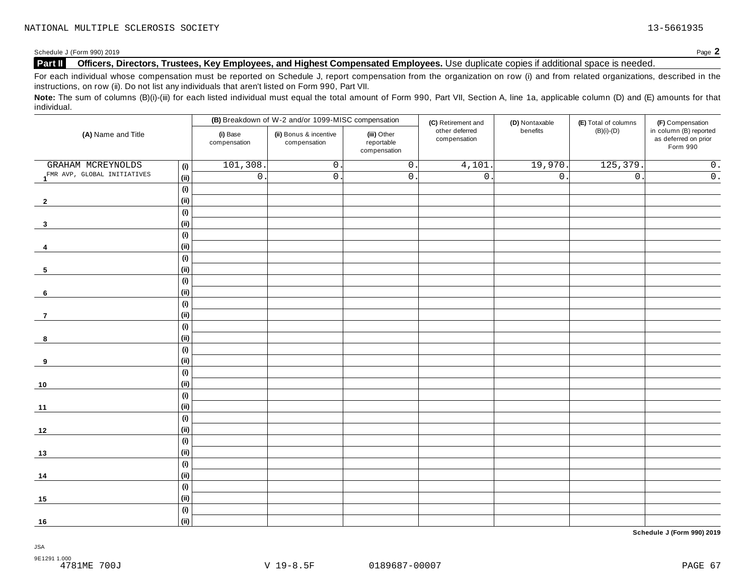# **Part II Officers, Directors, Trustees, Key Employees, and Highest Compensated Employees.** Use duplicate copies ifadditional space is needed.

For each individual whose compensation must be reported on Schedule J, report compensation from the organization on row (i) and from related organizations, described in the instructions, on row (ii). Do not list any individuals that aren't listed on Form 990, Part VII.

Note: The sum of columns (B)(i)-(iii) for each listed individual must equal the total amount of Form 990, Part VII, Section A, line 1a, applicable column (D) and (E) amounts for that individual.

|                                          |                              |                          | (B) Breakdown of W-2 and/or 1099-MISC compensation |                                           | (C) Retirement and             | (D) Nontaxable   | (E) Total of columns | (F) Compensation                                           |
|------------------------------------------|------------------------------|--------------------------|----------------------------------------------------|-------------------------------------------|--------------------------------|------------------|----------------------|------------------------------------------------------------|
| (A) Name and Title                       |                              | (i) Base<br>compensation | (ii) Bonus & incentive<br>compensation             | (iii) Other<br>reportable<br>compensation | other deferred<br>compensation | benefits         | $(B)(i)-(D)$         | in column (B) reported<br>as deferred on prior<br>Form 990 |
| GRAHAM MCREYNOLDS                        | (i)                          | 101,308                  | $\mathsf{O}$ .                                     | $\overline{0}$ .                          | 4,101                          | 19,970.          | 125,379.             | $\overline{0}$ .                                           |
| 1 <sup>FMR</sup> AVP, GLOBAL INITIATIVES | (ii)                         | $\overline{0}$ .         | $0$ .                                              | $\mathsf{O}$ .                            | $\overline{0}$ .               | $\overline{0}$ . | $\overline{0}$ .     | $\overline{\overline{\mathbf{0}}\cdot}$                    |
|                                          | (i)                          |                          |                                                    |                                           |                                |                  |                      |                                                            |
| $\overline{2}$                           | (ii)                         |                          |                                                    |                                           |                                |                  |                      |                                                            |
|                                          | (i)                          |                          |                                                    |                                           |                                |                  |                      |                                                            |
| $\overline{\mathbf{3}}$                  | (ii)                         |                          |                                                    |                                           |                                |                  |                      |                                                            |
|                                          | (i)                          |                          |                                                    |                                           |                                |                  |                      |                                                            |
| 4                                        | (ii)                         |                          |                                                    |                                           |                                |                  |                      |                                                            |
|                                          | $\qquad \qquad \textbf{(i)}$ |                          |                                                    |                                           |                                |                  |                      |                                                            |
| 5                                        | (ii)                         |                          |                                                    |                                           |                                |                  |                      |                                                            |
|                                          | (i)                          |                          |                                                    |                                           |                                |                  |                      |                                                            |
| 6                                        | (ii)                         |                          |                                                    |                                           |                                |                  |                      |                                                            |
|                                          | (i)                          |                          |                                                    |                                           |                                |                  |                      |                                                            |
| $\overline{7}$                           | (ii)                         |                          |                                                    |                                           |                                |                  |                      |                                                            |
|                                          | (i)                          |                          |                                                    |                                           |                                |                  |                      |                                                            |
| 8                                        | (ii)                         |                          |                                                    |                                           |                                |                  |                      |                                                            |
|                                          | $\qquad \qquad \textbf{(i)}$ |                          |                                                    |                                           |                                |                  |                      |                                                            |
| 9                                        | (ii)                         |                          |                                                    |                                           |                                |                  |                      |                                                            |
|                                          | (i)                          |                          |                                                    |                                           |                                |                  |                      |                                                            |
| 10                                       | (ii)                         |                          |                                                    |                                           |                                |                  |                      |                                                            |
|                                          | (i)                          |                          |                                                    |                                           |                                |                  |                      |                                                            |
| $11$                                     | (ii)                         |                          |                                                    |                                           |                                |                  |                      |                                                            |
|                                          | $\qquad \qquad \textbf{(i)}$ |                          |                                                    |                                           |                                |                  |                      |                                                            |
| 12                                       | (ii)                         |                          |                                                    |                                           |                                |                  |                      |                                                            |
|                                          | (i)                          |                          |                                                    |                                           |                                |                  |                      |                                                            |
| 13                                       | (ii)                         |                          |                                                    |                                           |                                |                  |                      |                                                            |
|                                          | (i)                          |                          |                                                    |                                           |                                |                  |                      |                                                            |
| 14                                       | (ii)                         |                          |                                                    |                                           |                                |                  |                      |                                                            |
|                                          | (i)                          |                          |                                                    |                                           |                                |                  |                      |                                                            |
| 15                                       | (ii)                         |                          |                                                    |                                           |                                |                  |                      |                                                            |
|                                          | (i)                          |                          |                                                    |                                           |                                |                  |                      |                                                            |
| 16                                       | (ii)                         |                          |                                                    |                                           |                                |                  |                      |                                                            |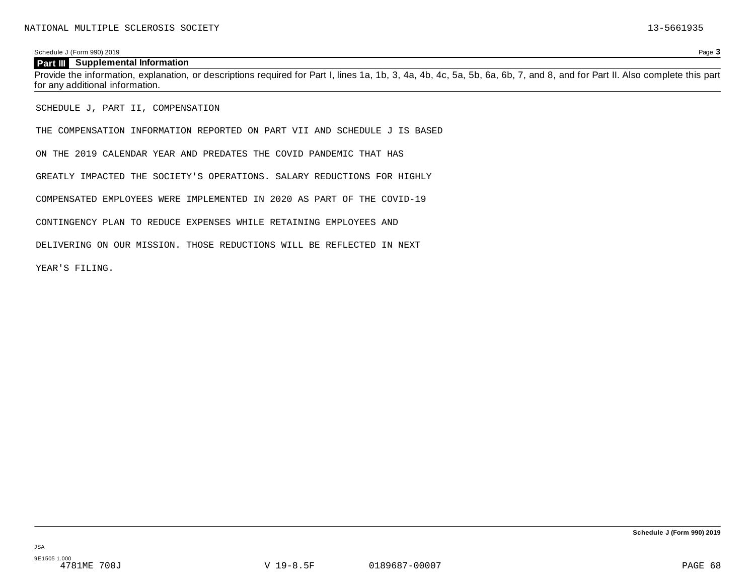## Schedule J (Form 990) 2019 Page **3**

## **Part III Supplemental Information**

Provide the information, explanation, or descriptions required for Part I, lines 1a, 1b, 3, 4a, 4b, 4c, 5a, 5b, 6a, 6b, 7, and 8, and for Part II. Also complete this part for any additional information.

SCHEDULE J, PART II, COMPENSATION

THE COMPENSATION INFORMATION REPORTED ON PART VII AND SCHEDULE J IS BASED

ON THE 2019 CALENDAR YEAR AND PREDATES THE COVID PANDEMIC THAT HAS

GREATLY IMPACTED THE SOCIETY'S OPERATIONS. SALARY REDUCTIONS FOR HIGHLY

COMPENSATED EMPLOYEES WERE IMPLEMENTED IN 2020 AS PART OF THE COVID-19

CONTINGENCY PLAN TO REDUCE EXPENSES WHILE RETAINING EMPLOYEES AND

DELIVERING ON OUR MISSION. THOSE REDUCTIONS WILL BE REFLECTED IN NEXT

YEAR'S FILING.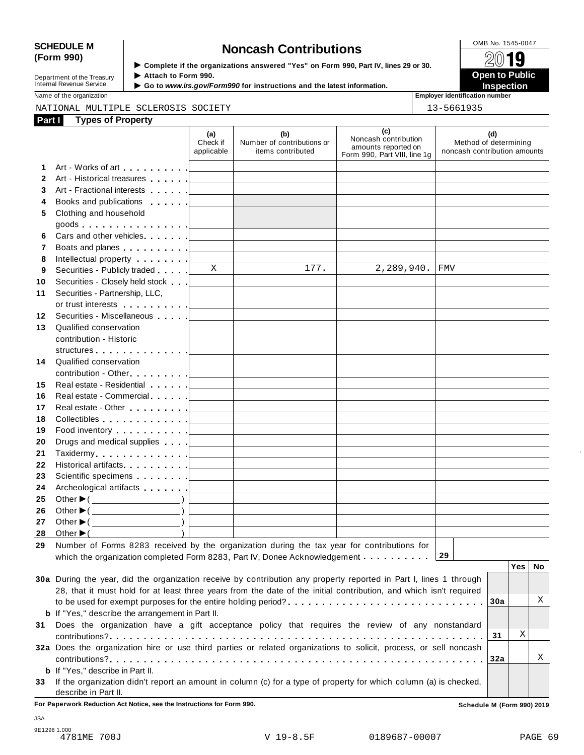# SCHEDULE M<br>
(Form 990) **Supplementary of the organizations answered** "Yes" on Form 990 Part IV lines 29 or 30

Department of the Treasury<br>Internal Revenue Service

**Examplete** if the organizations answered "Yes" on Form 990, Part Ⅳ, lines 29 or 30. 
<br>■ **Open to Public Department of the Treasury ▶ Attach to Form 990.**<br>Internal Revenue Service ▶ Go to *www.irs.gov/Form990* for instructions and the latest information.<br>Nome of the organization aumhor

Name of the organization **intervalse of the organization intervalse of the organization intervalse of the organization intervalse of the organization intervalse of the organization intervalse of the organization** 

# NATIONAL MULTIPLE SCLEROSIS SOCIETY 13-5661935

| Part I       | <b>Types of Property</b>                                                                                                                                                                                                       |                                   |                                                                            |                                                                                                                     |                                                              |
|--------------|--------------------------------------------------------------------------------------------------------------------------------------------------------------------------------------------------------------------------------|-----------------------------------|----------------------------------------------------------------------------|---------------------------------------------------------------------------------------------------------------------|--------------------------------------------------------------|
|              |                                                                                                                                                                                                                                | (a)<br>Check if<br>applicable     | (b)<br>Number of contributions or<br>items contributed                     | (c)<br>Noncash contribution<br>amounts reported on<br>Form 990, Part VIII, line 1g                                  | (d)<br>Method of determining<br>noncash contribution amounts |
| 1.           |                                                                                                                                                                                                                                |                                   | <u> 1989 - Johann Stein, mars an t-Amerikaansk kommunister (</u>           |                                                                                                                     |                                                              |
| $\mathbf{2}$ |                                                                                                                                                                                                                                |                                   |                                                                            |                                                                                                                     |                                                              |
| 3            |                                                                                                                                                                                                                                |                                   |                                                                            |                                                                                                                     |                                                              |
| 4            | Books and publications <b>Container and Solution</b>                                                                                                                                                                           |                                   |                                                                            |                                                                                                                     |                                                              |
| 5            | Clothing and household                                                                                                                                                                                                         |                                   |                                                                            |                                                                                                                     |                                                              |
|              | goods <u>  _ _ _ _</u>                                                                                                                                                                                                         |                                   |                                                                            |                                                                                                                     |                                                              |
| 6            |                                                                                                                                                                                                                                |                                   |                                                                            | <u> 1989 - Johann Barn, mars ann an t-Amhain an t-Amhain an t-Amhain an t-Amhain an t-Amhain an t-Amhain an t-A</u> |                                                              |
| 7            |                                                                                                                                                                                                                                |                                   |                                                                            | the control of the control of the control of the control of the control of                                          |                                                              |
| 8            | Intellectual property entering the set of the set of the set of the set of the set of the set of the set of the                                                                                                                |                                   |                                                                            |                                                                                                                     |                                                              |
| 9            | Securities - Publicly traded                                                                                                                                                                                                   | X                                 | 177.                                                                       | 2,289,940.                                                                                                          | FMV                                                          |
| 10           | Securities - Closely held stock                                                                                                                                                                                                |                                   |                                                                            |                                                                                                                     |                                                              |
| 11           | Securities - Partnership, LLC,                                                                                                                                                                                                 |                                   |                                                                            |                                                                                                                     |                                                              |
|              | or trust interests in the state of the state of the state of the state of the state of the state of the state o                                                                                                                |                                   |                                                                            |                                                                                                                     |                                                              |
| 12           | Securities - Miscellaneous                                                                                                                                                                                                     |                                   |                                                                            |                                                                                                                     |                                                              |
| 13           | Qualified conservation                                                                                                                                                                                                         |                                   |                                                                            |                                                                                                                     |                                                              |
|              | contribution - Historic                                                                                                                                                                                                        |                                   |                                                                            |                                                                                                                     |                                                              |
|              |                                                                                                                                                                                                                                |                                   |                                                                            |                                                                                                                     |                                                              |
| 14           | Qualified conservation                                                                                                                                                                                                         |                                   |                                                                            |                                                                                                                     |                                                              |
|              |                                                                                                                                                                                                                                |                                   | the control of the control of the control of the control of the control of |                                                                                                                     |                                                              |
| 15           | Real estate - Residential experience and the contract of the state of Real estate - Residential                                                                                                                                |                                   |                                                                            |                                                                                                                     |                                                              |
| 16           |                                                                                                                                                                                                                                |                                   |                                                                            |                                                                                                                     |                                                              |
| 17           |                                                                                                                                                                                                                                |                                   |                                                                            | the control of the control of the control of the                                                                    |                                                              |
| 18           |                                                                                                                                                                                                                                |                                   |                                                                            | the control of the control of the control of the control of the control of                                          |                                                              |
| 19           | Food inventory $\ldots \ldots \ldots$ . $\Box$                                                                                                                                                                                 |                                   |                                                                            | the control of the control of the control of the control of                                                         |                                                              |
| 20           | Drugs and medical supplies equal to the contract of the contract of the contract of the contract of the contract of the contract of the contract of the contract of the contract of the contract of the contract of the contra |                                   |                                                                            |                                                                                                                     |                                                              |
| 21           |                                                                                                                                                                                                                                |                                   |                                                                            |                                                                                                                     |                                                              |
| 22           |                                                                                                                                                                                                                                |                                   |                                                                            | the control of the control of the control of the control of the control of                                          |                                                              |
| 23           |                                                                                                                                                                                                                                |                                   |                                                                            |                                                                                                                     |                                                              |
| 24           |                                                                                                                                                                                                                                |                                   |                                                                            |                                                                                                                     |                                                              |
| 25           | Other $\blacktriangleright$ ( $\qquad \qquad$                                                                                                                                                                                  |                                   |                                                                            |                                                                                                                     |                                                              |
| 26           | Other $\blacktriangleright$ ( $\_\_\_\_\_\_\_\_\_$ )                                                                                                                                                                           | and the state of the state of the |                                                                            |                                                                                                                     |                                                              |
| 27           | Other $\blacktriangleright$ ( $\_\_\_\_\_\_\_\_$ )                                                                                                                                                                             |                                   |                                                                            |                                                                                                                     |                                                              |
|              | 28 Other $\blacktriangleright$ (                                                                                                                                                                                               |                                   |                                                                            |                                                                                                                     |                                                              |
|              | 29 Number of Forms 8283 received by the organization during the tax year for contributions for                                                                                                                                 |                                   |                                                                            |                                                                                                                     |                                                              |
|              | which the organization completed Form 8283, Part IV, Donee Acknowledgement                                                                                                                                                     |                                   |                                                                            |                                                                                                                     | 29                                                           |
|              |                                                                                                                                                                                                                                |                                   |                                                                            |                                                                                                                     | Yes  <br>No                                                  |
|              | 30a During the year, did the organization receive by contribution any property reported in Part I, lines 1 through                                                                                                             |                                   |                                                                            |                                                                                                                     |                                                              |
|              | 28, that it must hold for at least three years from the date of the initial contribution, and which isn't required                                                                                                             |                                   |                                                                            |                                                                                                                     |                                                              |
|              |                                                                                                                                                                                                                                |                                   |                                                                            |                                                                                                                     | Χ<br>30a                                                     |
|              | <b>b</b> If "Yes," describe the arrangement in Part II.                                                                                                                                                                        |                                   |                                                                            |                                                                                                                     |                                                              |
| 31           | Does the organization have a gift acceptance policy that requires the review of any nonstandard                                                                                                                                |                                   |                                                                            |                                                                                                                     |                                                              |
|              |                                                                                                                                                                                                                                |                                   |                                                                            |                                                                                                                     | Χ<br>31                                                      |
|              | 32a Does the organization hire or use third parties or related organizations to solicit, process, or sell noncash                                                                                                              |                                   |                                                                            |                                                                                                                     |                                                              |
|              |                                                                                                                                                                                                                                |                                   |                                                                            |                                                                                                                     | Χ                                                            |
|              |                                                                                                                                                                                                                                |                                   |                                                                            |                                                                                                                     | 32a                                                          |
|              | <b>b</b> If "Yes," describe in Part II.                                                                                                                                                                                        |                                   |                                                                            |                                                                                                                     |                                                              |
| 33           | If the organization didn't report an amount in column (c) for a type of property for which column (a) is checked,<br>describe in Part II.                                                                                      |                                   |                                                                            |                                                                                                                     |                                                              |

**For Paperwork Reduction Act Notice, see the Instructions for Form 990. Schedule M (Form 990) 2019**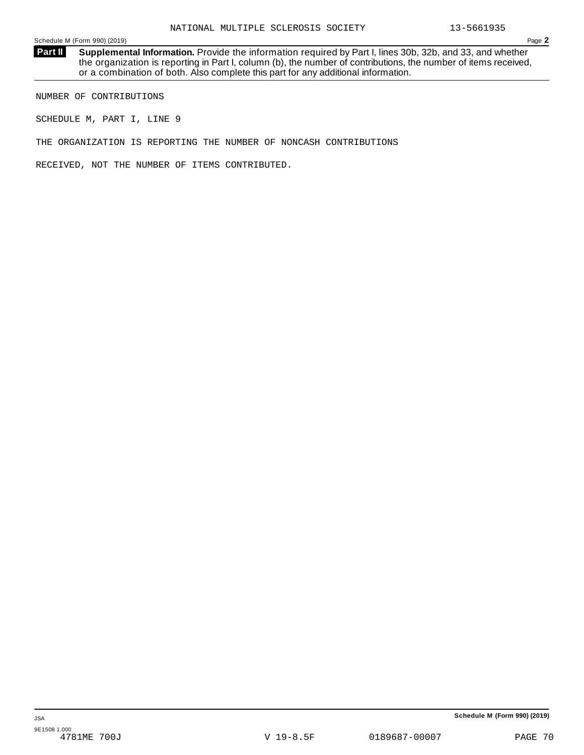**Supplemental Information.** Provide the information required by Part I, lines 30b, 32b, and 33, and whether the organization is reporting in Part I, column (b), the number of contributions, the number of items received, or a combination of both. Also complete this part for any additional information. **Part II**

NUMBER OF CONTRIBUTIONS

SCHEDULE M, PART I, LINE 9

THE ORGANIZATION IS REPORTING THE NUMBER OF NONCASH CONTRIBUTIONS

RECEIVED, NOT THE NUMBER OF ITEMS CONTRIBUTED.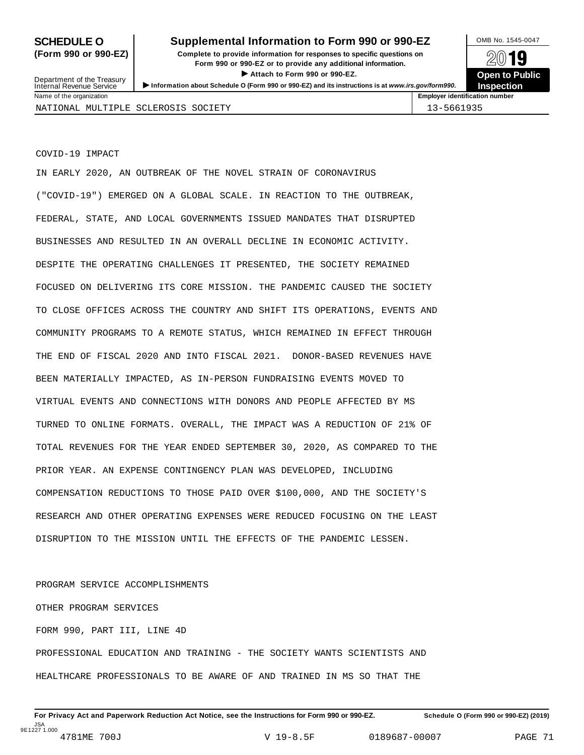# **SCHEDULE O** Supplemental Information to Form 990 or 990-EZ MB No. 1545-0047

**(Form 990 or 990-EZ) Complete to provide information for responses to specific questions on** plete to provide information for responses to specific questions on  $\mathbb{Z} \setminus \mathbb{R}$ **I Attach to Form 990 or 990-EZ.**<br>
Attach to Form 990 or 990-EZ.<br>
and a contract of Public and a contract of Public and a contract of the COP of Density of the COP of Density of A **INSPECTED OF CONSTRAINT OF THE PROPERT OPER TO PUNISH SERVICE SERVICE SERVICE SERVICE SERVICE SERVICE SERVICE SERVICE SERVICE INTERNATION SERVICE SERVICE SERVICE SERVICE SERVICE SERVICE SERVICE SERVICE SERVICE SERVICE SE** 



COVID-19 IMPACT

IN EARLY 2020, AN OUTBREAK OF THE NOVEL STRAIN OF CORONAVIRUS ("COVID-19") EMERGED ON A GLOBAL SCALE. IN REACTION TO THE OUTBREAK, FEDERAL, STATE, AND LOCAL GOVERNMENTS ISSUED MANDATES THAT DISRUPTED BUSINESSES AND RESULTED IN AN OVERALL DECLINE IN ECONOMIC ACTIVITY. DESPITE THE OPERATING CHALLENGES IT PRESENTED, THE SOCIETY REMAINED FOCUSED ON DELIVERING ITS CORE MISSION. THE PANDEMIC CAUSED THE SOCIETY TO CLOSE OFFICES ACROSS THE COUNTRY AND SHIFT ITS OPERATIONS, EVENTS AND COMMUNITY PROGRAMS TO A REMOTE STATUS, WHICH REMAINED IN EFFECT THROUGH THE END OF FISCAL 2020 AND INTO FISCAL 2021. DONOR-BASED REVENUES HAVE BEEN MATERIALLY IMPACTED, AS IN-PERSON FUNDRAISING EVENTS MOVED TO VIRTUAL EVENTS AND CONNECTIONS WITH DONORS AND PEOPLE AFFECTED BY MS TURNED TO ONLINE FORMATS. OVERALL, THE IMPACT WAS A REDUCTION OF 21% OF TOTAL REVENUES FOR THE YEAR ENDED SEPTEMBER 30, 2020, AS COMPARED TO THE PRIOR YEAR. AN EXPENSE CONTINGENCY PLAN WAS DEVELOPED, INCLUDING COMPENSATION REDUCTIONS TO THOSE PAID OVER \$100,000, AND THE SOCIETY'S RESEARCH AND OTHER OPERATING EXPENSES WERE REDUCED FOCUSING ON THE LEAST DISRUPTION TO THE MISSION UNTIL THE EFFECTS OF THE PANDEMIC LESSEN.

PROGRAM SERVICE ACCOMPLISHMENTS OTHER PROGRAM SERVICES FORM 990, PART III, LINE 4D PROFESSIONAL EDUCATION AND TRAINING - THE SOCIETY WANTS SCIENTISTS AND HEALTHCARE PROFESSIONALS TO BE AWARE OF AND TRAINED IN MS SO THAT THE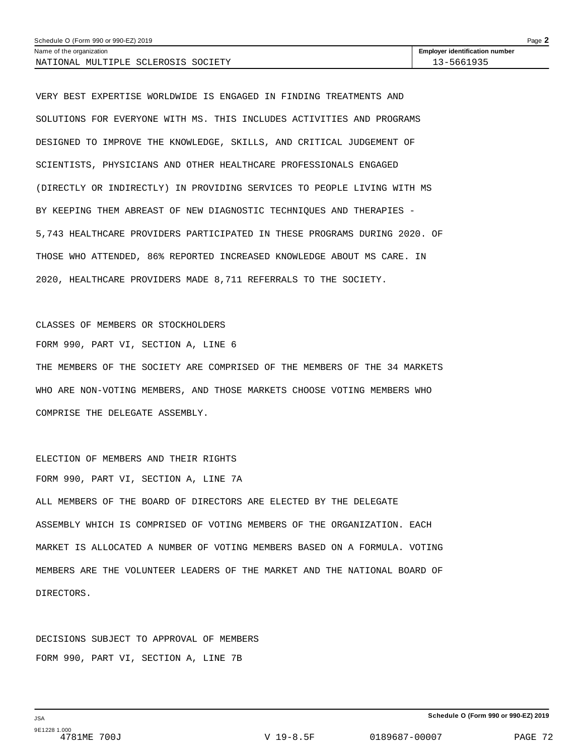| Schedule O (Form 990 or 990-EZ) 2019<br>Page |                                       |  |  |  |
|----------------------------------------------|---------------------------------------|--|--|--|
| Name of the organization                     | <b>Employer identification number</b> |  |  |  |
| NATIONAL MULTIPLE SCLEROSIS SOCIETY          | 3-5661935                             |  |  |  |

VERY BEST EXPERTISE WORLDWIDE IS ENGAGED IN FINDING TREATMENTS AND SOLUTIONS FOR EVERYONE WITH MS. THIS INCLUDES ACTIVITIES AND PROGRAMS DESIGNED TO IMPROVE THE KNOWLEDGE, SKILLS, AND CRITICAL JUDGEMENT OF SCIENTISTS, PHYSICIANS AND OTHER HEALTHCARE PROFESSIONALS ENGAGED (DIRECTLY OR INDIRECTLY) IN PROVIDING SERVICES TO PEOPLE LIVING WITH MS BY KEEPING THEM ABREAST OF NEW DIAGNOSTIC TECHNIQUES AND THERAPIES - 5,743 HEALTHCARE PROVIDERS PARTICIPATED IN THESE PROGRAMS DURING 2020. OF THOSE WHO ATTENDED, 86% REPORTED INCREASED KNOWLEDGE ABOUT MS CARE. IN 2020, HEALTHCARE PROVIDERS MADE 8,711 REFERRALS TO THE SOCIETY.

CLASSES OF MEMBERS OR STOCKHOLDERS FORM 990, PART VI, SECTION A, LINE 6 THE MEMBERS OF THE SOCIETY ARE COMPRISED OF THE MEMBERS OF THE 34 MARKETS WHO ARE NON-VOTING MEMBERS, AND THOSE MARKETS CHOOSE VOTING MEMBERS WHO COMPRISE THE DELEGATE ASSEMBLY.

ELECTION OF MEMBERS AND THEIR RIGHTS FORM 990, PART VI, SECTION A, LINE 7A ALL MEMBERS OF THE BOARD OF DIRECTORS ARE ELECTED BY THE DELEGATE ASSEMBLY WHICH IS COMPRISED OF VOTING MEMBERS OF THE ORGANIZATION. EACH MARKET IS ALLOCATED A NUMBER OF VOTING MEMBERS BASED ON A FORMULA. VOTING MEMBERS ARE THE VOLUNTEER LEADERS OF THE MARKET AND THE NATIONAL BOARD OF DIRECTORS.

DECISIONS SUBJECT TO APPROVAL OF MEMBERS FORM 990, PART VI, SECTION A, LINE 7B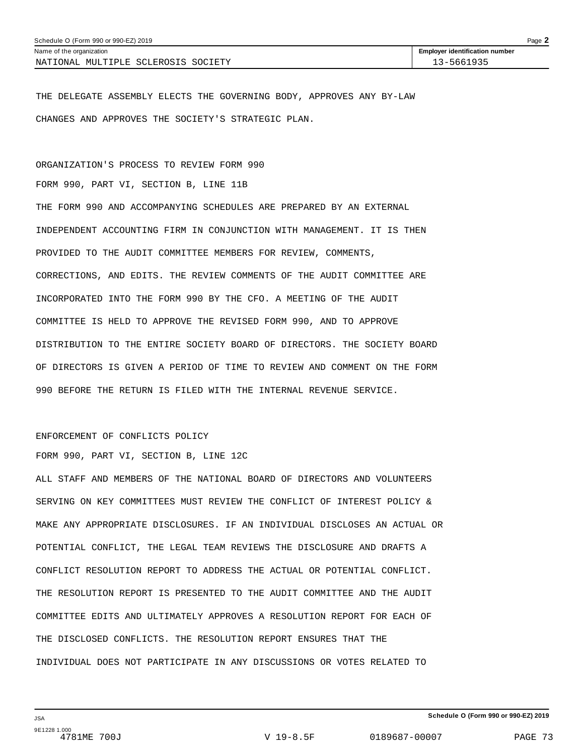| Schedule O (Form 990 or 990-EZ) 2019 | Page $\lambda$                        |  |
|--------------------------------------|---------------------------------------|--|
| Name of the organization             | <b>Employer identification number</b> |  |
| NATIONAL MULTIPLE SCLEROSIS SOCIETY  | 13-5661935                            |  |

THE DELEGATE ASSEMBLY ELECTS THE GOVERNING BODY, APPROVES ANY BY-LAW CHANGES AND APPROVES THE SOCIETY'S STRATEGIC PLAN.

ORGANIZATION'S PROCESS TO REVIEW FORM 990

FORM 990, PART VI, SECTION B, LINE 11B

THE FORM 990 AND ACCOMPANYING SCHEDULES ARE PREPARED BY AN EXTERNAL INDEPENDENT ACCOUNTING FIRM IN CONJUNCTION WITH MANAGEMENT. IT IS THEN PROVIDED TO THE AUDIT COMMITTEE MEMBERS FOR REVIEW, COMMENTS, CORRECTIONS, AND EDITS. THE REVIEW COMMENTS OF THE AUDIT COMMITTEE ARE INCORPORATED INTO THE FORM 990 BY THE CFO. A MEETING OF THE AUDIT COMMITTEE IS HELD TO APPROVE THE REVISED FORM 990, AND TO APPROVE DISTRIBUTION TO THE ENTIRE SOCIETY BOARD OF DIRECTORS. THE SOCIETY BOARD OF DIRECTORS IS GIVEN A PERIOD OF TIME TO REVIEW AND COMMENT ON THE FORM 990 BEFORE THE RETURN IS FILED WITH THE INTERNAL REVENUE SERVICE.

### ENFORCEMENT OF CONFLICTS POLICY

FORM 990, PART VI, SECTION B, LINE 12C

ALL STAFF AND MEMBERS OF THE NATIONAL BOARD OF DIRECTORS AND VOLUNTEERS SERVING ON KEY COMMITTEES MUST REVIEW THE CONFLICT OF INTEREST POLICY & MAKE ANY APPROPRIATE DISCLOSURES. IF AN INDIVIDUAL DISCLOSES AN ACTUAL OR POTENTIAL CONFLICT, THE LEGAL TEAM REVIEWS THE DISCLOSURE AND DRAFTS A CONFLICT RESOLUTION REPORT TO ADDRESS THE ACTUAL OR POTENTIAL CONFLICT. THE RESOLUTION REPORT IS PRESENTED TO THE AUDIT COMMITTEE AND THE AUDIT COMMITTEE EDITS AND ULTIMATELY APPROVES A RESOLUTION REPORT FOR EACH OF THE DISCLOSED CONFLICTS. THE RESOLUTION REPORT ENSURES THAT THE INDIVIDUAL DOES NOT PARTICIPATE IN ANY DISCUSSIONS OR VOTES RELATED TO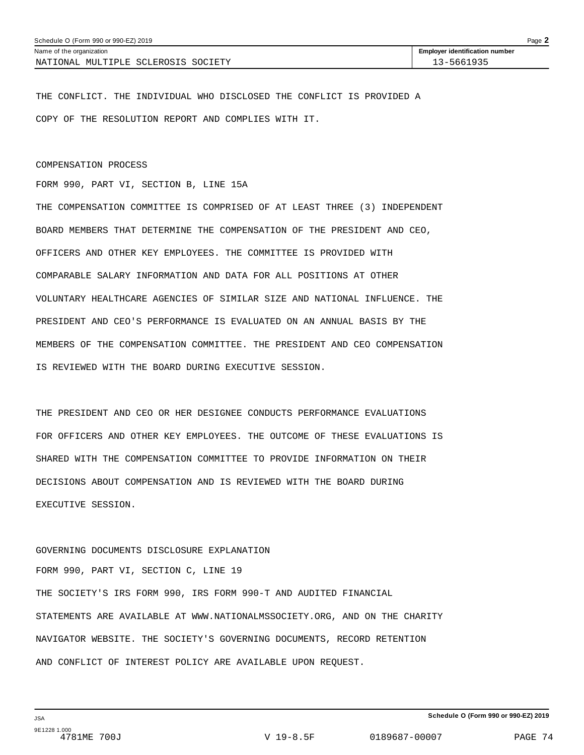| Schedule O (Form 990 or 990-EZ) 2019    | Page $\blacktriangle$                 |
|-----------------------------------------|---------------------------------------|
| Name of the organization                | <b>Employer identification number</b> |
| SOCIETY<br>NATIONAL MULTIPLE SCLEROSIS. | $3 - 5661935$                         |

THE CONFLICT. THE INDIVIDUAL WHO DISCLOSED THE CONFLICT IS PROVIDED A COPY OF THE RESOLUTION REPORT AND COMPLIES WITH IT.

### COMPENSATION PROCESS

FORM 990, PART VI, SECTION B, LINE 15A

THE COMPENSATION COMMITTEE IS COMPRISED OF AT LEAST THREE (3) INDEPENDENT BOARD MEMBERS THAT DETERMINE THE COMPENSATION OF THE PRESIDENT AND CEO, OFFICERS AND OTHER KEY EMPLOYEES. THE COMMITTEE IS PROVIDED WITH COMPARABLE SALARY INFORMATION AND DATA FOR ALL POSITIONS AT OTHER VOLUNTARY HEALTHCARE AGENCIES OF SIMILAR SIZE AND NATIONAL INFLUENCE. THE PRESIDENT AND CEO'S PERFORMANCE IS EVALUATED ON AN ANNUAL BASIS BY THE MEMBERS OF THE COMPENSATION COMMITTEE. THE PRESIDENT AND CEO COMPENSATION IS REVIEWED WITH THE BOARD DURING EXECUTIVE SESSION.

THE PRESIDENT AND CEO OR HER DESIGNEE CONDUCTS PERFORMANCE EVALUATIONS FOR OFFICERS AND OTHER KEY EMPLOYEES. THE OUTCOME OF THESE EVALUATIONS IS SHARED WITH THE COMPENSATION COMMITTEE TO PROVIDE INFORMATION ON THEIR DECISIONS ABOUT COMPENSATION AND IS REVIEWED WITH THE BOARD DURING EXECUTIVE SESSION.

GOVERNING DOCUMENTS DISCLOSURE EXPLANATION FORM 990, PART VI, SECTION C, LINE 19 THE SOCIETY'S IRS FORM 990, IRS FORM 990-T AND AUDITED FINANCIAL STATEMENTS ARE AVAILABLE AT WWW.NATIONALMSSOCIETY.ORG, AND ON THE CHARITY NAVIGATOR WEBSITE. THE SOCIETY'S GOVERNING DOCUMENTS, RECORD RETENTION AND CONFLICT OF INTEREST POLICY ARE AVAILABLE UPON REQUEST.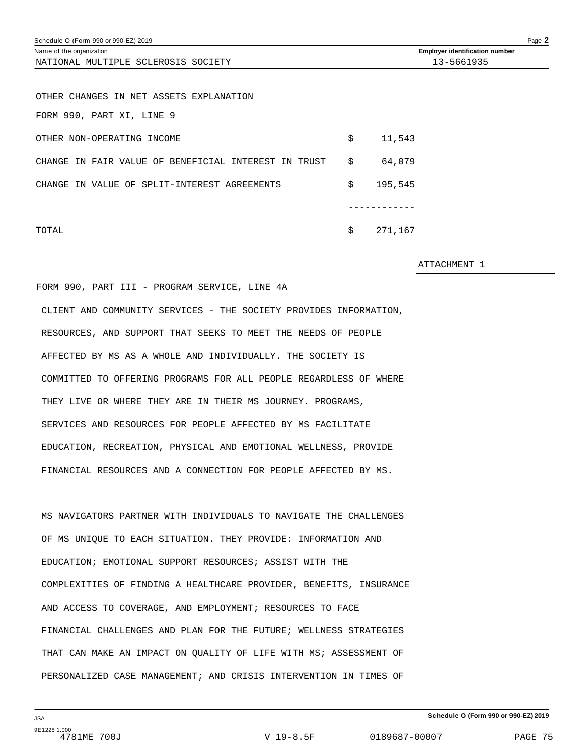| Schedule O (Form 990 or 990-EZ) 2019                 |               |                                       | Page 2 |
|------------------------------------------------------|---------------|---------------------------------------|--------|
| Name of the organization                             |               | <b>Employer identification number</b> |        |
| NATIONAL MULTIPLE SCLEROSIS SOCIETY                  |               | 13-5661935                            |        |
|                                                      |               |                                       |        |
| OTHER CHANGES IN NET ASSETS EXPLANATION              |               |                                       |        |
| FORM 990, PART XI, LINE 9                            |               |                                       |        |
| OTHER NON-OPERATING INCOME                           | \$<br>11,543  |                                       |        |
| CHANGE IN FAIR VALUE OF BENEFICIAL INTEREST IN TRUST | \$<br>64,079  |                                       |        |
| CHANGE IN VALUE OF SPLIT-INTEREST AGREEMENTS         | \$<br>195,545 |                                       |        |
|                                                      |               |                                       |        |
| TOTAL                                                | \$<br>271,167 |                                       |        |

ATTACHMENT 1

### FORM 990, PART III - PROGRAM SERVICE, LINE 4A

CLIENT AND COMMUNITY SERVICES - THE SOCIETY PROVIDES INFORMATION, RESOURCES, AND SUPPORT THAT SEEKS TO MEET THE NEEDS OF PEOPLE AFFECTED BY MS AS A WHOLE AND INDIVIDUALLY. THE SOCIETY IS COMMITTED TO OFFERING PROGRAMS FOR ALL PEOPLE REGARDLESS OF WHERE THEY LIVE OR WHERE THEY ARE IN THEIR MS JOURNEY. PROGRAMS, SERVICES AND RESOURCES FOR PEOPLE AFFECTED BY MS FACILITATE EDUCATION, RECREATION, PHYSICAL AND EMOTIONAL WELLNESS, PROVIDE FINANCIAL RESOURCES AND A CONNECTION FOR PEOPLE AFFECTED BY MS.

MS NAVIGATORS PARTNER WITH INDIVIDUALS TO NAVIGATE THE CHALLENGES OF MS UNIQUE TO EACH SITUATION. THEY PROVIDE: INFORMATION AND EDUCATION; EMOTIONAL SUPPORT RESOURCES; ASSIST WITH THE COMPLEXITIES OF FINDING A HEALTHCARE PROVIDER, BENEFITS, INSURANCE AND ACCESS TO COVERAGE, AND EMPLOYMENT; RESOURCES TO FACE FINANCIAL CHALLENGES AND PLAN FOR THE FUTURE; WELLNESS STRATEGIES THAT CAN MAKE AN IMPACT ON QUALITY OF LIFE WITH MS; ASSESSMENT OF PERSONALIZED CASE MANAGEMENT; AND CRISIS INTERVENTION IN TIMES OF

**Schedule O (Form 990 or 990-EZ) 2019**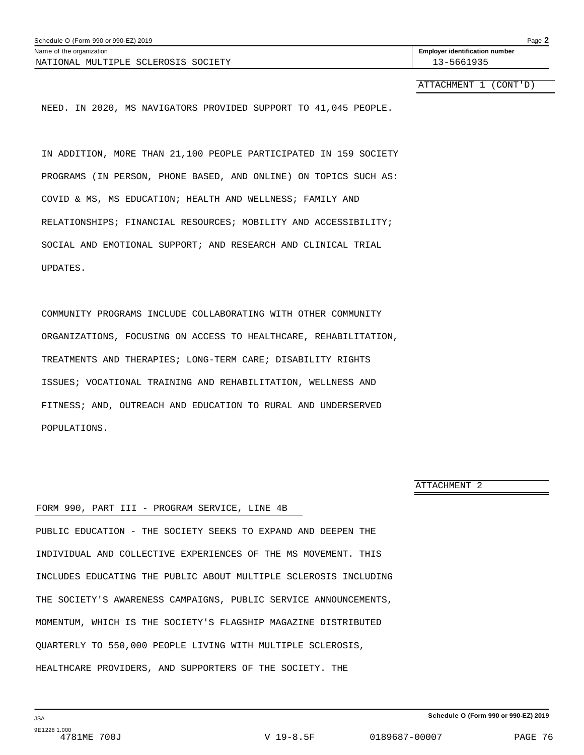| Schedule O (Form 990 or 990-EZ) 2019      | Page $\blacktriangle$                 |
|-------------------------------------------|---------------------------------------|
| Name of the organization                  | <b>Employer identification number</b> |
| MULTIPLE SCLEROSIS<br>SOCIETY<br>NATIONAL | 13-5661935                            |

ATTACHMENT 1 (CONT'D)

NEED. IN 2020, MS NAVIGATORS PROVIDED SUPPORT TO 41,045 PEOPLE.

IN ADDITION, MORE THAN 21,100 PEOPLE PARTICIPATED IN 159 SOCIETY PROGRAMS (IN PERSON, PHONE BASED, AND ONLINE) ON TOPICS SUCH AS: COVID & MS, MS EDUCATION; HEALTH AND WELLNESS; FAMILY AND RELATIONSHIPS; FINANCIAL RESOURCES; MOBILITY AND ACCESSIBILITY; SOCIAL AND EMOTIONAL SUPPORT; AND RESEARCH AND CLINICAL TRIAL UPDATES.

COMMUNITY PROGRAMS INCLUDE COLLABORATING WITH OTHER COMMUNITY ORGANIZATIONS, FOCUSING ON ACCESS TO HEALTHCARE, REHABILITATION, TREATMENTS AND THERAPIES; LONG-TERM CARE; DISABILITY RIGHTS ISSUES; VOCATIONAL TRAINING AND REHABILITATION, WELLNESS AND FITNESS; AND, OUTREACH AND EDUCATION TO RURAL AND UNDERSERVED POPULATIONS.

ATTACHMENT 2

### FORM 990, PART III - PROGRAM SERVICE, LINE 4B

PUBLIC EDUCATION - THE SOCIETY SEEKS TO EXPAND AND DEEPEN THE INDIVIDUAL AND COLLECTIVE EXPERIENCES OF THE MS MOVEMENT. THIS INCLUDES EDUCATING THE PUBLIC ABOUT MULTIPLE SCLEROSIS INCLUDING THE SOCIETY'S AWARENESS CAMPAIGNS, PUBLIC SERVICE ANNOUNCEMENTS, MOMENTUM, WHICH IS THE SOCIETY'S FLAGSHIP MAGAZINE DISTRIBUTED QUARTERLY TO 550,000 PEOPLE LIVING WITH MULTIPLE SCLEROSIS, HEALTHCARE PROVIDERS, AND SUPPORTERS OF THE SOCIETY. THE

**Schedule O (Form 990 or 990-EZ) 2019**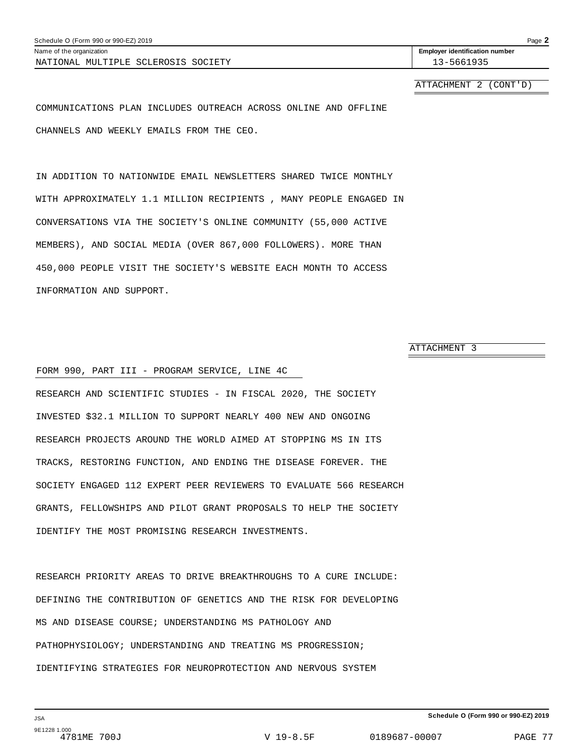| Schedule O (Form 990 or 990-EZ) 2019 |                                       | Page $2$ |
|--------------------------------------|---------------------------------------|----------|
| Name of the organization             | <b>Employer identification number</b> |          |
| NATIONAL MULTIPLE SCLEROSIS SOCIETY  | 13-5661935                            |          |
|                                      |                                       |          |

ATTACHMENT 2 (CONT'D)

COMMUNICATIONS PLAN INCLUDES OUTREACH ACROSS ONLINE AND OFFLINE CHANNELS AND WEEKLY EMAILS FROM THE CEO.

IN ADDITION TO NATIONWIDE EMAIL NEWSLETTERS SHARED TWICE MONTHLY WITH APPROXIMATELY 1.1 MILLION RECIPIENTS , MANY PEOPLE ENGAGED IN CONVERSATIONS VIA THE SOCIETY'S ONLINE COMMUNITY (55,000 ACTIVE MEMBERS), AND SOCIAL MEDIA (OVER 867,000 FOLLOWERS). MORE THAN 450,000 PEOPLE VISIT THE SOCIETY'S WEBSITE EACH MONTH TO ACCESS INFORMATION AND SUPPORT.

ATTACHMENT 3

### FORM 990, PART III - PROGRAM SERVICE, LINE 4C

RESEARCH AND SCIENTIFIC STUDIES - IN FISCAL 2020, THE SOCIETY INVESTED \$32.1 MILLION TO SUPPORT NEARLY 400 NEW AND ONGOING RESEARCH PROJECTS AROUND THE WORLD AIMED AT STOPPING MS IN ITS TRACKS, RESTORING FUNCTION, AND ENDING THE DISEASE FOREVER. THE SOCIETY ENGAGED 112 EXPERT PEER REVIEWERS TO EVALUATE 566 RESEARCH GRANTS, FELLOWSHIPS AND PILOT GRANT PROPOSALS TO HELP THE SOCIETY IDENTIFY THE MOST PROMISING RESEARCH INVESTMENTS.

RESEARCH PRIORITY AREAS TO DRIVE BREAKTHROUGHS TO A CURE INCLUDE: DEFINING THE CONTRIBUTION OF GENETICS AND THE RISK FOR DEVELOPING MS AND DISEASE COURSE; UNDERSTANDING MS PATHOLOGY AND PATHOPHYSIOLOGY; UNDERSTANDING AND TREATING MS PROGRESSION; IDENTIFYING STRATEGIES FOR NEUROPROTECTION AND NERVOUS SYSTEM

JSA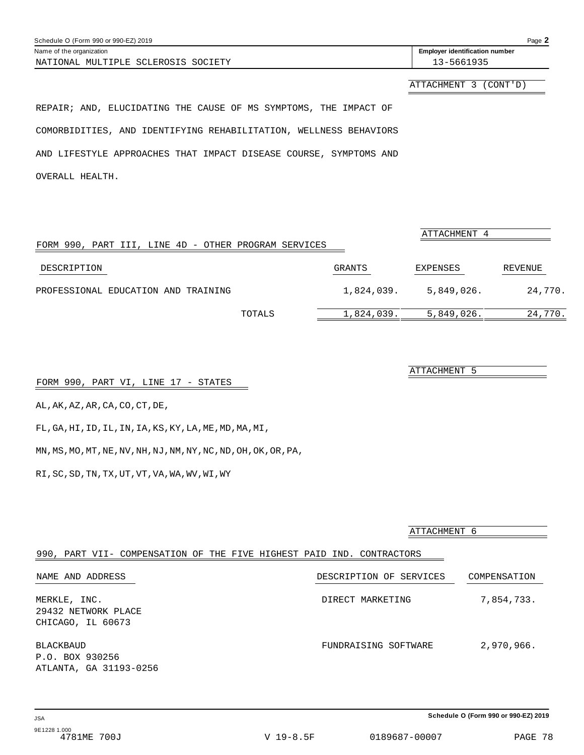| Schedule O (Form 990 or 990-EZ) 2019 | Page $\blacktriangle$                 |
|--------------------------------------|---------------------------------------|
| Name of the organization             | <b>Employer identification number</b> |
| NATIONAL MULTIPLE SCLEROSIS SOCIETY  | 3-5661935                             |

ATTACHMENT 3 (CONT'D)

REPAIR; AND, ELUCIDATING THE CAUSE OF MS SYMPTOMS, THE IMPACT OF COMORBIDITIES, AND IDENTIFYING REHABILITATION, WELLNESS BEHAVIORS AND LIFESTYLE APPROACHES THAT IMPACT DISEASE COURSE, SYMPTOMS AND OVERALL HEALTH.

| FORM 990, PART III, LINE 4D - OTHER PROGRAM SERVICES |            | ATTACHMENT 4 |         |
|------------------------------------------------------|------------|--------------|---------|
|                                                      |            |              |         |
| DESCRIPTION                                          | GRANTS     | EXPENSES     | REVENUE |
| PROFESSIONAL EDUCATION AND TRAINING                  | 1,824,039. | 5.849.026.   | 24,770. |
| TOTALS                                               | 1,824,039. | 5,849,026.   | 24,770. |

FORM 990, PART VI, LINE 17 - STATES

AL,AK,AZ,AR,CA,CO,CT,DE,

FL,GA,HI,ID,IL,IN,IA,KS,KY,LA,ME,MD,MA,MI,

MN,MS,MO,MT,NE,NV,NH,NJ,NM,NY,NC,ND,OH,OK,OR,PA,

RI,SC,SD,TN,TX,UT,VT,VA,WA,WV,WI,WY

|                                                                       | ATTACHMENT 6            |              |
|-----------------------------------------------------------------------|-------------------------|--------------|
| 990, PART VII- COMPENSATION OF THE FIVE HIGHEST PAID IND. CONTRACTORS |                         |              |
| NAME AND ADDRESS                                                      | DESCRIPTION OF SERVICES | COMPENSATION |
| MERKLE, INC.<br>29432 NETWORK PLACE<br>CHICAGO, IL 60673              | DIRECT MARKETING        | 7,854,733.   |
| BLACKBAUD<br>P.O. BOX 930256<br>ATLANTA, GA 31193-0256                | FUNDRAISING SOFTWARE    | 2,970,966.   |

**Schedule O (Form 990 or 990-EZ) 2019**

ATTACHMENT 5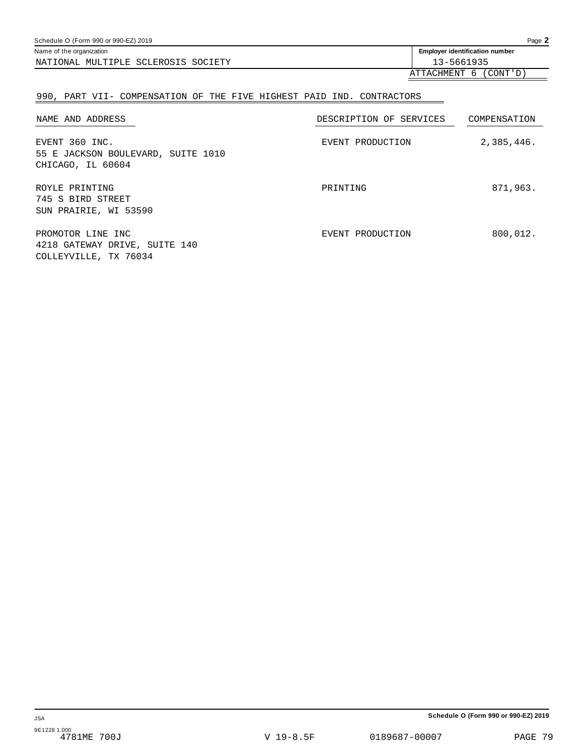| Schedule O (Form 990 or 990-EZ) 2019 | Page $\blacktriangle$                            |
|--------------------------------------|--------------------------------------------------|
| Name of the organization             | <b>Employer identification number</b>            |
| NATIONAL MULTIPLE SCLEROSIS SOCIETY  | 13-5661935                                       |
|                                      | $\pi$ mm $\pi$ attMentm $\epsilon$ (antm $\pi$ ) |

## ATTACHMENT 6 (CONT'D)

## 990, PART VII- COMPENSATION OF THE FIVE HIGHEST PAID IND. CONTRACTORS

| NAME AND ADDRESS                                                            | DESCRIPTION OF SERVICES | COMPENSATION |
|-----------------------------------------------------------------------------|-------------------------|--------------|
| EVENT 360 INC.<br>55 E JACKSON BOULEVARD, SUITE 1010<br>CHICAGO, IL 60604   | EVENT PRODUCTION        | 2,385,446.   |
| ROYLE PRINTING<br>745 S BIRD STREET<br>SUN PRAIRIE, WI 53590                | PRINTING                | 871,963.     |
| PROMOTOR LINE INC<br>4218 GATEWAY DRIVE, SUITE 140<br>COLLEYVILLE, TX 76034 | EVENT PRODUCTION        | 800,012.     |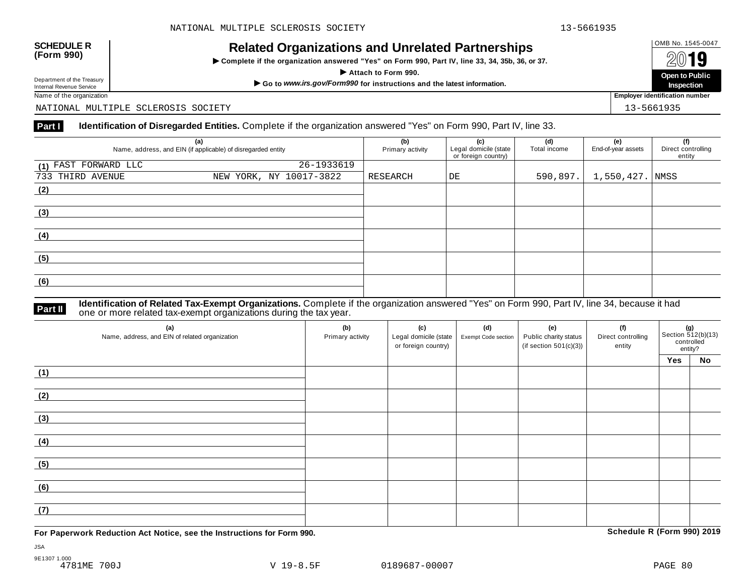# OMB No. 1545-0047 **SCHEDULE R (Form 990) Related Organizations and Unrelated Partnerships**

 $\triangleright$  Complete if the organization answered "Yes" on Form 990, Part IV, line 33, 34, 35b, 36, or 37.



Department of the Treasury

NATIONAL MULTIPLE SCLEROSIS SOCIETY 13-5661935

### **Part I Identification of Disregarded Entities.** Complete if the organization answered "Yes" on Form 990, Part IV, line 33.

|                      | (a)<br>Name, address, and EIN (if applicable) of disregarded entity | (b)<br>Primary activity | (c)<br>Legal domicile (state<br>or foreign country) | (d)<br>Total income | (e)<br>End-of-year assets | (f)<br>Direct controlling<br>entity |
|----------------------|---------------------------------------------------------------------|-------------------------|-----------------------------------------------------|---------------------|---------------------------|-------------------------------------|
| (1) FAST FORWARD LLC | 26-1933619                                                          |                         |                                                     |                     |                           |                                     |
| 733 THIRD AVENUE     | NEW YORK, NY 10017-3822                                             | RESEARCH                | DE                                                  | 590,897.            | 1,550,427. NMSS           |                                     |
| (2)                  |                                                                     |                         |                                                     |                     |                           |                                     |
| (3)                  |                                                                     |                         |                                                     |                     |                           |                                     |
| (4)                  |                                                                     |                         |                                                     |                     |                           |                                     |
| (5)                  |                                                                     |                         |                                                     |                     |                           |                                     |
| (6)                  |                                                                     |                         |                                                     |                     |                           |                                     |

### **Identification of Related Tax-Exempt Organizations.** Complete if the organization answered "Yes" on Form 990, Part IV, line 34, because it had **Part II** one or more related tax-exempt organizations during the tax year.

| (a)<br>Name, address, and EIN of related organization | (b)<br>Primary activity | (c)<br>Legal domicile (state  <br>or foreign country) | (d)<br>Exempt Code section | (e)<br>Public charity status<br>(if section $501(c)(3)$ ) | (f)<br>Direct controlling<br>entity | Section 512(b)(13)<br>controlled<br>entity? |    |
|-------------------------------------------------------|-------------------------|-------------------------------------------------------|----------------------------|-----------------------------------------------------------|-------------------------------------|---------------------------------------------|----|
|                                                       |                         |                                                       |                            |                                                           |                                     | Yes                                         | No |
| (1)                                                   |                         |                                                       |                            |                                                           |                                     |                                             |    |
| (2)                                                   |                         |                                                       |                            |                                                           |                                     |                                             |    |
| (3)                                                   |                         |                                                       |                            |                                                           |                                     |                                             |    |
| (4)                                                   |                         |                                                       |                            |                                                           |                                     |                                             |    |
| (5)                                                   |                         |                                                       |                            |                                                           |                                     |                                             |    |
| (6)                                                   |                         |                                                       |                            |                                                           |                                     |                                             |    |
| (7)                                                   |                         |                                                       |                            |                                                           |                                     |                                             |    |

**For Paperwork Reduction Act Notice, see the Instructions for Form 990. Schedule R (Form 990) 2019**

JSA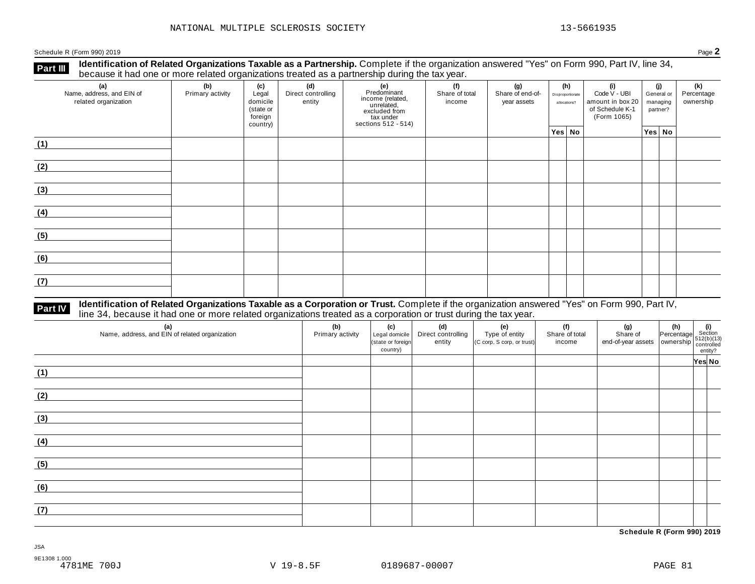Schedule <sup>R</sup> (Form 990) <sup>2019</sup> Page **2**

**Part III** Identification of Related Organizations Taxable as a Partnership. Complete if the organization answered "Yes" on Form 990, Part IV, line 34,<br>because it had one or more related organizations treated as a partners

| (a)<br>Name, address, and EIN of<br>related organization | ັ<br>(b)<br>Primary activity | (c)<br>Legal<br>domicile<br>(state or<br>foreign<br>country) | .<br>(d)<br>Direct controlling<br>entity | ັ<br>(e)<br>Predominant<br>Frecomman<br>income (related,<br>unrelated,<br>sccluded from<br>sections 512 - 514) | (f)<br>Share of total<br>income | (g)<br>Share of end-of-<br>year assets | (h)<br>Disproportionate<br>allocations? | (i)<br>Code V - UBI<br>amount in box 20<br>of Schedule K-1<br>(Form 1065) | (j)<br>General or<br>managing<br>partner? |        | (k)<br>Percentage<br>ownership |
|----------------------------------------------------------|------------------------------|--------------------------------------------------------------|------------------------------------------|----------------------------------------------------------------------------------------------------------------|---------------------------------|----------------------------------------|-----------------------------------------|---------------------------------------------------------------------------|-------------------------------------------|--------|--------------------------------|
|                                                          |                              |                                                              |                                          |                                                                                                                |                                 |                                        | Yes No                                  |                                                                           |                                           | Yes No |                                |
| (1)                                                      |                              |                                                              |                                          |                                                                                                                |                                 |                                        |                                         |                                                                           |                                           |        |                                |
| (2)                                                      |                              |                                                              |                                          |                                                                                                                |                                 |                                        |                                         |                                                                           |                                           |        |                                |
| (3)                                                      |                              |                                                              |                                          |                                                                                                                |                                 |                                        |                                         |                                                                           |                                           |        |                                |
| (4)                                                      |                              |                                                              |                                          |                                                                                                                |                                 |                                        |                                         |                                                                           |                                           |        |                                |
| (5)                                                      |                              |                                                              |                                          |                                                                                                                |                                 |                                        |                                         |                                                                           |                                           |        |                                |
| (6)                                                      |                              |                                                              |                                          |                                                                                                                |                                 |                                        |                                         |                                                                           |                                           |        |                                |
| (7)                                                      |                              |                                                              |                                          |                                                                                                                |                                 |                                        |                                         |                                                                           |                                           |        |                                |

# **Part IV** Identification of Related Organizations Taxable as a Corporation or Trust. Complete if the organization answered "Yes" on Form 990, Part IV,<br>line 34, because it had one or more related organizations treated as a

| (a)<br>Name, address, and EIN of related organization | (b)<br>Primary activity | (c)<br>Legal domicile<br>(state or foreign<br>country) | (d)<br>Direct controlling<br>entity | (e)<br>Type of entity<br>(C corp, S corp, or trust) | (f)<br>Share of total<br>income | (g) $\left\{\n\begin{array}{ccc}\n\text{(g)} & \text{(h)} & \text{(i)} \\ \text{Share of } & \text{Percentage} & \text{Section} \\ \text{end-of-year assets} & \text{ ownership} & \text{function} \\ \text{contrast} & \text{entity?} \\ \end{array}\n\right.$ |        |  |
|-------------------------------------------------------|-------------------------|--------------------------------------------------------|-------------------------------------|-----------------------------------------------------|---------------------------------|-----------------------------------------------------------------------------------------------------------------------------------------------------------------------------------------------------------------------------------------------------------------|--------|--|
|                                                       |                         |                                                        |                                     |                                                     |                                 |                                                                                                                                                                                                                                                                 | Yes No |  |
| (1)                                                   |                         |                                                        |                                     |                                                     |                                 |                                                                                                                                                                                                                                                                 |        |  |
| (2)                                                   |                         |                                                        |                                     |                                                     |                                 |                                                                                                                                                                                                                                                                 |        |  |
| (3)                                                   |                         |                                                        |                                     |                                                     |                                 |                                                                                                                                                                                                                                                                 |        |  |
| (4)                                                   |                         |                                                        |                                     |                                                     |                                 |                                                                                                                                                                                                                                                                 |        |  |
| (5)                                                   |                         |                                                        |                                     |                                                     |                                 |                                                                                                                                                                                                                                                                 |        |  |
| (6)                                                   |                         |                                                        |                                     |                                                     |                                 |                                                                                                                                                                                                                                                                 |        |  |
| (7)                                                   |                         |                                                        |                                     |                                                     |                                 |                                                                                                                                                                                                                                                                 |        |  |

**Schedule R (Form 990) 2019**

JSA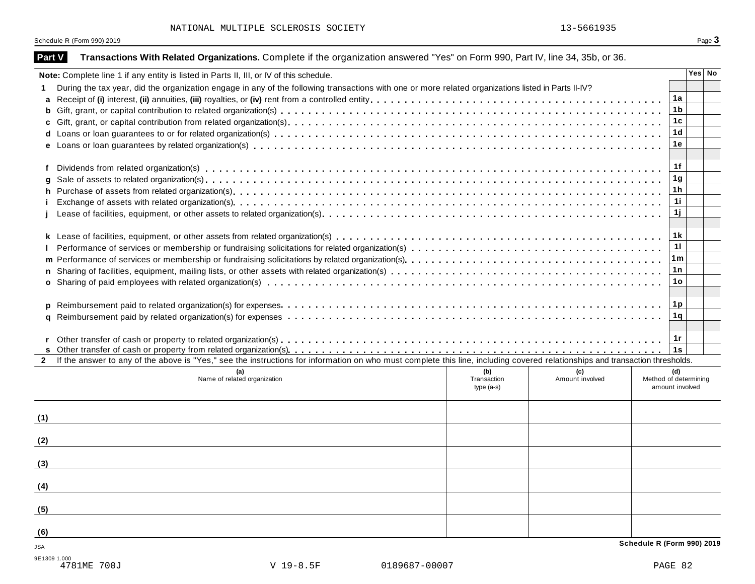Schedule R (Form 990) 2019 **Page 3** 

| <b>Part V</b> | Transactions With Related Organizations. Complete if the organization answered "Yes" on Form 990, Part IV, line 34, 35b, or 36.                                              |                |        |
|---------------|------------------------------------------------------------------------------------------------------------------------------------------------------------------------------|----------------|--------|
|               | Note: Complete line 1 if any entity is listed in Parts II, III, or IV of this schedule.                                                                                      |                | Yes No |
|               | During the tax year, did the organization engage in any of the following transactions with one or more related organizations listed in Parts II-IV?                          |                |        |
| a             |                                                                                                                                                                              | 1a             |        |
| b             |                                                                                                                                                                              | 1 <sub>b</sub> |        |
|               |                                                                                                                                                                              | 1c             |        |
| d             |                                                                                                                                                                              | 1 <sub>d</sub> |        |
|               |                                                                                                                                                                              | 1e             |        |
|               |                                                                                                                                                                              | 1f             |        |
| f             |                                                                                                                                                                              | 1g             |        |
|               |                                                                                                                                                                              | 1 <sub>h</sub> |        |
| h             |                                                                                                                                                                              | 11             |        |
|               |                                                                                                                                                                              | 1j             |        |
|               |                                                                                                                                                                              |                |        |
|               |                                                                                                                                                                              | 1 k            |        |
|               |                                                                                                                                                                              | 11             |        |
| m             |                                                                                                                                                                              | 1m             |        |
| n.            |                                                                                                                                                                              | 1n             |        |
|               |                                                                                                                                                                              | 1o             |        |
|               |                                                                                                                                                                              |                |        |
| p             |                                                                                                                                                                              | 1p             |        |
|               |                                                                                                                                                                              | 1q             |        |
|               |                                                                                                                                                                              |                |        |
|               |                                                                                                                                                                              | 1r             |        |
|               |                                                                                                                                                                              | 1s             |        |
| $\mathbf{2}$  | If the answer to any of the above is "Yes," see the instructions for information on who must complete this line, including covered relationships and transaction thresholds. |                |        |
|               | (b)<br>(c)<br>Amount involved<br>Name of related organization<br>Transaction<br>Method of determining                                                                        | (d)            |        |
|               | amount involved<br>type $(a-s)$                                                                                                                                              |                |        |
|               |                                                                                                                                                                              |                |        |
| (1)           |                                                                                                                                                                              |                |        |
|               |                                                                                                                                                                              |                |        |
| (2)           |                                                                                                                                                                              |                |        |
|               |                                                                                                                                                                              |                |        |
| (3)           |                                                                                                                                                                              |                |        |
|               |                                                                                                                                                                              |                |        |
| (4)           |                                                                                                                                                                              |                |        |
|               |                                                                                                                                                                              |                |        |
| (5)           |                                                                                                                                                                              |                |        |
|               |                                                                                                                                                                              |                |        |
| (6)           |                                                                                                                                                                              |                |        |
| JSA           | Schedule R (Form 990) 2019                                                                                                                                                   |                |        |
| 9E1309 1.000  |                                                                                                                                                                              |                |        |
|               | $V$ 19-8.5F<br>4781ME 700J<br>0189687-00007                                                                                                                                  | PAGE 82        |        |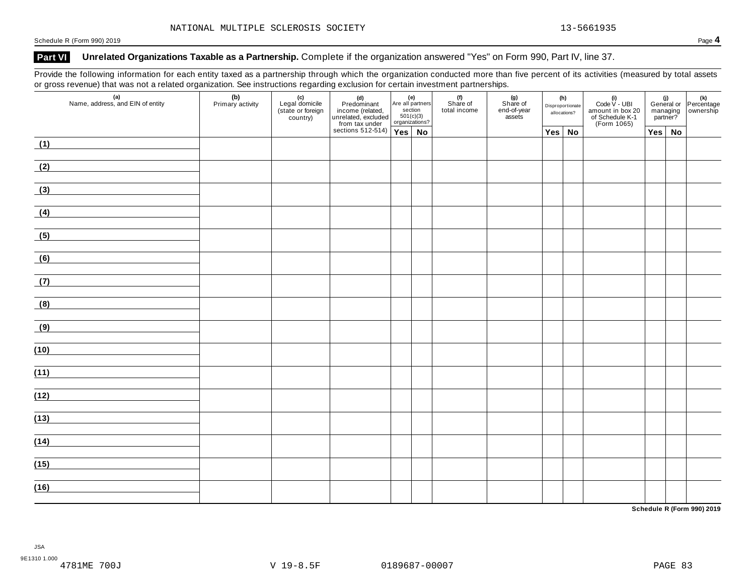### Part VI Unrelated Organizations Taxable as a Partnership. Complete if the organization answered "Yes" on Form 990, Part IV, line 37.

Provide the following information for each entity taxed as a partnership through which the organization conducted more than five percent of its activities (measured by total assets or gross revenue) that was not a related organization. See instructions regarding exclusion for certain investment partnerships.

| (a)<br>Name, address, and EIN of entity             | (b)<br>Primary activity | (c)<br>Legal domicile<br>(state or foreign)<br>country) | (d)<br>Predominant<br>income (related,<br>unrelated, excluded<br>from tax under<br>sections 512-514)<br>Pes No |  |  | (f)<br>Share of<br>total income | (g)<br>Share of<br>end-of-year<br>assets | (h)<br>Disproportionate<br>allocations? |               | (i)<br>Code $V$ - UBI<br>amount in box 20<br>of Schedule K-1<br>(Form 1065) |  |               | (i)<br>General or Percentage<br>managing ownership<br>partner? |
|-----------------------------------------------------|-------------------------|---------------------------------------------------------|----------------------------------------------------------------------------------------------------------------|--|--|---------------------------------|------------------------------------------|-----------------------------------------|---------------|-----------------------------------------------------------------------------|--|---------------|----------------------------------------------------------------|
|                                                     |                         |                                                         |                                                                                                                |  |  |                                 |                                          |                                         | $Yes \mid No$ |                                                                             |  | $Yes \mid No$ |                                                                |
| (1)                                                 |                         |                                                         |                                                                                                                |  |  |                                 |                                          |                                         |               |                                                                             |  |               |                                                                |
| (2)                                                 |                         |                                                         |                                                                                                                |  |  |                                 |                                          |                                         |               |                                                                             |  |               |                                                                |
| (3)                                                 |                         |                                                         |                                                                                                                |  |  |                                 |                                          |                                         |               |                                                                             |  |               |                                                                |
| (4)                                                 |                         |                                                         |                                                                                                                |  |  |                                 |                                          |                                         |               |                                                                             |  |               |                                                                |
| (5)                                                 |                         |                                                         |                                                                                                                |  |  |                                 |                                          |                                         |               |                                                                             |  |               |                                                                |
| (6)                                                 |                         |                                                         |                                                                                                                |  |  |                                 |                                          |                                         |               |                                                                             |  |               |                                                                |
| (7)<br><u> 1989 - Jan Barnett, fransk politik (</u> |                         |                                                         |                                                                                                                |  |  |                                 |                                          |                                         |               |                                                                             |  |               |                                                                |
| (8)                                                 |                         |                                                         |                                                                                                                |  |  |                                 |                                          |                                         |               |                                                                             |  |               |                                                                |
| (9)                                                 |                         |                                                         |                                                                                                                |  |  |                                 |                                          |                                         |               |                                                                             |  |               |                                                                |
| (10)                                                |                         |                                                         |                                                                                                                |  |  |                                 |                                          |                                         |               |                                                                             |  |               |                                                                |
| (11)                                                |                         |                                                         |                                                                                                                |  |  |                                 |                                          |                                         |               |                                                                             |  |               |                                                                |
| (12)                                                |                         |                                                         |                                                                                                                |  |  |                                 |                                          |                                         |               |                                                                             |  |               |                                                                |
| (13)                                                |                         |                                                         |                                                                                                                |  |  |                                 |                                          |                                         |               |                                                                             |  |               |                                                                |
| (14)                                                |                         |                                                         |                                                                                                                |  |  |                                 |                                          |                                         |               |                                                                             |  |               |                                                                |
| (15)                                                |                         |                                                         |                                                                                                                |  |  |                                 |                                          |                                         |               |                                                                             |  |               |                                                                |
| (16)                                                |                         |                                                         |                                                                                                                |  |  |                                 |                                          |                                         |               |                                                                             |  |               |                                                                |

**Schedule R (Form 990) 2019**